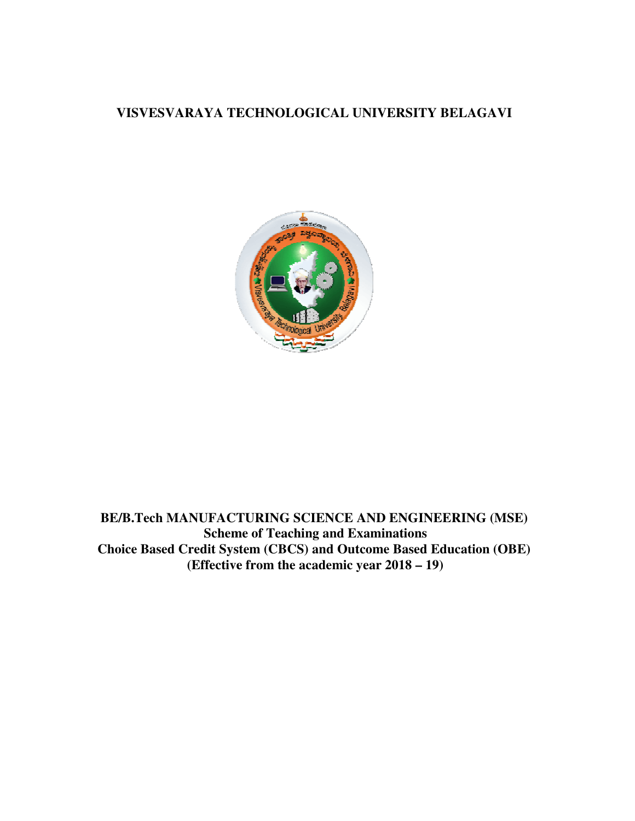# **VISVESVARAYA TECHNOLOGICAL UNIVERSITY BELAGAVI**



**BE/B.Tech MANUFACTURING SCIENCE AND ENGINEERING (MSE) Scheme of Teaching and Examinations BE/B.Tech MANUFACTURING SCIENCE AND ENGINEERING (MSE)**<br>Scheme of Teaching and Examinations<br>Choice Based Credit System (CBCS) and Outcome Based Education (OBE) **(Effective from the academic year 2018 – 19)**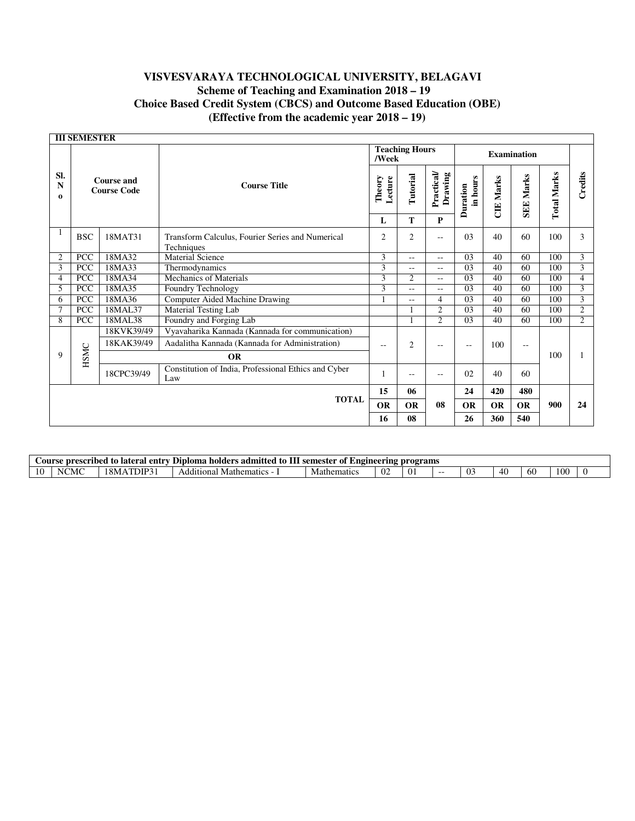|                      | <b>III SEMESTER</b>                     |            |                                                                |                |                                |                   |                 |                      |                             |                  |                  |                    |         |
|----------------------|-----------------------------------------|------------|----------------------------------------------------------------|----------------|--------------------------------|-------------------|-----------------|----------------------|-----------------------------|------------------|------------------|--------------------|---------|
|                      |                                         |            |                                                                |                | <b>Teaching Hours</b><br>/Week |                   |                 |                      | <b>Examination</b>          |                  |                  |                    |         |
| SI.<br>N<br>$\bf{0}$ | <b>Course and</b><br><b>Course Code</b> |            |                                                                |                | <b>Course Title</b>            | Theory<br>Lecture | Tutorial        | Practical<br>Drawing | in hours<br><b>Duration</b> | <b>CIE Marks</b> | <b>SEE Marks</b> | <b>Total Marks</b> | Credits |
|                      |                                         |            |                                                                | L              | T                              | P                 |                 |                      |                             |                  |                  |                    |         |
|                      | <b>BSC</b>                              | 18MAT31    | Transform Calculus, Fourier Series and Numerical<br>Techniques | 2              | $\overline{2}$                 | $-$               | 0 <sub>3</sub>  | 40                   | 60                          | 100              | 3                |                    |         |
| 2                    | PCC                                     | 18MA32     | <b>Material Science</b>                                        | 3              | $-1$                           | $-1$              | 0 <sub>3</sub>  | 40                   | 60                          | 100              | 3                |                    |         |
| 3                    | <b>PCC</b>                              | 18MA33     | Thermodynamics                                                 | $\overline{3}$ | $- -$                          | $- -$             | 03              | 40                   | 60                          | 100              | $\overline{3}$   |                    |         |
| 4                    | <b>PCC</b>                              | 18MA34     | Mechanics of Materials                                         | 3              | 2                              | $-$               | 03              | 40                   | 60                          | 100              | $\overline{4}$   |                    |         |
| 5                    | PCC                                     | 18MA35     | Foundry Technology                                             | 3              | $- -$                          | $-$               | $\overline{03}$ | 40                   | 60                          | 100              | $\overline{3}$   |                    |         |
| 6                    | <b>PCC</b>                              | 18MA36     | Computer Aided Machine Drawing                                 |                | $ -$                           | 4                 | 03              | 40                   | 60                          | 100              | 3                |                    |         |
|                      | <b>PCC</b>                              | 18MAL37    | Material Testing Lab                                           |                |                                | $\overline{2}$    | 03              | 40                   | 60                          | 100              | $\overline{2}$   |                    |         |
| 8                    | <b>PCC</b>                              | 18MAL38    | Foundry and Forging Lab                                        |                |                                | 2                 | $\overline{03}$ | 40                   | 60                          | 100              | $\overline{2}$   |                    |         |
|                      |                                         | 18KVK39/49 | Vyavaharika Kannada (Kannada for communication)                |                |                                |                   |                 |                      |                             |                  |                  |                    |         |
|                      |                                         | 18KAK39/49 | Aadalitha Kannada (Kannada for Administration)                 | --             | $\overline{2}$                 | --                | --              | 100                  | $\sim$ $\sim$               |                  |                  |                    |         |
| 9                    | HSMC                                    |            | <b>OR</b>                                                      |                |                                |                   |                 |                      |                             | 100              |                  |                    |         |
|                      |                                         | 18CPC39/49 | Constitution of India, Professional Ethics and Cyber<br>Law    |                | $- -$                          | $- -$             | 02              | 40                   | 60                          |                  |                  |                    |         |
|                      |                                         |            |                                                                | 15             | 06                             |                   | 24              | 420                  | 480                         |                  |                  |                    |         |
|                      |                                         |            | <b>TOTAL</b>                                                   | <b>OR</b>      | <b>OR</b>                      | 08                | <b>OR</b>       | <b>OR</b>            | <b>OR</b>                   | 900              | 24               |                    |         |
|                      |                                         |            |                                                                | 16             | 08                             |                   | 26              | 360                  | 540                         |                  |                  |                    |         |

|    | programs<br>nolders .<br>admitt<br>semester<br>entry<br>abed<br>lateral<br>Diploma<br>prescr<br>Lngmeer<br>tΛ<br>ourse<br>∸ot<br>. INP<br>ited<br>. to |                                           |                                  |             |              |  |  |  |     |    |     |  |
|----|--------------------------------------------------------------------------------------------------------------------------------------------------------|-------------------------------------------|----------------------------------|-------------|--------------|--|--|--|-----|----|-----|--|
| πU | :MO<br>N                                                                                                                                               | $\Omega$<br>$^{\prime}$ $^{\prime}$<br>∣∩ | Additional<br><b>Mathematics</b> | Mathematics | $\sim$<br>UΖ |  |  |  | -40 | ы. | 100 |  |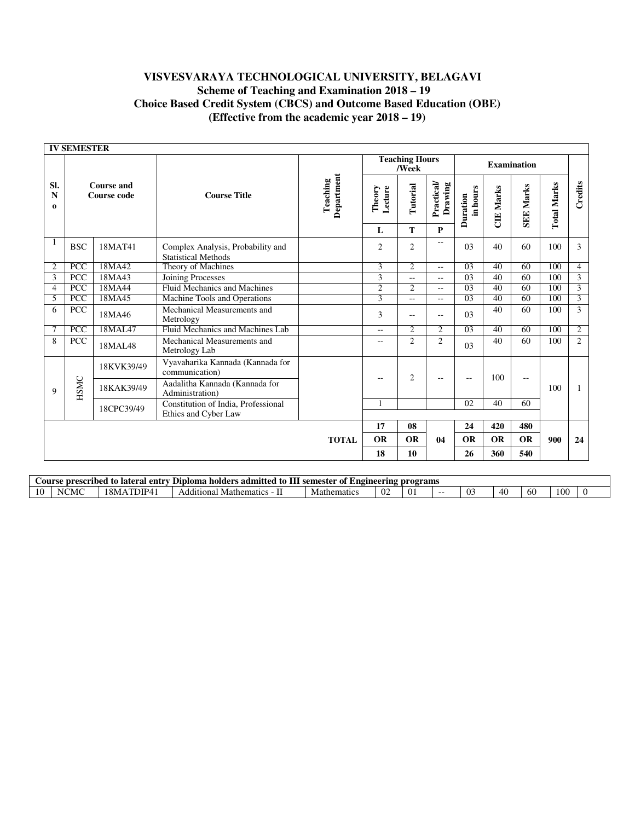|                                | <b>IV SEMESTER</b> |                                         |                                                                 |                        |                   |                                |                          |                      |                  |                          |                    |                |
|--------------------------------|--------------------|-----------------------------------------|-----------------------------------------------------------------|------------------------|-------------------|--------------------------------|--------------------------|----------------------|------------------|--------------------------|--------------------|----------------|
|                                |                    |                                         |                                                                 |                        |                   | <b>Teaching Hours</b><br>/Week |                          |                      |                  | <b>Examination</b>       |                    |                |
| SI.<br>$\mathbf N$<br>$\bf{0}$ |                    | <b>Course and</b><br><b>Course code</b> | <b>Course Title</b>                                             | Department<br>Teaching | Lecture<br>Theory | Tutorial                       | Practical<br>Drawing     | in hours<br>Duration | <b>CIE Marks</b> | <b>SEE Marks</b>         | <b>Total Marks</b> | Credits        |
|                                |                    |                                         |                                                                 |                        | L                 | T                              | $\mathbf{P}$             |                      |                  |                          |                    |                |
|                                | <b>BSC</b>         | 18MAT41                                 | Complex Analysis, Probability and<br><b>Statistical Methods</b> |                        | $\overline{c}$    | $\overline{c}$                 | $- -$                    | 03                   | 40               | 60                       | 100                | 3              |
| 2                              | <b>PCC</b>         | 18MA42                                  | Theory of Machines                                              |                        | 3                 | $\overline{2}$                 | $-1$                     | $\overline{03}$      | 40               | 60                       | 100                | $\overline{4}$ |
| $\overline{3}$                 | <b>PCC</b>         | 18MA43                                  | Joining Processes                                               |                        | $\overline{3}$    | 44                             | $\overline{\phantom{a}}$ | $\overline{03}$      | 40               | 60                       | 100                | $\overline{3}$ |
| 4                              | <b>PCC</b>         | 18MA44                                  | Fluid Mechanics and Machines                                    |                        | $\overline{2}$    | $\overline{2}$                 | $ -$                     | $\overline{03}$      | 40               | 60                       | 100                | $\overline{3}$ |
| 5                              | <b>PCC</b>         | 18MA45                                  | Machine Tools and Operations                                    |                        | $\overline{3}$    | --                             | $- -$                    | 03                   | 40               | 60                       | 100                | $\overline{3}$ |
| 6                              | <b>PCC</b>         | 18MA46                                  | Mechanical Measurements and<br>Metrology                        |                        | $\overline{3}$    | $-$                            | $\sim$ $\sim$            | 03                   | 40               | 60                       | 100                | 3              |
| 7                              | <b>PCC</b>         | 18MAL47                                 | Fluid Mechanics and Machines Lab                                |                        | $-1$              | $\overline{c}$                 | $\overline{2}$           | $\overline{03}$      | 40               | 60                       | 100                | 2              |
| 8                              | <b>PCC</b>         | 18MAL48                                 | Mechanical Measurements and<br>Metrology Lab                    |                        | $- -$             | $\overline{c}$                 | $\overline{2}$           | 03                   | 40               | 60                       | 100                | $\overline{2}$ |
|                                |                    | 18KVK39/49                              | Vyavaharika Kannada (Kannada for<br>communication)              |                        |                   | $\overline{2}$                 |                          |                      | 100              |                          |                    |                |
| 9                              | HSMC               | 18KAK39/49                              | Aadalitha Kannada (Kannada for<br>Administration)               |                        | --                |                                | $\sim$                   | $-$                  |                  | $\overline{\phantom{m}}$ | 100                | 1              |
|                                |                    | 18CPC39/49                              | Constitution of India, Professional                             |                        |                   |                                |                          | $\overline{02}$      | 40               | 60                       |                    |                |
|                                |                    |                                         | Ethics and Cyber Law                                            |                        |                   |                                |                          |                      |                  |                          |                    |                |
|                                |                    |                                         |                                                                 |                        | 17                | 08                             |                          | 24                   | 420              | 480                      |                    |                |
|                                |                    |                                         |                                                                 | <b>TOTAL</b>           | <b>OR</b>         | <b>OR</b>                      | 04                       | <b>OR</b>            | <b>OR</b>        | <b>OR</b>                | 900                | 24             |
|                                |                    |                                         |                                                                 |                        | 18                | 10                             |                          | 26                   | 360              | 540                      |                    |                |

|                   | . -<br>Diploma<br>Angineering<br><b>programs</b><br>prescribed<br>4 entry<br>. admitted<br>. holders<br>semester<br>Course<br>of<br>lateral<br>to.<br>- to |                   |                                      |             |              |    |       |                        |    |     |     |  |
|-------------------|------------------------------------------------------------------------------------------------------------------------------------------------------------|-------------------|--------------------------------------|-------------|--------------|----|-------|------------------------|----|-----|-----|--|
| $\sqrt{ }$<br>1 U | MC<br>NU.                                                                                                                                                  | $^18MA$<br>11 P 4 | Additional<br><b>Mathematics</b><br> | Mathematics | $\mathsf{u}$ | v. | $- -$ | $\sim$<br>$\mathbf{v}$ | 40 | -60 | 100 |  |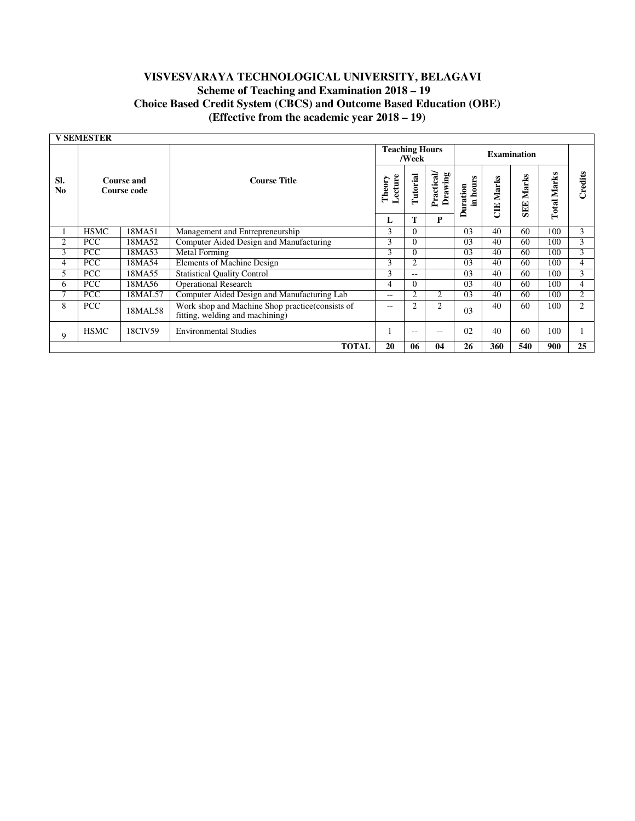|                       | <b>V SEMESTER</b>                       |         |                                                                                    |                       |                |                      |                      |            |                    |                    |                 |
|-----------------------|-----------------------------------------|---------|------------------------------------------------------------------------------------|-----------------------|----------------|----------------------|----------------------|------------|--------------------|--------------------|-----------------|
|                       |                                         |         |                                                                                    | <b>Teaching Hours</b> | /Week          |                      |                      |            | <b>Examination</b> |                    |                 |
| Sl.<br>N <sub>0</sub> | <b>Course and</b><br><b>Course code</b> |         | Theory<br><b>Course Title</b>                                                      |                       | Tutorial       | Practical<br>Drawing | in hours<br>Duration | Marks<br>Ë | <b>SEE Marks</b>   | <b>Total Marks</b> | Credits         |
|                       |                                         |         |                                                                                    | L                     | T              | P                    |                      |            |                    |                    |                 |
|                       | <b>HSMC</b>                             | 18MA51  | Management and Entrepreneurship                                                    | 3                     | $\Omega$       |                      | 03                   | 40         | 60                 | 100                | 3               |
| 2                     | <b>PCC</b>                              | 18MA52  | Computer Aided Design and Manufacturing                                            | 3                     | $\theta$       |                      | 03                   | 40         | 60                 | 100                | 3               |
| 3                     | PCC                                     | 18MA53  | <b>Metal Forming</b>                                                               | 3                     | $\Omega$       |                      | 03                   | 40         | 60                 | 100                | $\overline{3}$  |
| 4                     | <b>PCC</b>                              | 18MA54  | Elements of Machine Design                                                         | 3                     | $\overline{2}$ |                      | 03                   | 40         | 60                 | 100                | $\overline{4}$  |
| 5                     | PCC                                     | 18MA55  | <b>Statistical Quality Control</b>                                                 | 3                     | $\sim$ $\sim$  |                      | 03                   | 40         | 60                 | 100                | 3               |
| 6                     | <b>PCC</b>                              | 18MA56  | <b>Operational Research</b>                                                        | 4                     | $\Omega$       |                      | 03                   | 40         | 60                 | 100                | $\overline{4}$  |
| 7                     | <b>PCC</b>                              | 18MAL57 | Computer Aided Design and Manufacturing Lab                                        | $- -$                 | 2              | $\overline{2}$       | 03                   | 40         | 60                 | 100                | 2               |
| 8                     | <b>PCC</b>                              | 18MAL58 | Work shop and Machine Shop practice(consists of<br>fitting, welding and machining) | $- -$                 | $\overline{c}$ | 2                    | 03                   | 40         | 60                 | 100                | 2               |
| 9                     | <b>HSMC</b>                             | 18CIV59 | <b>Environmental Studies</b>                                                       |                       | $- -$          | $\qquad \qquad -$    | 02                   | 40         | 60                 | 100                |                 |
|                       |                                         |         | <b>TOTAL</b>                                                                       | 20                    | 06             | 04                   | 26                   | 360        | 540                | 900                | $\overline{25}$ |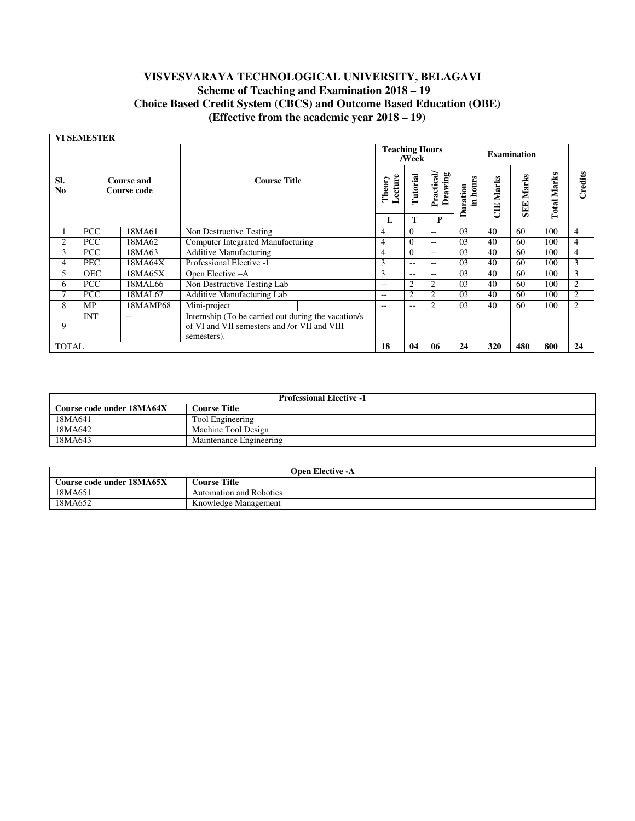|                       | <b>VI SEMESTER</b> |                           |                                                                                                                     |  |                       |               |                      |                     |            |                       |                       |                |
|-----------------------|--------------------|---------------------------|---------------------------------------------------------------------------------------------------------------------|--|-----------------------|---------------|----------------------|---------------------|------------|-----------------------|-----------------------|----------------|
|                       |                    |                           |                                                                                                                     |  | <b>Teaching Hours</b> | /Week         |                      |                     |            | <b>Examination</b>    |                       |                |
| SI.<br>N <sub>0</sub> |                    | Course and<br>Course code | <b>Course Title</b>                                                                                                 |  | Lecture<br>Theory     | Tutorial      | Practical<br>Drawing | in hours<br>uration | Marks<br>Ë | Marks<br><b>SEE</b> . | Marks<br><b>Total</b> | Credits        |
|                       |                    |                           |                                                                                                                     |  | L                     | T             | P                    |                     |            |                       |                       |                |
|                       | <b>PCC</b>         | 18MA61                    | Non Destructive Testing                                                                                             |  | 4                     | $\Omega$      | $- -$                | 03                  | 40         | 60                    | 100                   | 4              |
| 2                     | <b>PCC</b>         | 18MA62                    | Computer Integrated Manufacturing                                                                                   |  | 4                     | $\Omega$      | $-$                  | 0 <sub>3</sub>      | 40         | 60                    | 100                   | $\overline{4}$ |
| 3                     | <b>PCC</b>         | 18MA63                    | <b>Additive Manufacturing</b>                                                                                       |  | $\overline{4}$        | $\Omega$      | $- -$                | 03                  | 40         | 60                    | 100                   | $\overline{4}$ |
| $\overline{4}$        | <b>PEC</b>         | 18MA64X                   | Professional Elective -1                                                                                            |  | 3                     | $- -$         | $-$                  | 0 <sub>3</sub>      | 40         | 60                    | 100                   | 3              |
| 5                     | <b>OEC</b>         | 18MA65X                   | Open Elective -A                                                                                                    |  | 3                     | $\sim$ $\sim$ | $- -$                | 0 <sub>3</sub>      | 40         | 60                    | 100                   | 3              |
| 6                     | <b>PCC</b>         | 18MAL66                   | Non Destructive Testing Lab                                                                                         |  | $-$                   | 2             | $\overline{c}$       | 0 <sub>3</sub>      | 40         | 60                    | 100                   | $\overline{2}$ |
| 7                     | <b>PCC</b>         | 18MAL67                   | Additive Manufacturing Lab                                                                                          |  | $- -$                 | 2             | $\overline{c}$       | 0 <sub>3</sub>      | 40         | 60                    | 100                   | $\overline{2}$ |
| 8                     | MP                 | 18MAMP68                  | Mini-project                                                                                                        |  | $\qquad \qquad -$     | $- -$         | 2                    | 03                  | 40         | 60                    | 100                   | $\overline{2}$ |
| 9                     | <b>INT</b>         | $- -$                     | Internship (To be carried out during the vacation/s)<br>of VI and VII semesters and /or VII and VIII<br>semesters). |  |                       |               |                      |                     |            |                       |                       |                |
| <b>TOTAL</b>          |                    |                           |                                                                                                                     |  | 18                    | 04            | 06                   | 24                  | 320        | 480                   | 800                   | 24             |

| <b>Professional Elective -1</b> |                         |  |  |  |
|---------------------------------|-------------------------|--|--|--|
| Course code under 18MA64X       | <b>Course Title</b>     |  |  |  |
| 18MA641                         | Tool Engineering        |  |  |  |
| 18MA642                         | Machine Tool Design     |  |  |  |
| 18MA643                         | Maintenance Engineering |  |  |  |

| <b>Open Elective -A</b>   |                         |  |  |  |  |
|---------------------------|-------------------------|--|--|--|--|
| Course code under 18MA65X | <b>Course Title</b>     |  |  |  |  |
| 18MA651                   | Automation and Robotics |  |  |  |  |
| 18MA652                   | Knowledge Management    |  |  |  |  |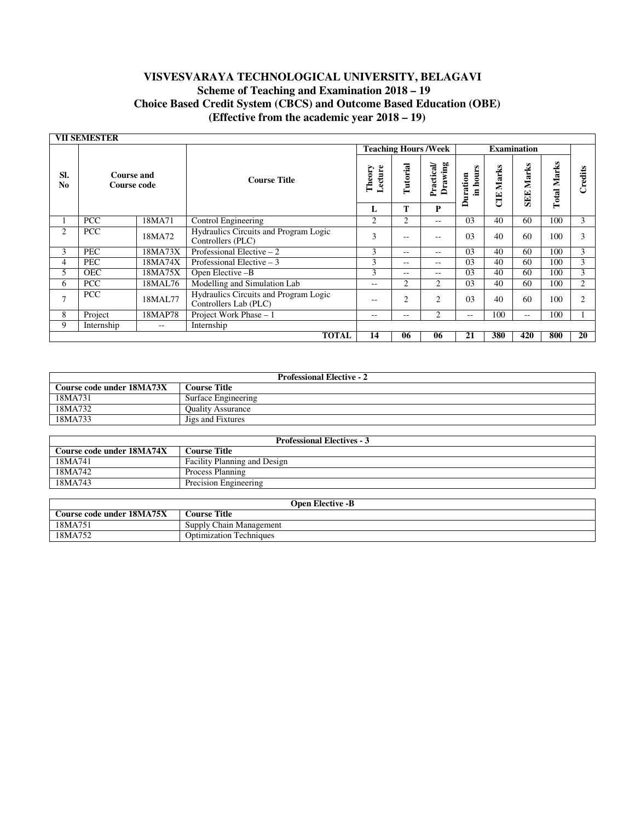|                       | <b>VII SEMESTER</b>              |         |                                                                |                   |                |                             |                     |            |                      |                       |         |
|-----------------------|----------------------------------|---------|----------------------------------------------------------------|-------------------|----------------|-----------------------------|---------------------|------------|----------------------|-----------------------|---------|
|                       |                                  |         |                                                                |                   |                | <b>Teaching Hours /Week</b> |                     |            | <b>Examination</b>   |                       |         |
| SI.<br>N <sub>0</sub> | <b>Course and</b><br>Course code |         | <b>Course Title</b>                                            | Lecture<br>Theory | Tutorial       | Drawing<br>Practical        | in hours<br>uration | Marks<br>Ë | Marks<br><b>SEEE</b> | Marks<br><b>Total</b> | Credits |
|                       |                                  |         |                                                                | L                 | Т              | P                           | ≏                   |            |                      |                       |         |
|                       | <b>PCC</b>                       | 18MA71  | Control Engineering                                            | $\overline{2}$    | 2              | $- -$                       | 0 <sub>3</sub>      | 40         | 60                   | 100                   | 3       |
| 2                     | <b>PCC</b>                       | 18MA72  | Hydraulics Circuits and Program Logic<br>Controllers (PLC)     | 3                 | $- -$          | --                          | 0 <sub>3</sub>      | 40         | 60                   | 100                   | 3       |
| 3                     | PEC                              | 18MA73X | Professional Elective $-2$                                     | 3                 | $- -$          | --                          | 03                  | 40         | 60                   | 100                   | 3       |
| 4                     | PEC                              | 18MA74X | Professional Elective $-3$                                     | 3                 | $- -$          | --                          | 0 <sub>3</sub>      | 40         | 60                   | 100                   | 3       |
| 5                     | <b>OEC</b>                       | 18MA75X | Open Elective -B                                               | 3                 | $- -$          | --                          | 0 <sub>3</sub>      | 40         | 60                   | 100                   | 3       |
| 6                     | PCC                              | 18MAL76 | Modelling and Simulation Lab                                   | $- -$             | $\overline{c}$ | 2                           | 0 <sub>3</sub>      | 40         | 60                   | 100                   | 2       |
| $\overline{7}$        | PCC                              | 18MAL77 | Hydraulics Circuits and Program Logic<br>Controllers Lab (PLC) | $- -$             | 2              | $\overline{c}$              | 0 <sub>3</sub>      | 40         | 60                   | 100                   | 2       |
| 8                     | Project                          | 18MAP78 | Project Work Phase - 1                                         | $- -$             | $- -$          | $\overline{c}$              | $- -$               | 100        | $- -$                | 100                   |         |
| 9                     | Internship                       | $- -$   | Internship                                                     |                   |                |                             |                     |            |                      |                       |         |
|                       |                                  |         | <b>TOTAL</b>                                                   | 14                | 06             | 06                          | 21                  | 380        | 420                  | 800                   | 20      |

| <b>Professional Elective - 2</b> |                          |  |  |  |  |
|----------------------------------|--------------------------|--|--|--|--|
| Course code under 18MA73X        | Course Title             |  |  |  |  |
| 18MA731                          | Surface Engineering      |  |  |  |  |
| 18MA732                          | <b>Ouality Assurance</b> |  |  |  |  |
| 18MA733                          | Jigs and Fixtures        |  |  |  |  |

| <b>Professional Electives - 3</b> |                                     |  |  |  |
|-----------------------------------|-------------------------------------|--|--|--|
| Course code under 18MA74X         | Course Title :                      |  |  |  |
| 18MA741                           | <b>Facility Planning and Design</b> |  |  |  |
| 18MA742                           | Process Planning                    |  |  |  |
| 18MA743                           | Precision Engineering               |  |  |  |

| Open Elective -B          |                                |  |  |  |  |
|---------------------------|--------------------------------|--|--|--|--|
| Course code under 18MA75X | <b>Course Title</b>            |  |  |  |  |
| 18MA751                   | Supply Chain Management        |  |  |  |  |
| 18MA752                   | <b>Optimization Techniques</b> |  |  |  |  |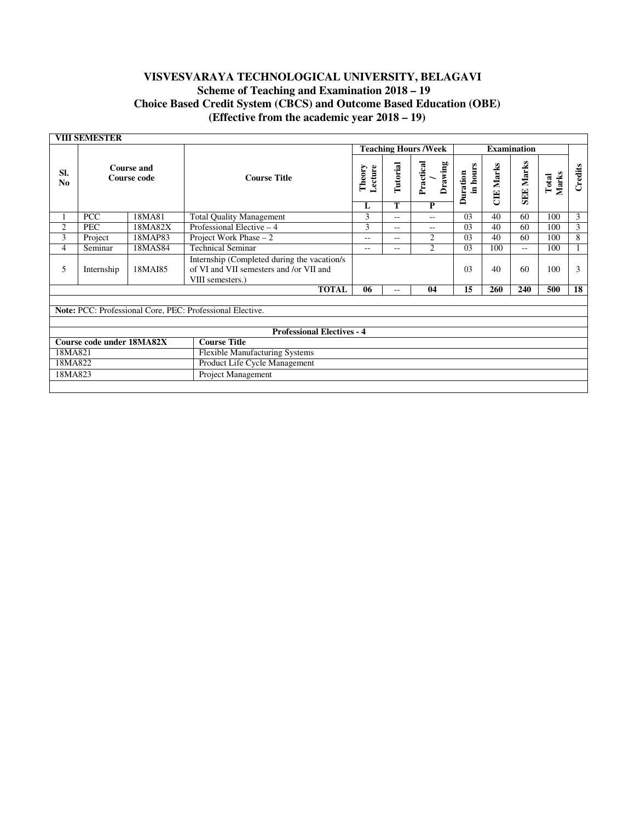|                                                           | <b>VIII SEMESTER</b>              |         |                                                                                                            |                             |                       |                           |                             |                  |                  |                |                 |
|-----------------------------------------------------------|-----------------------------------|---------|------------------------------------------------------------------------------------------------------------|-----------------------------|-----------------------|---------------------------|-----------------------------|------------------|------------------|----------------|-----------------|
|                                                           |                                   |         |                                                                                                            | <b>Teaching Hours /Week</b> |                       |                           | <b>Examination</b>          |                  |                  |                |                 |
| SI.<br>N <sub>0</sub>                                     | Course and<br>Course code         |         | <b>Course Title</b>                                                                                        | Lecture<br>Theory<br>L      | Tutorial<br>T         | Practical<br>Drawing<br>P | in hours<br><b>Duration</b> | <b>CIE</b> Marks | <b>SEE Marks</b> | Marks<br>Total | Credits         |
| 1                                                         | <b>PCC</b>                        | 18MA81  | <b>Total Quality Management</b>                                                                            | 3                           | --                    | $\sim$ $\sim$             | 03                          | 40               | 60               | 100            | $\overline{3}$  |
| $\overline{c}$                                            | <b>PEC</b>                        | 18MA82X | Professional Elective $-4$                                                                                 | 3                           | $-1$                  | $- -$                     | 03                          | 40               | 60               | 100            | $\overline{3}$  |
| 3                                                         | Project                           | 18MAP83 | Project Work Phase $-2$                                                                                    | 2<br>$-1$<br>$- -$          |                       | 03                        | 40                          | 60               | 100              | 8              |                 |
| $\overline{4}$                                            | Seminar                           | 18MAS84 | <b>Technical Seminar</b>                                                                                   | $\frac{1}{2}$               | $\overline{2}$<br>$=$ |                           | 03                          | 100              | $-1$             | 100            |                 |
| 5                                                         | 18MAI85<br>Internship             |         | Internship (Completed during the vacation/s<br>of VI and VII semesters and /or VII and<br>VIII semesters.) |                             |                       |                           | 0 <sub>3</sub>              | 40               | 60               | 100            | 3               |
|                                                           |                                   |         | <b>TOTAL</b>                                                                                               | 06                          | --                    | 04                        | $\overline{15}$             | 260              | 240              | 500            | $\overline{18}$ |
| Note: PCC: Professional Core, PEC: Professional Elective. |                                   |         |                                                                                                            |                             |                       |                           |                             |                  |                  |                |                 |
|                                                           | <b>Professional Electives - 4</b> |         |                                                                                                            |                             |                       |                           |                             |                  |                  |                |                 |
|                                                           | Course code under 18MA82X         |         | <b>Course Title</b>                                                                                        |                             |                       |                           |                             |                  |                  |                |                 |
| 18MA821                                                   |                                   |         | <b>Flexible Manufacturing Systems</b>                                                                      |                             |                       |                           |                             |                  |                  |                |                 |
| 18MA822                                                   |                                   |         | Product Life Cycle Management                                                                              |                             |                       |                           |                             |                  |                  |                |                 |
| 18MA823                                                   |                                   |         | Project Management                                                                                         |                             |                       |                           |                             |                  |                  |                |                 |
|                                                           |                                   |         |                                                                                                            |                             |                       |                           |                             |                  |                  |                |                 |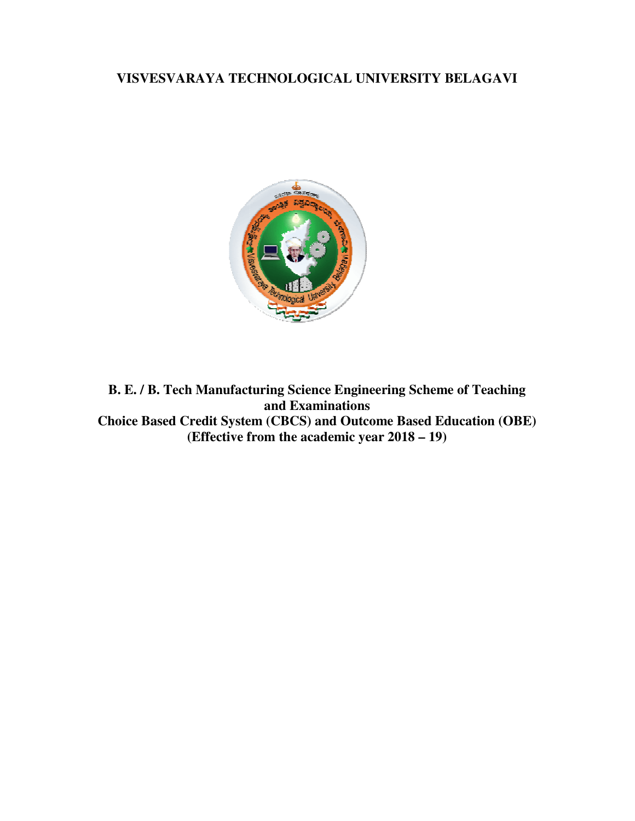# **VISVESVARAYA TECHNOLOGICAL UNIVERSITY BELAGAVI VISVESVARAYA**



**B. E. / B. Tech Manufacturing Science Engineering Scheme of Teaching B. E. / B. Tech Manufacturing Science Engineering Scheme of Teaching<br>
and Examinations<br>
Choice Based Credit System (CBCS) and Outcome Based Education (OBE) (Effective from the academic year 2018 – 19) and Examinations**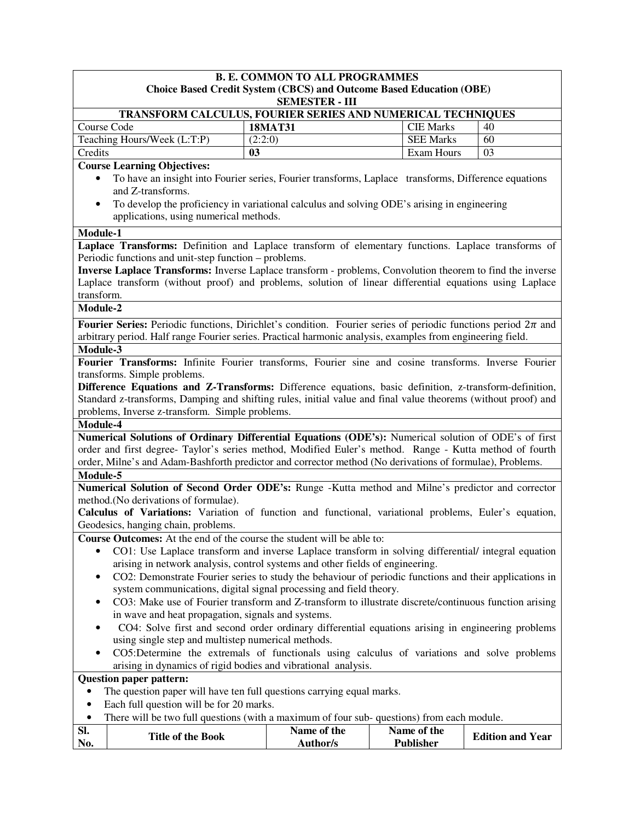|                                                                                                                                                             | <b>B. E. COMMON TO ALL PROGRAMMES</b>                                                                                                                                                                                       |         |                 |  |                  |                         |  |
|-------------------------------------------------------------------------------------------------------------------------------------------------------------|-----------------------------------------------------------------------------------------------------------------------------------------------------------------------------------------------------------------------------|---------|-----------------|--|------------------|-------------------------|--|
| <b>Choice Based Credit System (CBCS) and Outcome Based Education (OBE)</b><br><b>SEMESTER - III</b>                                                         |                                                                                                                                                                                                                             |         |                 |  |                  |                         |  |
|                                                                                                                                                             | TRANSFORM CALCULUS, FOURIER SERIES AND NUMERICAL TECHNIQUES                                                                                                                                                                 |         |                 |  |                  |                         |  |
| Course Code                                                                                                                                                 |                                                                                                                                                                                                                             |         | <b>18MAT31</b>  |  | <b>CIE Marks</b> | 40                      |  |
|                                                                                                                                                             | Teaching Hours/Week (L:T:P)                                                                                                                                                                                                 | (2:2:0) |                 |  | <b>SEE Marks</b> | 60                      |  |
| Credits                                                                                                                                                     |                                                                                                                                                                                                                             | 03      |                 |  | Exam Hours       | 03                      |  |
| <b>Course Learning Objectives:</b>                                                                                                                          |                                                                                                                                                                                                                             |         |                 |  |                  |                         |  |
|                                                                                                                                                             | To have an insight into Fourier series, Fourier transforms, Laplace transforms, Difference equations                                                                                                                        |         |                 |  |                  |                         |  |
|                                                                                                                                                             | and Z-transforms.                                                                                                                                                                                                           |         |                 |  |                  |                         |  |
| $\bullet$                                                                                                                                                   | To develop the proficiency in variational calculus and solving ODE's arising in engineering                                                                                                                                 |         |                 |  |                  |                         |  |
|                                                                                                                                                             | applications, using numerical methods.                                                                                                                                                                                      |         |                 |  |                  |                         |  |
| Module-1                                                                                                                                                    |                                                                                                                                                                                                                             |         |                 |  |                  |                         |  |
|                                                                                                                                                             | Laplace Transforms: Definition and Laplace transform of elementary functions. Laplace transforms of                                                                                                                         |         |                 |  |                  |                         |  |
|                                                                                                                                                             | Periodic functions and unit-step function – problems.                                                                                                                                                                       |         |                 |  |                  |                         |  |
|                                                                                                                                                             | <b>Inverse Laplace Transforms:</b> Inverse Laplace transform - problems, Convolution theorem to find the inverse<br>Laplace transform (without proof) and problems, solution of linear differential equations using Laplace |         |                 |  |                  |                         |  |
| transform.                                                                                                                                                  |                                                                                                                                                                                                                             |         |                 |  |                  |                         |  |
| Module-2                                                                                                                                                    |                                                                                                                                                                                                                             |         |                 |  |                  |                         |  |
|                                                                                                                                                             | <b>Fourier Series:</b> Periodic functions, Dirichlet's condition. Fourier series of periodic functions period $2\pi$ and                                                                                                    |         |                 |  |                  |                         |  |
|                                                                                                                                                             | arbitrary period. Half range Fourier series. Practical harmonic analysis, examples from engineering field.                                                                                                                  |         |                 |  |                  |                         |  |
| Module-3                                                                                                                                                    |                                                                                                                                                                                                                             |         |                 |  |                  |                         |  |
|                                                                                                                                                             | Fourier Transforms: Infinite Fourier transforms, Fourier sine and cosine transforms. Inverse Fourier                                                                                                                        |         |                 |  |                  |                         |  |
|                                                                                                                                                             | transforms. Simple problems.                                                                                                                                                                                                |         |                 |  |                  |                         |  |
|                                                                                                                                                             | Difference Equations and Z-Transforms: Difference equations, basic definition, z-transform-definition,                                                                                                                      |         |                 |  |                  |                         |  |
|                                                                                                                                                             | Standard z-transforms, Damping and shifting rules, initial value and final value theorems (without proof) and                                                                                                               |         |                 |  |                  |                         |  |
| Module-4                                                                                                                                                    | problems, Inverse z-transform. Simple problems.                                                                                                                                                                             |         |                 |  |                  |                         |  |
|                                                                                                                                                             | Numerical Solutions of Ordinary Differential Equations (ODE's): Numerical solution of ODE's of first                                                                                                                        |         |                 |  |                  |                         |  |
|                                                                                                                                                             | order and first degree- Taylor's series method, Modified Euler's method. Range - Kutta method of fourth                                                                                                                     |         |                 |  |                  |                         |  |
|                                                                                                                                                             | order, Milne's and Adam-Bashforth predictor and corrector method (No derivations of formulae), Problems.                                                                                                                    |         |                 |  |                  |                         |  |
| Module-5                                                                                                                                                    |                                                                                                                                                                                                                             |         |                 |  |                  |                         |  |
|                                                                                                                                                             | Numerical Solution of Second Order ODE's: Runge -Kutta method and Milne's predictor and corrector                                                                                                                           |         |                 |  |                  |                         |  |
|                                                                                                                                                             | method.(No derivations of formulae).                                                                                                                                                                                        |         |                 |  |                  |                         |  |
|                                                                                                                                                             | Calculus of Variations: Variation of function and functional, variational problems, Euler's equation,                                                                                                                       |         |                 |  |                  |                         |  |
|                                                                                                                                                             | Geodesics, hanging chain, problems.                                                                                                                                                                                         |         |                 |  |                  |                         |  |
|                                                                                                                                                             | <b>Course Outcomes:</b> At the end of the course the student will be able to:                                                                                                                                               |         |                 |  |                  |                         |  |
| $\bullet$                                                                                                                                                   | CO1: Use Laplace transform and inverse Laplace transform in solving differential/ integral equation                                                                                                                         |         |                 |  |                  |                         |  |
|                                                                                                                                                             | arising in network analysis, control systems and other fields of engineering.                                                                                                                                               |         |                 |  |                  |                         |  |
|                                                                                                                                                             | CO2: Demonstrate Fourier series to study the behaviour of periodic functions and their applications in                                                                                                                      |         |                 |  |                  |                         |  |
|                                                                                                                                                             | system communications, digital signal processing and field theory.                                                                                                                                                          |         |                 |  |                  |                         |  |
|                                                                                                                                                             | CO3: Make use of Fourier transform and Z-transform to illustrate discrete/continuous function arising                                                                                                                       |         |                 |  |                  |                         |  |
|                                                                                                                                                             | in wave and heat propagation, signals and systems.                                                                                                                                                                          |         |                 |  |                  |                         |  |
| CO4: Solve first and second order ordinary differential equations arising in engineering problems                                                           |                                                                                                                                                                                                                             |         |                 |  |                  |                         |  |
|                                                                                                                                                             | using single step and multistep numerical methods.                                                                                                                                                                          |         |                 |  |                  |                         |  |
| CO5:Determine the extremals of functionals using calculus of variations and solve problems<br>arising in dynamics of rigid bodies and vibrational analysis. |                                                                                                                                                                                                                             |         |                 |  |                  |                         |  |
| <b>Question paper pattern:</b>                                                                                                                              |                                                                                                                                                                                                                             |         |                 |  |                  |                         |  |
| The question paper will have ten full questions carrying equal marks.                                                                                       |                                                                                                                                                                                                                             |         |                 |  |                  |                         |  |
| $\bullet$                                                                                                                                                   | Each full question will be for 20 marks.                                                                                                                                                                                    |         |                 |  |                  |                         |  |
| $\bullet$                                                                                                                                                   | There will be two full questions (with a maximum of four sub-questions) from each module.                                                                                                                                   |         |                 |  |                  |                         |  |
| SI.                                                                                                                                                         |                                                                                                                                                                                                                             |         | Name of the     |  | Name of the      |                         |  |
| No.                                                                                                                                                         | <b>Title of the Book</b>                                                                                                                                                                                                    |         | <b>Author/s</b> |  | <b>Publisher</b> | <b>Edition and Year</b> |  |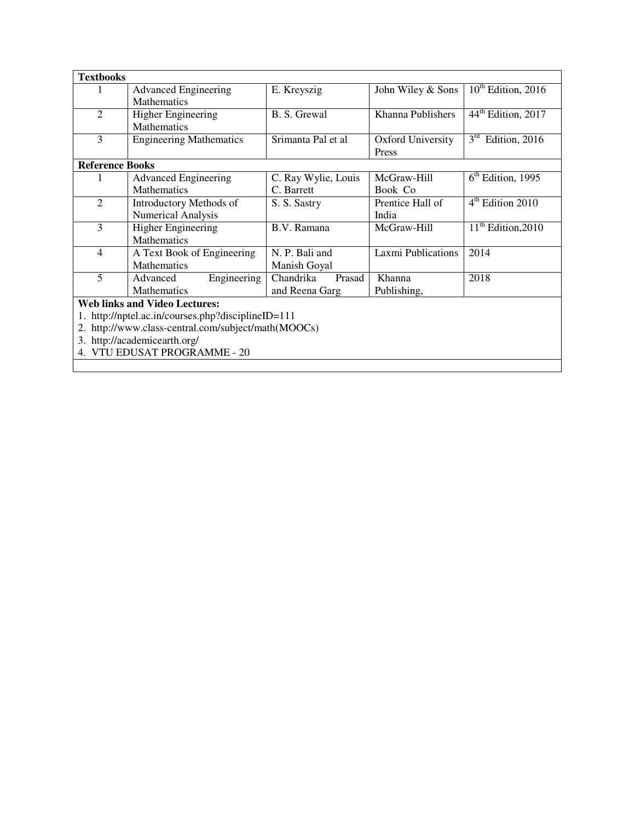| <b>Textbooks</b>                                 |                                      |                     |                    |                                  |  |  |
|--------------------------------------------------|--------------------------------------|---------------------|--------------------|----------------------------------|--|--|
| 1                                                | <b>Advanced Engineering</b>          | E. Kreyszig         | John Wiley & Sons  | $10th$ Edition, 2016             |  |  |
|                                                  | Mathematics                          |                     |                    |                                  |  |  |
| $\overline{2}$                                   | <b>Higher Engineering</b>            | B. S. Grewal        | Khanna Publishers  | $44th$ Edition, 2017             |  |  |
|                                                  | Mathematics                          |                     |                    |                                  |  |  |
| 3                                                | <b>Engineering Mathematics</b>       | Srimanta Pal et al  | Oxford University  | 3 <sup>rd</sup><br>Edition, 2016 |  |  |
|                                                  |                                      |                     | Press              |                                  |  |  |
| <b>Reference Books</b>                           |                                      |                     |                    |                                  |  |  |
|                                                  | <b>Advanced Engineering</b>          | C. Ray Wylie, Louis | McGraw-Hill        | $6th$ Edition, 1995              |  |  |
|                                                  | Mathematics                          | C. Barrett          | Book Co            |                                  |  |  |
| $\mathfrak{D}$                                   | <b>Introductory Methods of</b>       | S. S. Sastry        | Prentice Hall of   | $4th$ Edition 2010               |  |  |
|                                                  | Numerical Analysis                   |                     | India              |                                  |  |  |
| 3                                                | <b>Higher Engineering</b>            | B.V. Ramana         | McGraw-Hill        | $11th$ Edition, 2010             |  |  |
|                                                  | Mathematics                          |                     |                    |                                  |  |  |
| 4                                                | A Text Book of Engineering           | N. P. Bali and      | Laxmi Publications | 2014                             |  |  |
|                                                  | <b>Mathematics</b>                   | Manish Goyal        |                    |                                  |  |  |
| 5                                                | Engineering<br>Advanced              | Chandrika<br>Prasad | Khanna             | 2018                             |  |  |
|                                                  | Mathematics                          | and Reena Garg      | Publishing,        |                                  |  |  |
|                                                  | <b>Web links and Video Lectures:</b> |                     |                    |                                  |  |  |
| http://nptel.ac.in/courses.php?disciplineID=111  |                                      |                     |                    |                                  |  |  |
| http://www.class-central.com/subject/math(MOOCs) |                                      |                     |                    |                                  |  |  |
|                                                  | 3. http://academicearth.org/         |                     |                    |                                  |  |  |
|                                                  | VTU EDUSAT PROGRAMME - 20            |                     |                    |                                  |  |  |
|                                                  |                                      |                     |                    |                                  |  |  |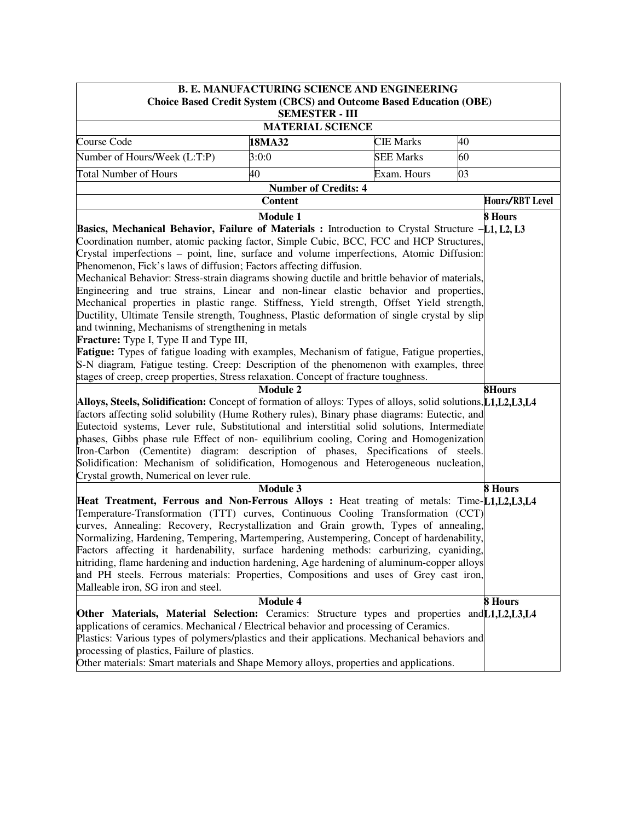|                                                                                                                                                                                                                                                                                                                                                                                                                                                                                                                                                                                                                                                                                                                                                                                                                                                                                                                                                                                                                                                                                                            | <b>B. E. MANUFACTURING SCIENCE AND ENGINEERING</b> |                  |         |  |  |  |  |
|------------------------------------------------------------------------------------------------------------------------------------------------------------------------------------------------------------------------------------------------------------------------------------------------------------------------------------------------------------------------------------------------------------------------------------------------------------------------------------------------------------------------------------------------------------------------------------------------------------------------------------------------------------------------------------------------------------------------------------------------------------------------------------------------------------------------------------------------------------------------------------------------------------------------------------------------------------------------------------------------------------------------------------------------------------------------------------------------------------|----------------------------------------------------|------------------|---------|--|--|--|--|
| <b>Choice Based Credit System (CBCS) and Outcome Based Education (OBE)</b>                                                                                                                                                                                                                                                                                                                                                                                                                                                                                                                                                                                                                                                                                                                                                                                                                                                                                                                                                                                                                                 |                                                    |                  |         |  |  |  |  |
| <b>SEMESTER - III</b><br><b>MATERIAL SCIENCE</b>                                                                                                                                                                                                                                                                                                                                                                                                                                                                                                                                                                                                                                                                                                                                                                                                                                                                                                                                                                                                                                                           |                                                    |                  |         |  |  |  |  |
|                                                                                                                                                                                                                                                                                                                                                                                                                                                                                                                                                                                                                                                                                                                                                                                                                                                                                                                                                                                                                                                                                                            |                                                    |                  |         |  |  |  |  |
| Course Code                                                                                                                                                                                                                                                                                                                                                                                                                                                                                                                                                                                                                                                                                                                                                                                                                                                                                                                                                                                                                                                                                                | 18MA32                                             | <b>CIE Marks</b> | 40      |  |  |  |  |
| Number of Hours/Week (L:T:P)                                                                                                                                                                                                                                                                                                                                                                                                                                                                                                                                                                                                                                                                                                                                                                                                                                                                                                                                                                                                                                                                               | 3:0:0                                              | <b>SEE Marks</b> | 60      |  |  |  |  |
| <b>Total Number of Hours</b>                                                                                                                                                                                                                                                                                                                                                                                                                                                                                                                                                                                                                                                                                                                                                                                                                                                                                                                                                                                                                                                                               | 40                                                 | Exam. Hours      | 03      |  |  |  |  |
| <b>Number of Credits: 4</b>                                                                                                                                                                                                                                                                                                                                                                                                                                                                                                                                                                                                                                                                                                                                                                                                                                                                                                                                                                                                                                                                                |                                                    |                  |         |  |  |  |  |
|                                                                                                                                                                                                                                                                                                                                                                                                                                                                                                                                                                                                                                                                                                                                                                                                                                                                                                                                                                                                                                                                                                            | <b>Hours/RBT Level</b>                             |                  |         |  |  |  |  |
| <b>Content</b><br>8 Hours<br><b>Module 1</b><br>Basics, Mechanical Behavior, Failure of Materials : Introduction to Crystal Structure $-L1, L2, L3$<br>Coordination number, atomic packing factor, Simple Cubic, BCC, FCC and HCP Structures,<br>Crystal imperfections – point, line, surface and volume imperfections, Atomic Diffusion:<br>Phenomenon, Fick's laws of diffusion; Factors affecting diffusion.<br>Mechanical Behavior: Stress-strain diagrams showing ductile and brittle behavior of materials,<br>Engineering and true strains, Linear and non-linear elastic behavior and properties,<br>Mechanical properties in plastic range. Stiffness, Yield strength, Offset Yield strength,<br>Ductility, Ultimate Tensile strength, Toughness, Plastic deformation of single crystal by slip<br>and twinning, Mechanisms of strengthening in metals<br><b>Fracture:</b> Type I, Type II and Type III,<br>Fatigue: Types of fatigue loading with examples, Mechanism of fatigue, Fatigue properties,<br>S-N diagram, Fatigue testing. Creep: Description of the phenomenon with examples, three |                                                    |                  |         |  |  |  |  |
| stages of creep, creep properties, Stress relaxation. Concept of fracture toughness.                                                                                                                                                                                                                                                                                                                                                                                                                                                                                                                                                                                                                                                                                                                                                                                                                                                                                                                                                                                                                       |                                                    |                  |         |  |  |  |  |
| <b>Module 2</b><br><b>8Hours</b><br>Alloys, Steels, Solidification: Concept of formation of alloys: Types of alloys, solid solutions, L1, L2, L3, L4<br>factors affecting solid solubility (Hume Rothery rules), Binary phase diagrams: Eutectic, and<br>Eutectoid systems, Lever rule, Substitutional and interstitial solid solutions, Intermediate<br>phases, Gibbs phase rule Effect of non-equilibrium cooling, Coring and Homogenization<br>Iron-Carbon (Cementite) diagram: description of phases, Specifications of steels.<br>Solidification: Mechanism of solidification, Homogenous and Heterogeneous nucleation,<br>Crystal growth, Numerical on lever rule.                                                                                                                                                                                                                                                                                                                                                                                                                                   |                                                    |                  |         |  |  |  |  |
|                                                                                                                                                                                                                                                                                                                                                                                                                                                                                                                                                                                                                                                                                                                                                                                                                                                                                                                                                                                                                                                                                                            | <b>Module 3</b>                                    |                  | 8 Hours |  |  |  |  |
| Heat Treatment, Ferrous and Non-Ferrous Alloys : Heat treating of metals: Time-L1,L2,L3,L4<br>Temperature-Transformation (TTT) curves, Continuous Cooling Transformation (CCT)<br>curves, Annealing: Recovery, Recrystallization and Grain growth, Types of annealing,<br>Normalizing, Hardening, Tempering, Martempering, Austempering, Concept of hardenability,<br>Factors affecting it hardenability, surface hardening methods: carburizing, cyaniding,<br>nitriding, flame hardening and induction hardening, Age hardening of aluminum-copper alloys<br>and PH steels. Ferrous materials: Properties, Compositions and uses of Grey cast iron,<br>Malleable iron, SG iron and steel.                                                                                                                                                                                                                                                                                                                                                                                                                |                                                    |                  |         |  |  |  |  |
| <b>Module 4</b><br>8 Hours                                                                                                                                                                                                                                                                                                                                                                                                                                                                                                                                                                                                                                                                                                                                                                                                                                                                                                                                                                                                                                                                                 |                                                    |                  |         |  |  |  |  |
| Other Materials, Material Selection: Ceramics: Structure types and properties and L1, L2, L3, L4<br>applications of ceramics. Mechanical / Electrical behavior and processing of Ceramics.<br>Plastics: Various types of polymers/plastics and their applications. Mechanical behaviors and<br>processing of plastics, Failure of plastics.<br>Other materials: Smart materials and Shape Memory alloys, properties and applications.                                                                                                                                                                                                                                                                                                                                                                                                                                                                                                                                                                                                                                                                      |                                                    |                  |         |  |  |  |  |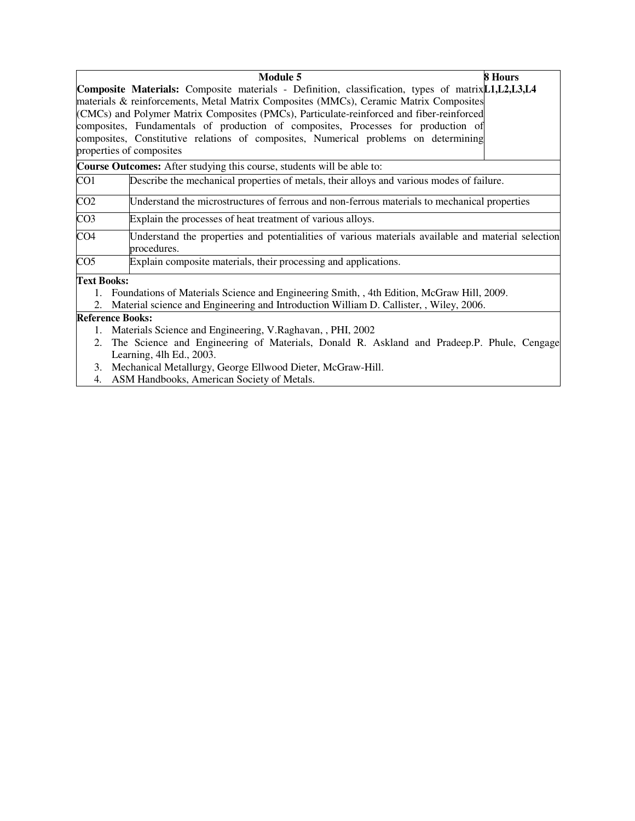| <b>Module 5</b>                                                                                                                                                                                                                                                                                                                                                                                                                                                                                   | 8 Hours |  |  |  |  |
|---------------------------------------------------------------------------------------------------------------------------------------------------------------------------------------------------------------------------------------------------------------------------------------------------------------------------------------------------------------------------------------------------------------------------------------------------------------------------------------------------|---------|--|--|--|--|
| Composite Materials: Composite materials - Definition, classification, types of matrix[1,1,12,13,14]<br>materials & reinforcements, Metal Matrix Composites (MMCs), Ceramic Matrix Composites<br>(CMCs) and Polymer Matrix Composites (PMCs), Particulate-reinforced and fiber-reinforced<br>composites, Fundamentals of production of composites, Processes for production of<br>composites, Constitutive relations of composites, Numerical problems on determining<br>properties of composites |         |  |  |  |  |
| <b>Course Outcomes:</b> After studying this course, students will be able to:                                                                                                                                                                                                                                                                                                                                                                                                                     |         |  |  |  |  |
| CO1<br>Describe the mechanical properties of metals, their alloys and various modes of failure.                                                                                                                                                                                                                                                                                                                                                                                                   |         |  |  |  |  |
| CO <sub>2</sub><br>Understand the microstructures of ferrous and non-ferrous materials to mechanical properties                                                                                                                                                                                                                                                                                                                                                                                   |         |  |  |  |  |
| CO <sub>3</sub><br>Explain the processes of heat treatment of various alloys.                                                                                                                                                                                                                                                                                                                                                                                                                     |         |  |  |  |  |
| CO <sub>4</sub><br>Understand the properties and potentialities of various materials available and material selection<br>procedures.                                                                                                                                                                                                                                                                                                                                                              |         |  |  |  |  |
| CO <sub>5</sub><br>Explain composite materials, their processing and applications.                                                                                                                                                                                                                                                                                                                                                                                                                |         |  |  |  |  |
| <b>Text Books:</b>                                                                                                                                                                                                                                                                                                                                                                                                                                                                                |         |  |  |  |  |
| 1. Foundations of Materials Science and Engineering Smith, 4th Edition, McGraw Hill, 2009.                                                                                                                                                                                                                                                                                                                                                                                                        |         |  |  |  |  |
| 2. Material science and Engineering and Introduction William D. Callister, , Wiley, 2006.                                                                                                                                                                                                                                                                                                                                                                                                         |         |  |  |  |  |
| <b>Reference Books:</b>                                                                                                                                                                                                                                                                                                                                                                                                                                                                           |         |  |  |  |  |
| 1. Materials Science and Engineering, V.Raghavan, , PHI, 2002<br>$\mathbf{1}$ $\mathbf{1}$<br>. CM . 'I D . II D . II I I D DI I C                                                                                                                                                                                                                                                                                                                                                                |         |  |  |  |  |

2. The Science and Engineering of Materials, Donald R. Askland and Pradeep.P. Phule, Cengage Learning, 4lh Ed., 2003.

- 3. Mechanical Metallurgy, George Ellwood Dieter, McGraw-Hill.
- 4. ASM Handbooks, American Society of Metals.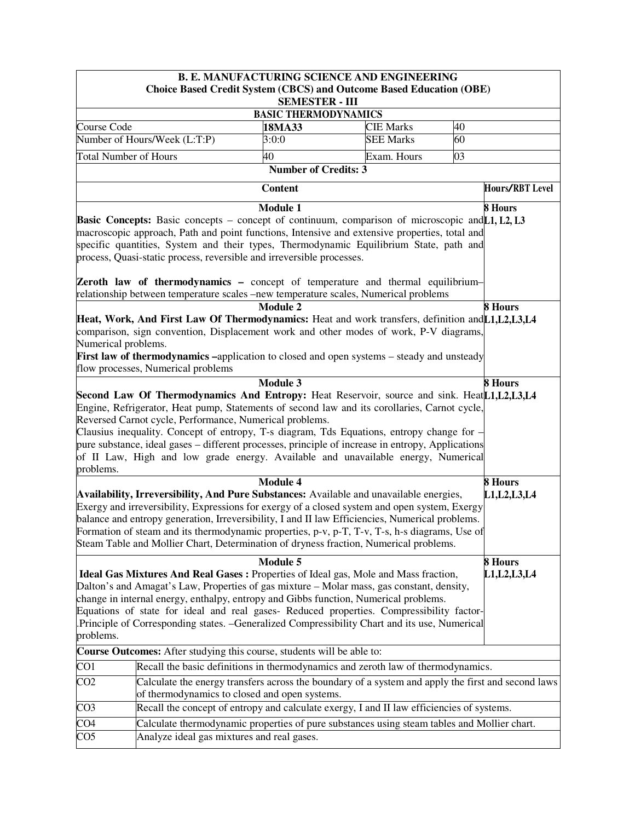|                                                                                                                                                                                                                                                                                                                                                                                                                                                                                                      |                                                                                                                                                                                                                                                                                                                                                                                                                                                                                       | <b>B. E. MANUFACTURING SCIENCE AND ENGINEERING</b> |                  |    |                 |  |  |
|------------------------------------------------------------------------------------------------------------------------------------------------------------------------------------------------------------------------------------------------------------------------------------------------------------------------------------------------------------------------------------------------------------------------------------------------------------------------------------------------------|---------------------------------------------------------------------------------------------------------------------------------------------------------------------------------------------------------------------------------------------------------------------------------------------------------------------------------------------------------------------------------------------------------------------------------------------------------------------------------------|----------------------------------------------------|------------------|----|-----------------|--|--|
|                                                                                                                                                                                                                                                                                                                                                                                                                                                                                                      | <b>Choice Based Credit System (CBCS) and Outcome Based Education (OBE)</b>                                                                                                                                                                                                                                                                                                                                                                                                            | <b>SEMESTER - III</b>                              |                  |    |                 |  |  |
| <b>BASIC THERMODYNAMICS</b>                                                                                                                                                                                                                                                                                                                                                                                                                                                                          |                                                                                                                                                                                                                                                                                                                                                                                                                                                                                       |                                                    |                  |    |                 |  |  |
| Course Code                                                                                                                                                                                                                                                                                                                                                                                                                                                                                          |                                                                                                                                                                                                                                                                                                                                                                                                                                                                                       | 18MA33                                             | <b>CIE Marks</b> | 40 |                 |  |  |
|                                                                                                                                                                                                                                                                                                                                                                                                                                                                                                      | Number of Hours/Week (L:T:P)                                                                                                                                                                                                                                                                                                                                                                                                                                                          | 3:0:0                                              | <b>SEE Marks</b> | 60 |                 |  |  |
| <b>Total Number of Hours</b>                                                                                                                                                                                                                                                                                                                                                                                                                                                                         |                                                                                                                                                                                                                                                                                                                                                                                                                                                                                       | 40                                                 | Exam. Hours      | 03 |                 |  |  |
|                                                                                                                                                                                                                                                                                                                                                                                                                                                                                                      |                                                                                                                                                                                                                                                                                                                                                                                                                                                                                       | <b>Number of Credits: 3</b>                        |                  |    |                 |  |  |
|                                                                                                                                                                                                                                                                                                                                                                                                                                                                                                      |                                                                                                                                                                                                                                                                                                                                                                                                                                                                                       | <b>Content</b>                                     |                  |    | Hours/RBT Level |  |  |
|                                                                                                                                                                                                                                                                                                                                                                                                                                                                                                      | <b>Basic Concepts:</b> Basic concepts – concept of continuum, comparison of microscopic and [1, L2, L3<br>macroscopic approach, Path and point functions, Intensive and extensive properties, total and<br>specific quantities, System and their types, Thermodynamic Equilibrium State, path and<br>process, Quasi-static process, reversible and irreversible processes.<br><b>Zeroth law of thermodynamics -</b> concept of temperature and thermal equilibrium-                   | <b>Module 1</b>                                    |                  |    | 8 Hours         |  |  |
|                                                                                                                                                                                                                                                                                                                                                                                                                                                                                                      |                                                                                                                                                                                                                                                                                                                                                                                                                                                                                       |                                                    |                  |    |                 |  |  |
|                                                                                                                                                                                                                                                                                                                                                                                                                                                                                                      | relationship between temperature scales –new temperature scales, Numerical problems<br><b>Module 2</b><br><b>8 Hours</b><br>Heat, Work, And First Law Of Thermodynamics: Heat and work transfers, definition and [1, L2, L3, L4<br>comparison, sign convention, Displacement work and other modes of work, P-V diagrams,<br>Numerical problems.<br>First law of thermodynamics -application to closed and open systems - steady and unsteady<br>flow processes, Numerical problems    |                                                    |                  |    |                 |  |  |
|                                                                                                                                                                                                                                                                                                                                                                                                                                                                                                      | Second Law Of Thermodynamics And Entropy: Heat Reservoir, source and sink. Heat[1,1,12,13,14]                                                                                                                                                                                                                                                                                                                                                                                         | <b>Module 3</b>                                    |                  |    | <b>8 Hours</b>  |  |  |
| problems.                                                                                                                                                                                                                                                                                                                                                                                                                                                                                            | Engine, Refrigerator, Heat pump, Statements of second law and its corollaries, Carnot cycle,<br>Reversed Carnot cycle, Performance, Numerical problems.<br>Clausius inequality. Concept of entropy, T-s diagram, Tds Equations, entropy change for -<br>pure substance, ideal gases – different processes, principle of increase in entropy, Applications<br>of II Law, High and low grade energy. Available and unavailable energy, Numerical                                        |                                                    |                  |    |                 |  |  |
|                                                                                                                                                                                                                                                                                                                                                                                                                                                                                                      |                                                                                                                                                                                                                                                                                                                                                                                                                                                                                       | <b>Module 4</b>                                    |                  |    | 8 Hours         |  |  |
|                                                                                                                                                                                                                                                                                                                                                                                                                                                                                                      | Availability, Irreversibility, And Pure Substances: Available and unavailable energies,<br>Exergy and irreversibility, Expressions for exergy of a closed system and open system, Exergy<br>balance and entropy generation, Irreversibility, I and II law Efficiencies, Numerical problems.<br>Formation of steam and its thermodynamic properties, p-v, p-T, T-v, T-s, h-s diagrams, Use of<br>Steam Table and Mollier Chart, Determination of dryness fraction, Numerical problems. |                                                    |                  |    | L1, L2, L3, L4  |  |  |
|                                                                                                                                                                                                                                                                                                                                                                                                                                                                                                      |                                                                                                                                                                                                                                                                                                                                                                                                                                                                                       | Module 5                                           |                  |    | 8 Hours         |  |  |
| Ideal Gas Mixtures And Real Gases : Properties of Ideal gas, Mole and Mass fraction,<br>L1, L2, L3, L4<br>Dalton's and Amagat's Law, Properties of gas mixture – Molar mass, gas constant, density,<br>change in internal energy, enthalpy, entropy and Gibbs function, Numerical problems.<br>Equations of state for ideal and real gases- Reduced properties. Compressibility factor-<br>Principle of Corresponding states. -Generalized Compressibility Chart and its use, Numerical<br>problems. |                                                                                                                                                                                                                                                                                                                                                                                                                                                                                       |                                                    |                  |    |                 |  |  |
| Course Outcomes: After studying this course, students will be able to:                                                                                                                                                                                                                                                                                                                                                                                                                               |                                                                                                                                                                                                                                                                                                                                                                                                                                                                                       |                                                    |                  |    |                 |  |  |
| CO <sub>1</sub>                                                                                                                                                                                                                                                                                                                                                                                                                                                                                      | Recall the basic definitions in thermodynamics and zeroth law of thermodynamics.                                                                                                                                                                                                                                                                                                                                                                                                      |                                                    |                  |    |                 |  |  |
| CO <sub>2</sub>                                                                                                                                                                                                                                                                                                                                                                                                                                                                                      | Calculate the energy transfers across the boundary of a system and apply the first and second laws<br>of thermodynamics to closed and open systems.                                                                                                                                                                                                                                                                                                                                   |                                                    |                  |    |                 |  |  |
| CO <sub>3</sub>                                                                                                                                                                                                                                                                                                                                                                                                                                                                                      | Recall the concept of entropy and calculate exergy, I and II law efficiencies of systems.                                                                                                                                                                                                                                                                                                                                                                                             |                                                    |                  |    |                 |  |  |
| CO <sub>4</sub>                                                                                                                                                                                                                                                                                                                                                                                                                                                                                      | Calculate thermodynamic properties of pure substances using steam tables and Mollier chart.                                                                                                                                                                                                                                                                                                                                                                                           |                                                    |                  |    |                 |  |  |
| CO <sub>5</sub>                                                                                                                                                                                                                                                                                                                                                                                                                                                                                      | Analyze ideal gas mixtures and real gases.                                                                                                                                                                                                                                                                                                                                                                                                                                            |                                                    |                  |    |                 |  |  |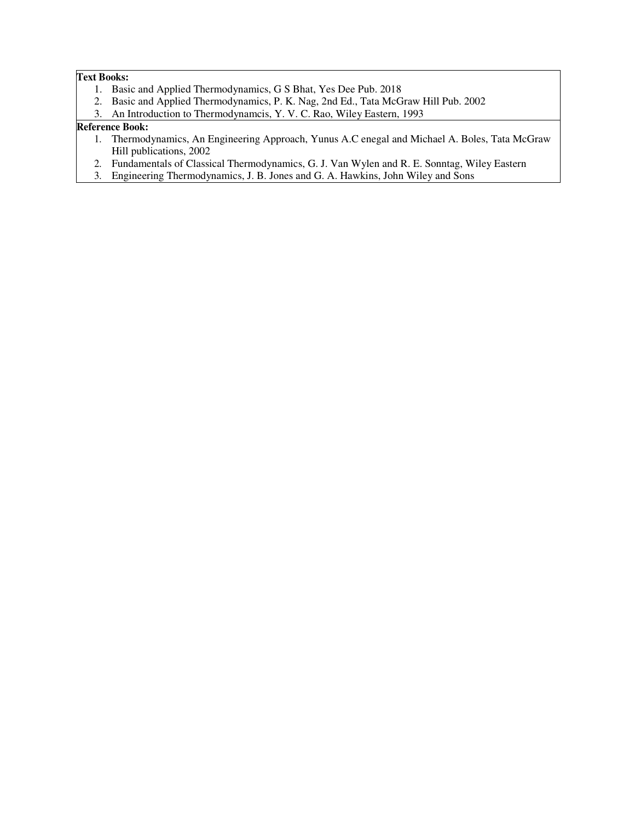## **Text Books:**

- 1. Basic and Applied Thermodynamics, G S Bhat, Yes Dee Pub. 2018
- 2. Basic and Applied Thermodynamics, P. K. Nag, 2nd Ed., Tata McGraw Hill Pub. 2002
- 3. An Introduction to Thermodynamcis, Y. V. C. Rao, Wiley Eastern, 1993

### **Reference Book:**

- 1. Thermodynamics, An Engineering Approach, Yunus A.C enegal and Michael A. Boles, Tata McGraw Hill publications, 2002
- 2. Fundamentals of Classical Thermodynamics, G. J. Van Wylen and R. E. Sonntag, Wiley Eastern
- 3. Engineering Thermodynamics, J. B. Jones and G. A. Hawkins, John Wiley and Sons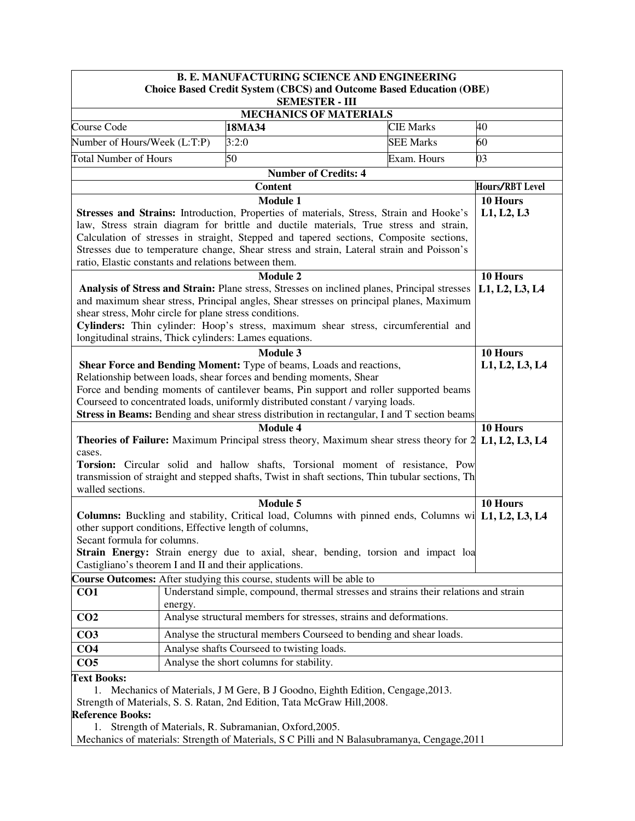| <b>B. E. MANUFACTURING SCIENCE AND ENGINEERING</b>                                           |                                                                              |                                                                                                                                                                                         |                             |                                                                                                            |                        |  |
|----------------------------------------------------------------------------------------------|------------------------------------------------------------------------------|-----------------------------------------------------------------------------------------------------------------------------------------------------------------------------------------|-----------------------------|------------------------------------------------------------------------------------------------------------|------------------------|--|
|                                                                                              |                                                                              |                                                                                                                                                                                         | <b>SEMESTER - III</b>       | <b>Choice Based Credit System (CBCS) and Outcome Based Education (OBE)</b>                                 |                        |  |
| <b>MECHANICS OF MATERIALS</b>                                                                |                                                                              |                                                                                                                                                                                         |                             |                                                                                                            |                        |  |
| Course Code                                                                                  |                                                                              | 18MA34                                                                                                                                                                                  |                             | <b>CIE Marks</b>                                                                                           | 40                     |  |
| Number of Hours/Week (L:T:P)                                                                 |                                                                              | 3:2:0                                                                                                                                                                                   |                             | <b>SEE Marks</b>                                                                                           | 60                     |  |
| <b>Total Number of Hours</b>                                                                 |                                                                              | 50                                                                                                                                                                                      |                             | Exam. Hours                                                                                                | 03                     |  |
|                                                                                              |                                                                              |                                                                                                                                                                                         | <b>Number of Credits: 4</b> |                                                                                                            |                        |  |
|                                                                                              |                                                                              | <b>Content</b>                                                                                                                                                                          |                             |                                                                                                            | <b>Hours/RBT Level</b> |  |
|                                                                                              |                                                                              | <b>Module 1</b>                                                                                                                                                                         |                             |                                                                                                            | 10 Hours               |  |
|                                                                                              |                                                                              | Stresses and Strains: Introduction, Properties of materials, Stress, Strain and Hooke's                                                                                                 |                             |                                                                                                            | L1, L2, L3             |  |
|                                                                                              |                                                                              | law, Stress strain diagram for brittle and ductile materials, True stress and strain,                                                                                                   |                             |                                                                                                            |                        |  |
|                                                                                              |                                                                              | Calculation of stresses in straight, Stepped and tapered sections, Composite sections,                                                                                                  |                             |                                                                                                            |                        |  |
|                                                                                              |                                                                              | Stresses due to temperature change, Shear stress and strain, Lateral strain and Poisson's                                                                                               |                             |                                                                                                            |                        |  |
| ratio, Elastic constants and relations between them.                                         |                                                                              |                                                                                                                                                                                         |                             |                                                                                                            |                        |  |
|                                                                                              |                                                                              | <b>Module 2</b>                                                                                                                                                                         |                             |                                                                                                            | 10 Hours               |  |
|                                                                                              |                                                                              | Analysis of Stress and Strain: Plane stress, Stresses on inclined planes, Principal stresses<br>and maximum shear stress, Principal angles, Shear stresses on principal planes, Maximum |                             |                                                                                                            | L1, L2, L3, L4         |  |
| shear stress, Mohr circle for plane stress conditions.                                       |                                                                              |                                                                                                                                                                                         |                             |                                                                                                            |                        |  |
|                                                                                              |                                                                              | Cylinders: Thin cylinder: Hoop's stress, maximum shear stress, circumferential and                                                                                                      |                             |                                                                                                            |                        |  |
|                                                                                              |                                                                              | longitudinal strains, Thick cylinders: Lames equations.                                                                                                                                 |                             |                                                                                                            |                        |  |
|                                                                                              |                                                                              | <b>Module 3</b>                                                                                                                                                                         |                             |                                                                                                            | 10 Hours               |  |
|                                                                                              |                                                                              | Shear Force and Bending Moment: Type of beams, Loads and reactions,                                                                                                                     |                             |                                                                                                            | L1, L2, L3, L4         |  |
|                                                                                              |                                                                              | Relationship between loads, shear forces and bending moments, Shear                                                                                                                     |                             |                                                                                                            |                        |  |
|                                                                                              |                                                                              | Force and bending moments of cantilever beams, Pin support and roller supported beams                                                                                                   |                             |                                                                                                            |                        |  |
|                                                                                              |                                                                              | Courseed to concentrated loads, uniformly distributed constant / varying loads.                                                                                                         |                             |                                                                                                            |                        |  |
|                                                                                              |                                                                              |                                                                                                                                                                                         |                             | Stress in Beams: Bending and shear stress distribution in rectangular, I and T section beams               |                        |  |
|                                                                                              |                                                                              | <b>Module 4</b>                                                                                                                                                                         |                             |                                                                                                            | 10 Hours               |  |
| cases.                                                                                       |                                                                              |                                                                                                                                                                                         |                             | <b>Theories of Failure:</b> Maximum Principal stress theory, Maximum shear stress theory for 2             | L1, L2, L3, L4         |  |
|                                                                                              |                                                                              |                                                                                                                                                                                         |                             | Torsion: Circular solid and hallow shafts, Torsional moment of resistance, Pow                             |                        |  |
|                                                                                              |                                                                              |                                                                                                                                                                                         |                             | transmission of straight and stepped shafts, Twist in shaft sections, Thin tubular sections, Th            |                        |  |
| walled sections.                                                                             |                                                                              |                                                                                                                                                                                         |                             |                                                                                                            |                        |  |
|                                                                                              |                                                                              | Module 5                                                                                                                                                                                |                             |                                                                                                            | 10 Hours               |  |
|                                                                                              |                                                                              |                                                                                                                                                                                         |                             | <b>Columns:</b> Buckling and stability, Critical load, Columns with pinned ends, Columns wi L1, L2, L3, L4 |                        |  |
|                                                                                              |                                                                              | other support conditions, Effective length of columns,                                                                                                                                  |                             |                                                                                                            |                        |  |
| Secant formula for columns.                                                                  |                                                                              |                                                                                                                                                                                         |                             |                                                                                                            |                        |  |
|                                                                                              |                                                                              |                                                                                                                                                                                         |                             | Strain Energy: Strain energy due to axial, shear, bending, torsion and impact loa                          |                        |  |
| Castigliano's theorem I and II and their applications.                                       |                                                                              |                                                                                                                                                                                         |                             |                                                                                                            |                        |  |
| Course Outcomes: After studying this course, students will be able to<br>CO <sub>1</sub>     |                                                                              |                                                                                                                                                                                         |                             | Understand simple, compound, thermal stresses and strains their relations and strain                       |                        |  |
|                                                                                              | energy.                                                                      |                                                                                                                                                                                         |                             |                                                                                                            |                        |  |
| CO <sub>2</sub>                                                                              |                                                                              | Analyse structural members for stresses, strains and deformations.                                                                                                                      |                             |                                                                                                            |                        |  |
| CO <sub>3</sub>                                                                              | Analyse the structural members Courseed to bending and shear loads.          |                                                                                                                                                                                         |                             |                                                                                                            |                        |  |
| Analyse shafts Courseed to twisting loads.<br>CO <sub>4</sub>                                |                                                                              |                                                                                                                                                                                         |                             |                                                                                                            |                        |  |
| Analyse the short columns for stability.<br>CO <sub>5</sub>                                  |                                                                              |                                                                                                                                                                                         |                             |                                                                                                            |                        |  |
| <b>Text Books:</b>                                                                           |                                                                              |                                                                                                                                                                                         |                             |                                                                                                            |                        |  |
| 1.                                                                                           | Mechanics of Materials, J M Gere, B J Goodno, Eighth Edition, Cengage, 2013. |                                                                                                                                                                                         |                             |                                                                                                            |                        |  |
|                                                                                              |                                                                              | Strength of Materials, S. S. Ratan, 2nd Edition, Tata McGraw Hill, 2008.                                                                                                                |                             |                                                                                                            |                        |  |
| <b>Reference Books:</b>                                                                      |                                                                              |                                                                                                                                                                                         |                             |                                                                                                            |                        |  |
|                                                                                              |                                                                              | 1. Strength of Materials, R. Subramanian, Oxford, 2005.                                                                                                                                 |                             |                                                                                                            |                        |  |
| Mechanics of materials: Strength of Materials, S C Pilli and N Balasubramanya, Cengage, 2011 |                                                                              |                                                                                                                                                                                         |                             |                                                                                                            |                        |  |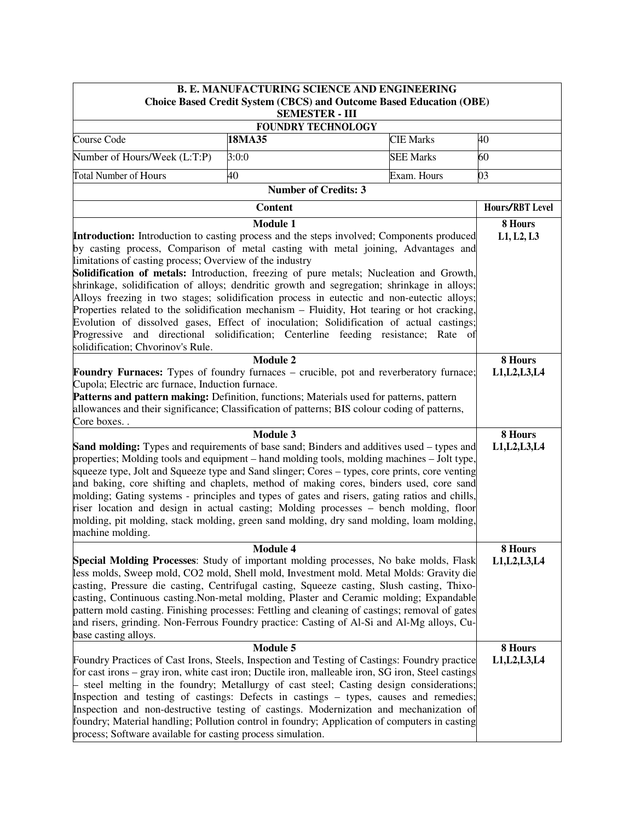| <b>B. E. MANUFACTURING SCIENCE AND ENGINEERING</b><br><b>Choice Based Credit System (CBCS) and Outcome Based Education (OBE)</b>                                                                                                                                                                                                                                                                                                                                                                                                                                                                                                                                                                                                                                                                                                                                                                                                                                                                                                                                                                                                                                                                    |                                                                                                                                                                                                                                                                                                                                                                                                                                                                                                                                                                                                        |                  |                           |  |  |  |
|-----------------------------------------------------------------------------------------------------------------------------------------------------------------------------------------------------------------------------------------------------------------------------------------------------------------------------------------------------------------------------------------------------------------------------------------------------------------------------------------------------------------------------------------------------------------------------------------------------------------------------------------------------------------------------------------------------------------------------------------------------------------------------------------------------------------------------------------------------------------------------------------------------------------------------------------------------------------------------------------------------------------------------------------------------------------------------------------------------------------------------------------------------------------------------------------------------|--------------------------------------------------------------------------------------------------------------------------------------------------------------------------------------------------------------------------------------------------------------------------------------------------------------------------------------------------------------------------------------------------------------------------------------------------------------------------------------------------------------------------------------------------------------------------------------------------------|------------------|---------------------------|--|--|--|
| <b>SEMESTER - III</b>                                                                                                                                                                                                                                                                                                                                                                                                                                                                                                                                                                                                                                                                                                                                                                                                                                                                                                                                                                                                                                                                                                                                                                               |                                                                                                                                                                                                                                                                                                                                                                                                                                                                                                                                                                                                        |                  |                           |  |  |  |
|                                                                                                                                                                                                                                                                                                                                                                                                                                                                                                                                                                                                                                                                                                                                                                                                                                                                                                                                                                                                                                                                                                                                                                                                     | <b>FOUNDRY TECHNOLOGY</b>                                                                                                                                                                                                                                                                                                                                                                                                                                                                                                                                                                              |                  |                           |  |  |  |
| Course Code                                                                                                                                                                                                                                                                                                                                                                                                                                                                                                                                                                                                                                                                                                                                                                                                                                                                                                                                                                                                                                                                                                                                                                                         | 18MA35                                                                                                                                                                                                                                                                                                                                                                                                                                                                                                                                                                                                 | <b>CIE Marks</b> | 40                        |  |  |  |
| Number of Hours/Week (L:T:P)                                                                                                                                                                                                                                                                                                                                                                                                                                                                                                                                                                                                                                                                                                                                                                                                                                                                                                                                                                                                                                                                                                                                                                        | 3:0:0                                                                                                                                                                                                                                                                                                                                                                                                                                                                                                                                                                                                  | <b>SEE Marks</b> | 60                        |  |  |  |
| <b>Total Number of Hours</b>                                                                                                                                                                                                                                                                                                                                                                                                                                                                                                                                                                                                                                                                                                                                                                                                                                                                                                                                                                                                                                                                                                                                                                        | 40                                                                                                                                                                                                                                                                                                                                                                                                                                                                                                                                                                                                     | Exam. Hours      | 03                        |  |  |  |
|                                                                                                                                                                                                                                                                                                                                                                                                                                                                                                                                                                                                                                                                                                                                                                                                                                                                                                                                                                                                                                                                                                                                                                                                     | <b>Number of Credits: 3</b>                                                                                                                                                                                                                                                                                                                                                                                                                                                                                                                                                                            |                  |                           |  |  |  |
|                                                                                                                                                                                                                                                                                                                                                                                                                                                                                                                                                                                                                                                                                                                                                                                                                                                                                                                                                                                                                                                                                                                                                                                                     | <b>Content</b>                                                                                                                                                                                                                                                                                                                                                                                                                                                                                                                                                                                         |                  | Hours/RBT Level           |  |  |  |
| Introduction: Introduction to casting process and the steps involved; Components produced<br>by casting process, Comparison of metal casting with metal joining, Advantages and<br>limitations of casting process; Overview of the industry<br>Solidification of metals: Introduction, freezing of pure metals; Nucleation and Growth,<br>shrinkage, solidification of alloys; dendritic growth and segregation; shrinkage in alloys;<br>Alloys freezing in two stages; solidification process in eutectic and non-eutectic alloys;<br>Properties related to the solidification mechanism - Fluidity, Hot tearing or hot cracking,<br>Evolution of dissolved gases, Effect of inoculation; Solidification of actual castings;<br>Progressive and directional solidification; Centerline feeding resistance; Rate of<br>solidification; Chvorinov's Rule.<br>Foundry Furnaces: Types of foundry furnaces - crucible, pot and reverberatory furnace;<br>Cupola; Electric arc furnace, Induction furnace.<br>Patterns and pattern making: Definition, functions; Materials used for patterns, pattern<br>allowances and their significance; Classification of patterns; BIS colour coding of patterns, | 8 Hours<br>L1, L2, L3<br>8 Hours<br>L1, L2, L3, L4                                                                                                                                                                                                                                                                                                                                                                                                                                                                                                                                                     |                  |                           |  |  |  |
| Core boxes. .                                                                                                                                                                                                                                                                                                                                                                                                                                                                                                                                                                                                                                                                                                                                                                                                                                                                                                                                                                                                                                                                                                                                                                                       | Module 3                                                                                                                                                                                                                                                                                                                                                                                                                                                                                                                                                                                               |                  |                           |  |  |  |
| <b>Sand molding:</b> Types and requirements of base sand; Binders and additives used – types and<br>properties; Molding tools and equipment – hand molding tools, molding machines – Jolt type,<br>squeeze type, Jolt and Squeeze type and Sand slinger; Cores – types, core prints, core venting<br>and baking, core shifting and chaplets, method of making cores, binders used, core sand<br>molding; Gating systems - principles and types of gates and risers, gating ratios and chills,<br>riser location and design in actual casting; Molding processes – bench molding, floor<br>molding, pit molding, stack molding, green sand molding, dry sand molding, loam molding,<br>machine molding.                                                                                                                                                                                                                                                                                                                                                                                                                                                                                              | 8 Hours<br>L1, L2, L3, L4                                                                                                                                                                                                                                                                                                                                                                                                                                                                                                                                                                              |                  |                           |  |  |  |
|                                                                                                                                                                                                                                                                                                                                                                                                                                                                                                                                                                                                                                                                                                                                                                                                                                                                                                                                                                                                                                                                                                                                                                                                     | Module 4                                                                                                                                                                                                                                                                                                                                                                                                                                                                                                                                                                                               |                  | 8 Hours                   |  |  |  |
| Special Molding Processes: Study of important molding processes, No bake molds, Flask<br>less molds, Sweep mold, CO2 mold, Shell mold, Investment mold. Metal Molds: Gravity die<br>casting, Pressure die casting, Centrifugal casting, Squeeze casting, Slush casting, Thixo-<br>casting, Continuous casting. Non-metal molding, Plaster and Ceramic molding; Expandable<br>pattern mold casting. Finishing processes: Fettling and cleaning of castings; removal of gates<br>and risers, grinding. Non-Ferrous Foundry practice: Casting of Al-Si and Al-Mg alloys, Cu-<br>base casting alloys.                                                                                                                                                                                                                                                                                                                                                                                                                                                                                                                                                                                                   | L1, L2, L3, L4                                                                                                                                                                                                                                                                                                                                                                                                                                                                                                                                                                                         |                  |                           |  |  |  |
| process; Software available for casting process simulation.                                                                                                                                                                                                                                                                                                                                                                                                                                                                                                                                                                                                                                                                                                                                                                                                                                                                                                                                                                                                                                                                                                                                         | <b>Module 5</b><br>Foundry Practices of Cast Irons, Steels, Inspection and Testing of Castings: Foundry practice<br>for cast irons – gray iron, white cast iron; Ductile iron, malleable iron, SG iron, Steel castings<br>- steel melting in the foundry; Metallurgy of cast steel; Casting design considerations;<br>Inspection and testing of castings: Defects in castings – types, causes and remedies;<br>Inspection and non-destructive testing of castings. Modernization and mechanization of<br>foundry; Material handling; Pollution control in foundry; Application of computers in casting |                  | 8 Hours<br>L1, L2, L3, L4 |  |  |  |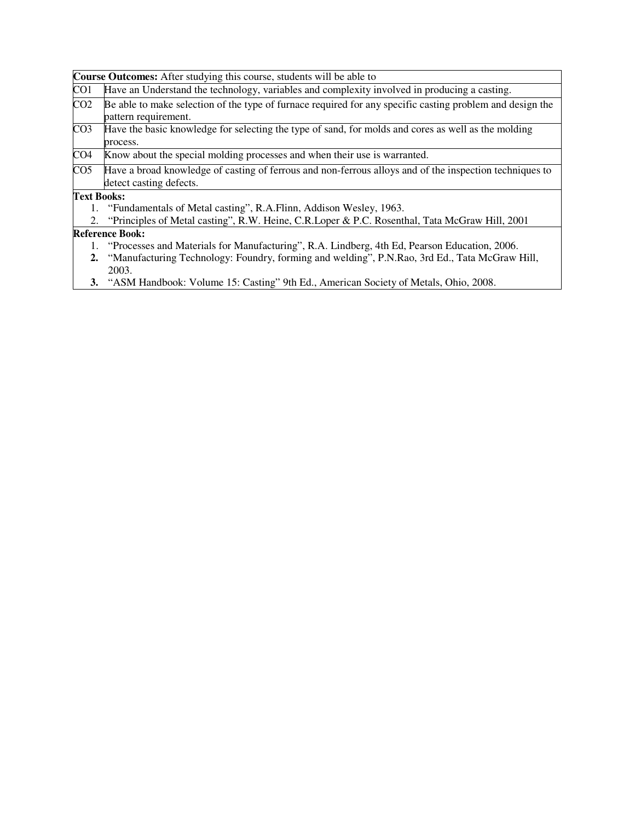|                    | <b>Course Outcomes:</b> After studying this course, students will be able to                              |
|--------------------|-----------------------------------------------------------------------------------------------------------|
| CO <sub>1</sub>    | Have an Understand the technology, variables and complexity involved in producing a casting.              |
| CO <sub>2</sub>    | Be able to make selection of the type of furnace required for any specific casting problem and design the |
|                    | pattern requirement.                                                                                      |
| CO <sub>3</sub>    | Have the basic knowledge for selecting the type of sand, for molds and cores as well as the molding       |
|                    | process.                                                                                                  |
| CO <sub>4</sub>    | Know about the special molding processes and when their use is warranted.                                 |
| CO <sub>5</sub>    | Have a broad knowledge of casting of ferrous and non-ferrous alloys and of the inspection techniques to   |
|                    | detect casting defects.                                                                                   |
| <b>Text Books:</b> |                                                                                                           |
|                    | 1. "Fundamentals of Metal casting", R.A.Flinn, Addison Wesley, 1963.                                      |
|                    | 2. "Principles of Metal casting", R.W. Heine, C.R. Loper & P.C. Rosenthal, Tata McGraw Hill, 2001         |
|                    | <b>Reference Book:</b>                                                                                    |
|                    | 1. "Processes and Materials for Manufacturing", R.A. Lindberg, 4th Ed, Pearson Education, 2006.           |
|                    | 2. "Manufacturing Technology: Foundry, forming and welding", P.N.Rao, 3rd Ed., Tata McGraw Hill,          |
|                    | 2003.                                                                                                     |
|                    | 3. "ASM Handbook: Volume 15: Casting" 9th Ed., American Society of Metals, Ohio, 2008.                    |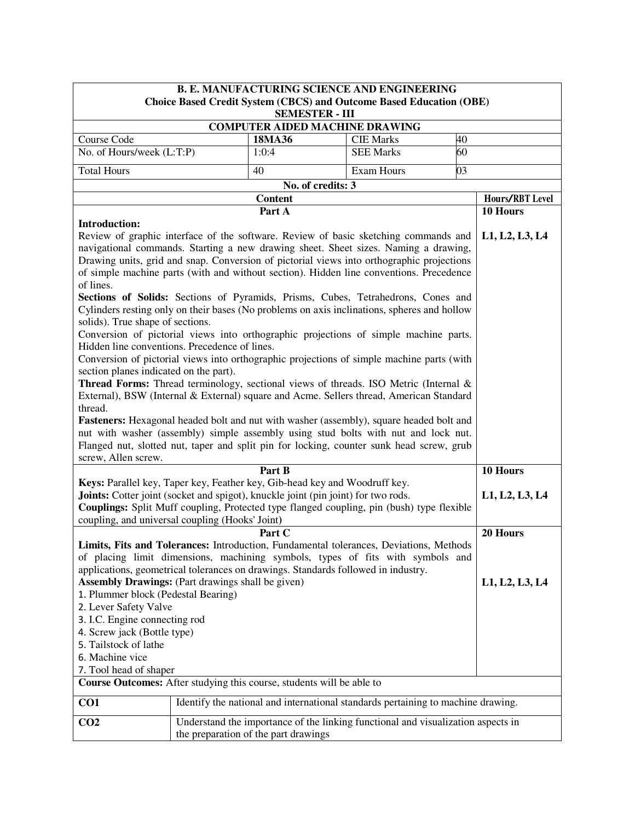| <b>B. E. MANUFACTURING SCIENCE AND ENGINEERING</b><br>Choice Based Credit System (CBCS) and Outcome Based Education (OBE)                                                                                                                                                                                                                                                                                                                                                                                                                                                                                                                                                                                                                                                                                                                                                                                                                                                                                                                                                                                                                                                                                                                                                                                                                                                                                                    |  |                                                                                                                          |                   |    |                 |  |  |
|------------------------------------------------------------------------------------------------------------------------------------------------------------------------------------------------------------------------------------------------------------------------------------------------------------------------------------------------------------------------------------------------------------------------------------------------------------------------------------------------------------------------------------------------------------------------------------------------------------------------------------------------------------------------------------------------------------------------------------------------------------------------------------------------------------------------------------------------------------------------------------------------------------------------------------------------------------------------------------------------------------------------------------------------------------------------------------------------------------------------------------------------------------------------------------------------------------------------------------------------------------------------------------------------------------------------------------------------------------------------------------------------------------------------------|--|--------------------------------------------------------------------------------------------------------------------------|-------------------|----|-----------------|--|--|
|                                                                                                                                                                                                                                                                                                                                                                                                                                                                                                                                                                                                                                                                                                                                                                                                                                                                                                                                                                                                                                                                                                                                                                                                                                                                                                                                                                                                                              |  | <b>SEMESTER - III</b>                                                                                                    |                   |    |                 |  |  |
| <b>COMPUTER AIDED MACHINE DRAWING</b>                                                                                                                                                                                                                                                                                                                                                                                                                                                                                                                                                                                                                                                                                                                                                                                                                                                                                                                                                                                                                                                                                                                                                                                                                                                                                                                                                                                        |  |                                                                                                                          |                   |    |                 |  |  |
| Course Code                                                                                                                                                                                                                                                                                                                                                                                                                                                                                                                                                                                                                                                                                                                                                                                                                                                                                                                                                                                                                                                                                                                                                                                                                                                                                                                                                                                                                  |  | 18MA36                                                                                                                   | <b>CIE Marks</b>  | 40 |                 |  |  |
| No. of Hours/week (L:T:P)                                                                                                                                                                                                                                                                                                                                                                                                                                                                                                                                                                                                                                                                                                                                                                                                                                                                                                                                                                                                                                                                                                                                                                                                                                                                                                                                                                                                    |  | 1:0:4                                                                                                                    | <b>SEE Marks</b>  | 60 |                 |  |  |
| <b>Total Hours</b>                                                                                                                                                                                                                                                                                                                                                                                                                                                                                                                                                                                                                                                                                                                                                                                                                                                                                                                                                                                                                                                                                                                                                                                                                                                                                                                                                                                                           |  | 40                                                                                                                       | <b>Exam Hours</b> | 03 |                 |  |  |
|                                                                                                                                                                                                                                                                                                                                                                                                                                                                                                                                                                                                                                                                                                                                                                                                                                                                                                                                                                                                                                                                                                                                                                                                                                                                                                                                                                                                                              |  |                                                                                                                          |                   |    |                 |  |  |
|                                                                                                                                                                                                                                                                                                                                                                                                                                                                                                                                                                                                                                                                                                                                                                                                                                                                                                                                                                                                                                                                                                                                                                                                                                                                                                                                                                                                                              |  | <b>Content</b>                                                                                                           |                   |    | Hours/RBT Level |  |  |
|                                                                                                                                                                                                                                                                                                                                                                                                                                                                                                                                                                                                                                                                                                                                                                                                                                                                                                                                                                                                                                                                                                                                                                                                                                                                                                                                                                                                                              |  | 10 Hours                                                                                                                 |                   |    |                 |  |  |
| Part A<br><b>Introduction:</b><br>Review of graphic interface of the software. Review of basic sketching commands and<br>L1, L2, L3, L4<br>navigational commands. Starting a new drawing sheet. Sheet sizes. Naming a drawing,<br>Drawing units, grid and snap. Conversion of pictorial views into orthographic projections<br>of simple machine parts (with and without section). Hidden line conventions. Precedence<br>of lines.<br>Sections of Solids: Sections of Pyramids, Prisms, Cubes, Tetrahedrons, Cones and<br>Cylinders resting only on their bases (No problems on axis inclinations, spheres and hollow<br>solids). True shape of sections.<br>Conversion of pictorial views into orthographic projections of simple machine parts.<br>Hidden line conventions. Precedence of lines.<br>Conversion of pictorial views into orthographic projections of simple machine parts (with<br>section planes indicated on the part).<br><b>Thread Forms:</b> Thread terminology, sectional views of threads. ISO Metric (Internal &<br>External), BSW (Internal & External) square and Acme. Sellers thread, American Standard<br>thread.<br>Fasteners: Hexagonal headed bolt and nut with washer (assembly), square headed bolt and<br>nut with washer (assembly) simple assembly using stud bolts with nut and lock nut.<br>Flanged nut, slotted nut, taper and split pin for locking, counter sunk head screw, grub |  |                                                                                                                          |                   |    |                 |  |  |
| screw, Allen screw.                                                                                                                                                                                                                                                                                                                                                                                                                                                                                                                                                                                                                                                                                                                                                                                                                                                                                                                                                                                                                                                                                                                                                                                                                                                                                                                                                                                                          |  | Part B                                                                                                                   |                   |    | 10 Hours        |  |  |
| Keys: Parallel key, Taper key, Feather key, Gib-head key and Woodruff key.<br>Joints: Cotter joint (socket and spigot), knuckle joint (pin joint) for two rods.<br>Couplings: Split Muff coupling, Protected type flanged coupling, pin (bush) type flexible<br>coupling, and universal coupling (Hooks' Joint)                                                                                                                                                                                                                                                                                                                                                                                                                                                                                                                                                                                                                                                                                                                                                                                                                                                                                                                                                                                                                                                                                                              |  |                                                                                                                          |                   |    | L1, L2, L3, L4  |  |  |
|                                                                                                                                                                                                                                                                                                                                                                                                                                                                                                                                                                                                                                                                                                                                                                                                                                                                                                                                                                                                                                                                                                                                                                                                                                                                                                                                                                                                                              |  | Part C                                                                                                                   |                   |    | 20 Hours        |  |  |
| Limits, Fits and Tolerances: Introduction, Fundamental tolerances, Deviations, Methods<br>of placing limit dimensions, machining symbols, types of fits with symbols and<br>applications, geometrical tolerances on drawings. Standards followed in industry.<br><b>Assembly Drawings:</b> (Part drawings shall be given)<br>1. Plummer block (Pedestal Bearing)<br>2. Lever Safety Valve<br>3. I.C. Engine connecting rod<br>4. Screw jack (Bottle type)<br>5. Tailstock of lathe<br>6. Machine vice<br>7. Tool head of shaper<br>Course Outcomes: After studying this course, students will be able to                                                                                                                                                                                                                                                                                                                                                                                                                                                                                                                                                                                                                                                                                                                                                                                                                     |  |                                                                                                                          |                   |    | L1, L2, L3, L4  |  |  |
|                                                                                                                                                                                                                                                                                                                                                                                                                                                                                                                                                                                                                                                                                                                                                                                                                                                                                                                                                                                                                                                                                                                                                                                                                                                                                                                                                                                                                              |  |                                                                                                                          |                   |    |                 |  |  |
| CO1                                                                                                                                                                                                                                                                                                                                                                                                                                                                                                                                                                                                                                                                                                                                                                                                                                                                                                                                                                                                                                                                                                                                                                                                                                                                                                                                                                                                                          |  | Identify the national and international standards pertaining to machine drawing.                                         |                   |    |                 |  |  |
| CO <sub>2</sub>                                                                                                                                                                                                                                                                                                                                                                                                                                                                                                                                                                                                                                                                                                                                                                                                                                                                                                                                                                                                                                                                                                                                                                                                                                                                                                                                                                                                              |  | Understand the importance of the linking functional and visualization aspects in<br>the preparation of the part drawings |                   |    |                 |  |  |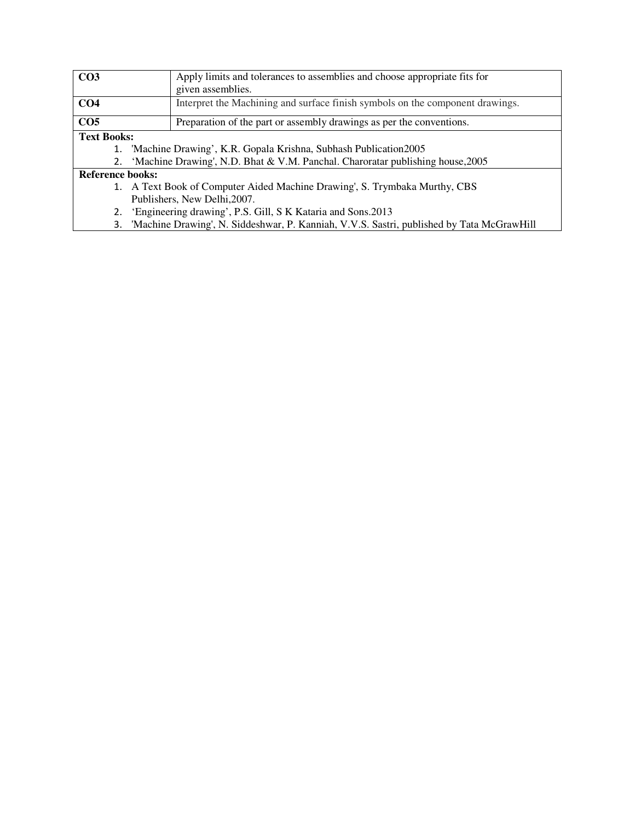| CO <sub>3</sub>         |                              | Apply limits and tolerances to assemblies and choose appropriate fits for<br>given assemblies. |  |  |
|-------------------------|------------------------------|------------------------------------------------------------------------------------------------|--|--|
|                         |                              |                                                                                                |  |  |
| CO <sub>4</sub>         |                              | Interpret the Machining and surface finish symbols on the component drawings.                  |  |  |
| CO <sub>5</sub>         |                              | Preparation of the part or assembly drawings as per the conventions.                           |  |  |
| <b>Text Books:</b>      |                              |                                                                                                |  |  |
|                         |                              | 1. 'Machine Drawing', K.R. Gopala Krishna, Subhash Publication 2005                            |  |  |
| 2.                      |                              | 'Machine Drawing', N.D. Bhat & V.M. Panchal. Charoratar publishing house, 2005                 |  |  |
| <b>Reference books:</b> |                              |                                                                                                |  |  |
|                         |                              | 1. A Text Book of Computer Aided Machine Drawing', S. Trymbaka Murthy, CBS                     |  |  |
|                         | Publishers, New Delhi, 2007. |                                                                                                |  |  |
|                         |                              | 'Engineering drawing', P.S. Gill, S K Kataria and Sons. 2013                                   |  |  |
| 3.                      |                              | 'Machine Drawing', N. Siddeshwar, P. Kanniah, V.V.S. Sastri, published by Tata McGrawHill      |  |  |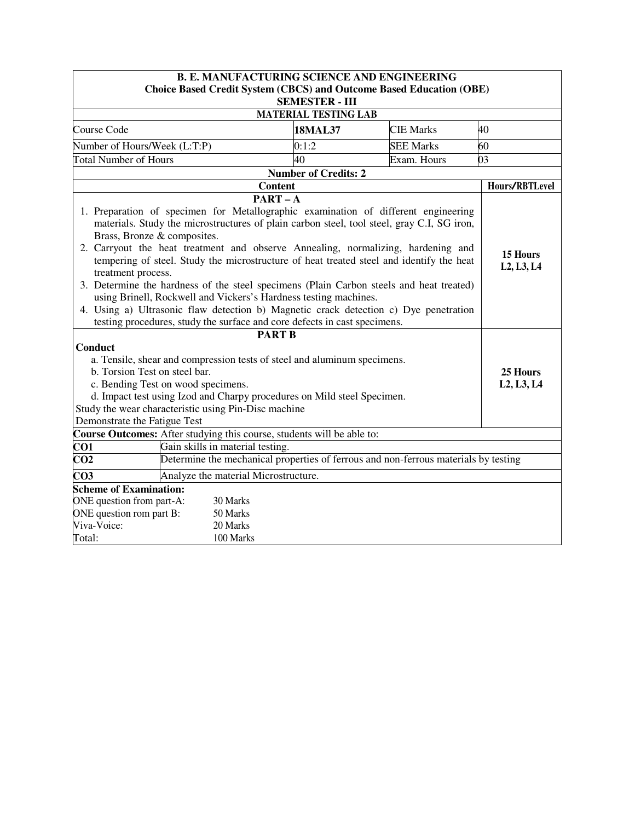| <b>B. E. MANUFACTURING SCIENCE AND ENGINEERING</b>                                                                                                                                                                                                                                                                                                                                                                                                                                                                                                                                                                                                                                                                                                                                                                                      |                                                                                     |                             |                  |    |  |  |  |
|-----------------------------------------------------------------------------------------------------------------------------------------------------------------------------------------------------------------------------------------------------------------------------------------------------------------------------------------------------------------------------------------------------------------------------------------------------------------------------------------------------------------------------------------------------------------------------------------------------------------------------------------------------------------------------------------------------------------------------------------------------------------------------------------------------------------------------------------|-------------------------------------------------------------------------------------|-----------------------------|------------------|----|--|--|--|
|                                                                                                                                                                                                                                                                                                                                                                                                                                                                                                                                                                                                                                                                                                                                                                                                                                         | <b>Choice Based Credit System (CBCS) and Outcome Based Education (OBE)</b>          |                             |                  |    |  |  |  |
|                                                                                                                                                                                                                                                                                                                                                                                                                                                                                                                                                                                                                                                                                                                                                                                                                                         | <b>SEMESTER - III</b>                                                               |                             |                  |    |  |  |  |
|                                                                                                                                                                                                                                                                                                                                                                                                                                                                                                                                                                                                                                                                                                                                                                                                                                         | <b>MATERIAL TESTING LAB</b>                                                         |                             |                  |    |  |  |  |
| Course Code                                                                                                                                                                                                                                                                                                                                                                                                                                                                                                                                                                                                                                                                                                                                                                                                                             |                                                                                     | <b>18MAL37</b>              | <b>CIE Marks</b> | 40 |  |  |  |
| Number of Hours/Week (L:T:P)                                                                                                                                                                                                                                                                                                                                                                                                                                                                                                                                                                                                                                                                                                                                                                                                            |                                                                                     | 0:1:2<br>40                 | <b>SEE Marks</b> | 60 |  |  |  |
| <b>Total Number of Hours</b>                                                                                                                                                                                                                                                                                                                                                                                                                                                                                                                                                                                                                                                                                                                                                                                                            | 03                                                                                  |                             |                  |    |  |  |  |
|                                                                                                                                                                                                                                                                                                                                                                                                                                                                                                                                                                                                                                                                                                                                                                                                                                         | <b>Content</b>                                                                      | <b>Number of Credits: 2</b> |                  |    |  |  |  |
|                                                                                                                                                                                                                                                                                                                                                                                                                                                                                                                                                                                                                                                                                                                                                                                                                                         | Hours/RBTLevel                                                                      |                             |                  |    |  |  |  |
| $PART - A$<br>1. Preparation of specimen for Metallographic examination of different engineering<br>materials. Study the microstructures of plain carbon steel, tool steel, gray C.I, SG iron,<br>Brass, Bronze & composites.<br>2. Carryout the heat treatment and observe Annealing, normalizing, hardening and<br>15 Hours<br>tempering of steel. Study the microstructure of heat treated steel and identify the heat<br>L <sub>2</sub> , L <sub>3</sub> , L <sub>4</sub><br>treatment process.<br>3. Determine the hardness of the steel specimens (Plain Carbon steels and heat treated)<br>using Brinell, Rockwell and Vickers's Hardness testing machines.<br>4. Using a) Ultrasonic flaw detection b) Magnetic crack detection c) Dye penetration<br>testing procedures, study the surface and core defects in cast specimens. |                                                                                     |                             |                  |    |  |  |  |
| Conduct<br>a. Tensile, shear and compression tests of steel and aluminum specimens.<br>b. Torsion Test on steel bar.<br>c. Bending Test on wood specimens.<br>d. Impact test using Izod and Charpy procedures on Mild steel Specimen.<br>Study the wear characteristic using Pin-Disc machine<br>Demonstrate the Fatigue Test                                                                                                                                                                                                                                                                                                                                                                                                                                                                                                           | 25 Hours<br>L <sub>2</sub> , L <sub>3</sub> , L <sub>4</sub>                        |                             |                  |    |  |  |  |
| Course Outcomes: After studying this course, students will be able to:                                                                                                                                                                                                                                                                                                                                                                                                                                                                                                                                                                                                                                                                                                                                                                  |                                                                                     |                             |                  |    |  |  |  |
| CO1                                                                                                                                                                                                                                                                                                                                                                                                                                                                                                                                                                                                                                                                                                                                                                                                                                     | Gain skills in material testing.                                                    |                             |                  |    |  |  |  |
| CO <sub>2</sub>                                                                                                                                                                                                                                                                                                                                                                                                                                                                                                                                                                                                                                                                                                                                                                                                                         | Determine the mechanical properties of ferrous and non-ferrous materials by testing |                             |                  |    |  |  |  |
| $\overline{CO3}$                                                                                                                                                                                                                                                                                                                                                                                                                                                                                                                                                                                                                                                                                                                                                                                                                        | Analyze the material Microstructure.                                                |                             |                  |    |  |  |  |
| <b>Scheme of Examination:</b><br>ONE question from part-A:<br>30 Marks<br>ONE question rom part B:<br>50 Marks<br>Viva-Voice:<br>20 Marks<br>Total:<br>100 Marks                                                                                                                                                                                                                                                                                                                                                                                                                                                                                                                                                                                                                                                                        |                                                                                     |                             |                  |    |  |  |  |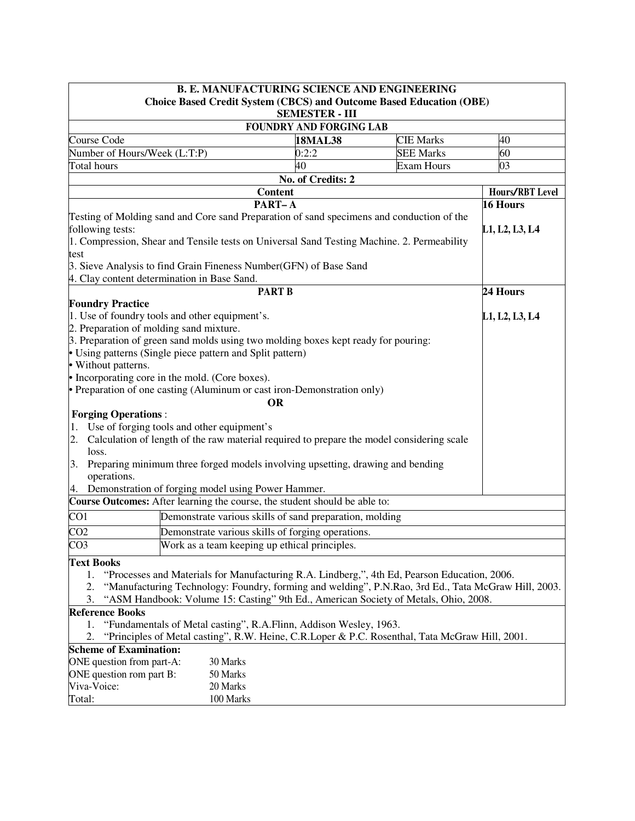| <b>B. E. MANUFACTURING SCIENCE AND ENGINEERING</b>                                                                                                                                                                                                                                        |                                |                   |                 |
|-------------------------------------------------------------------------------------------------------------------------------------------------------------------------------------------------------------------------------------------------------------------------------------------|--------------------------------|-------------------|-----------------|
| <b>Choice Based Credit System (CBCS) and Outcome Based Education (OBE)</b>                                                                                                                                                                                                                | <b>SEMESTER - III</b>          |                   |                 |
|                                                                                                                                                                                                                                                                                           | <b>FOUNDRY AND FORGING LAB</b> |                   |                 |
| Course Code                                                                                                                                                                                                                                                                               | <b>18MAL38</b>                 | <b>CIE Marks</b>  | 40              |
| Number of Hours/Week (L:T:P)                                                                                                                                                                                                                                                              | 0:2:2                          | <b>SEE Marks</b>  | 60              |
| Total hours                                                                                                                                                                                                                                                                               | 40                             | <b>Exam Hours</b> | 03              |
|                                                                                                                                                                                                                                                                                           | No. of Credits: 2              |                   |                 |
| <b>Content</b>                                                                                                                                                                                                                                                                            |                                |                   | Hours/RBT Level |
| PART-A                                                                                                                                                                                                                                                                                    |                                |                   | 16 Hours        |
| Testing of Molding sand and Core sand Preparation of sand specimens and conduction of the<br>following tests:<br>1. Compression, Shear and Tensile tests on Universal Sand Testing Machine. 2. Permeability<br>test<br>3. Sieve Analysis to find Grain Fineness Number (GFN) of Base Sand |                                |                   | L1, L2, L3, L4  |
| 4. Clay content determination in Base Sand.                                                                                                                                                                                                                                               |                                |                   |                 |
| <b>PART B</b>                                                                                                                                                                                                                                                                             |                                |                   | 24 Hours        |
| <b>Foundry Practice</b>                                                                                                                                                                                                                                                                   |                                |                   |                 |
| 1. Use of foundry tools and other equipment's.                                                                                                                                                                                                                                            |                                |                   | L1, L2, L3, L4  |
| 2. Preparation of molding sand mixture.                                                                                                                                                                                                                                                   |                                |                   |                 |
| 3. Preparation of green sand molds using two molding boxes kept ready for pouring:                                                                                                                                                                                                        |                                |                   |                 |
| • Using patterns (Single piece pattern and Split pattern)                                                                                                                                                                                                                                 |                                |                   |                 |
| • Without patterns.                                                                                                                                                                                                                                                                       |                                |                   |                 |
| • Incorporating core in the mold. (Core boxes).                                                                                                                                                                                                                                           |                                |                   |                 |
| • Preparation of one casting (Aluminum or cast iron-Demonstration only)                                                                                                                                                                                                                   |                                |                   |                 |
| <b>OR</b>                                                                                                                                                                                                                                                                                 |                                |                   |                 |
| <b>Forging Operations:</b>                                                                                                                                                                                                                                                                |                                |                   |                 |
| 1. Use of forging tools and other equipment's                                                                                                                                                                                                                                             |                                |                   |                 |
| Calculation of length of the raw material required to prepare the model considering scale<br>2.                                                                                                                                                                                           |                                |                   |                 |
| loss.                                                                                                                                                                                                                                                                                     |                                |                   |                 |
| Preparing minimum three forged models involving upsetting, drawing and bending<br>3.<br>operations.                                                                                                                                                                                       |                                |                   |                 |
| 4. Demonstration of forging model using Power Hammer.                                                                                                                                                                                                                                     |                                |                   |                 |
| Course Outcomes: After learning the course, the student should be able to:                                                                                                                                                                                                                |                                |                   |                 |
| $\overline{CO1}$<br>Demonstrate various skills of sand preparation, molding                                                                                                                                                                                                               |                                |                   |                 |
| CO <sub>2</sub><br>Demonstrate various skills of forging operations.                                                                                                                                                                                                                      |                                |                   |                 |
| CO <sub>3</sub><br>Work as a team keeping up ethical principles.                                                                                                                                                                                                                          |                                |                   |                 |
| <b>Text Books</b>                                                                                                                                                                                                                                                                         |                                |                   |                 |
| 1. "Processes and Materials for Manufacturing R.A. Lindberg,", 4th Ed, Pearson Education, 2006.                                                                                                                                                                                           |                                |                   |                 |
| "Manufacturing Technology: Foundry, forming and welding", P.N.Rao, 3rd Ed., Tata McGraw Hill, 2003.<br>2.                                                                                                                                                                                 |                                |                   |                 |
| "ASM Handbook: Volume 15: Casting" 9th Ed., American Society of Metals, Ohio, 2008.<br>3.                                                                                                                                                                                                 |                                |                   |                 |
| <b>Reference Books</b>                                                                                                                                                                                                                                                                    |                                |                   |                 |
| "Fundamentals of Metal casting", R.A.Flinn, Addison Wesley, 1963.<br>1.                                                                                                                                                                                                                   |                                |                   |                 |
| "Principles of Metal casting", R.W. Heine, C.R.Loper & P.C. Rosenthal, Tata McGraw Hill, 2001.<br>2.                                                                                                                                                                                      |                                |                   |                 |
| <b>Scheme of Examination:</b>                                                                                                                                                                                                                                                             |                                |                   |                 |
| ONE question from part-A:<br>30 Marks                                                                                                                                                                                                                                                     |                                |                   |                 |
| ONE question rom part B:<br>50 Marks                                                                                                                                                                                                                                                      |                                |                   |                 |
| Viva-Voice:<br>20 Marks                                                                                                                                                                                                                                                                   |                                |                   |                 |
| Total:<br>100 Marks                                                                                                                                                                                                                                                                       |                                |                   |                 |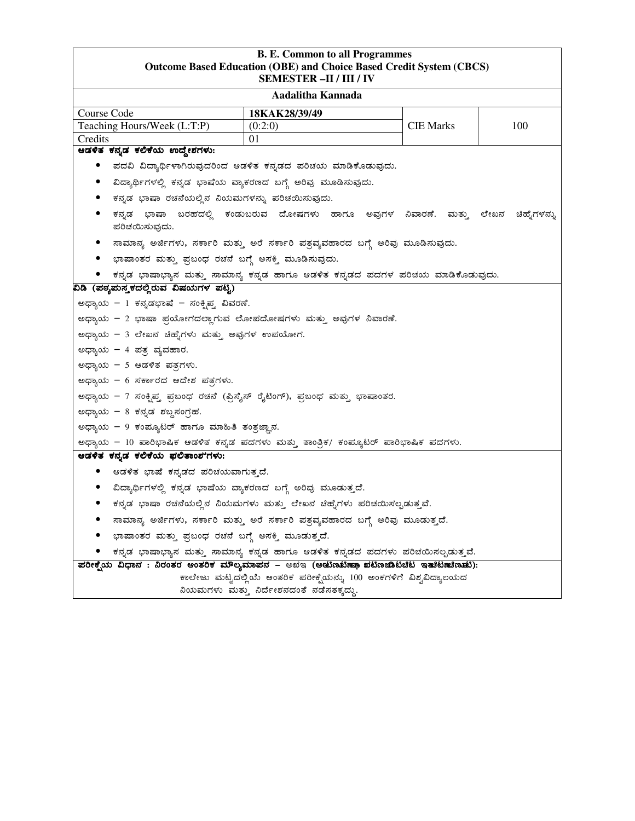|                                                                                         | <b>B. E. Common to all Programmes</b><br><b>Outcome Based Education (OBE) and Choice Based Credit System (CBCS)</b><br><b>SEMESTER-II / III / IV</b> |                  |              |  |
|-----------------------------------------------------------------------------------------|------------------------------------------------------------------------------------------------------------------------------------------------------|------------------|--------------|--|
|                                                                                         | Aadalitha Kannada                                                                                                                                    |                  |              |  |
| Course Code                                                                             | 18KAK28/39/49                                                                                                                                        |                  |              |  |
| Teaching Hours/Week (L:T:P)                                                             | (0:2:0)                                                                                                                                              | <b>CIE Marks</b> | 100          |  |
| Credits                                                                                 | 01                                                                                                                                                   |                  |              |  |
| ಆಡಳಿತ ಕನ್ನಡ ಕಲಿಕೆಯ ಉದ್ದೇಶಗಳು:                                                           |                                                                                                                                                      |                  |              |  |
|                                                                                         | ಪದವಿ ವಿದ್ಯಾರ್ಥಿಳಾಗಿರುವುದರಿಂದ ಆಡಳಿತ ಕನ್ನಡದ ಪರಿಚಯ ಮಾಡಿಕೊಡುವುದು.                                                                                        |                  |              |  |
|                                                                                         | ವಿದ್ಯಾರ್ಥಿಗಳಲ್ಲಿ ಕನ್ನಡ ಭಾಷೆಯ ವ್ಯಾಕರಣದ ಬಗ್ಗೆ ಅರಿವು ಮೂಡಿಸುವುದು.                                                                                        |                  |              |  |
| ಕನ್ನಡ ಭಾಷಾ ರಚನೆಯಲ್ಲಿನ ನಿಯಮಗಳನ್ನು ಪರಿಚಯಿಸುವುದು.                                          |                                                                                                                                                      |                  |              |  |
| ಪರಿಚಯಿಸುವುದು.                                                                           | ಕನ್ನಡ ಭಾಷಾ ಬರಹದಲ್ಲಿ ಕಂಡುಬರುವ ದೋಷಗಳು ಹಾಗೂ ಅವುಗಳ ನಿವಾರಣೆ. ಮತ್ತು ಲೇಖನ                                                                                   |                  | ಚಿಹ್ನೆಗಳನ್ನು |  |
|                                                                                         | ಸಾಮಾನ್ಯ ಅರ್ಜಿಗಳು, ಸರ್ಕಾರಿ ಮತ್ತು ಅರೆ ಸರ್ಕಾರಿ ಪತ್ರವ್ಯವಹಾರದ ಬಗ್ಗೆ ಅರಿವು ಮೂಡಿಸುವುದು.                                                                     |                  |              |  |
| • ಭಾಷಾಂತರ ಮತ್ತು ಪ್ರಬಂಧ ರಚನೆ ಬಗ್ಗೆ ಅಸಕ್ತಿ ಮೂಡಿಸುವುದು.                                    |                                                                                                                                                      |                  |              |  |
|                                                                                         | ಕನ್ನಡ ಭಾಷಾಭ್ಯಾಸ ಮತ್ತು ಸಾಮಾನ್ಯ ಕನ್ನಡ ಹಾಗೂ ಆಡಳಿತ ಕನ್ನಡದ ಪದಗಳ ಪರಿಚಯ ಮಾಡಿಕೊಡುವುದು.                                                                       |                  |              |  |
| ವಿಡಿ (ಪಠ್ಯಪುಸ್ತ್ರಕದಲ್ಲಿರುವ ವಿಷಯಗಳ ಪಟ್ಟಿ)                                                |                                                                                                                                                      |                  |              |  |
| ಅಧ್ಯಾಯ – 1 ಕನ್ನಡಭಾಷೆ – ಸಂಕ್ಷಿಪ್ತ ವಿವರಣೆ.                                                |                                                                                                                                                      |                  |              |  |
| ಅಧ್ಯಾಯ – 2 ಭಾಷಾ ಪ್ರಯೋಗದಲ್ಲಾಗುವ ಲೋಪದೋಷಗಳು ಮತ್ತು ಅವುಗಳ ನಿವಾರಣೆ.                           |                                                                                                                                                      |                  |              |  |
| ಅಧ್ಯಾಯ – 3 ಲೇಖನ ಚಿಹ್ನೆಗಳು ಮತ್ತು ಅವುಗಳ ಉಪಯೋಗ.                                            |                                                                                                                                                      |                  |              |  |
| ಅಧ್ಯಾಯ - 4 ಪತ್ರ ವ್ಯವಹಾರ.                                                                |                                                                                                                                                      |                  |              |  |
| ಅಧ್ಯಾಯ – 5 ಆಡಳಿತ ಪತ್ರಗಳು.                                                               |                                                                                                                                                      |                  |              |  |
| ಅಧ್ಯಾಯ - 6 ಸರ್ಕಾರದ ಆದೇಶ ಪತ್ರಗಳು.                                                        |                                                                                                                                                      |                  |              |  |
| ಅಧ್ಯಾಯ – 7 ಸಂಕ್ಷಿಪ್ತ ಪ್ರಬಂಧ ರಚನೆ (ಪ್ರಿಸೈಸ್ ರೈಟಿಂಗ್), ಪ್ರಬಂಧ ಮತ್ತು ಭಾಷಾಂತರ.              |                                                                                                                                                      |                  |              |  |
| ಅಧ್ಯಾಯ – 8 ಕನ್ನಡ ಶಬ್ದಸಂಗ್ರಹ.                                                            |                                                                                                                                                      |                  |              |  |
| ಅಧ್ಯಾಯ – 9 ಕಂಪ್ಯೂಟರ್ ಹಾಗೂ ಮಾಹಿತಿ ತಂತ್ರಜ್ಞಾನ.                                            |                                                                                                                                                      |                  |              |  |
| ಅಧ್ಯಾಯ – 10 ಪಾರಿಭಾಷಿಕ ಆಡಳಿತ ಕನ್ನಡ ಪದಗಳು ಮತ್ತು ತಾಂತ್ರಿಕ/ ಕಂಪ್ಯೂಟರ್ ಪಾರಿಭಾಷಿಕ ಪದಗಳು.      |                                                                                                                                                      |                  |              |  |
| ಆಡಳಿತ ಕನ್ನಡ ಕಲಿಕೆಯ ಫಲಿತಾಂಶ'ಗಳು:                                                         |                                                                                                                                                      |                  |              |  |
| ಆಡಳಿತ ಭಾಷೆ ಕನ್ನಡದ ಪರಿಚಯವಾಗುತ್ತದೆ.                                                       |                                                                                                                                                      |                  |              |  |
|                                                                                         | ವಿದ್ಯಾರ್ಥಿಗಳಲ್ಲಿ ಕನ್ನಡ ಭಾಷೆಯ ವ್ಯಾಕರಣದ ಬಗ್ಗೆ ಅರಿವು ಮೂಡುತ್ತದೆ.                                                                                         |                  |              |  |
|                                                                                         |                                                                                                                                                      |                  |              |  |
|                                                                                         | ಕನ್ನಡ ಭಾಷಾ ರಚನೆಯಲ್ಲಿನ ನಿಯಮಗಳು ಮತ್ತು ಲೇಖನ ಚಿಹ್ನೆಗಳು ಪರಿಚಯಿಸಲ್ಪಡುತ್ತವೆ.                                                                                |                  |              |  |
|                                                                                         | ಸಾಮಾನ್ಯ ಅರ್ಜಿಗಳು, ಸರ್ಕಾರಿ ಮತ್ತು ಅರೆ ಸರ್ಕಾರಿ ಪತ್ರವ್ಯವಹಾರದ ಬಗ್ಗೆ ಅರಿವು ಮೂಡುತ್ತದೆ.                                                                      |                  |              |  |
| ಭಾಷಾಂತರ ಮತ್ತು ಪ್ರಬಂಧ ರಚನೆ ಬಗ್ಗೆ ಅಸಕ್ತಿ ಮೂಡುತ್ತದೆ.                                       |                                                                                                                                                      |                  |              |  |
|                                                                                         | ಕನ್ನಡ ಭಾಷಾಭ್ಯಾಸ ಮತ್ತು ಸಾಮಾನ್ಯ ಕನ್ನಡ ಹಾಗೂ ಆಡಳಿತ ಕನ್ನಡದ ಪದಗಳು ಪರಿಚಯಿಸಲ್ಪಡುತ್ತವೆ.                                                                       |                  |              |  |
| ಪರೀಕ್ಷೆಯ ವಿಧಾನ : ನಿರಂತರ ಆಂತರಿಕ ಮೌಲ್ಯಮಾಪನ – ಅಖಇ (ಅಡುೆಣಬೆಣ್ಣೂ ಖೆಟಿಣಜಾಟಿಚಿಟ ಇತುಕಟಿಣುಣುಚು): |                                                                                                                                                      |                  |              |  |
|                                                                                         | ಕಾಲೇಜು ಮಟ್ಟದಲ್ಲಿಯೆ ಆಂತರಿಕ ಪರೀಕ್ಷೆಯನ್ನು 100 ಅಂಕಗಳಿಗೆ ವಿಶ್ವವಿದ್ಯಾಲಯದ<br>ನಿಯಮಗಳು ಮತ್ತು ನಿರ್ದೇಶನದಂತೆ ನಡೆಸತಕ್ಕದ್ದು.                                       |                  |              |  |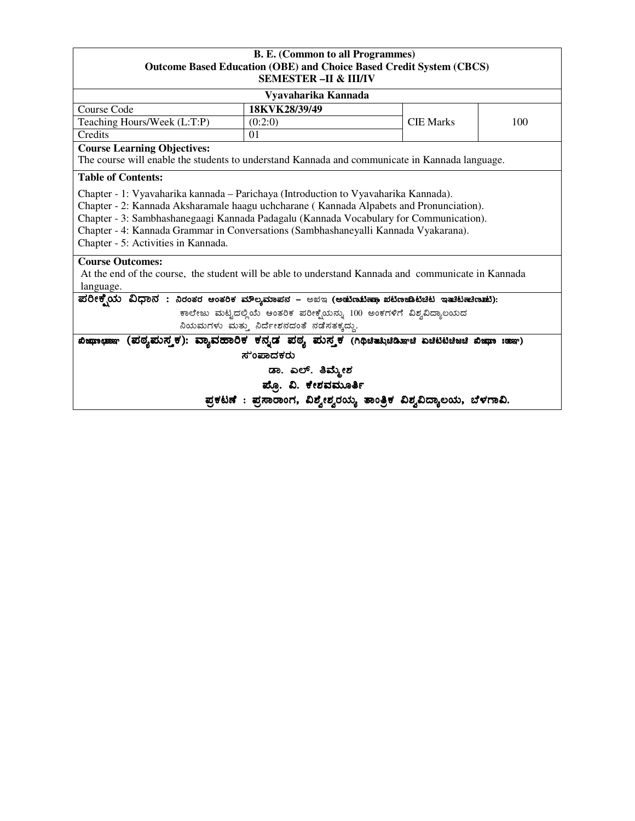### **B. E. (Common to all Programmes) Outcome Based Education (OBE) and Choice Based Credit System (CBCS) SEMESTER –II & III/IV**

|                                                                                                                                                                                                                                                                                                                                                                                                        | оринотри –н о ниту                                                  |                  |     |  |  |  |
|--------------------------------------------------------------------------------------------------------------------------------------------------------------------------------------------------------------------------------------------------------------------------------------------------------------------------------------------------------------------------------------------------------|---------------------------------------------------------------------|------------------|-----|--|--|--|
|                                                                                                                                                                                                                                                                                                                                                                                                        | Vyavaharika Kannada                                                 |                  |     |  |  |  |
| Course Code                                                                                                                                                                                                                                                                                                                                                                                            | 18KVK28/39/49                                                       |                  |     |  |  |  |
| Teaching Hours/Week (L:T:P)                                                                                                                                                                                                                                                                                                                                                                            | (0:2:0)                                                             | <b>CIE Marks</b> | 100 |  |  |  |
| Credits<br>01                                                                                                                                                                                                                                                                                                                                                                                          |                                                                     |                  |     |  |  |  |
| <b>Course Learning Objectives:</b><br>The course will enable the students to understand Kannada and communicate in Kannada language.<br><b>Table of Contents:</b>                                                                                                                                                                                                                                      |                                                                     |                  |     |  |  |  |
| Chapter - 1: Vyavaharika kannada – Parichaya (Introduction to Vyavaharika Kannada).<br>Chapter - 2: Kannada Aksharamale haagu uchcharane (Kannada Alpabets and Pronunciation).<br>Chapter - 3: Sambhashanegaagi Kannada Padagalu (Kannada Vocabulary for Communication).<br>Chapter - 4: Kannada Grammar in Conversations (Sambhashaneyalli Kannada Vyakarana).<br>Chapter - 5: Activities in Kannada. |                                                                     |                  |     |  |  |  |
| <b>Course Outcomes:</b><br>At the end of the course, the student will be able to understand Kannada and communicate in Kannada<br>language.                                                                                                                                                                                                                                                            |                                                                     |                  |     |  |  |  |
| ಪರೀಕ್ಷ್ಮೆಯ ವಿಧಾನ : ನಿರಂತರ ಆಂತರಿಕ ಮೌಲ್ಯಮಾಪನ – ಅಖಇ (ಅಡುಣಟಿಣಾ ಖಟಿಣಜಾಟಚಿಟ ಇತುಟಿಣುಣುಟು):                                                                                                                                                                                                                                                                                                                    |                                                                     |                  |     |  |  |  |
|                                                                                                                                                                                                                                                                                                                                                                                                        | ಕಾಲೇಜು ಮಟ್ಟದಲ್ಲಿಯೆ ಆಂತರಿಕ ಪರೀಕ್ಷೆಯನ್ನು 100 ಅಂಕಗಳಿಗೆ ವಿಶ್ವವಿದ್ಯಾಲಯದ  |                  |     |  |  |  |
| ನಿಯಮಗಳು ಮತ್ತು ನಿರ್ದೇಶನದಂತೆ ನಡೆಸತಕ್ಕದ್ದು.                                                                                                                                                                                                                                                                                                                                                               |                                                                     |                  |     |  |  |  |
| (ಪಠ್ಯಮಸ್ತಕ): ವ್ಯಾವಹಾರಿಕ ಕನ್ನಡ ಪಠ್ಯ ಮಸ್ತಕ (ಗಿಥಿಚಿತ್ಸುಚಿಡಿಞಚಿ ಏಚಿಟಿಟಿಚಿಜಚಿ ಖಿಜ್ಞಾ :ಹಾಇ)<br>a0eanto que esp                                                                                                                                                                                                                                                                                               |                                                                     |                  |     |  |  |  |
| ಸುಂಪಾದಕರು                                                                                                                                                                                                                                                                                                                                                                                              |                                                                     |                  |     |  |  |  |
| ಡಾ. ಎಲ್. ತಿಮ್ಮೇಶ                                                                                                                                                                                                                                                                                                                                                                                       |                                                                     |                  |     |  |  |  |
| ಪ್ಪೊ. ವಿ. ಕೇಶವಮೂರ್ತಿ                                                                                                                                                                                                                                                                                                                                                                                   |                                                                     |                  |     |  |  |  |
|                                                                                                                                                                                                                                                                                                                                                                                                        | ಪ್ರಕಟಣೆ : ಪ್ರಸಾರಾಂಗ, ವಿಶ್ವೇಶ್ವರಯ್ಯ ತಾಂತ್ರಿಕ ವಿಶ್ವವಿದ್ಯಾಲಯ, ಬೆಳಗಾವಿ. |                  |     |  |  |  |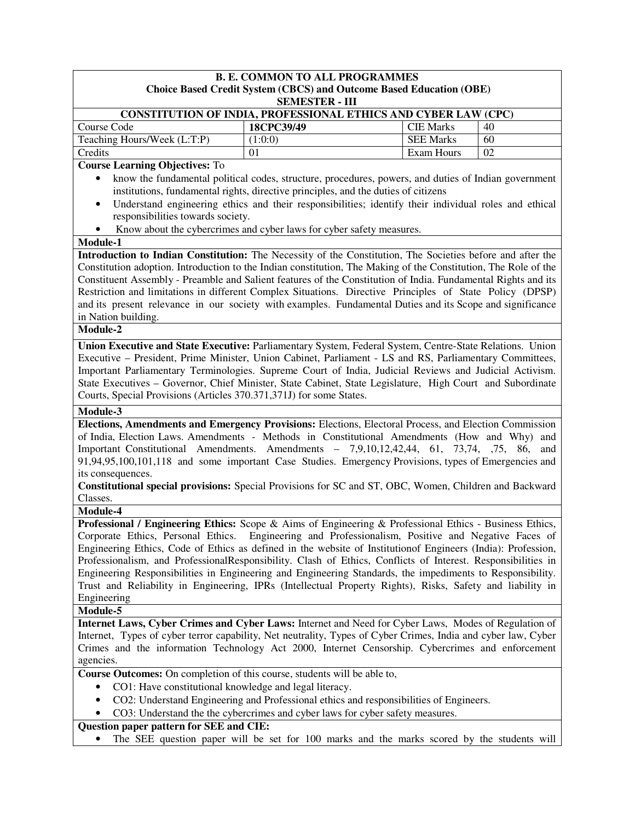|                                                                                                                    | <b>B. E. COMMON TO ALL PROGRAMMES</b>                                      |                  |     |
|--------------------------------------------------------------------------------------------------------------------|----------------------------------------------------------------------------|------------------|-----|
|                                                                                                                    | <b>Choice Based Credit System (CBCS) and Outcome Based Education (OBE)</b> |                  |     |
|                                                                                                                    | <b>SEMESTER - III</b>                                                      |                  |     |
| <b>CONSTITUTION OF INDIA, PROFESSIONAL ETHICS AND CYBER LAW (CPC)</b>                                              |                                                                            |                  |     |
| Course Code                                                                                                        | 18CPC39/49                                                                 | <b>CIE Marks</b> | 40  |
| Teaching Hours/Week (L:T:P)                                                                                        | (1:0:0)                                                                    | <b>SEE Marks</b> | 60  |
| Credits                                                                                                            | 01                                                                         | Exam Hours       | 02  |
| <b>Course Learning Objectives: To</b>                                                                              |                                                                            |                  |     |
| know the fundamental political codes, structure, procedures, powers, and duties of Indian government<br>$\bullet$  |                                                                            |                  |     |
| institutions, fundamental rights, directive principles, and the duties of citizens                                 |                                                                            |                  |     |
| Understand engineering ethics and their responsibilities; identify their individual roles and ethical<br>$\bullet$ |                                                                            |                  |     |
| responsibilities towards society.                                                                                  |                                                                            |                  |     |
| Know about the cybercrimes and cyber laws for cyber safety measures.<br>$\bullet$                                  |                                                                            |                  |     |
| Module-1                                                                                                           |                                                                            |                  |     |
| Introduction to Indian Constitution: The Necessity of the Constitution, The Societies before and after the         |                                                                            |                  |     |
| Constitution adoption. Introduction to the Indian constitution, The Making of the Constitution, The Role of the    |                                                                            |                  |     |
| Constituent Assembly - Preamble and Salient features of the Constitution of India. Fundamental Rights and its      |                                                                            |                  |     |
| Restriction and limitations in different Complex Situations. Directive Principles of State Policy (DPSP)           |                                                                            |                  |     |
| and its present relevance in our society with examples. Fundamental Duties and its Scope and significance          |                                                                            |                  |     |
| in Nation building.                                                                                                |                                                                            |                  |     |
| Module-2                                                                                                           |                                                                            |                  |     |
| Union Executive and State Executive: Parliamentary System, Federal System, Centre-State Relations. Union           |                                                                            |                  |     |
| Executive – President, Prime Minister, Union Cabinet, Parliament - LS and RS, Parliamentary Committees,            |                                                                            |                  |     |
| Important Parliamentary Terminologies. Supreme Court of India, Judicial Reviews and Judicial Activism.             |                                                                            |                  |     |
| State Executives - Governor, Chief Minister, State Cabinet, State Legislature, High Court and Subordinate          |                                                                            |                  |     |
| Courts, Special Provisions (Articles 370.371,371J) for some States.                                                |                                                                            |                  |     |
| Module-3                                                                                                           |                                                                            |                  |     |
| Elections, Amendments and Emergency Provisions: Elections, Electoral Process, and Election Commission              |                                                                            |                  |     |
| of India, Election Laws. Amendments - Methods in Constitutional Amendments (How and Why) and                       |                                                                            |                  |     |
| Important Constitutional Amendments. Amendments - 7,9,10,12,42,44, 61, 73,74, 75, 86,                              |                                                                            |                  | and |
| 91,94,95,100,101,118 and some important Case Studies. Emergency Provisions, types of Emergencies and               |                                                                            |                  |     |
| its consequences.                                                                                                  |                                                                            |                  |     |
| Constitutional special provisions: Special Provisions for SC and ST, OBC, Women, Children and Backward             |                                                                            |                  |     |
| Classes.                                                                                                           |                                                                            |                  |     |
| Module-4                                                                                                           |                                                                            |                  |     |
| <b>Professional / Engineering Ethics:</b> Scope & Aims of Engineering & Professional Ethics - Business Ethics,     |                                                                            |                  |     |
| Corporate Ethics, Personal Ethics. Engineering and Professionalism, Positive and Negative Faces of                 |                                                                            |                  |     |
| Engineering Ethics, Code of Ethics as defined in the website of Institution of Engineers (India): Profession,      |                                                                            |                  |     |
| Professionalism, and ProfessionalResponsibility. Clash of Ethics, Conflicts of Interest. Responsibilities in       |                                                                            |                  |     |
| Engineering Responsibilities in Engineering and Engineering Standards, the impediments to Responsibility.          |                                                                            |                  |     |
| Trust and Reliability in Engineering, IPRs (Intellectual Property Rights), Risks, Safety and liability in          |                                                                            |                  |     |
| Engineering                                                                                                        |                                                                            |                  |     |
| Module-5                                                                                                           |                                                                            |                  |     |
| Internet Laws, Cyber Crimes and Cyber Laws: Internet and Need for Cyber Laws, Modes of Regulation of               |                                                                            |                  |     |
| Internet, Types of cyber terror capability, Net neutrality, Types of Cyber Crimes, India and cyber law, Cyber      |                                                                            |                  |     |
| Crimes and the information Technology Act 2000, Internet Censorship. Cybercrimes and enforcement                   |                                                                            |                  |     |
| agencies.                                                                                                          |                                                                            |                  |     |
| Course Outcomes: On completion of this course, students will be able to,                                           |                                                                            |                  |     |
| CO1: Have constitutional knowledge and legal literacy.<br>٠                                                        |                                                                            |                  |     |
| CO2: Understand Engineering and Professional ethics and responsibilities of Engineers.                             |                                                                            |                  |     |
| CO3: Understand the the cybercrimes and cyber laws for cyber safety measures.<br>٠                                 |                                                                            |                  |     |
| Question paper pattern for SEE and CIE:                                                                            |                                                                            |                  |     |
| The SEE question paper will be set for 100 marks and the marks scored by the students will                         |                                                                            |                  |     |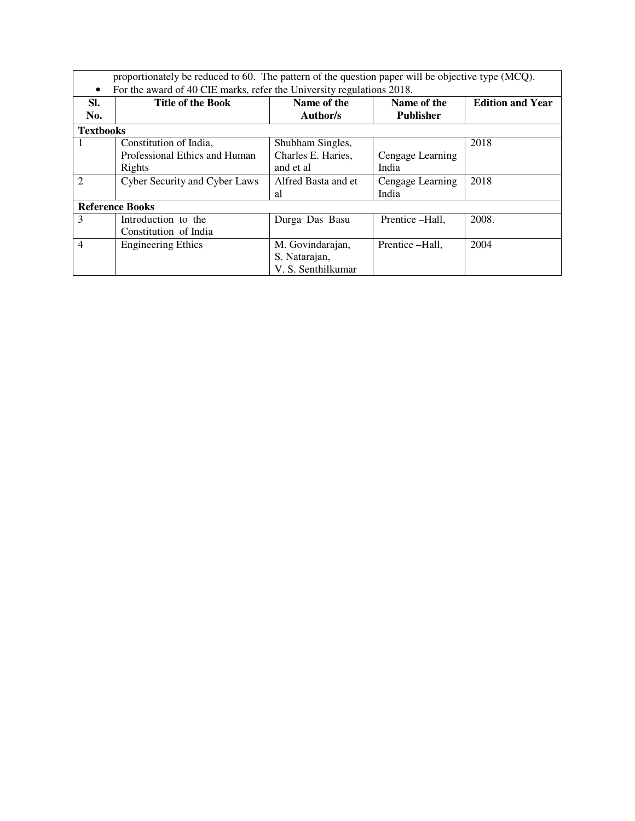proportionately be reduced to 60. The pattern of the question paper will be objective type (MCQ). • For the award of 40 CIE marks, refer the University regulations 2018.

| SI.              | <b>Title of the Book</b>      | Name of the         | Name of the      | <b>Edition and Year</b> |
|------------------|-------------------------------|---------------------|------------------|-------------------------|
| No.              |                               | Author/s            | <b>Publisher</b> |                         |
| <b>Textbooks</b> |                               |                     |                  |                         |
|                  | Constitution of India,        | Shubham Singles,    |                  | 2018                    |
|                  | Professional Ethics and Human | Charles E. Haries,  | Cengage Learning |                         |
|                  | Rights                        | and et al           | India            |                         |
| $\mathfrak{D}$   | Cyber Security and Cyber Laws | Alfred Basta and et | Cengage Learning | 2018                    |
|                  |                               | al                  | India            |                         |
|                  | <b>Reference Books</b>        |                     |                  |                         |
| 3                | Introduction to the           | Durga Das Basu      | Prentice -Hall,  | 2008.                   |
|                  | Constitution of India         |                     |                  |                         |
| $\overline{4}$   | <b>Engineering Ethics</b>     | M. Govindarajan,    | Prentice -Hall,  | 2004                    |
|                  |                               | S. Natarajan,       |                  |                         |
|                  |                               | V. S. Senthilkumar  |                  |                         |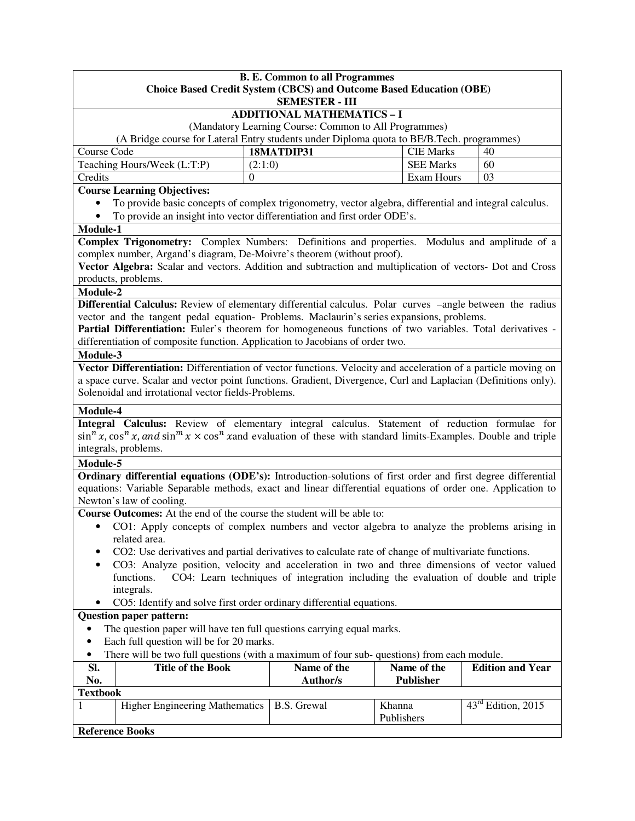|                                                                                                                                   | <b>B. E. Common to all Programmes</b><br><b>Choice Based Credit System (CBCS) and Outcome Based Education (OBE)</b> |                  |                                |  |  |  |
|-----------------------------------------------------------------------------------------------------------------------------------|---------------------------------------------------------------------------------------------------------------------|------------------|--------------------------------|--|--|--|
|                                                                                                                                   | <b>SEMESTER - III</b>                                                                                               |                  |                                |  |  |  |
|                                                                                                                                   | <b>ADDITIONAL MATHEMATICS - I</b>                                                                                   |                  |                                |  |  |  |
|                                                                                                                                   | (Mandatory Learning Course: Common to All Programmes)                                                               |                  |                                |  |  |  |
|                                                                                                                                   | (A Bridge course for Lateral Entry students under Diploma quota to BE/B.Tech. programmes)                           |                  |                                |  |  |  |
| Course Code                                                                                                                       | 18MATDIP31                                                                                                          | <b>CIE Marks</b> | 40                             |  |  |  |
| Teaching Hours/Week (L:T:P)<br><b>SEE Marks</b><br>(2:1:0)<br>60                                                                  |                                                                                                                     |                  |                                |  |  |  |
| Credits                                                                                                                           | $\Omega$                                                                                                            | Exam Hours       | 03                             |  |  |  |
| <b>Course Learning Objectives:</b>                                                                                                |                                                                                                                     |                  |                                |  |  |  |
| To provide basic concepts of complex trigonometry, vector algebra, differential and integral calculus.<br>٠                       |                                                                                                                     |                  |                                |  |  |  |
| To provide an insight into vector differentiation and first order ODE's.<br>$\bullet$                                             |                                                                                                                     |                  |                                |  |  |  |
| Module-1                                                                                                                          |                                                                                                                     |                  |                                |  |  |  |
| Complex Trigonometry: Complex Numbers: Definitions and properties. Modulus and amplitude of a                                     |                                                                                                                     |                  |                                |  |  |  |
| complex number, Argand's diagram, De-Moivre's theorem (without proof).                                                            |                                                                                                                     |                  |                                |  |  |  |
| Vector Algebra: Scalar and vectors. Addition and subtraction and multiplication of vectors- Dot and Cross                         |                                                                                                                     |                  |                                |  |  |  |
| products, problems.                                                                                                               |                                                                                                                     |                  |                                |  |  |  |
| Module-2<br>Differential Calculus: Review of elementary differential calculus. Polar curves -angle between the radius             |                                                                                                                     |                  |                                |  |  |  |
| vector and the tangent pedal equation- Problems. Maclaurin's series expansions, problems.                                         |                                                                                                                     |                  |                                |  |  |  |
| Partial Differentiation: Euler's theorem for homogeneous functions of two variables. Total derivatives -                          |                                                                                                                     |                  |                                |  |  |  |
| differentiation of composite function. Application to Jacobians of order two.                                                     |                                                                                                                     |                  |                                |  |  |  |
| Module-3                                                                                                                          |                                                                                                                     |                  |                                |  |  |  |
| Vector Differentiation: Differentiation of vector functions. Velocity and acceleration of a particle moving on                    |                                                                                                                     |                  |                                |  |  |  |
| a space curve. Scalar and vector point functions. Gradient, Divergence, Curl and Laplacian (Definitions only).                    |                                                                                                                     |                  |                                |  |  |  |
| Solenoidal and irrotational vector fields-Problems.                                                                               |                                                                                                                     |                  |                                |  |  |  |
|                                                                                                                                   |                                                                                                                     |                  |                                |  |  |  |
| Module-4                                                                                                                          |                                                                                                                     |                  |                                |  |  |  |
| Integral Calculus: Review of elementary integral calculus. Statement of reduction formulae for                                    |                                                                                                                     |                  |                                |  |  |  |
| $\sin^n x$ , $\cos^n x$ , and $\sin^m x \times \cos^n x$ and evaluation of these with standard limits-Examples. Double and triple |                                                                                                                     |                  |                                |  |  |  |
| integrals, problems.                                                                                                              |                                                                                                                     |                  |                                |  |  |  |
| Module-5                                                                                                                          |                                                                                                                     |                  |                                |  |  |  |
| Ordinary differential equations (ODE's): Introduction-solutions of first order and first degree differential                      |                                                                                                                     |                  |                                |  |  |  |
| equations: Variable Separable methods, exact and linear differential equations of order one. Application to                       |                                                                                                                     |                  |                                |  |  |  |
| Newton's law of cooling.                                                                                                          |                                                                                                                     |                  |                                |  |  |  |
| Course Outcomes: At the end of the course the student will be able to:                                                            |                                                                                                                     |                  |                                |  |  |  |
| CO1: Apply concepts of complex numbers and vector algebra to analyze the problems arising in<br>$\bullet$                         |                                                                                                                     |                  |                                |  |  |  |
|                                                                                                                                   | related area.                                                                                                       |                  |                                |  |  |  |
| CO2: Use derivatives and partial derivatives to calculate rate of change of multivariate functions.                               |                                                                                                                     |                  |                                |  |  |  |
| CO3: Analyze position, velocity and acceleration in two and three dimensions of vector valued<br>$\bullet$                        |                                                                                                                     |                  |                                |  |  |  |
| functions.                                                                                                                        | CO4: Learn techniques of integration including the evaluation of double and triple                                  |                  |                                |  |  |  |
| integrals.                                                                                                                        |                                                                                                                     |                  |                                |  |  |  |
| CO5: Identify and solve first order ordinary differential equations.                                                              |                                                                                                                     |                  |                                |  |  |  |
| <b>Question paper pattern:</b>                                                                                                    |                                                                                                                     |                  |                                |  |  |  |
| The question paper will have ten full questions carrying equal marks.                                                             |                                                                                                                     |                  |                                |  |  |  |
| Each full question will be for 20 marks.<br>$\bullet$                                                                             |                                                                                                                     |                  |                                |  |  |  |
| There will be two full questions (with a maximum of four sub-questions) from each module.<br>$\bullet$                            |                                                                                                                     |                  |                                |  |  |  |
| Name of the<br>Name of the<br><b>Edition and Year</b><br>SI.<br><b>Title of the Book</b>                                          |                                                                                                                     |                  |                                |  |  |  |
| No.                                                                                                                               | Author/s                                                                                                            | <b>Publisher</b> |                                |  |  |  |
| <b>Textbook</b>                                                                                                                   |                                                                                                                     |                  |                                |  |  |  |
| <b>Higher Engineering Mathematics</b><br>1                                                                                        | <b>B.S.</b> Grewal                                                                                                  | Khanna           | $43^{\text{rd}}$ Edition, 2015 |  |  |  |
|                                                                                                                                   |                                                                                                                     | Publishers       |                                |  |  |  |
| <b>Reference Books</b>                                                                                                            |                                                                                                                     |                  |                                |  |  |  |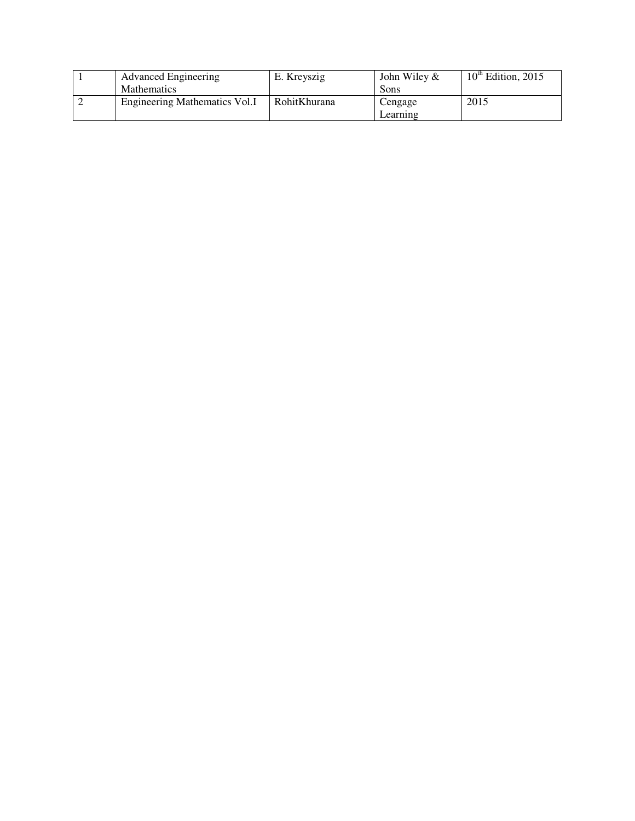| <b>Advanced Engineering</b>   | E. Kreyszig  | John Wiley $\&$ | $10th$ Edition, 2015 |
|-------------------------------|--------------|-----------------|----------------------|
| <b>Mathematics</b>            |              | Sons            |                      |
| Engineering Mathematics Vol.I | RohitKhurana | Cengage         | 2015                 |
|                               |              | Learning        |                      |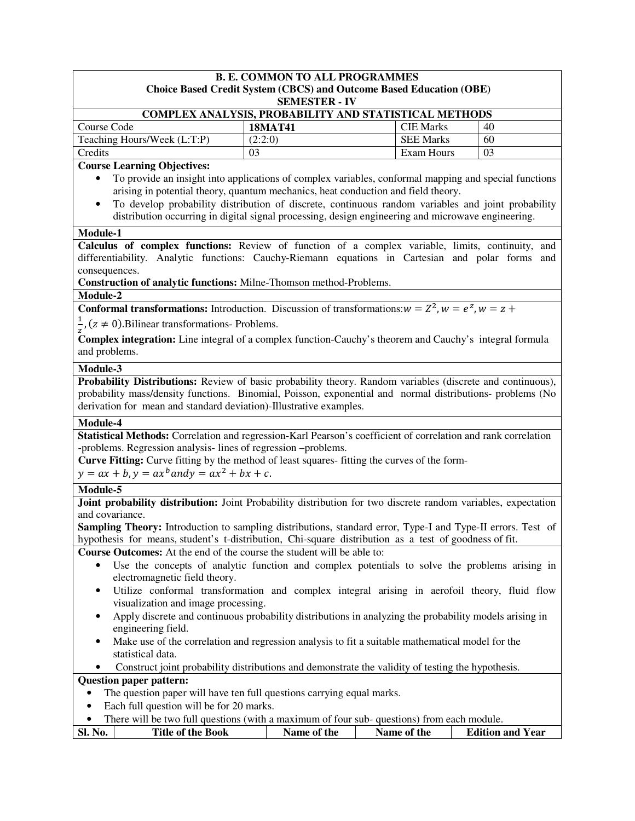#### **B. E. COMMON TO ALL PROGRAMMES Choice Based Credit System (CBCS) and Outcome Based Education (OBE) SEMESTER - IV**

| <b>COMPLEX ANALYSIS, PROBABILITY AND STATISTICAL METHODS</b> |                |                  |    |  |  |
|--------------------------------------------------------------|----------------|------------------|----|--|--|
| Course Code                                                  | <b>18MAT41</b> | <b>CIE Marks</b> | 40 |  |  |
| Teaching Hours/Week (L:T:P)                                  | (2:2:0)        | <b>SEE Marks</b> | 60 |  |  |
| Credits                                                      | 03             | Exam Hours       | 03 |  |  |

## **Course Learning Objectives:**

- To provide an insight into applications of complex variables, conformal mapping and special functions arising in potential theory, quantum mechanics, heat conduction and field theory.
- To develop probability distribution of discrete, continuous random variables and joint probability distribution occurring in digital signal processing, design engineering and microwave engineering.

#### **Module-1**

**Calculus of complex functions:** Review of function of a complex variable, limits, continuity, and differentiability. Analytic functions: Cauchy-Riemann equations in Cartesian and polar forms and consequences.

**Construction of analytic functions:** Milne-Thomson method-Problems.

### **Module-2**

**Conformal transformations:** Introduction. Discussion of transformations:  $w = Z^2$ ,  $w = e^Z$ ,  $w = z +$ 

 $\mathbf{1}$  $\frac{1}{z}$ , (z  $\neq$  0). Bilinear transformations- Problems.

**Complex integration:** Line integral of a complex function-Cauchy's theorem and Cauchy's integral formula and problems.

#### **Module-3**

**Probability Distributions:** Review of basic probability theory. Random variables (discrete and continuous), probability mass/density functions. Binomial, Poisson, exponential and normal distributions- problems (No derivation for mean and standard deviation)-Illustrative examples.

### **Module-4**

**Statistical Methods:** Correlation and regression-Karl Pearson's coefficient of correlation and rank correlation -problems. Regression analysis- lines of regression –problems.

**Curve Fitting:** Curve fitting by the method of least squares- fitting the curves of the form-

 $y = ax + b, y = ax^b$  and  $y = ax^2 + bx + c$ .

### **Module-5**

**Joint probability distribution:** Joint Probability distribution for two discrete random variables, expectation and covariance.

**Sampling Theory:** Introduction to sampling distributions, standard error, Type-I and Type-II errors. Test of hypothesis for means, student's t-distribution, Chi-square distribution as a test of goodness of fit.

**Course Outcomes:** At the end of the course the student will be able to:

- Use the concepts of analytic function and complex potentials to solve the problems arising in electromagnetic field theory.
- Utilize conformal transformation and complex integral arising in aerofoil theory, fluid flow visualization and image processing.
- Apply discrete and continuous probability distributions in analyzing the probability models arising in engineering field.
- Make use of the correlation and regression analysis to fit a suitable mathematical model for the statistical data.
- Construct joint probability distributions and demonstrate the validity of testing the hypothesis.

## **Question paper pattern:**

- The question paper will have ten full questions carrying equal marks.
- Each full question will be for 20 marks.
- There will be two full questions (with a maximum of four sub- questions) from each module.

|  | Sl. No. | Title of the Book | Name of the | Name of the | <b>Edition and Year</b> |
|--|---------|-------------------|-------------|-------------|-------------------------|
|--|---------|-------------------|-------------|-------------|-------------------------|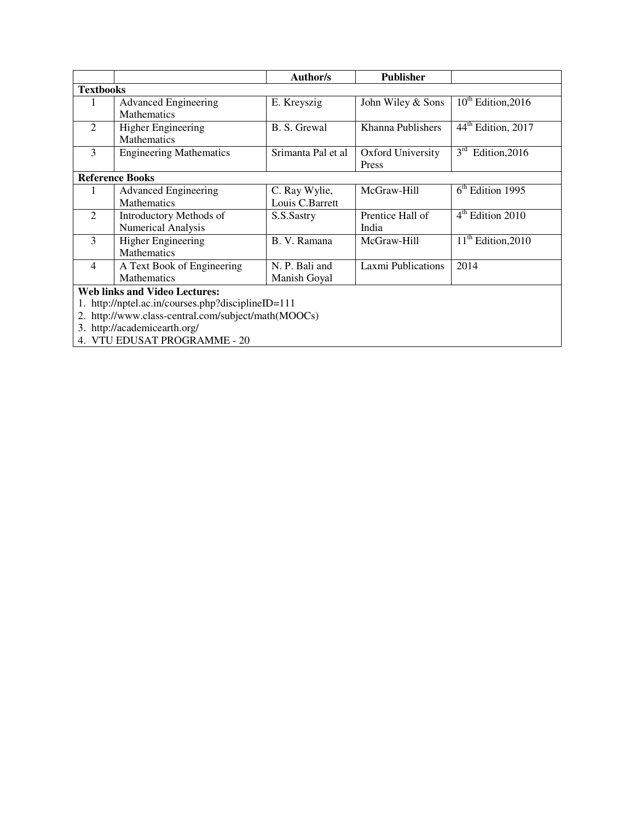|                  |                                                     | Author/s           | <b>Publisher</b>   |                                  |  |
|------------------|-----------------------------------------------------|--------------------|--------------------|----------------------------------|--|
| <b>Textbooks</b> |                                                     |                    |                    |                                  |  |
|                  | <b>Advanced Engineering</b>                         | E. Kreyszig        | John Wiley & Sons  | $10^{th}$ Edition, 2016          |  |
|                  | <b>Mathematics</b>                                  |                    |                    |                                  |  |
| $\overline{2}$   | Higher Engineering                                  | B. S. Grewal       | Khanna Publishers  | 44 <sup>th</sup> Edition, 2017   |  |
|                  | <b>Mathematics</b>                                  |                    |                    |                                  |  |
| 3                | <b>Engineering Mathematics</b>                      | Srimanta Pal et al | Oxford University  | 3 <sup>rd</sup><br>Edition, 2016 |  |
|                  |                                                     |                    | Press              |                                  |  |
|                  | <b>Reference Books</b>                              |                    |                    |                                  |  |
|                  | <b>Advanced Engineering</b>                         | C. Ray Wylie,      | McGraw-Hill        | $6th$ Edition 1995               |  |
|                  | Mathematics                                         | Louis C.Barrett    |                    |                                  |  |
| 2                | Introductory Methods of                             | S.S.Sastry         | Prentice Hall of   | $4th$ Edition 2010               |  |
|                  | <b>Numerical Analysis</b>                           |                    | India              |                                  |  |
| $\overline{3}$   | Higher Engineering                                  | B. V. Ramana       | McGraw-Hill        | $11th$ Edition, 2010             |  |
|                  | Mathematics                                         |                    |                    |                                  |  |
| $\overline{4}$   | A Text Book of Engineering                          | N. P. Bali and     | Laxmi Publications | 2014                             |  |
|                  | <b>Mathematics</b>                                  | Manish Goyal       |                    |                                  |  |
|                  | <b>Web links and Video Lectures:</b>                |                    |                    |                                  |  |
|                  | 1. http://nptel.ac.in/courses.php?disciplineID=111  |                    |                    |                                  |  |
|                  | 2. http://www.class-central.com/subject/math(MOOCs) |                    |                    |                                  |  |
|                  | 3. http://academicearth.org/                        |                    |                    |                                  |  |
|                  | 4. VTU EDUSAT PROGRAMME - 20                        |                    |                    |                                  |  |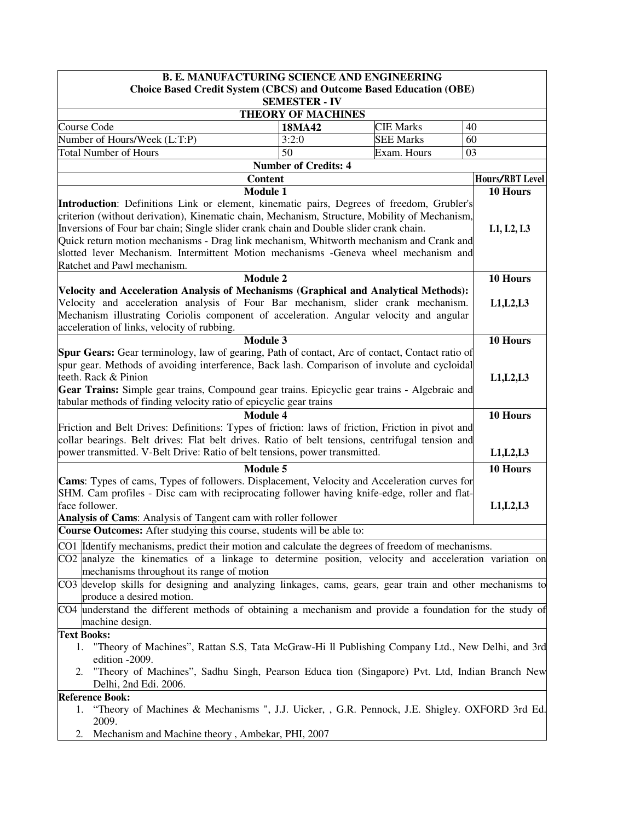|                                                                                                                                                                                                                                                                                                                                                                                                                                                                                                       |                                                   | <b>B. E. MANUFACTURING SCIENCE AND ENGINEERING</b> |                 |
|-------------------------------------------------------------------------------------------------------------------------------------------------------------------------------------------------------------------------------------------------------------------------------------------------------------------------------------------------------------------------------------------------------------------------------------------------------------------------------------------------------|---------------------------------------------------|----------------------------------------------------|-----------------|
| <b>Choice Based Credit System (CBCS) and Outcome Based Education (OBE)</b>                                                                                                                                                                                                                                                                                                                                                                                                                            |                                                   |                                                    |                 |
|                                                                                                                                                                                                                                                                                                                                                                                                                                                                                                       | <b>SEMESTER - IV</b><br><b>THEORY OF MACHINES</b> |                                                    |                 |
| Course Code                                                                                                                                                                                                                                                                                                                                                                                                                                                                                           | 18MA42                                            | <b>CIE Marks</b>                                   | 40              |
| Number of Hours/Week (L:T:P)                                                                                                                                                                                                                                                                                                                                                                                                                                                                          | 3:2:0                                             | <b>SEE Marks</b>                                   | 60              |
| Total Number of Hours                                                                                                                                                                                                                                                                                                                                                                                                                                                                                 | 50                                                | Exam. Hours                                        | 03              |
|                                                                                                                                                                                                                                                                                                                                                                                                                                                                                                       | <b>Number of Credits: 4</b>                       |                                                    |                 |
|                                                                                                                                                                                                                                                                                                                                                                                                                                                                                                       | <b>Content</b>                                    |                                                    | Hours/RBT Level |
|                                                                                                                                                                                                                                                                                                                                                                                                                                                                                                       | <b>Module 1</b>                                   |                                                    | 10 Hours        |
| Introduction: Definitions Link or element, kinematic pairs, Degrees of freedom, Grubler's<br>criterion (without derivation), Kinematic chain, Mechanism, Structure, Mobility of Mechanism,<br>Inversions of Four bar chain; Single slider crank chain and Double slider crank chain.<br>Quick return motion mechanisms - Drag link mechanism, Whitworth mechanism and Crank and<br>slotted lever Mechanism. Intermittent Motion mechanisms -Geneva wheel mechanism and<br>Ratchet and Pawl mechanism. |                                                   |                                                    | L1, L2, L3      |
|                                                                                                                                                                                                                                                                                                                                                                                                                                                                                                       | <b>Module 2</b>                                   |                                                    | 10 Hours        |
| Velocity and Acceleration Analysis of Mechanisms (Graphical and Analytical Methods):                                                                                                                                                                                                                                                                                                                                                                                                                  |                                                   |                                                    |                 |
| Velocity and acceleration analysis of Four Bar mechanism, slider crank mechanism.<br>Mechanism illustrating Coriolis component of acceleration. Angular velocity and angular<br>acceleration of links, velocity of rubbing.                                                                                                                                                                                                                                                                           |                                                   |                                                    | L1, L2, L3      |
|                                                                                                                                                                                                                                                                                                                                                                                                                                                                                                       | <b>Module 3</b>                                   |                                                    | 10 Hours        |
| Spur Gears: Gear terminology, law of gearing, Path of contact, Arc of contact, Contact ratio of<br>spur gear. Methods of avoiding interference, Back lash. Comparison of involute and cycloidal<br>teeth. Rack & Pinion<br>Gear Trains: Simple gear trains, Compound gear trains. Epicyclic gear trains - Algebraic and<br>tabular methods of finding velocity ratio of epicyclic gear trains                                                                                                         |                                                   |                                                    | L1, L2, L3      |
|                                                                                                                                                                                                                                                                                                                                                                                                                                                                                                       | <b>Module 4</b>                                   |                                                    | 10 Hours        |
| Friction and Belt Drives: Definitions: Types of friction: laws of friction, Friction in pivot and<br>collar bearings. Belt drives: Flat belt drives. Ratio of belt tensions, centrifugal tension and<br>power transmitted. V-Belt Drive: Ratio of belt tensions, power transmitted.                                                                                                                                                                                                                   |                                                   |                                                    | L1, L2, L3      |
|                                                                                                                                                                                                                                                                                                                                                                                                                                                                                                       | <b>Module 5</b>                                   |                                                    | 10 Hours        |
| Cams: Types of cams, Types of followers. Displacement, Velocity and Acceleration curves for<br>SHM. Cam profiles - Disc cam with reciprocating follower having knife-edge, roller and flat-<br>face follower.<br>Analysis of Cams: Analysis of Tangent cam with roller follower                                                                                                                                                                                                                       |                                                   |                                                    | L1, L2, L3      |
| Course Outcomes: After studying this course, students will be able to:                                                                                                                                                                                                                                                                                                                                                                                                                                |                                                   |                                                    |                 |
| CO1 Identify mechanisms, predict their motion and calculate the degrees of freedom of mechanisms.                                                                                                                                                                                                                                                                                                                                                                                                     |                                                   |                                                    |                 |
| CO2 analyze the kinematics of a linkage to determine position, velocity and acceleration variation on<br>mechanisms throughout its range of motion                                                                                                                                                                                                                                                                                                                                                    |                                                   |                                                    |                 |
| CO3 develop skills for designing and analyzing linkages, cams, gears, gear train and other mechanisms to<br>produce a desired motion.                                                                                                                                                                                                                                                                                                                                                                 |                                                   |                                                    |                 |
| CO4 understand the different methods of obtaining a mechanism and provide a foundation for the study of<br>machine design.<br><b>Text Books:</b>                                                                                                                                                                                                                                                                                                                                                      |                                                   |                                                    |                 |
| 1. "Theory of Machines", Rattan S.S., Tata McGraw-Hi 11 Publishing Company Ltd., New Delhi, and 3rd<br>edition -2009.<br>"Theory of Machines", Sadhu Singh, Pearson Educa tion (Singapore) Pvt. Ltd, Indian Branch New<br>2.<br>Delhi, 2nd Edi. 2006.                                                                                                                                                                                                                                                 |                                                   |                                                    |                 |
| <b>Reference Book:</b>                                                                                                                                                                                                                                                                                                                                                                                                                                                                                |                                                   |                                                    |                 |
| "Theory of Machines & Mechanisms ", J.J. Uicker, , G.R. Pennock, J.E. Shigley. OXFORD 3rd Ed.<br>1.<br>2009.                                                                                                                                                                                                                                                                                                                                                                                          |                                                   |                                                    |                 |
| Mechanism and Machine theory, Ambekar, PHI, 2007<br>2.                                                                                                                                                                                                                                                                                                                                                                                                                                                |                                                   |                                                    |                 |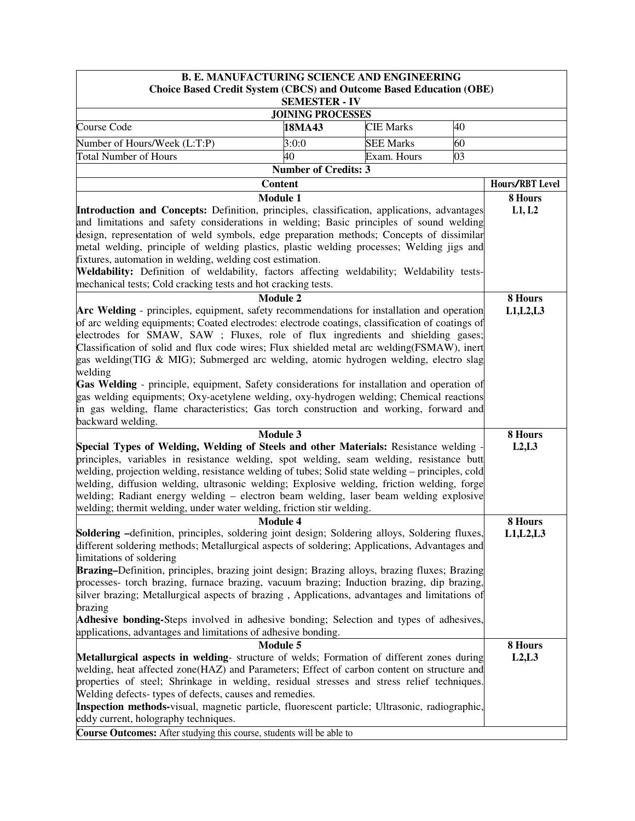|                                                                                                                                                                                                 |                          | <b>B. E. MANUFACTURING SCIENCE AND ENGINEERING</b> |    |                 |
|-------------------------------------------------------------------------------------------------------------------------------------------------------------------------------------------------|--------------------------|----------------------------------------------------|----|-----------------|
| <b>Choice Based Credit System (CBCS) and Outcome Based Education (OBE)</b>                                                                                                                      |                          |                                                    |    |                 |
|                                                                                                                                                                                                 | <b>SEMESTER - IV</b>     |                                                    |    |                 |
|                                                                                                                                                                                                 | <b>JOINING PROCESSES</b> |                                                    |    |                 |
| Course Code                                                                                                                                                                                     | 18MA43                   | <b>CIE Marks</b>                                   | 40 |                 |
| Number of Hours/Week (L:T:P)                                                                                                                                                                    | 60                       |                                                    |    |                 |
| 40<br><b>Total Number of Hours</b><br>03<br>Exam. Hours                                                                                                                                         |                          |                                                    |    |                 |
| <b>Number of Credits: 3</b>                                                                                                                                                                     |                          |                                                    |    |                 |
| <b>Content</b>                                                                                                                                                                                  |                          |                                                    |    | Hours/RBT Level |
| <b>Module 1</b>                                                                                                                                                                                 |                          |                                                    |    | 8 Hours         |
| Introduction and Concepts: Definition, principles, classification, applications, advantages                                                                                                     |                          |                                                    |    | L1, L2          |
| and limitations and safety considerations in welding; Basic principles of sound welding                                                                                                         |                          |                                                    |    |                 |
| design, representation of weld symbols, edge preparation methods; Concepts of dissimilar                                                                                                        |                          |                                                    |    |                 |
| metal welding, principle of welding plastics, plastic welding processes; Welding jigs and                                                                                                       |                          |                                                    |    |                 |
| fixtures, automation in welding, welding cost estimation.                                                                                                                                       |                          |                                                    |    |                 |
| Weldability: Definition of weldability, factors affecting weldability; Weldability tests-                                                                                                       |                          |                                                    |    |                 |
| mechanical tests; Cold cracking tests and hot cracking tests.                                                                                                                                   |                          |                                                    |    |                 |
| <b>Module 2</b>                                                                                                                                                                                 |                          |                                                    |    | 8 Hours         |
| Arc Welding - principles, equipment, safety recommendations for installation and operation                                                                                                      |                          |                                                    |    | L1, L2, L3      |
| of arc welding equipments; Coated electrodes: electrode coatings, classification of coatings of                                                                                                 |                          |                                                    |    |                 |
| electrodes for SMAW, SAW ; Fluxes, role of flux ingredients and shielding gases;                                                                                                                |                          |                                                    |    |                 |
| Classification of solid and flux code wires; Flux shielded metal arc welding(FSMAW), inert                                                                                                      |                          |                                                    |    |                 |
| gas welding (TIG & MIG); Submerged arc welding, atomic hydrogen welding, electro slag                                                                                                           |                          |                                                    |    |                 |
| welding                                                                                                                                                                                         |                          |                                                    |    |                 |
| Gas Welding - principle, equipment, Safety considerations for installation and operation of                                                                                                     |                          |                                                    |    |                 |
| gas welding equipments; Oxy-acetylene welding, oxy-hydrogen welding; Chemical reactions                                                                                                         |                          |                                                    |    |                 |
| in gas welding, flame characteristics; Gas torch construction and working, forward and                                                                                                          |                          |                                                    |    |                 |
| backward welding.                                                                                                                                                                               |                          |                                                    |    |                 |
| Module 3                                                                                                                                                                                        |                          |                                                    |    | 8 Hours         |
| Special Types of Welding, Welding of Steels and other Materials: Resistance welding -                                                                                                           |                          |                                                    |    | L2, L3          |
| principles, variables in resistance welding, spot welding, seam welding, resistance butt                                                                                                        |                          |                                                    |    |                 |
| welding, projection welding, resistance welding of tubes; Solid state welding – principles, cold                                                                                                |                          |                                                    |    |                 |
| welding, diffusion welding, ultrasonic welding; Explosive welding, friction welding, forge                                                                                                      |                          |                                                    |    |                 |
| welding; Radiant energy welding - electron beam welding, laser beam welding explosive<br>welding; thermit welding, under water welding, friction stir welding.                                  |                          |                                                    |    |                 |
| <b>Module 4</b>                                                                                                                                                                                 |                          |                                                    |    |                 |
|                                                                                                                                                                                                 |                          |                                                    |    | 8 Hours         |
| Soldering -definition, principles, soldering joint design; Soldering alloys, Soldering fluxes,<br>different soldering methods; Metallurgical aspects of soldering; Applications, Advantages and |                          |                                                    |    | L1, L2, L3      |
| limitations of soldering                                                                                                                                                                        |                          |                                                    |    |                 |
| Brazing–Definition, principles, brazing joint design; Brazing alloys, brazing fluxes; Brazing                                                                                                   |                          |                                                    |    |                 |
| processes- torch brazing, furnace brazing, vacuum brazing; Induction brazing, dip brazing,                                                                                                      |                          |                                                    |    |                 |
| silver brazing; Metallurgical aspects of brazing, Applications, advantages and limitations of                                                                                                   |                          |                                                    |    |                 |
| brazing                                                                                                                                                                                         |                          |                                                    |    |                 |
| Adhesive bonding-Steps involved in adhesive bonding; Selection and types of adhesives,                                                                                                          |                          |                                                    |    |                 |
| applications, advantages and limitations of adhesive bonding.                                                                                                                                   |                          |                                                    |    |                 |
| <b>Module 5</b>                                                                                                                                                                                 |                          |                                                    |    | 8 Hours         |
| Metallurgical aspects in welding-structure of welds; Formation of different zones during                                                                                                        |                          |                                                    |    | L2, L3          |
| welding, heat affected zone(HAZ) and Parameters; Effect of carbon content on structure and                                                                                                      |                          |                                                    |    |                 |
| properties of steel; Shrinkage in welding, residual stresses and stress relief techniques.                                                                                                      |                          |                                                    |    |                 |
| Welding defects-types of defects, causes and remedies.                                                                                                                                          |                          |                                                    |    |                 |
| Inspection methods-visual, magnetic particle, fluorescent particle; Ultrasonic, radiographic,                                                                                                   |                          |                                                    |    |                 |
| eddy current, holography techniques.                                                                                                                                                            |                          |                                                    |    |                 |
| Course Outcomes: After studying this course, students will be able to                                                                                                                           |                          |                                                    |    |                 |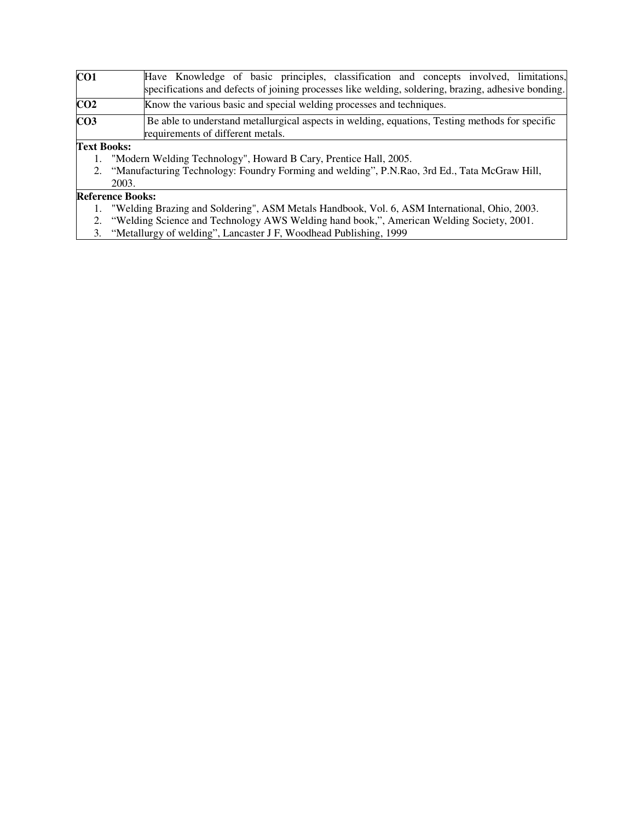| CO1             | Have Knowledge of basic principles, classification and concepts involved, limitations,                                               |
|-----------------|--------------------------------------------------------------------------------------------------------------------------------------|
|                 | specifications and defects of joining processes like welding, soldering, brazing, adhesive bonding.                                  |
| CO <sub>2</sub> | Know the various basic and special welding processes and techniques.                                                                 |
| CO <sub>3</sub> | Be able to understand metallurgical aspects in welding, equations, Testing methods for specific<br>requirements of different metals. |

**Text Books:** 

- 1. "Modern Welding Technology", Howard B Cary, Prentice Hall, 2005.<br>2. "Manufacturing Technology: Foundry Forming and welding", P.N.Rac
- 2. "Manufacturing Technology: Foundry Forming and welding", P.N.Rao, 3rd Ed., Tata McGraw Hill, 2003.

# **Reference Books:**

- 1. "Welding Brazing and Soldering", ASM Metals Handbook, Vol. 6, ASM International, Ohio, 2003.
- 2. "Welding Science and Technology AWS Welding hand book,", American Welding Society, 2001.
- 3. "Metallurgy of welding", Lancaster J F, Woodhead Publishing, 1999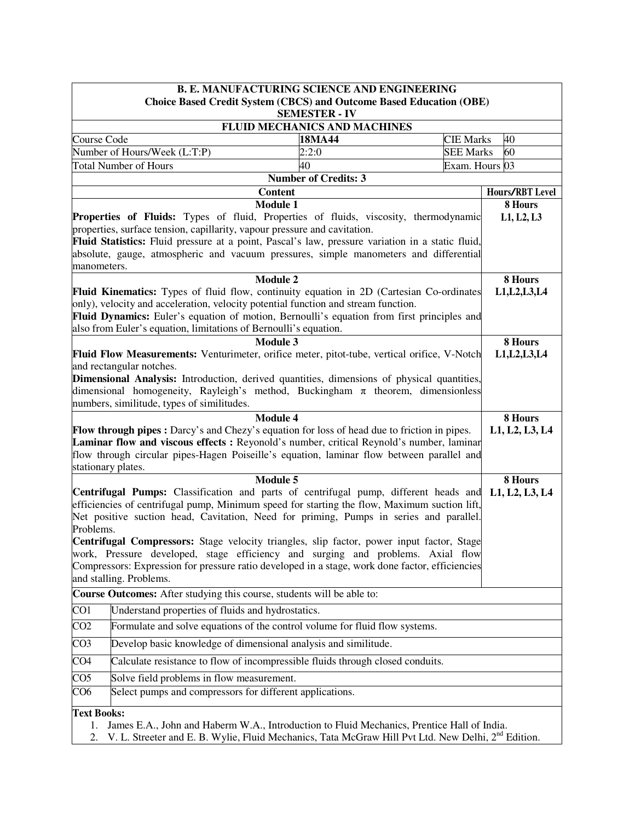|                                                                                                                        | <b>B. E. MANUFACTURING SCIENCE AND ENGINEERING</b>                                                             |                                                                                                                 |                                      |                           |  |  |  |
|------------------------------------------------------------------------------------------------------------------------|----------------------------------------------------------------------------------------------------------------|-----------------------------------------------------------------------------------------------------------------|--------------------------------------|---------------------------|--|--|--|
| <b>Choice Based Credit System (CBCS) and Outcome Based Education (OBE)</b>                                             |                                                                                                                |                                                                                                                 |                                      |                           |  |  |  |
| <b>SEMESTER - IV</b>                                                                                                   |                                                                                                                |                                                                                                                 |                                      |                           |  |  |  |
|                                                                                                                        |                                                                                                                | <b>FLUID MECHANICS AND MACHINES</b>                                                                             |                                      |                           |  |  |  |
| Course Code                                                                                                            | Number of Hours/Week (L:T:P)                                                                                   | 18MA44<br>2:2:0                                                                                                 | <b>CIE Marks</b><br><b>SEE Marks</b> | 40<br>60                  |  |  |  |
|                                                                                                                        | <b>Total Number of Hours</b>                                                                                   | 40                                                                                                              | Exam. Hours 03                       |                           |  |  |  |
|                                                                                                                        |                                                                                                                | <b>Number of Credits: 3</b>                                                                                     |                                      |                           |  |  |  |
|                                                                                                                        |                                                                                                                | <b>Content</b>                                                                                                  |                                      | Hours/RBT Level           |  |  |  |
|                                                                                                                        |                                                                                                                | <b>Module 1</b>                                                                                                 |                                      | 8 Hours                   |  |  |  |
|                                                                                                                        |                                                                                                                | Properties of Fluids: Types of fluid, Properties of fluids, viscosity, thermodynamic                            |                                      | L1, L2, L3                |  |  |  |
|                                                                                                                        | properties, surface tension, capillarity, vapour pressure and cavitation.                                      |                                                                                                                 |                                      |                           |  |  |  |
|                                                                                                                        |                                                                                                                | Fluid Statistics: Fluid pressure at a point, Pascal's law, pressure variation in a static fluid,                |                                      |                           |  |  |  |
|                                                                                                                        |                                                                                                                | absolute, gauge, atmospheric and vacuum pressures, simple manometers and differential                           |                                      |                           |  |  |  |
| manometers.                                                                                                            |                                                                                                                |                                                                                                                 |                                      |                           |  |  |  |
|                                                                                                                        |                                                                                                                | <b>Module 2</b><br>Fluid Kinematics: Types of fluid flow, continuity equation in 2D (Cartesian Co-ordinates     |                                      | 8 Hours<br>L1, L2, L3, L4 |  |  |  |
|                                                                                                                        |                                                                                                                | only), velocity and acceleration, velocity potential function and stream function.                              |                                      |                           |  |  |  |
|                                                                                                                        |                                                                                                                | Fluid Dynamics: Euler's equation of motion, Bernoulli's equation from first principles and                      |                                      |                           |  |  |  |
|                                                                                                                        | also from Euler's equation, limitations of Bernoulli's equation.                                               |                                                                                                                 |                                      |                           |  |  |  |
|                                                                                                                        |                                                                                                                | <b>Module 3</b>                                                                                                 |                                      | 8 Hours                   |  |  |  |
|                                                                                                                        |                                                                                                                | Fluid Flow Measurements: Venturimeter, orifice meter, pitot-tube, vertical orifice, V-Notch                     |                                      | L1, L2, L3, L4            |  |  |  |
|                                                                                                                        | and rectangular notches.                                                                                       |                                                                                                                 |                                      |                           |  |  |  |
|                                                                                                                        |                                                                                                                | <b>Dimensional Analysis:</b> Introduction, derived quantities, dimensions of physical quantities,               |                                      |                           |  |  |  |
|                                                                                                                        |                                                                                                                | dimensional homogeneity, Rayleigh's method, Buckingham $\pi$ theorem, dimensionless                             |                                      |                           |  |  |  |
|                                                                                                                        | numbers, similitude, types of similitudes.                                                                     |                                                                                                                 |                                      |                           |  |  |  |
|                                                                                                                        |                                                                                                                | <b>Module 4</b><br>Flow through pipes : Darcy's and Chezy's equation for loss of head due to friction in pipes. |                                      | 8 Hours<br>L1, L2, L3, L4 |  |  |  |
|                                                                                                                        |                                                                                                                | Laminar flow and viscous effects : Reyonold's number, critical Reynold's number, laminar                        |                                      |                           |  |  |  |
|                                                                                                                        |                                                                                                                | flow through circular pipes-Hagen Poiseille's equation, laminar flow between parallel and                       |                                      |                           |  |  |  |
| stationary plates.                                                                                                     |                                                                                                                |                                                                                                                 |                                      |                           |  |  |  |
|                                                                                                                        |                                                                                                                | <b>Module 5</b>                                                                                                 |                                      | 8 Hours                   |  |  |  |
|                                                                                                                        |                                                                                                                | Centrifugal Pumps: Classification and parts of centrifugal pump, different heads and                            |                                      | L1, L2, L3, L4            |  |  |  |
|                                                                                                                        |                                                                                                                | efficiencies of centrifugal pump, Minimum speed for starting the flow, Maximum suction lift,                    |                                      |                           |  |  |  |
|                                                                                                                        |                                                                                                                | Net positive suction head, Cavitation, Need for priming, Pumps in series and parallel.                          |                                      |                           |  |  |  |
| Problems.                                                                                                              |                                                                                                                | Centrifugal Compressors: Stage velocity triangles, slip factor, power input factor, Stage                       |                                      |                           |  |  |  |
|                                                                                                                        |                                                                                                                | work, Pressure developed, stage efficiency and surging and problems. Axial flow                                 |                                      |                           |  |  |  |
|                                                                                                                        |                                                                                                                | Compressors: Expression for pressure ratio developed in a stage, work done factor, efficiencies                 |                                      |                           |  |  |  |
|                                                                                                                        | and stalling. Problems.                                                                                        |                                                                                                                 |                                      |                           |  |  |  |
|                                                                                                                        | Course Outcomes: After studying this course, students will be able to:                                         |                                                                                                                 |                                      |                           |  |  |  |
| CO <sub>1</sub>                                                                                                        | Understand properties of fluids and hydrostatics.                                                              |                                                                                                                 |                                      |                           |  |  |  |
| CO <sub>2</sub>                                                                                                        |                                                                                                                | Formulate and solve equations of the control volume for fluid flow systems.                                     |                                      |                           |  |  |  |
| CO <sub>3</sub>                                                                                                        |                                                                                                                | Develop basic knowledge of dimensional analysis and similitude.                                                 |                                      |                           |  |  |  |
| CO <sub>4</sub>                                                                                                        | Calculate resistance to flow of incompressible fluids through closed conduits.                                 |                                                                                                                 |                                      |                           |  |  |  |
| $\overline{CO5}$                                                                                                       | Solve field problems in flow measurement.                                                                      |                                                                                                                 |                                      |                           |  |  |  |
| CO6                                                                                                                    | Select pumps and compressors for different applications.                                                       |                                                                                                                 |                                      |                           |  |  |  |
|                                                                                                                        |                                                                                                                |                                                                                                                 |                                      |                           |  |  |  |
| <b>Text Books:</b><br>James E.A., John and Haberm W.A., Introduction to Fluid Mechanics, Prentice Hall of India.<br>1. |                                                                                                                |                                                                                                                 |                                      |                           |  |  |  |
| 2.                                                                                                                     | V. L. Streeter and E. B. Wylie, Fluid Mechanics, Tata McGraw Hill Pvt Ltd. New Delhi, 2 <sup>nd</sup> Edition. |                                                                                                                 |                                      |                           |  |  |  |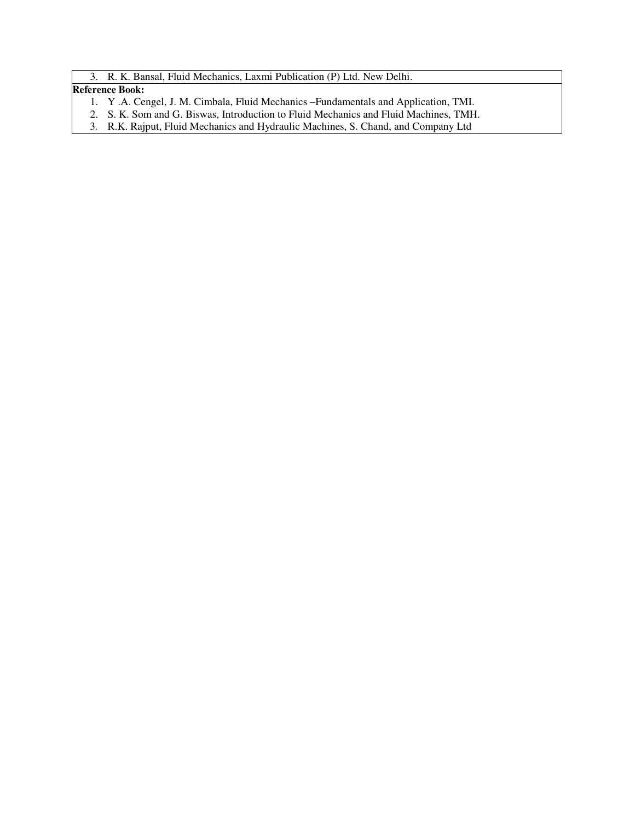3. R. K. Bansal, Fluid Mechanics, Laxmi Publication (P) Ltd. New Delhi.

### **Reference Book:**

- 1. Y .A. Cengel, J. M. Cimbala, Fluid Mechanics –Fundamentals and Application, TMI.
- 2. S. K. Som and G. Biswas, Introduction to Fluid Mechanics and Fluid Machines, TMH.
- 3. R.K. Rajput, Fluid Mechanics and Hydraulic Machines, S. Chand, and Company Ltd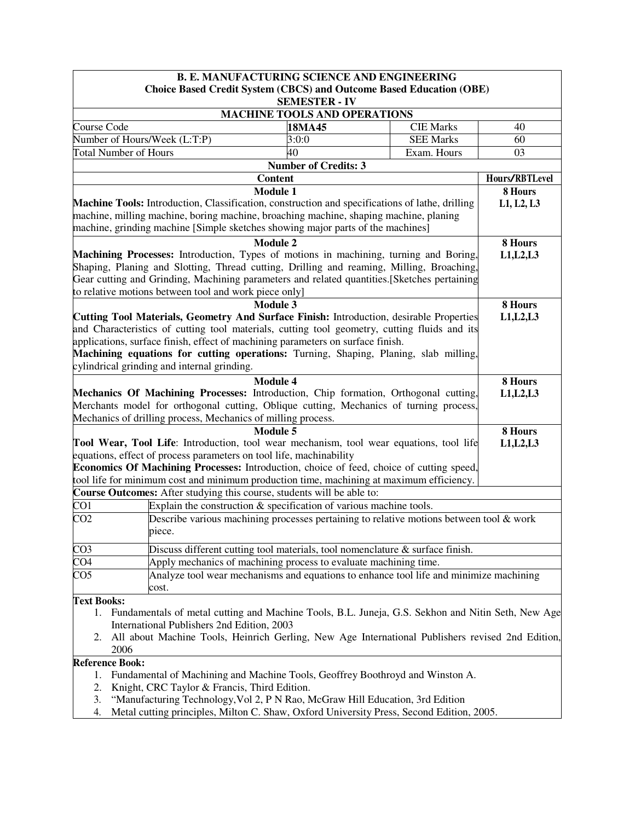|                                                                                                                            |                                                                                                     | <b>B. E. MANUFACTURING SCIENCE AND ENGINEERING</b> |                                                                                            |                |  |  |
|----------------------------------------------------------------------------------------------------------------------------|-----------------------------------------------------------------------------------------------------|----------------------------------------------------|--------------------------------------------------------------------------------------------|----------------|--|--|
|                                                                                                                            |                                                                                                     | <b>SEMESTER - IV</b>                               | <b>Choice Based Credit System (CBCS) and Outcome Based Education (OBE)</b>                 |                |  |  |
| <b>MACHINE TOOLS AND OPERATIONS</b>                                                                                        |                                                                                                     |                                                    |                                                                                            |                |  |  |
| Course Code                                                                                                                |                                                                                                     | 18MA45                                             | <b>CIE Marks</b>                                                                           | 40             |  |  |
|                                                                                                                            | Number of Hours/Week (L:T:P)                                                                        | 3:0:0                                              | <b>SEE Marks</b>                                                                           | 60             |  |  |
|                                                                                                                            | <b>Total Number of Hours</b>                                                                        | 40                                                 | Exam. Hours                                                                                | 03             |  |  |
|                                                                                                                            |                                                                                                     | <b>Number of Credits: 3</b>                        |                                                                                            |                |  |  |
|                                                                                                                            |                                                                                                     | <b>Content</b>                                     |                                                                                            | Hours/RBTLevel |  |  |
|                                                                                                                            |                                                                                                     | <b>Module 1</b>                                    |                                                                                            | 8 Hours        |  |  |
|                                                                                                                            | Machine Tools: Introduction, Classification, construction and specifications of lathe, drilling     |                                                    |                                                                                            | L1, L2, L3     |  |  |
|                                                                                                                            | machine, milling machine, boring machine, broaching machine, shaping machine, planing               |                                                    |                                                                                            |                |  |  |
|                                                                                                                            | machine, grinding machine [Simple sketches showing major parts of the machines]                     |                                                    |                                                                                            |                |  |  |
|                                                                                                                            |                                                                                                     | <b>Module 2</b>                                    |                                                                                            | 8 Hours        |  |  |
|                                                                                                                            | Machining Processes: Introduction, Types of motions in machining, turning and Boring,               |                                                    |                                                                                            | L1, L2, L3     |  |  |
|                                                                                                                            | Shaping, Planing and Slotting, Thread cutting, Drilling and reaming, Milling, Broaching,            |                                                    |                                                                                            |                |  |  |
|                                                                                                                            | Gear cutting and Grinding, Machining parameters and related quantities. [Sketches pertaining        |                                                    |                                                                                            |                |  |  |
|                                                                                                                            | to relative motions between tool and work piece only]                                               |                                                    |                                                                                            |                |  |  |
|                                                                                                                            |                                                                                                     | Module 3                                           |                                                                                            | 8 Hours        |  |  |
|                                                                                                                            | Cutting Tool Materials, Geometry And Surface Finish: Introduction, desirable Properties             |                                                    |                                                                                            | L1, L2, L3     |  |  |
|                                                                                                                            | and Characteristics of cutting tool materials, cutting tool geometry, cutting fluids and its        |                                                    |                                                                                            |                |  |  |
|                                                                                                                            | applications, surface finish, effect of machining parameters on surface finish.                     |                                                    |                                                                                            |                |  |  |
|                                                                                                                            | Machining equations for cutting operations: Turning, Shaping, Planing, slab milling,                |                                                    |                                                                                            |                |  |  |
|                                                                                                                            | cylindrical grinding and internal grinding.                                                         |                                                    |                                                                                            |                |  |  |
|                                                                                                                            |                                                                                                     | <b>Module 4</b>                                    |                                                                                            | 8 Hours        |  |  |
|                                                                                                                            | Mechanics Of Machining Processes: Introduction, Chip formation, Orthogonal cutting,                 |                                                    |                                                                                            | L1, L2, L3     |  |  |
|                                                                                                                            | Merchants model for orthogonal cutting, Oblique cutting, Mechanics of turning process,              |                                                    |                                                                                            |                |  |  |
|                                                                                                                            | Mechanics of drilling process, Mechanics of milling process.                                        | Module 5                                           |                                                                                            | 8 Hours        |  |  |
|                                                                                                                            | Tool Wear, Tool Life: Introduction, tool wear mechanism, tool wear equations, tool life             |                                                    |                                                                                            | L1, L2, L3     |  |  |
|                                                                                                                            | equations, effect of process parameters on tool life, machinability                                 |                                                    |                                                                                            |                |  |  |
|                                                                                                                            | Economics Of Machining Processes: Introduction, choice of feed, choice of cutting speed,            |                                                    |                                                                                            |                |  |  |
|                                                                                                                            | tool life for minimum cost and minimum production time, machining at maximum efficiency.            |                                                    |                                                                                            |                |  |  |
|                                                                                                                            | Course Outcomes: After studying this course, students will be able to:                              |                                                    |                                                                                            |                |  |  |
| CO1                                                                                                                        | Explain the construction $\&$ specification of various machine tools.                               |                                                    |                                                                                            |                |  |  |
| $\overline{CO2}$                                                                                                           |                                                                                                     |                                                    | Describe various machining processes pertaining to relative motions between tool $\&$ work |                |  |  |
|                                                                                                                            | piece.                                                                                              |                                                    |                                                                                            |                |  |  |
|                                                                                                                            |                                                                                                     |                                                    |                                                                                            |                |  |  |
| CO <sub>3</sub><br>$\overline{CO4}$                                                                                        |                                                                                                     |                                                    | Discuss different cutting tool materials, tool nomenclature & surface finish.              |                |  |  |
| CO <sub>5</sub>                                                                                                            | Apply mechanics of machining process to evaluate machining time.                                    |                                                    | Analyze tool wear mechanisms and equations to enhance tool life and minimize machining     |                |  |  |
|                                                                                                                            | cost.                                                                                               |                                                    |                                                                                            |                |  |  |
|                                                                                                                            |                                                                                                     |                                                    |                                                                                            |                |  |  |
| <b>Text Books:</b><br>1. Fundamentals of metal cutting and Machine Tools, B.L. Juneja, G.S. Sekhon and Nitin Seth, New Age |                                                                                                     |                                                    |                                                                                            |                |  |  |
|                                                                                                                            | International Publishers 2nd Edition, 2003                                                          |                                                    |                                                                                            |                |  |  |
|                                                                                                                            | 2. All about Machine Tools, Heinrich Gerling, New Age International Publishers revised 2nd Edition, |                                                    |                                                                                            |                |  |  |
|                                                                                                                            | 2006                                                                                                |                                                    |                                                                                            |                |  |  |
|                                                                                                                            | <b>Reference Book:</b>                                                                              |                                                    |                                                                                            |                |  |  |
|                                                                                                                            | Fundamental of Machining and Machine Tools, Geoffrey Boothroyd and Winston A.<br>1.                 |                                                    |                                                                                            |                |  |  |
| 2.                                                                                                                         | Knight, CRC Taylor & Francis, Third Edition.                                                        |                                                    |                                                                                            |                |  |  |

- 3. "Manufacturing Technology,Vol 2, P N Rao, McGraw Hill Education, 3rd Edition
- 4. Metal cutting principles, Milton C. Shaw, Oxford University Press, Second Edition, 2005.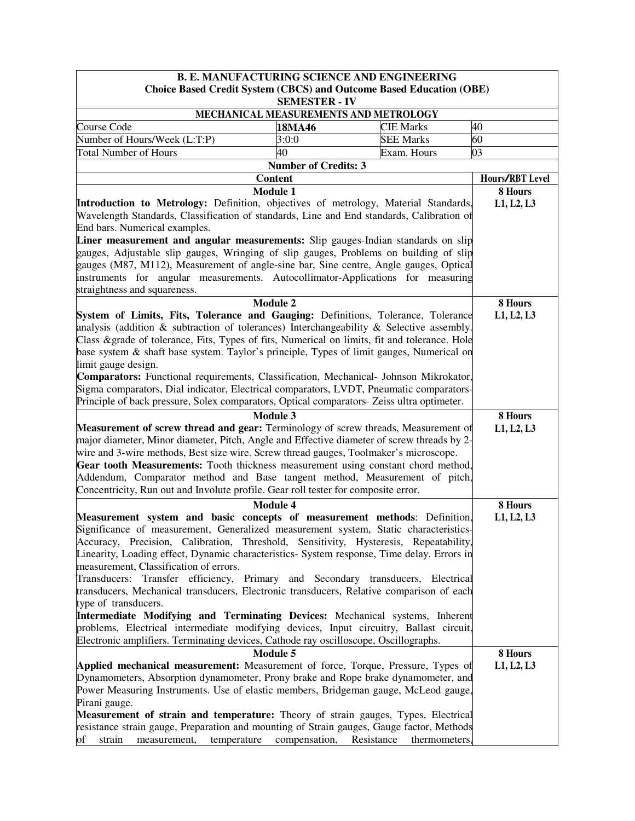| <b>B. E. MANUFACTURING SCIENCE AND ENGINEERING</b>                                                                                                                                                                                                                                                                                                                                                                                                                                                                                                                                                                                                                                                                                                                                 |                             |                  |                 |  |  |
|------------------------------------------------------------------------------------------------------------------------------------------------------------------------------------------------------------------------------------------------------------------------------------------------------------------------------------------------------------------------------------------------------------------------------------------------------------------------------------------------------------------------------------------------------------------------------------------------------------------------------------------------------------------------------------------------------------------------------------------------------------------------------------|-----------------------------|------------------|-----------------|--|--|
| <b>Choice Based Credit System (CBCS) and Outcome Based Education (OBE)</b><br><b>SEMESTER - IV</b>                                                                                                                                                                                                                                                                                                                                                                                                                                                                                                                                                                                                                                                                                 |                             |                  |                 |  |  |
| MECHANICAL MEASUREMENTS AND METROLOGY                                                                                                                                                                                                                                                                                                                                                                                                                                                                                                                                                                                                                                                                                                                                              |                             |                  |                 |  |  |
| Course Code                                                                                                                                                                                                                                                                                                                                                                                                                                                                                                                                                                                                                                                                                                                                                                        | 18MA46                      | <b>CIE Marks</b> | 40              |  |  |
| Number of Hours/Week (L:T:P)                                                                                                                                                                                                                                                                                                                                                                                                                                                                                                                                                                                                                                                                                                                                                       | 3:0:0                       | <b>SEE Marks</b> | 60              |  |  |
| <b>Total Number of Hours</b>                                                                                                                                                                                                                                                                                                                                                                                                                                                                                                                                                                                                                                                                                                                                                       | 40                          | Exam. Hours      | 03              |  |  |
|                                                                                                                                                                                                                                                                                                                                                                                                                                                                                                                                                                                                                                                                                                                                                                                    | <b>Number of Credits: 3</b> |                  |                 |  |  |
|                                                                                                                                                                                                                                                                                                                                                                                                                                                                                                                                                                                                                                                                                                                                                                                    | <b>Content</b>              |                  | Hours/RBT Level |  |  |
|                                                                                                                                                                                                                                                                                                                                                                                                                                                                                                                                                                                                                                                                                                                                                                                    | <b>Module 1</b>             |                  | 8 Hours         |  |  |
| Introduction to Metrology: Definition, objectives of metrology, Material Standards,<br>Wavelength Standards, Classification of standards, Line and End standards, Calibration of<br>End bars. Numerical examples.                                                                                                                                                                                                                                                                                                                                                                                                                                                                                                                                                                  |                             |                  | L1, L2, L3      |  |  |
| Liner measurement and angular measurements: Slip gauges-Indian standards on slip                                                                                                                                                                                                                                                                                                                                                                                                                                                                                                                                                                                                                                                                                                   |                             |                  |                 |  |  |
| gauges, Adjustable slip gauges, Wringing of slip gauges, Problems on building of slip<br>gauges (M87, M112), Measurement of angle-sine bar, Sine centre, Angle gauges, Optical                                                                                                                                                                                                                                                                                                                                                                                                                                                                                                                                                                                                     |                             |                  |                 |  |  |
| instruments for angular measurements. Autocollimator-Applications for measuring<br>straightness and squareness.                                                                                                                                                                                                                                                                                                                                                                                                                                                                                                                                                                                                                                                                    |                             |                  |                 |  |  |
|                                                                                                                                                                                                                                                                                                                                                                                                                                                                                                                                                                                                                                                                                                                                                                                    | <b>Module 2</b>             |                  | 8 Hours         |  |  |
| System of Limits, Fits, Tolerance and Gauging: Definitions, Tolerance, Tolerance<br>analysis (addition & subtraction of tolerances) Interchangeability & Selective assembly.<br>Class &grade of tolerance, Fits, Types of fits, Numerical on limits, fit and tolerance. Hole<br>base system & shaft base system. Taylor's principle, Types of limit gauges, Numerical on<br>limit gauge design.                                                                                                                                                                                                                                                                                                                                                                                    |                             |                  | L1, L2, L3      |  |  |
| Comparators: Functional requirements, Classification, Mechanical- Johnson Mikrokator,                                                                                                                                                                                                                                                                                                                                                                                                                                                                                                                                                                                                                                                                                              |                             |                  |                 |  |  |
| Sigma comparators, Dial indicator, Electrical comparators, LVDT, Pneumatic comparators-                                                                                                                                                                                                                                                                                                                                                                                                                                                                                                                                                                                                                                                                                            |                             |                  |                 |  |  |
| Principle of back pressure, Solex comparators, Optical comparators- Zeiss ultra optimeter.                                                                                                                                                                                                                                                                                                                                                                                                                                                                                                                                                                                                                                                                                         |                             |                  |                 |  |  |
|                                                                                                                                                                                                                                                                                                                                                                                                                                                                                                                                                                                                                                                                                                                                                                                    | <b>Module 3</b>             |                  | 8 Hours         |  |  |
| Measurement of screw thread and gear: Terminology of screw threads, Measurement of<br>major diameter, Minor diameter, Pitch, Angle and Effective diameter of screw threads by 2-<br>wire and 3-wire methods, Best size wire. Screw thread gauges, Toolmaker's microscope.<br>Gear tooth Measurements: Tooth thickness measurement using constant chord method,<br>Addendum, Comparator method and Base tangent method, Measurement of pitch,<br>Concentricity, Run out and Involute profile. Gear roll tester for composite error.                                                                                                                                                                                                                                                 | L1, L2, L3                  |                  |                 |  |  |
|                                                                                                                                                                                                                                                                                                                                                                                                                                                                                                                                                                                                                                                                                                                                                                                    | <b>Module 4</b>             |                  | 8 Hours         |  |  |
| Measurement system and basic concepts of measurement methods: Definition,<br>Significance of measurement, Generalized measurement system, Static characteristics-<br>Accuracy, Precision, Calibration, Threshold, Sensitivity, Hysteresis, Repeatability,<br>Linearity, Loading effect, Dynamic characteristics- System response, Time delay. Errors in<br>measurement, Classification of errors.<br>Transducers: Transfer efficiency, Primary and Secondary transducers, Electrical<br>transducers, Mechanical transducers, Electronic transducers, Relative comparison of each<br>type of transducers.<br>Intermediate Modifying and Terminating Devices: Mechanical systems, Inherent<br>problems, Electrical intermediate modifying devices, Input circuitry, Ballast circuit, |                             |                  | L1, L2, L3      |  |  |
| Electronic amplifiers. Terminating devices, Cathode ray oscilloscope, Oscillographs.                                                                                                                                                                                                                                                                                                                                                                                                                                                                                                                                                                                                                                                                                               |                             |                  |                 |  |  |
|                                                                                                                                                                                                                                                                                                                                                                                                                                                                                                                                                                                                                                                                                                                                                                                    | 8 Hours                     |                  |                 |  |  |
| Applied mechanical measurement: Measurement of force, Torque, Pressure, Types of<br>Dynamometers, Absorption dynamometer, Prony brake and Rope brake dynamometer, and<br>Power Measuring Instruments. Use of elastic members, Bridgeman gauge, McLeod gauge,<br>Pirani gauge.<br>Measurement of strain and temperature: Theory of strain gauges, Types, Electrical                                                                                                                                                                                                                                                                                                                                                                                                                 | <b>Module 5</b>             |                  | L1, L2, L3      |  |  |
| resistance strain gauge, Preparation and mounting of Strain gauges, Gauge factor, Methods<br>strain<br>temperature<br>of<br>measurement,                                                                                                                                                                                                                                                                                                                                                                                                                                                                                                                                                                                                                                           | compensation, Resistance    | thermometers,    |                 |  |  |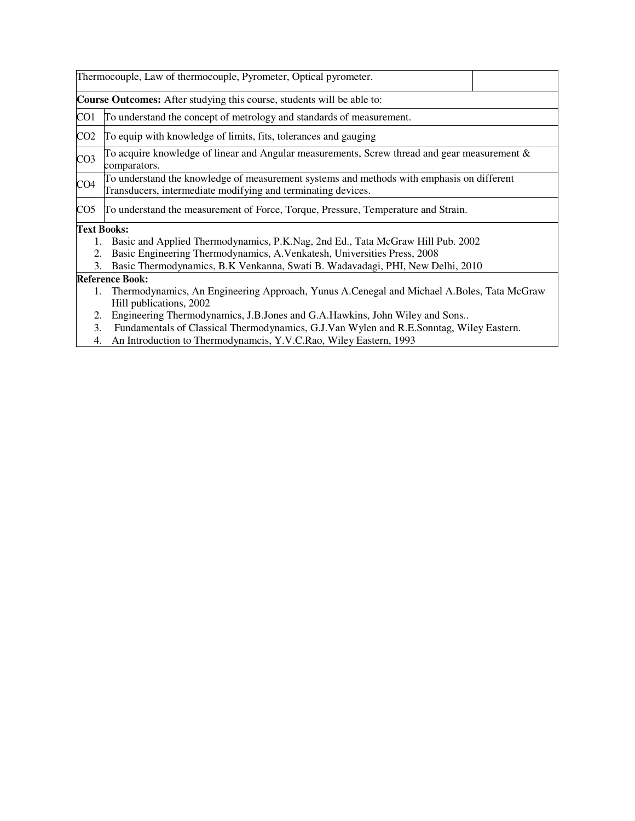|                 | Thermocouple, Law of thermocouple, Pyrometer, Optical pyrometer.                                                                                          |  |  |  |  |
|-----------------|-----------------------------------------------------------------------------------------------------------------------------------------------------------|--|--|--|--|
|                 | <b>Course Outcomes:</b> After studying this course, students will be able to:                                                                             |  |  |  |  |
| CO1             | To understand the concept of metrology and standards of measurement.                                                                                      |  |  |  |  |
| CO2             | To equip with knowledge of limits, fits, tolerances and gauging                                                                                           |  |  |  |  |
| CO <sub>3</sub> | To acquire knowledge of linear and Angular measurements, Screw thread and gear measurement $\&$<br>comparators.                                           |  |  |  |  |
| CO4             | To understand the knowledge of measurement systems and methods with emphasis on different<br>Transducers, intermediate modifying and terminating devices. |  |  |  |  |
| CO5             | To understand the measurement of Force, Torque, Pressure, Temperature and Strain.                                                                         |  |  |  |  |
|                 | <b>Text Books:</b>                                                                                                                                        |  |  |  |  |
|                 | 1. Basic and Applied Thermodynamics, P.K.Nag, 2nd Ed., Tata McGraw Hill Pub. 2002                                                                         |  |  |  |  |
| 2.              | Basic Engineering Thermodynamics, A.Venkatesh, Universities Press, 2008                                                                                   |  |  |  |  |
| 3.              | Basic Thermodynamics, B.K Venkanna, Swati B. Wadavadagi, PHI, New Delhi, 2010                                                                             |  |  |  |  |
|                 | <b>Reference Book:</b>                                                                                                                                    |  |  |  |  |
|                 | 1. Thermodynamics, An Engineering Approach, Yunus A.Cenegal and Michael A.Boles, Tata McGraw<br>Hill publications, 2002                                   |  |  |  |  |
| 2.              | Engineering Thermodynamics, J.B.Jones and G.A.Hawkins, John Wiley and Sons                                                                                |  |  |  |  |
| 3.              | Fundamentals of Classical Thermodynamics, G.J.Van Wylen and R.E.Sonntag, Wiley Eastern.                                                                   |  |  |  |  |

4. An Introduction to Thermodynamcis, Y.V.C.Rao, Wiley Eastern, 1993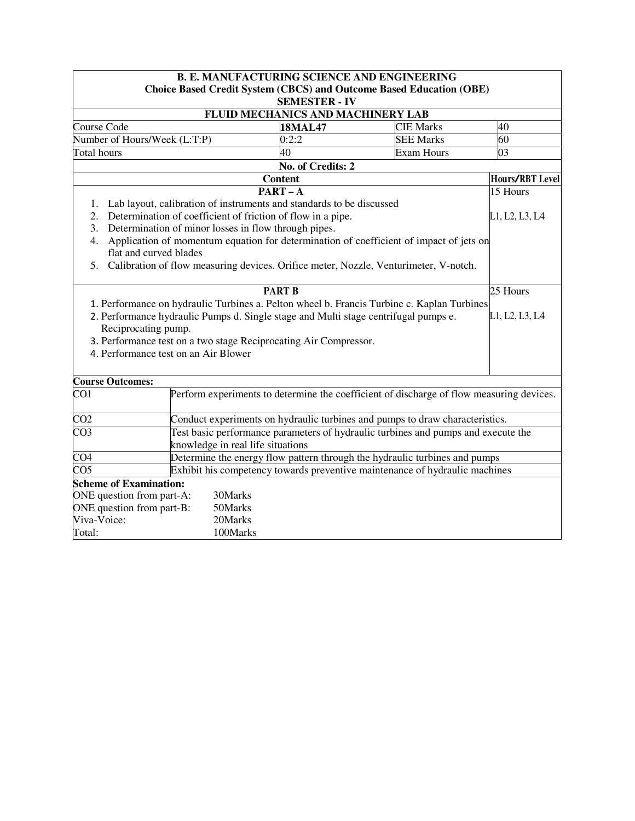| <b>B. E. MANUFACTURING SCIENCE AND ENGINEERING</b>                                                    |                                                                                     |                                   |                                                                                            |                        |  |  |  |  |
|-------------------------------------------------------------------------------------------------------|-------------------------------------------------------------------------------------|-----------------------------------|--------------------------------------------------------------------------------------------|------------------------|--|--|--|--|
| <b>Choice Based Credit System (CBCS) and Outcome Based Education (OBE)</b>                            |                                                                                     |                                   |                                                                                            |                        |  |  |  |  |
|                                                                                                       | <b>SEMESTER - IV</b>                                                                |                                   |                                                                                            |                        |  |  |  |  |
|                                                                                                       |                                                                                     | FLUID MECHANICS AND MACHINERY LAB |                                                                                            |                        |  |  |  |  |
| Course Code                                                                                           |                                                                                     | <b>18MAL47</b>                    | <b>CIE Marks</b>                                                                           | 40                     |  |  |  |  |
|                                                                                                       | Number of Hours/Week (L:T:P)                                                        | 0:2:2                             | <b>SEE Marks</b>                                                                           | 60                     |  |  |  |  |
| Total hours                                                                                           |                                                                                     | 40                                | <b>Exam Hours</b>                                                                          | 03                     |  |  |  |  |
|                                                                                                       |                                                                                     | No. of Credits: 2                 |                                                                                            |                        |  |  |  |  |
|                                                                                                       |                                                                                     | <b>Content</b>                    |                                                                                            | <b>Hours/RBT Level</b> |  |  |  |  |
|                                                                                                       |                                                                                     | $PART - \overline{A}$             |                                                                                            | 15 Hours               |  |  |  |  |
|                                                                                                       | 1. Lab layout, calibration of instruments and standards to be discussed             |                                   |                                                                                            |                        |  |  |  |  |
| 2.                                                                                                    | Determination of coefficient of friction of flow in a pipe.                         |                                   |                                                                                            | L1, L2, L3, L4         |  |  |  |  |
|                                                                                                       | 3. Determination of minor losses in flow through pipes.                             |                                   |                                                                                            |                        |  |  |  |  |
| 4.                                                                                                    |                                                                                     |                                   | Application of momentum equation for determination of coefficient of impact of jets on     |                        |  |  |  |  |
|                                                                                                       | flat and curved blades                                                              |                                   |                                                                                            |                        |  |  |  |  |
| 5.                                                                                                    |                                                                                     |                                   | Calibration of flow measuring devices. Orifice meter, Nozzle, Venturimeter, V-notch.       |                        |  |  |  |  |
|                                                                                                       |                                                                                     | <b>PART B</b>                     |                                                                                            | 25 Hours               |  |  |  |  |
|                                                                                                       |                                                                                     |                                   | 1. Performance on hydraulic Turbines a. Pelton wheel b. Francis Turbine c. Kaplan Turbines |                        |  |  |  |  |
|                                                                                                       | 2. Performance hydraulic Pumps d. Single stage and Multi stage centrifugal pumps e. |                                   |                                                                                            | L1, L2, L3, L4         |  |  |  |  |
|                                                                                                       | Reciprocating pump.                                                                 |                                   |                                                                                            |                        |  |  |  |  |
|                                                                                                       | 3. Performance test on a two stage Reciprocating Air Compressor.                    |                                   |                                                                                            |                        |  |  |  |  |
|                                                                                                       | 4. Performance test on an Air Blower                                                |                                   |                                                                                            |                        |  |  |  |  |
|                                                                                                       |                                                                                     |                                   |                                                                                            |                        |  |  |  |  |
| <b>Course Outcomes:</b>                                                                               |                                                                                     |                                   |                                                                                            |                        |  |  |  |  |
| $\overline{CO1}$                                                                                      |                                                                                     |                                   | Perform experiments to determine the coefficient of discharge of flow measuring devices.   |                        |  |  |  |  |
|                                                                                                       |                                                                                     |                                   |                                                                                            |                        |  |  |  |  |
| CO <sub>2</sub>                                                                                       |                                                                                     |                                   | Conduct experiments on hydraulic turbines and pumps to draw characteristics.               |                        |  |  |  |  |
| CO <sub>3</sub>                                                                                       |                                                                                     |                                   | Test basic performance parameters of hydraulic turbines and pumps and execute the          |                        |  |  |  |  |
|                                                                                                       | knowledge in real life situations                                                   |                                   |                                                                                            |                        |  |  |  |  |
| $\overline{\text{CO4}}$<br>Determine the energy flow pattern through the hydraulic turbines and pumps |                                                                                     |                                   |                                                                                            |                        |  |  |  |  |
| CO <sub>5</sub><br>Exhibit his competency towards preventive maintenance of hydraulic machines        |                                                                                     |                                   |                                                                                            |                        |  |  |  |  |
|                                                                                                       | <b>Scheme of Examination:</b>                                                       |                                   |                                                                                            |                        |  |  |  |  |
|                                                                                                       | ONE question from part-A:<br>30Marks                                                |                                   |                                                                                            |                        |  |  |  |  |
|                                                                                                       | ONE question from part-B:<br>50Marks                                                |                                   |                                                                                            |                        |  |  |  |  |
| Viva-Voice:                                                                                           | 20Marks                                                                             |                                   |                                                                                            |                        |  |  |  |  |
| Total:                                                                                                | 100Marks                                                                            |                                   |                                                                                            |                        |  |  |  |  |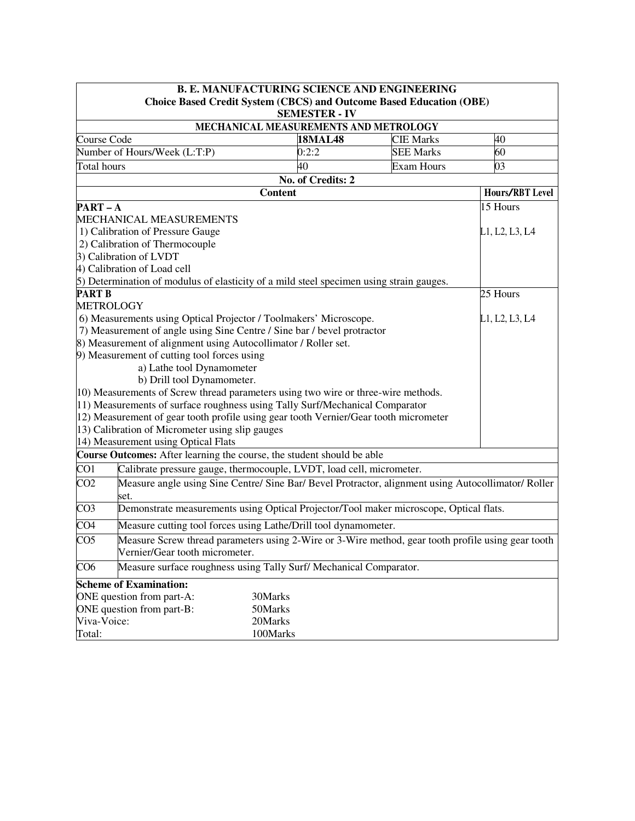| <b>B. E. MANUFACTURING SCIENCE AND ENGINEERING</b> |                                                                                                                                      |                   |                   |                 |  |  |  |
|----------------------------------------------------|--------------------------------------------------------------------------------------------------------------------------------------|-------------------|-------------------|-----------------|--|--|--|
|                                                    | <b>Choice Based Credit System (CBCS) and Outcome Based Education (OBE)</b><br><b>SEMESTER - IV</b>                                   |                   |                   |                 |  |  |  |
| MECHANICAL MEASUREMENTS AND METROLOGY              |                                                                                                                                      |                   |                   |                 |  |  |  |
| Course Code                                        |                                                                                                                                      | <b>18MAL48</b>    | <b>CIE Marks</b>  | 40              |  |  |  |
|                                                    | Number of Hours/Week (L:T:P)                                                                                                         | 0:2:2             | <b>SEE Marks</b>  | 60              |  |  |  |
| Total hours                                        |                                                                                                                                      | 40                | <b>Exam Hours</b> | $\overline{03}$ |  |  |  |
|                                                    |                                                                                                                                      | No. of Credits: 2 |                   |                 |  |  |  |
|                                                    | <b>Hours/RBT Level</b>                                                                                                               |                   |                   |                 |  |  |  |
| $PART - A$                                         |                                                                                                                                      |                   |                   | 15 Hours        |  |  |  |
|                                                    | MECHANICAL MEASUREMENTS                                                                                                              |                   |                   |                 |  |  |  |
|                                                    | 1) Calibration of Pressure Gauge                                                                                                     |                   |                   | L1, L2, L3, L4  |  |  |  |
|                                                    | 2) Calibration of Thermocouple                                                                                                       |                   |                   |                 |  |  |  |
|                                                    | 3) Calibration of LVDT                                                                                                               |                   |                   |                 |  |  |  |
|                                                    | 4) Calibration of Load cell                                                                                                          |                   |                   |                 |  |  |  |
|                                                    | 5) Determination of modulus of elasticity of a mild steel specimen using strain gauges.                                              |                   |                   |                 |  |  |  |
| <b>PART B</b>                                      |                                                                                                                                      |                   |                   | 25 Hours        |  |  |  |
|                                                    | <b>METROLOGY</b>                                                                                                                     |                   |                   |                 |  |  |  |
|                                                    | 6) Measurements using Optical Projector / Toolmakers' Microscope.                                                                    |                   |                   | L1, L2, L3, L4  |  |  |  |
|                                                    | 7) Measurement of angle using Sine Centre / Sine bar / bevel protractor                                                              |                   |                   |                 |  |  |  |
|                                                    | 8) Measurement of alignment using Autocollimator / Roller set.                                                                       |                   |                   |                 |  |  |  |
|                                                    | 9) Measurement of cutting tool forces using                                                                                          |                   |                   |                 |  |  |  |
|                                                    | a) Lathe tool Dynamometer                                                                                                            |                   |                   |                 |  |  |  |
|                                                    | b) Drill tool Dynamometer.                                                                                                           |                   |                   |                 |  |  |  |
|                                                    | 10) Measurements of Screw thread parameters using two wire or three-wire methods.                                                    |                   |                   |                 |  |  |  |
|                                                    | 11) Measurements of surface roughness using Tally Surf/Mechanical Comparator                                                         |                   |                   |                 |  |  |  |
|                                                    | 12) Measurement of gear tooth profile using gear tooth Vernier/Gear tooth micrometer                                                 |                   |                   |                 |  |  |  |
|                                                    | 13) Calibration of Micrometer using slip gauges                                                                                      |                   |                   |                 |  |  |  |
|                                                    | 14) Measurement using Optical Flats                                                                                                  |                   |                   |                 |  |  |  |
|                                                    | Course Outcomes: After learning the course, the student should be able                                                               |                   |                   |                 |  |  |  |
| CO <sub>1</sub>                                    | Calibrate pressure gauge, thermocouple, LVDT, load cell, micrometer.                                                                 |                   |                   |                 |  |  |  |
| CO <sub>2</sub>                                    | Measure angle using Sine Centre/ Sine Bar/ Bevel Protractor, alignment using Autocollimator/ Roller<br>set.                          |                   |                   |                 |  |  |  |
| CO <sub>3</sub>                                    | Demonstrate measurements using Optical Projector/Tool maker microscope, Optical flats.                                               |                   |                   |                 |  |  |  |
| CO <sub>4</sub>                                    | Measure cutting tool forces using Lathe/Drill tool dynamometer.                                                                      |                   |                   |                 |  |  |  |
| CO <sub>5</sub>                                    | Measure Screw thread parameters using 2-Wire or 3-Wire method, gear tooth profile using gear tooth<br>Vernier/Gear tooth micrometer. |                   |                   |                 |  |  |  |
| CO6                                                | Measure surface roughness using Tally Surf/ Mechanical Comparator.                                                                   |                   |                   |                 |  |  |  |
|                                                    | <b>Scheme of Examination:</b>                                                                                                        |                   |                   |                 |  |  |  |
|                                                    | ONE question from part-A:                                                                                                            | 30Marks           |                   |                 |  |  |  |
|                                                    | ONE question from part-B:                                                                                                            | 50Marks           |                   |                 |  |  |  |
| Viva-Voice:                                        |                                                                                                                                      | 20Marks           |                   |                 |  |  |  |
| Total:                                             |                                                                                                                                      | 100Marks          |                   |                 |  |  |  |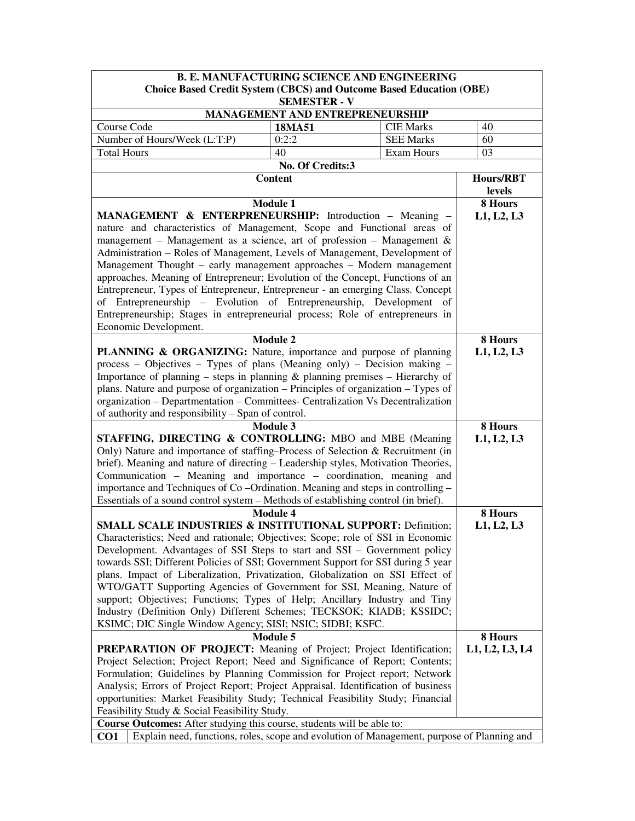| <b>B. E. MANUFACTURING SCIENCE AND ENGINEERING</b>                                                                                                                   |                                                     |                  |                       |
|----------------------------------------------------------------------------------------------------------------------------------------------------------------------|-----------------------------------------------------|------------------|-----------------------|
| <b>Choice Based Credit System (CBCS) and Outcome Based Education (OBE)</b>                                                                                           |                                                     |                  |                       |
|                                                                                                                                                                      | <b>SEMESTER - V</b>                                 |                  |                       |
| Course Code                                                                                                                                                          | MANAGEMENT AND ENTREPRENEURSHIP<br><b>CIE Marks</b> | 40               |                       |
| Number of Hours/Week (L:T:P)                                                                                                                                         | 18MA51<br>0:2:2                                     | <b>SEE Marks</b> | 60                    |
| <b>Total Hours</b>                                                                                                                                                   | 40                                                  | Exam Hours       | 03                    |
|                                                                                                                                                                      |                                                     |                  |                       |
|                                                                                                                                                                      | No. Of Credits:3<br><b>Content</b>                  |                  | Hours/RBT             |
|                                                                                                                                                                      |                                                     |                  | levels                |
|                                                                                                                                                                      | <b>Module 1</b>                                     |                  | 8 Hours               |
| MANAGEMENT & ENTERPRENEURSHIP: Introduction - Meaning                                                                                                                |                                                     |                  | L1, L2, L3            |
| nature and characteristics of Management, Scope and Functional areas of                                                                                              |                                                     |                  |                       |
| management – Management as a science, art of profession – Management $\&$                                                                                            |                                                     |                  |                       |
| Administration - Roles of Management, Levels of Management, Development of                                                                                           |                                                     |                  |                       |
| Management Thought – early management approaches – Modern management                                                                                                 |                                                     |                  |                       |
| approaches. Meaning of Entrepreneur; Evolution of the Concept, Functions of an                                                                                       |                                                     |                  |                       |
| Entrepreneur, Types of Entrepreneur, Entrepreneur - an emerging Class. Concept                                                                                       |                                                     |                  |                       |
| of Entrepreneurship - Evolution of Entrepreneurship, Development of                                                                                                  |                                                     |                  |                       |
| Entrepreneurship; Stages in entrepreneurial process; Role of entrepreneurs in                                                                                        |                                                     |                  |                       |
| Economic Development.                                                                                                                                                |                                                     |                  |                       |
|                                                                                                                                                                      | <b>Module 2</b>                                     |                  | 8 Hours               |
| <b>PLANNING &amp; ORGANIZING:</b> Nature, importance and purpose of planning                                                                                         |                                                     |                  | L1, L2, L3            |
| process – Objectives – Types of plans (Meaning only) – Decision making –                                                                                             |                                                     |                  |                       |
| Importance of planning – steps in planning $\&$ planning premises – Hierarchy of                                                                                     |                                                     |                  |                       |
| plans. Nature and purpose of organization - Principles of organization - Types of                                                                                    |                                                     |                  |                       |
| organization - Departmentation - Committees- Centralization Vs Decentralization                                                                                      |                                                     |                  |                       |
| of authority and responsibility – Span of control.                                                                                                                   |                                                     |                  |                       |
|                                                                                                                                                                      | <b>Module 3</b>                                     |                  | 8 Hours               |
| STAFFING, DIRECTING & CONTROLLING: MBO and MBE (Meaning                                                                                                              |                                                     |                  | L1, L2, L3            |
| Only) Nature and importance of staffing–Process of Selection & Recruitment (in                                                                                       |                                                     |                  |                       |
| brief). Meaning and nature of directing - Leadership styles, Motivation Theories,                                                                                    |                                                     |                  |                       |
| Communication - Meaning and importance - coordination, meaning and                                                                                                   |                                                     |                  |                       |
| importance and Techniques of Co-Ordination. Meaning and steps in controlling -<br>Essentials of a sound control system - Methods of establishing control (in brief). |                                                     |                  |                       |
|                                                                                                                                                                      | <b>Module 4</b>                                     |                  |                       |
| <b>SMALL SCALE INDUSTRIES &amp; INSTITUTIONAL SUPPORT: Definition;</b>                                                                                               |                                                     |                  | 8 Hours<br>L1, L2, L3 |
| Characteristics; Need and rationale; Objectives; Scope; role of SSI in Economic                                                                                      |                                                     |                  |                       |
| Development. Advantages of SSI Steps to start and SSI – Government policy                                                                                            |                                                     |                  |                       |
| towards SSI; Different Policies of SSI; Government Support for SSI during 5 year                                                                                     |                                                     |                  |                       |
| plans. Impact of Liberalization, Privatization, Globalization on SSI Effect of                                                                                       |                                                     |                  |                       |
| WTO/GATT Supporting Agencies of Government for SSI, Meaning, Nature of                                                                                               |                                                     |                  |                       |
| support; Objectives; Functions; Types of Help; Ancillary Industry and Tiny                                                                                           |                                                     |                  |                       |
| Industry (Definition Only) Different Schemes; TECKSOK; KIADB; KSSIDC;                                                                                                |                                                     |                  |                       |
| KSIMC; DIC Single Window Agency; SISI; NSIC; SIDBI; KSFC.                                                                                                            |                                                     |                  |                       |
|                                                                                                                                                                      | <b>Module 5</b>                                     |                  | 8 Hours               |
| PREPARATION OF PROJECT: Meaning of Project; Project Identification;                                                                                                  |                                                     |                  | L1, L2, L3, L4        |
| Project Selection; Project Report; Need and Significance of Report; Contents;                                                                                        |                                                     |                  |                       |
| Formulation; Guidelines by Planning Commission for Project report; Network                                                                                           |                                                     |                  |                       |
| Analysis; Errors of Project Report; Project Appraisal. Identification of business                                                                                    |                                                     |                  |                       |
| opportunities: Market Feasibility Study; Technical Feasibility Study; Financial                                                                                      |                                                     |                  |                       |
| Feasibility Study & Social Feasibility Study.                                                                                                                        |                                                     |                  |                       |
| Course Outcomes: After studying this course, students will be able to:                                                                                               |                                                     |                  |                       |
| Explain need, functions, roles, scope and evolution of Management, purpose of Planning and<br>CO <sub>1</sub>                                                        |                                                     |                  |                       |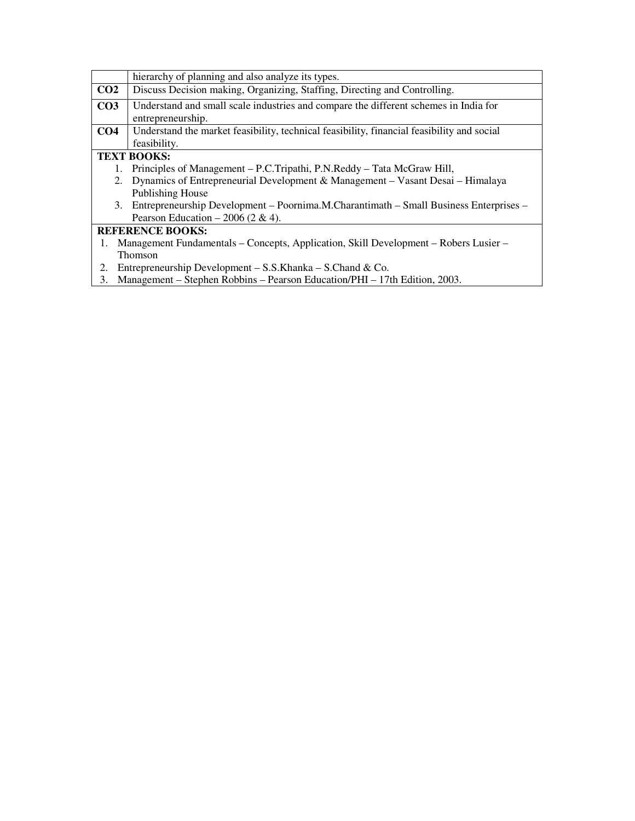|                 | hierarchy of planning and also analyze its types.                                          |
|-----------------|--------------------------------------------------------------------------------------------|
| CO <sub>2</sub> | Discuss Decision making, Organizing, Staffing, Directing and Controlling.                  |
| CO <sub>3</sub> | Understand and small scale industries and compare the different schemes in India for       |
|                 | entrepreneurship.                                                                          |
| CO <sub>4</sub> | Understand the market feasibility, technical feasibility, financial feasibility and social |
|                 | feasibility.                                                                               |
|                 | <b>TEXT BOOKS:</b>                                                                         |
|                 | Principles of Management – P.C.Tripathi, P.N.Reddy – Tata McGraw Hill,                     |
|                 | 2. Dynamics of Entrepreneurial Development & Management – Vasant Desai – Himalaya          |
|                 | Publishing House                                                                           |
|                 | 3. Entrepreneurship Development – Poornima.M.Charantimath – Small Business Enterprises –   |
|                 | Pearson Education – 2006 (2 & 4).                                                          |
|                 | <b>REFERENCE BOOKS:</b>                                                                    |
| 1.              | Management Fundamentals – Concepts, Application, Skill Development – Robers Lusier –       |
|                 | Thomson                                                                                    |
| 2.              | Entrepreneurship Development $-$ S.S.Khanka $-$ S.Chand & Co.                              |
| 3.              | Management – Stephen Robbins – Pearson Education/PHI – 17th Edition, 2003.                 |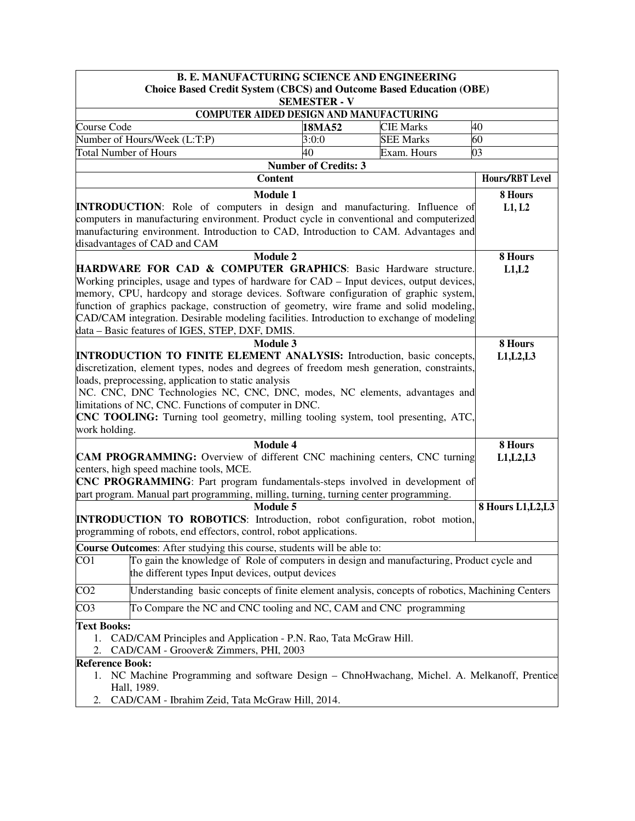|                                | <b>B. E. MANUFACTURING SCIENCE AND ENGINEERING</b>                                                                                                                                                            |                             |                  |                       |  |
|--------------------------------|---------------------------------------------------------------------------------------------------------------------------------------------------------------------------------------------------------------|-----------------------------|------------------|-----------------------|--|
|                                | <b>Choice Based Credit System (CBCS) and Outcome Based Education (OBE)</b>                                                                                                                                    |                             |                  |                       |  |
|                                |                                                                                                                                                                                                               | <b>SEMESTER - V</b>         |                  |                       |  |
|                                | COMPUTER AIDED DESIGN AND MANUFACTURING                                                                                                                                                                       |                             |                  |                       |  |
| Course Code                    |                                                                                                                                                                                                               | 18MA52                      | <b>CIE Marks</b> | 40                    |  |
| <b>Total Number of Hours</b>   | Number of Hours/Week (L:T:P)                                                                                                                                                                                  | 3:0:0<br>40                 | <b>SEE Marks</b> | 60<br>03              |  |
|                                |                                                                                                                                                                                                               | <b>Number of Credits: 3</b> | Exam. Hours      |                       |  |
|                                | <b>Content</b>                                                                                                                                                                                                |                             |                  | Hours/RBT Level       |  |
|                                |                                                                                                                                                                                                               |                             |                  |                       |  |
|                                | <b>Module 1</b><br><b>INTRODUCTION:</b> Role of computers in design and manufacturing. Influence of                                                                                                           |                             |                  | 8 Hours<br>L1, L2     |  |
|                                | computers in manufacturing environment. Product cycle in conventional and computerized<br>manufacturing environment. Introduction to CAD, Introduction to CAM. Advantages and<br>disadvantages of CAD and CAM |                             |                  |                       |  |
|                                | <b>Module 2</b>                                                                                                                                                                                               |                             |                  | 8 Hours               |  |
|                                | HARDWARE FOR CAD & COMPUTER GRAPHICS: Basic Hardware structure.                                                                                                                                               |                             |                  | L1,L2                 |  |
|                                | Working principles, usage and types of hardware for CAD - Input devices, output devices,                                                                                                                      |                             |                  |                       |  |
|                                | memory, CPU, hardcopy and storage devices. Software configuration of graphic system,                                                                                                                          |                             |                  |                       |  |
|                                | function of graphics package, construction of geometry, wire frame and solid modeling,                                                                                                                        |                             |                  |                       |  |
|                                | CAD/CAM integration. Desirable modeling facilities. Introduction to exchange of modeling                                                                                                                      |                             |                  |                       |  |
|                                | data - Basic features of IGES, STEP, DXF, DMIS.                                                                                                                                                               |                             |                  |                       |  |
|                                | Module 3<br><b>INTRODUCTION TO FINITE ELEMENT ANALYSIS:</b> Introduction, basic concepts,                                                                                                                     |                             |                  | 8 Hours<br>L1, L2, L3 |  |
|                                | discretization, element types, nodes and degrees of freedom mesh generation, constraints,                                                                                                                     |                             |                  |                       |  |
|                                | loads, preprocessing, application to static analysis                                                                                                                                                          |                             |                  |                       |  |
|                                | NC. CNC, DNC Technologies NC, CNC, DNC, modes, NC elements, advantages and                                                                                                                                    |                             |                  |                       |  |
|                                | limitations of NC, CNC. Functions of computer in DNC.                                                                                                                                                         |                             |                  |                       |  |
|                                | <b>CNC TOOLING:</b> Turning tool geometry, milling tooling system, tool presenting, ATC,                                                                                                                      |                             |                  |                       |  |
| work holding.                  |                                                                                                                                                                                                               |                             |                  |                       |  |
|                                | <b>Module 4</b>                                                                                                                                                                                               |                             |                  | 8 Hours               |  |
|                                | <b>CAM PROGRAMMING:</b> Overview of different CNC machining centers, CNC turning                                                                                                                              |                             |                  | L1, L2, L3            |  |
|                                | centers, high speed machine tools, MCE.                                                                                                                                                                       |                             |                  |                       |  |
|                                | <b>CNC PROGRAMMING</b> : Part program fundamentals-steps involved in development of                                                                                                                           |                             |                  |                       |  |
|                                | part program. Manual part programming, milling, turning, turning center programming.                                                                                                                          |                             |                  |                       |  |
|                                | <b>Module 5</b>                                                                                                                                                                                               |                             |                  | 8 Hours L1, L2, L3    |  |
|                                | <b>INTRODUCTION TO ROBOTICS:</b> Introduction, robot configuration, robot motion,<br>programming of robots, end effectors, control, robot applications.                                                       |                             |                  |                       |  |
|                                | Course Outcomes: After studying this course, students will be able to:                                                                                                                                        |                             |                  |                       |  |
| CO <sub>1</sub>                | To gain the knowledge of Role of computers in design and manufacturing, Product cycle and<br>the different types Input devices, output devices                                                                |                             |                  |                       |  |
| CO <sub>2</sub>                | Understanding basic concepts of finite element analysis, concepts of robotics, Machining Centers                                                                                                              |                             |                  |                       |  |
| CO <sub>3</sub>                | To Compare the NC and CNC tooling and NC, CAM and CNC programming                                                                                                                                             |                             |                  |                       |  |
| <b>Text Books:</b><br>1.<br>2. | CAD/CAM Principles and Application - P.N. Rao, Tata McGraw Hill.<br>CAD/CAM - Groover & Zimmers, PHI, 2003                                                                                                    |                             |                  |                       |  |
| <b>Reference Book:</b>         |                                                                                                                                                                                                               |                             |                  |                       |  |
| 1.                             | NC Machine Programming and software Design - ChnoHwachang, Michel. A. Melkanoff, Prentice<br>Hall, 1989.                                                                                                      |                             |                  |                       |  |
| 2.                             | CAD/CAM - Ibrahim Zeid, Tata McGraw Hill, 2014.                                                                                                                                                               |                             |                  |                       |  |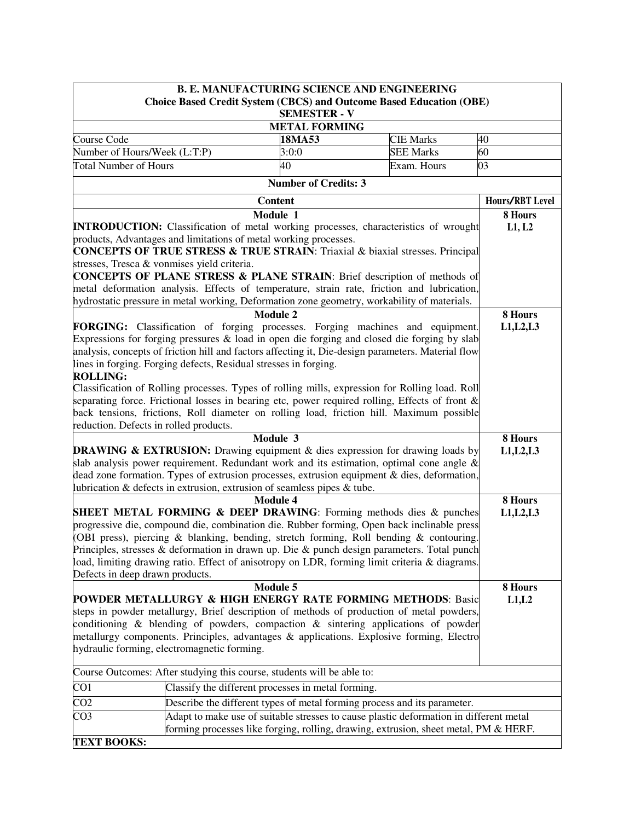|                                                                                                                                                                                                                                                                                                                                                                                                                                                                                                                                                                                                                                                                                                                        | <b>B. E. MANUFACTURING SCIENCE AND ENGINEERING</b>                                     |                  |                                  |  |  |  |
|------------------------------------------------------------------------------------------------------------------------------------------------------------------------------------------------------------------------------------------------------------------------------------------------------------------------------------------------------------------------------------------------------------------------------------------------------------------------------------------------------------------------------------------------------------------------------------------------------------------------------------------------------------------------------------------------------------------------|----------------------------------------------------------------------------------------|------------------|----------------------------------|--|--|--|
|                                                                                                                                                                                                                                                                                                                                                                                                                                                                                                                                                                                                                                                                                                                        | <b>Choice Based Credit System (CBCS) and Outcome Based Education (OBE)</b>             |                  |                                  |  |  |  |
|                                                                                                                                                                                                                                                                                                                                                                                                                                                                                                                                                                                                                                                                                                                        | <b>SEMESTER - V</b><br><b>METAL FORMING</b>                                            |                  |                                  |  |  |  |
|                                                                                                                                                                                                                                                                                                                                                                                                                                                                                                                                                                                                                                                                                                                        |                                                                                        |                  |                                  |  |  |  |
| Course Code                                                                                                                                                                                                                                                                                                                                                                                                                                                                                                                                                                                                                                                                                                            | <b>CIE Marks</b>                                                                       | 40               |                                  |  |  |  |
| Number of Hours/Week (L:T:P)                                                                                                                                                                                                                                                                                                                                                                                                                                                                                                                                                                                                                                                                                           | 3:0:0                                                                                  | <b>SEE Marks</b> | 60                               |  |  |  |
| <b>Total Number of Hours</b>                                                                                                                                                                                                                                                                                                                                                                                                                                                                                                                                                                                                                                                                                           | 40                                                                                     | Exam. Hours      | 03                               |  |  |  |
|                                                                                                                                                                                                                                                                                                                                                                                                                                                                                                                                                                                                                                                                                                                        | <b>Number of Credits: 3</b>                                                            |                  |                                  |  |  |  |
|                                                                                                                                                                                                                                                                                                                                                                                                                                                                                                                                                                                                                                                                                                                        | <b>Content</b>                                                                         |                  | Hours/RBT Level                  |  |  |  |
|                                                                                                                                                                                                                                                                                                                                                                                                                                                                                                                                                                                                                                                                                                                        | Module 1                                                                               |                  | 8 Hours                          |  |  |  |
| <b>INTRODUCTION:</b> Classification of metal working processes, characteristics of wrought<br>products, Advantages and limitations of metal working processes.<br>CONCEPTS OF TRUE STRESS & TRUE STRAIN: Triaxial & biaxial stresses. Principal<br>stresses, Tresca & vonmises yield criteria.                                                                                                                                                                                                                                                                                                                                                                                                                         |                                                                                        |                  | L1, L2                           |  |  |  |
| <b>CONCEPTS OF PLANE STRESS &amp; PLANE STRAIN:</b> Brief description of methods of                                                                                                                                                                                                                                                                                                                                                                                                                                                                                                                                                                                                                                    |                                                                                        |                  |                                  |  |  |  |
| metal deformation analysis. Effects of temperature, strain rate, friction and lubrication,                                                                                                                                                                                                                                                                                                                                                                                                                                                                                                                                                                                                                             |                                                                                        |                  |                                  |  |  |  |
| hydrostatic pressure in metal working, Deformation zone geometry, workability of materials.                                                                                                                                                                                                                                                                                                                                                                                                                                                                                                                                                                                                                            |                                                                                        |                  |                                  |  |  |  |
| FORGING: Classification of forging processes. Forging machines and equipment.<br>Expressions for forging pressures $\&$ load in open die forging and closed die forging by slab<br>analysis, concepts of friction hill and factors affecting it, Die-design parameters. Material flow<br>lines in forging. Forging defects, Residual stresses in forging.<br><b>ROLLING:</b><br>Classification of Rolling processes. Types of rolling mills, expression for Rolling load. Roll<br>separating force. Frictional losses in bearing etc, power required rolling, Effects of front &<br>back tensions, frictions, Roll diameter on rolling load, friction hill. Maximum possible<br>reduction. Defects in rolled products. | <b>Module 2</b><br>Module 3                                                            |                  | 8 Hours<br>L1, L2, L3<br>8 Hours |  |  |  |
| <b>DRAWING &amp; EXTRUSION:</b> Drawing equipment & dies expression for drawing loads by                                                                                                                                                                                                                                                                                                                                                                                                                                                                                                                                                                                                                               |                                                                                        |                  | L1, L2, L3                       |  |  |  |
| slab analysis power requirement. Redundant work and its estimation, optimal cone angle $\&$<br>dead zone formation. Types of extrusion processes, extrusion equipment & dies, deformation,<br>lubrication & defects in extrusion, extrusion of seamless pipes & tube.                                                                                                                                                                                                                                                                                                                                                                                                                                                  |                                                                                        |                  |                                  |  |  |  |
|                                                                                                                                                                                                                                                                                                                                                                                                                                                                                                                                                                                                                                                                                                                        | <b>Module 4</b>                                                                        |                  | 8 Hours                          |  |  |  |
| <b>SHEET METAL FORMING &amp; DEEP DRAWING:</b> Forming methods dies & punches<br>progressive die, compound die, combination die. Rubber forming, Open back inclinable press<br>(OBI press), piercing & blanking, bending, stretch forming, Roll bending & contouring.<br>Principles, stresses & deformation in drawn up. Die & punch design parameters. Total punch<br>load, limiting drawing ratio. Effect of anisotropy on LDR, forming limit criteria & diagrams.<br>Defects in deep drawn products.                                                                                                                                                                                                                |                                                                                        |                  | L1, L2, L3                       |  |  |  |
|                                                                                                                                                                                                                                                                                                                                                                                                                                                                                                                                                                                                                                                                                                                        | <b>Module 5</b>                                                                        |                  | 8 Hours                          |  |  |  |
| <b>POWDER METALLURGY &amp; HIGH ENERGY RATE FORMING METHODS: Basic</b><br>steps in powder metallurgy, Brief description of methods of production of metal powders,<br>conditioning $\&$ blending of powders, compaction $\&$ sintering applications of powder<br>metallurgy components. Principles, advantages & applications. Explosive forming, Electro<br>hydraulic forming, electromagnetic forming.                                                                                                                                                                                                                                                                                                               |                                                                                        |                  | L1,L2                            |  |  |  |
| Course Outcomes: After studying this course, students will be able to:                                                                                                                                                                                                                                                                                                                                                                                                                                                                                                                                                                                                                                                 |                                                                                        |                  |                                  |  |  |  |
| CO <sub>1</sub>                                                                                                                                                                                                                                                                                                                                                                                                                                                                                                                                                                                                                                                                                                        | Classify the different processes in metal forming.                                     |                  |                                  |  |  |  |
| CO <sub>2</sub>                                                                                                                                                                                                                                                                                                                                                                                                                                                                                                                                                                                                                                                                                                        | Describe the different types of metal forming process and its parameter.               |                  |                                  |  |  |  |
| CO <sub>3</sub>                                                                                                                                                                                                                                                                                                                                                                                                                                                                                                                                                                                                                                                                                                        | Adapt to make use of suitable stresses to cause plastic deformation in different metal |                  |                                  |  |  |  |
|                                                                                                                                                                                                                                                                                                                                                                                                                                                                                                                                                                                                                                                                                                                        |                                                                                        |                  |                                  |  |  |  |
| <b>TEXT BOOKS:</b>                                                                                                                                                                                                                                                                                                                                                                                                                                                                                                                                                                                                                                                                                                     | forming processes like forging, rolling, drawing, extrusion, sheet metal, PM & HERF.   |                  |                                  |  |  |  |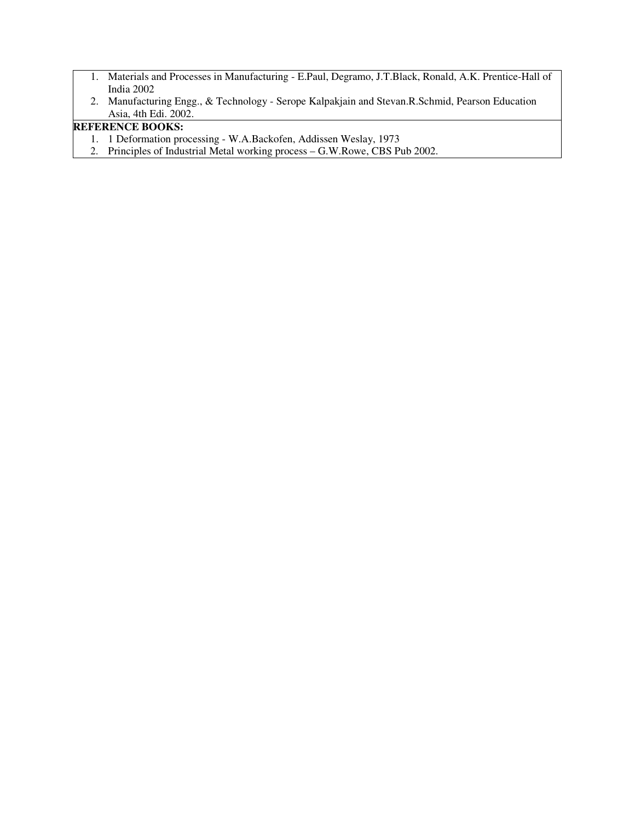- 1. Materials and Processes in Manufacturing E.Paul, Degramo, J.T.Black, Ronald, A.K. Prentice-Hall of India 2002
- 2. Manufacturing Engg., & Technology Serope Kalpakjain and Stevan.R.Schmid, Pearson Education Asia, 4th Edi. 2002.

## **REFERENCE BOOKS:**

- 1. 1 Deformation processing W.A.Backofen, Addissen Weslay, 1973
- 2. Principles of Industrial Metal working process G.W.Rowe, CBS Pub 2002.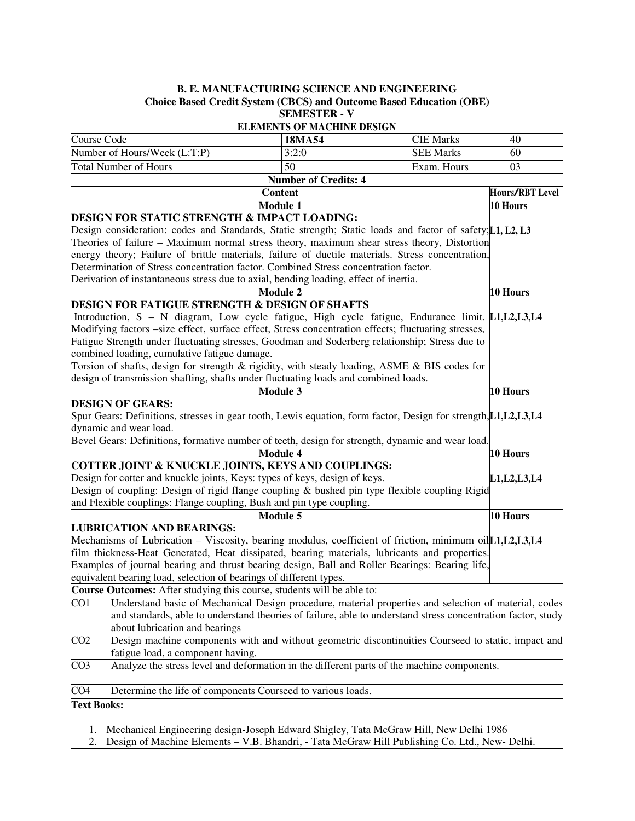| <b>B. E. MANUFACTURING SCIENCE AND ENGINEERING</b> |                                                                                                                   |                                   |                  |                 |  |
|----------------------------------------------------|-------------------------------------------------------------------------------------------------------------------|-----------------------------------|------------------|-----------------|--|
|                                                    | <b>Choice Based Credit System (CBCS) and Outcome Based Education (OBE)</b>                                        | <b>SEMESTER - V</b>               |                  |                 |  |
|                                                    |                                                                                                                   | <b>ELEMENTS OF MACHINE DESIGN</b> |                  |                 |  |
| Course Code<br>18MA54<br><b>CIE Marks</b>          |                                                                                                                   |                                   |                  |                 |  |
|                                                    | Number of Hours/Week (L:T:P)                                                                                      | 3:2:0                             | <b>SEE Marks</b> | 40<br>60        |  |
|                                                    | <b>Total Number of Hours</b>                                                                                      | 50                                | Exam. Hours      | 03              |  |
|                                                    |                                                                                                                   | <b>Number of Credits: 4</b>       |                  |                 |  |
|                                                    | <b>Content</b>                                                                                                    |                                   |                  | Hours/RBT Level |  |
|                                                    | <b>Module 1</b>                                                                                                   |                                   |                  | 10 Hours        |  |
|                                                    | <b>DESIGN FOR STATIC STRENGTH &amp; IMPACT LOADING:</b>                                                           |                                   |                  |                 |  |
|                                                    | Design consideration: codes and Standards, Static strength; Static loads and factor of safety; [1, L2, L3         |                                   |                  |                 |  |
|                                                    | Theories of failure – Maximum normal stress theory, maximum shear stress theory, Distortion                       |                                   |                  |                 |  |
|                                                    | energy theory; Failure of brittle materials, failure of ductile materials. Stress concentration,                  |                                   |                  |                 |  |
|                                                    | Determination of Stress concentration factor. Combined Stress concentration factor.                               |                                   |                  |                 |  |
|                                                    | Derivation of instantaneous stress due to axial, bending loading, effect of inertia.                              |                                   |                  |                 |  |
|                                                    | <b>Module 2</b>                                                                                                   |                                   |                  | 10 Hours        |  |
|                                                    | <b>DESIGN FOR FATIGUE STRENGTH &amp; DESIGN OF SHAFTS</b>                                                         |                                   |                  |                 |  |
|                                                    | Introduction, S – N diagram, Low cycle fatigue, High cycle fatigue, Endurance limit. L1, L2, L3, L4               |                                   |                  |                 |  |
|                                                    | Modifying factors -size effect, surface effect, Stress concentration effects; fluctuating stresses,               |                                   |                  |                 |  |
|                                                    | Fatigue Strength under fluctuating stresses, Goodman and Soderberg relationship; Stress due to                    |                                   |                  |                 |  |
|                                                    | combined loading, cumulative fatigue damage.                                                                      |                                   |                  |                 |  |
|                                                    | Torsion of shafts, design for strength & rigidity, with steady loading, ASME & BIS codes for                      |                                   |                  |                 |  |
|                                                    | design of transmission shafting, shafts under fluctuating loads and combined loads.                               |                                   |                  |                 |  |
|                                                    | <b>Module 3</b>                                                                                                   |                                   |                  | 10 Hours        |  |
|                                                    | <b>DESIGN OF GEARS:</b>                                                                                           |                                   |                  |                 |  |
|                                                    | Spur Gears: Definitions, stresses in gear tooth, Lewis equation, form factor, Design for strength, L1, L2, L3, L4 |                                   |                  |                 |  |
|                                                    | dynamic and wear load.                                                                                            |                                   |                  |                 |  |
|                                                    | Bevel Gears: Definitions, formative number of teeth, design for strength, dynamic and wear load.                  |                                   |                  |                 |  |
|                                                    | <b>Module 4</b>                                                                                                   |                                   |                  | 10 Hours        |  |
|                                                    | COTTER JOINT & KNUCKLE JOINTS, KEYS AND COUPLINGS:                                                                |                                   |                  |                 |  |
|                                                    | Design for cotter and knuckle joints, Keys: types of keys, design of keys.                                        |                                   |                  | L1, L2, L3, L4  |  |
|                                                    | Design of coupling: Design of rigid flange coupling & bushed pin type flexible coupling Rigid                     |                                   |                  |                 |  |
|                                                    | and Flexible couplings: Flange coupling, Bush and pin type coupling.                                              |                                   |                  |                 |  |
|                                                    | <b>Module 5</b>                                                                                                   |                                   |                  | 10 Hours        |  |
|                                                    | <b>LUBRICATION AND BEARINGS:</b>                                                                                  |                                   |                  |                 |  |
|                                                    | Mechanisms of Lubrication – Viscosity, bearing modulus, coefficient of friction, minimum oil[1,1,12,13,14         |                                   |                  |                 |  |
|                                                    | film thickness-Heat Generated, Heat dissipated, bearing materials, lubricants and properties.                     |                                   |                  |                 |  |
|                                                    | Examples of journal bearing and thrust bearing design, Ball and Roller Bearings: Bearing life,                    |                                   |                  |                 |  |
|                                                    | equivalent bearing load, selection of bearings of different types.                                                |                                   |                  |                 |  |
|                                                    | Course Outcomes: After studying this course, students will be able to:                                            |                                   |                  |                 |  |
| $\overline{CO1}$                                   | Understand basic of Mechanical Design procedure, material properties and selection of material, codes             |                                   |                  |                 |  |
|                                                    | and standards, able to understand theories of failure, able to understand stress concentration factor, study      |                                   |                  |                 |  |
|                                                    | about lubrication and bearings                                                                                    |                                   |                  |                 |  |
| CO <sub>2</sub>                                    | Design machine components with and without geometric discontinuities Courseed to static, impact and               |                                   |                  |                 |  |
|                                                    | fatigue load, a component having.                                                                                 |                                   |                  |                 |  |
| CO <sub>3</sub>                                    | Analyze the stress level and deformation in the different parts of the machine components.                        |                                   |                  |                 |  |
|                                                    |                                                                                                                   |                                   |                  |                 |  |
| CO <sub>4</sub>                                    | Determine the life of components Courseed to various loads.                                                       |                                   |                  |                 |  |
| <b>Text Books:</b>                                 |                                                                                                                   |                                   |                  |                 |  |
|                                                    |                                                                                                                   |                                   |                  |                 |  |
| 1.                                                 | Mechanical Engineering design-Joseph Edward Shigley, Tata McGraw Hill, New Delhi 1986                             |                                   |                  |                 |  |
| 2.                                                 | Design of Machine Elements - V.B. Bhandri, - Tata McGraw Hill Publishing Co. Ltd., New- Delhi.                    |                                   |                  |                 |  |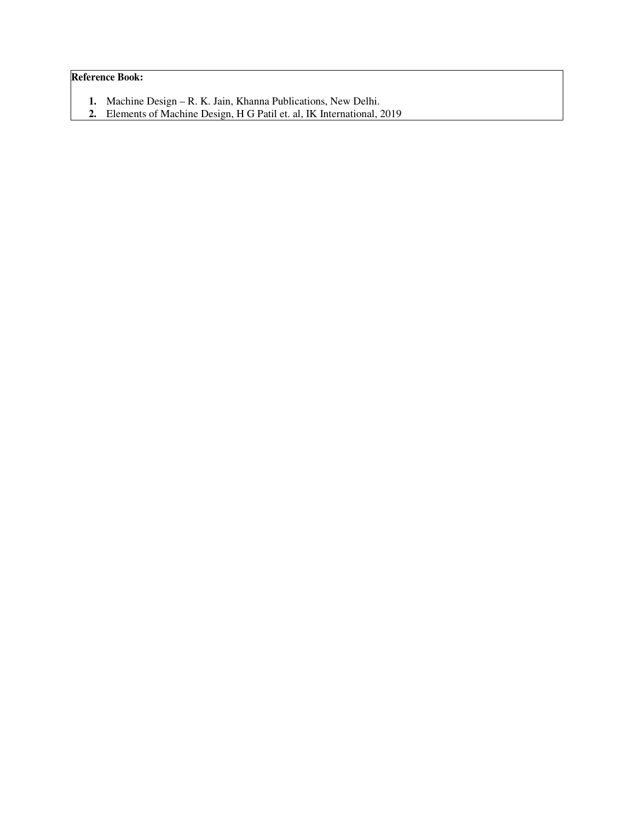## **Reference Book:**

- **1.** Machine Design R. K. Jain, Khanna Publications, New Delhi.
- **2.** Elements of Machine Design, H G Patil et. al, IK International, 2019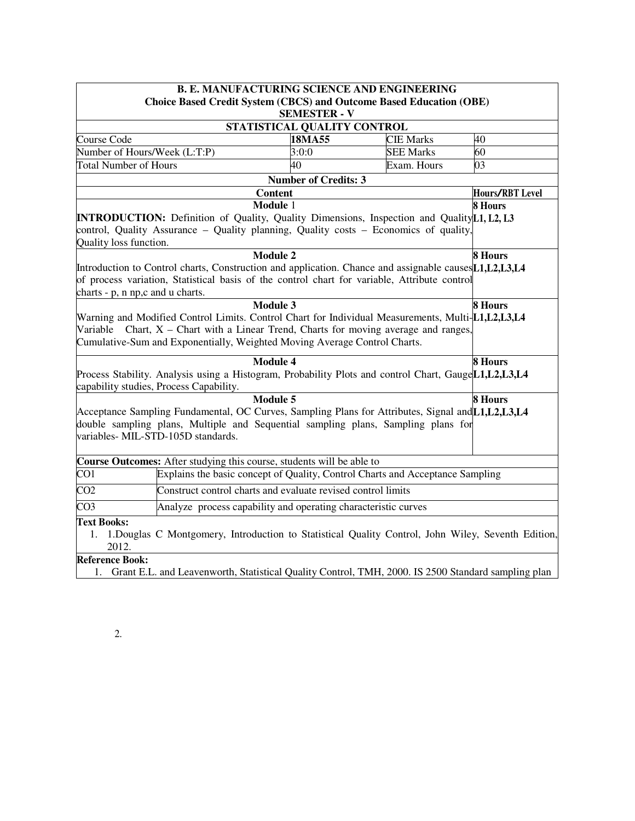| <b>B. E. MANUFACTURING SCIENCE AND ENGINEERING</b> |                                                                                                                                                                                                                                                                          |                                                                               |                  |                        |  |  |  |
|----------------------------------------------------|--------------------------------------------------------------------------------------------------------------------------------------------------------------------------------------------------------------------------------------------------------------------------|-------------------------------------------------------------------------------|------------------|------------------------|--|--|--|
|                                                    | <b>Choice Based Credit System (CBCS) and Outcome Based Education (OBE)</b>                                                                                                                                                                                               |                                                                               |                  |                        |  |  |  |
|                                                    | <b>SEMESTER - V</b>                                                                                                                                                                                                                                                      |                                                                               |                  |                        |  |  |  |
|                                                    |                                                                                                                                                                                                                                                                          | STATISTICAL QUALITY CONTROL                                                   |                  |                        |  |  |  |
| Course Code                                        |                                                                                                                                                                                                                                                                          | 18MA55                                                                        | <b>CIE Marks</b> | 40                     |  |  |  |
|                                                    | Number of Hours/Week (L:T:P)                                                                                                                                                                                                                                             | 3:0:0                                                                         | <b>SEE Marks</b> | 60                     |  |  |  |
| <b>Total Number of Hours</b>                       |                                                                                                                                                                                                                                                                          | 40                                                                            | Exam. Hours      | 03                     |  |  |  |
|                                                    |                                                                                                                                                                                                                                                                          | <b>Number of Credits: 3</b>                                                   |                  |                        |  |  |  |
|                                                    |                                                                                                                                                                                                                                                                          | <b>Content</b>                                                                |                  | <b>Hours/RBT Level</b> |  |  |  |
| Quality loss function.                             | <b>INTRODUCTION:</b> Definition of Quality, Quality Dimensions, Inspection and Quality L1, L2, L3<br>control, Quality Assurance - Quality planning, Quality costs - Economics of quality,                                                                                | Module 1                                                                      |                  | <b>8 Hours</b>         |  |  |  |
| charts - p, n np, c and u charts.                  | Introduction to Control charts, Construction and application. Chance and assignable causes [1, L2, L3, L4<br>of process variation, Statistical basis of the control chart for variable, Attribute control                                                                | <b>Module 2</b>                                                               |                  | <b>8 Hours</b>         |  |  |  |
|                                                    | Warning and Modified Control Limits. Control Chart for Individual Measurements, Multi-L1,L2,L3,L4<br>Variable Chart, $X$ – Chart with a Linear Trend, Charts for moving average and ranges,<br>Cumulative-Sum and Exponentially, Weighted Moving Average Control Charts. | <b>Module 3</b>                                                               |                  | <b>8 Hours</b>         |  |  |  |
|                                                    | Process Stability. Analysis using a Histogram, Probability Plots and control Chart, GaugeL1,L2,L3,L4<br>capability studies, Process Capability.                                                                                                                          | <b>Module 4</b>                                                               |                  | <b>8 Hours</b>         |  |  |  |
|                                                    | <b>Module 5</b><br>8 Hours<br>Acceptance Sampling Fundamental, OC Curves, Sampling Plans for Attributes, Signal and L1, L2, L3, L4<br>double sampling plans, Multiple and Sequential sampling plans, Sampling plans for<br>variables- MIL-STD-105D standards.            |                                                                               |                  |                        |  |  |  |
|                                                    | <b>Course Outcomes:</b> After studying this course, students will be able to                                                                                                                                                                                             |                                                                               |                  |                        |  |  |  |
| CO1                                                |                                                                                                                                                                                                                                                                          | Explains the basic concept of Quality, Control Charts and Acceptance Sampling |                  |                        |  |  |  |
| CO <sub>2</sub>                                    |                                                                                                                                                                                                                                                                          | Construct control charts and evaluate revised control limits                  |                  |                        |  |  |  |
| CO <sub>3</sub>                                    |                                                                                                                                                                                                                                                                          | Analyze process capability and operating characteristic curves                |                  |                        |  |  |  |
| <b>Text Books:</b><br>1.<br>2012.                  | 1. Douglas C Montgomery, Introduction to Statistical Quality Control, John Wiley, Seventh Edition,                                                                                                                                                                       |                                                                               |                  |                        |  |  |  |
| <b>Reference Book:</b>                             | 1. Grant E.L. and Leavenworth, Statistical Quality Control, TMH, 2000. IS 2500 Standard sampling plan                                                                                                                                                                    |                                                                               |                  |                        |  |  |  |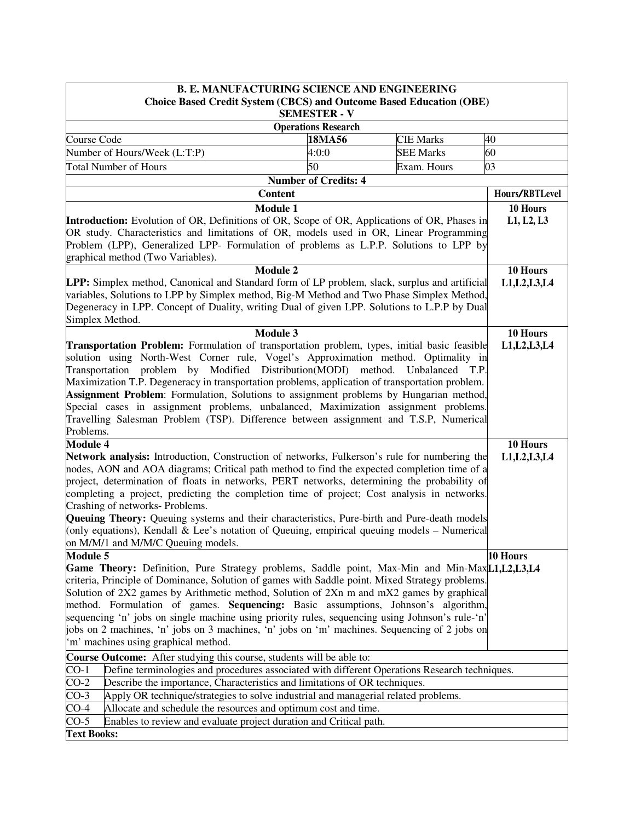| <b>B. E. MANUFACTURING SCIENCE AND ENGINEERING</b>                                                       |                             |                  |                |  |
|----------------------------------------------------------------------------------------------------------|-----------------------------|------------------|----------------|--|
| <b>Choice Based Credit System (CBCS) and Outcome Based Education (OBE)</b>                               | <b>SEMESTER - V</b>         |                  |                |  |
|                                                                                                          | <b>Operations Research</b>  |                  |                |  |
| Course Code                                                                                              | 18MA56                      | <b>CIE Marks</b> | 40             |  |
| Number of Hours/Week (L:T:P)<br>4:0:0                                                                    | <b>SEE Marks</b>            | 60               |                |  |
| <b>Total Number of Hours</b>                                                                             | 50                          | Exam. Hours      | 03             |  |
|                                                                                                          | <b>Number of Credits: 4</b> |                  |                |  |
| <b>Content</b>                                                                                           |                             |                  | Hours/RBTLevel |  |
| <b>Module 1</b>                                                                                          |                             |                  | 10 Hours       |  |
| Introduction: Evolution of OR, Definitions of OR, Scope of OR, Applications of OR, Phases in             |                             |                  | L1, L2, L3     |  |
| OR study. Characteristics and limitations of OR, models used in OR, Linear Programming                   |                             |                  |                |  |
| Problem (LPP), Generalized LPP- Formulation of problems as L.P.P. Solutions to LPP by                    |                             |                  |                |  |
| graphical method (Two Variables).                                                                        |                             |                  |                |  |
| <b>Module 2</b>                                                                                          |                             |                  | 10 Hours       |  |
| LPP: Simplex method, Canonical and Standard form of LP problem, slack, surplus and artificial            |                             |                  | L1, L2, L3, L4 |  |
| variables, Solutions to LPP by Simplex method, Big-M Method and Two Phase Simplex Method,                |                             |                  |                |  |
| Degeneracy in LPP. Concept of Duality, writing Dual of given LPP. Solutions to L.P.P by Dual             |                             |                  |                |  |
| Simplex Method.                                                                                          |                             |                  |                |  |
| Module 3                                                                                                 |                             |                  | 10 Hours       |  |
| Transportation Problem: Formulation of transportation problem, types, initial basic feasible             |                             |                  | L1, L2, L3, L4 |  |
| solution using North-West Corner rule, Vogel's Approximation method. Optimality in                       |                             |                  |                |  |
| Transportation problem by Modified Distribution (MODI)                                                   | method.                     | Unbalanced T.P.  |                |  |
| Maximization T.P. Degeneracy in transportation problems, application of transportation problem.          |                             |                  |                |  |
| <b>Assignment Problem</b> : Formulation, Solutions to assignment problems by Hungarian method,           |                             |                  |                |  |
| Special cases in assignment problems, unbalanced, Maximization assignment problems.                      |                             |                  |                |  |
| Travelling Salesman Problem (TSP). Difference between assignment and T.S.P, Numerical                    |                             |                  |                |  |
| Problems.<br><b>Module 4</b>                                                                             |                             |                  | 10 Hours       |  |
| Network analysis: Introduction, Construction of networks, Fulkerson's rule for numbering the             |                             |                  | L1, L2, L3, L4 |  |
| nodes, AON and AOA diagrams; Critical path method to find the expected completion time of a              |                             |                  |                |  |
| project, determination of floats in networks, PERT networks, determining the probability of              |                             |                  |                |  |
| completing a project, predicting the completion time of project; Cost analysis in networks.              |                             |                  |                |  |
| Crashing of networks- Problems.                                                                          |                             |                  |                |  |
| <b>Queuing Theory:</b> Queuing systems and their characteristics, Pure-birth and Pure-death models       |                             |                  |                |  |
| (only equations), Kendall & Lee's notation of Queuing, empirical queuing models $-$ Numerical            |                             |                  |                |  |
| on M/M/1 and M/M/C Queuing models.                                                                       |                             |                  |                |  |
| Module 5                                                                                                 |                             |                  | 10 Hours       |  |
| Game Theory: Definition, Pure Strategy problems, Saddle point, Max-Min and Min-Max[L1,L2,L3,L4           |                             |                  |                |  |
| criteria, Principle of Dominance, Solution of games with Saddle point. Mixed Strategy problems.          |                             |                  |                |  |
| Solution of 2X2 games by Arithmetic method, Solution of 2Xn m and mX2 games by graphical                 |                             |                  |                |  |
| method. Formulation of games. Sequencing: Basic assumptions, Johnson's algorithm,                        |                             |                  |                |  |
| sequencing 'n' jobs on single machine using priority rules, sequencing using Johnson's rule-'n'          |                             |                  |                |  |
| jobs on 2 machines, 'n' jobs on 3 machines, 'n' jobs on 'm' machines. Sequencing of 2 jobs on            |                             |                  |                |  |
| 'm' machines using graphical method.                                                                     |                             |                  |                |  |
| Course Outcome: After studying this course, students will be able to:                                    |                             |                  |                |  |
| $CO-1$<br>Define terminologies and procedures associated with different Operations Research techniques.  |                             |                  |                |  |
| $CO-2$<br>Describe the importance, Characteristics and limitations of OR techniques.                     |                             |                  |                |  |
| $\overline{CO}$ -3<br>Apply OR technique/strategies to solve industrial and managerial related problems. |                             |                  |                |  |
| $CO-4$<br>Allocate and schedule the resources and optimum cost and time.                                 |                             |                  |                |  |
| $CO-5$<br>Enables to review and evaluate project duration and Critical path.                             |                             |                  |                |  |
| <b>Text Books:</b>                                                                                       |                             |                  |                |  |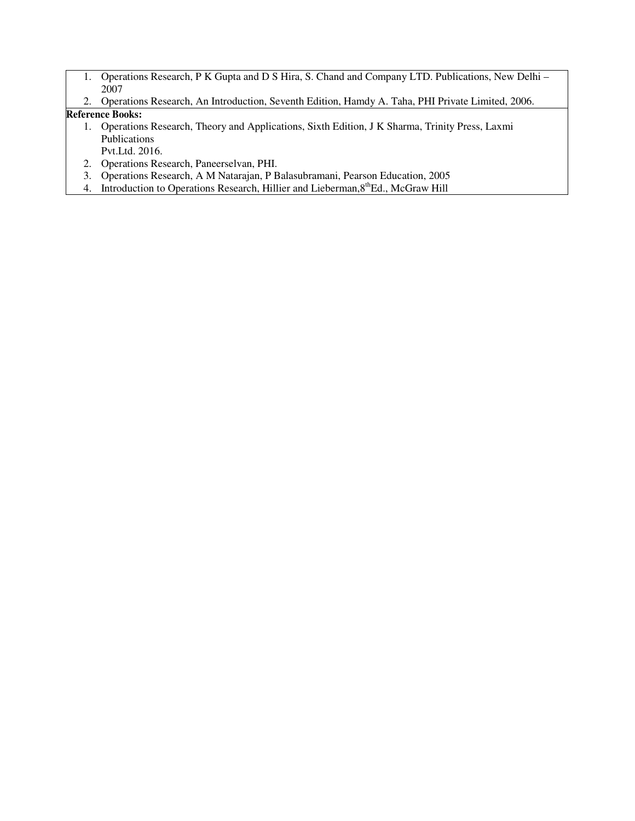- 1. Operations Research, P K Gupta and D S Hira, S. Chand and Company LTD. Publications, New Delhi 2007
- 2. Operations Research, An Introduction, Seventh Edition, Hamdy A. Taha, PHI Private Limited, 2006.

## **Reference Books:**

- 1. Operations Research, Theory and Applications, Sixth Edition, J K Sharma, Trinity Press, Laxmi Publications
- Pvt.Ltd. 2016. 2. Operations Research, Paneerselvan, PHI.
- 3. Operations Research, A M Natarajan, P Balasubramani, Pearson Education, 2005
- 4. Introduction to Operations Research, Hillier and Lieberman, 8<sup>th</sup>Ed., McGraw Hill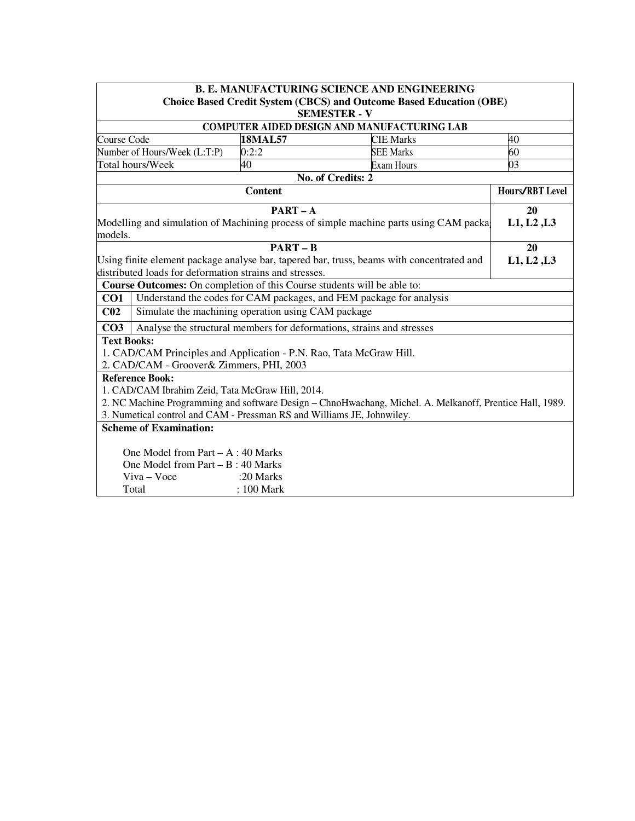|                                                                        |                                                         |                | <b>B. E. MANUFACTURING SCIENCE AND ENGINEERING</b>                                                       |                        |  |
|------------------------------------------------------------------------|---------------------------------------------------------|----------------|----------------------------------------------------------------------------------------------------------|------------------------|--|
|                                                                        |                                                         |                | <b>Choice Based Credit System (CBCS) and Outcome Based Education (OBE)</b>                               |                        |  |
|                                                                        |                                                         |                | <b>SEMESTER - V</b>                                                                                      |                        |  |
|                                                                        |                                                         |                | <b>COMPUTER AIDED DESIGN AND MANUFACTURING LAB</b>                                                       |                        |  |
| Course Code                                                            |                                                         | <b>18MAL57</b> | <b>CIE Marks</b>                                                                                         | 40                     |  |
|                                                                        | Number of Hours/Week (L:T:P)                            | 0:2:2          | <b>SEE Marks</b>                                                                                         | 60                     |  |
|                                                                        | Total hours/Week                                        | 40             | Exam Hours                                                                                               | 03                     |  |
|                                                                        |                                                         |                | No. of Credits: 2                                                                                        |                        |  |
|                                                                        |                                                         | <b>Content</b> |                                                                                                          | <b>Hours/RBT Level</b> |  |
|                                                                        |                                                         | $PART - A$     |                                                                                                          | 20                     |  |
|                                                                        |                                                         |                | Modelling and simulation of Machining process of simple machine parts using CAM packa                    | L1, L2, L3             |  |
| models.                                                                |                                                         |                |                                                                                                          |                        |  |
|                                                                        |                                                         | $PART - B$     |                                                                                                          | 20                     |  |
|                                                                        |                                                         |                | Using finite element package analyse bar, tapered bar, truss, beams with concentrated and                | L1, L2, L3             |  |
|                                                                        | distributed loads for deformation strains and stresses. |                |                                                                                                          |                        |  |
|                                                                        |                                                         |                | Course Outcomes: On completion of this Course students will be able to:                                  |                        |  |
| CO1                                                                    |                                                         |                | Understand the codes for CAM packages, and FEM package for analysis                                      |                        |  |
| C <sub>02</sub>                                                        | Simulate the machining operation using CAM package      |                |                                                                                                          |                        |  |
| CO <sub>3</sub>                                                        |                                                         |                | Analyse the structural members for deformations, strains and stresses                                    |                        |  |
| <b>Text Books:</b>                                                     |                                                         |                |                                                                                                          |                        |  |
|                                                                        |                                                         |                | 1. CAD/CAM Principles and Application - P.N. Rao, Tata McGraw Hill.                                      |                        |  |
|                                                                        | 2. CAD/CAM - Groover& Zimmers, PHI, 2003                |                |                                                                                                          |                        |  |
|                                                                        | <b>Reference Book:</b>                                  |                |                                                                                                          |                        |  |
|                                                                        | 1. CAD/CAM Ibrahim Zeid, Tata McGraw Hill, 2014.        |                |                                                                                                          |                        |  |
|                                                                        |                                                         |                | 2. NC Machine Programming and software Design - ChnoHwachang, Michel. A. Melkanoff, Prentice Hall, 1989. |                        |  |
| 3. Numetical control and CAM - Pressman RS and Williams JE, Johnwiley. |                                                         |                |                                                                                                          |                        |  |
| <b>Scheme of Examination:</b>                                          |                                                         |                |                                                                                                          |                        |  |
|                                                                        | One Model from Part $- A : 40$ Marks                    |                |                                                                                                          |                        |  |
|                                                                        | One Model from Part $- B : 40$ Marks                    |                |                                                                                                          |                        |  |
|                                                                        | Viva - Voce                                             | :20 Marks      |                                                                                                          |                        |  |
|                                                                        | Total                                                   | : 100 Mark     |                                                                                                          |                        |  |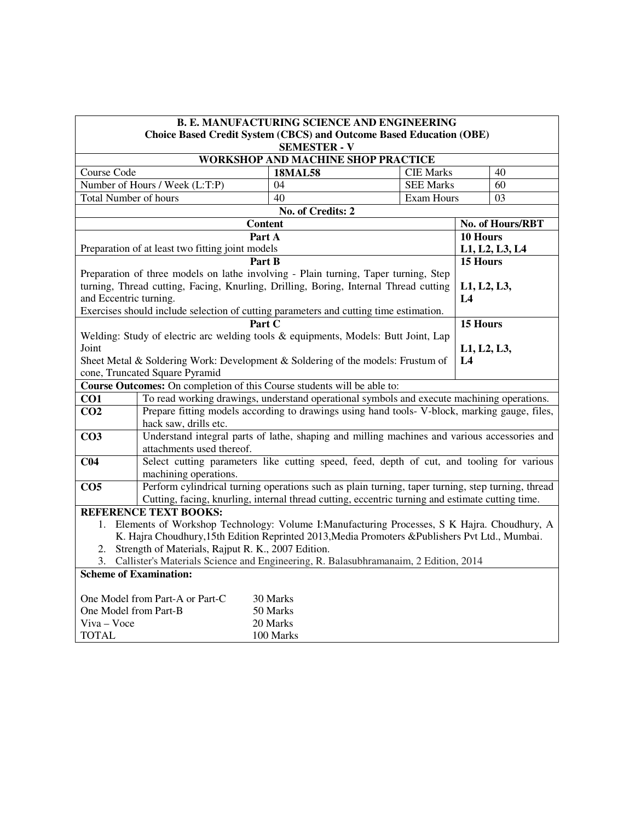|                                                                                        |                                                                                                   | <b>B. E. MANUFACTURING SCIENCE AND ENGINEERING</b> |  |                   |                |                  |
|----------------------------------------------------------------------------------------|---------------------------------------------------------------------------------------------------|----------------------------------------------------|--|-------------------|----------------|------------------|
|                                                                                        | <b>Choice Based Credit System (CBCS) and Outcome Based Education (OBE)</b>                        |                                                    |  |                   |                |                  |
|                                                                                        |                                                                                                   | <b>SEMESTER - V</b>                                |  |                   |                |                  |
|                                                                                        |                                                                                                   | WORKSHOP AND MACHINE SHOP PRACTICE                 |  |                   |                |                  |
| Course Code                                                                            |                                                                                                   | <b>18MAL58</b>                                     |  | <b>CIE Marks</b>  |                | 40               |
|                                                                                        | Number of Hours / Week (L:T:P)                                                                    | 04                                                 |  | <b>SEE Marks</b>  |                | 60               |
| <b>Total Number of hours</b>                                                           |                                                                                                   | 40                                                 |  | <b>Exam Hours</b> |                | 03               |
|                                                                                        |                                                                                                   | No. of Credits: 2                                  |  |                   |                |                  |
|                                                                                        |                                                                                                   | <b>Content</b>                                     |  |                   |                | No. of Hours/RBT |
|                                                                                        | Preparation of at least two fitting joint models                                                  | Part A                                             |  |                   | 10 Hours       |                  |
|                                                                                        |                                                                                                   | Part B                                             |  |                   | 15 Hours       | L1, L2, L3, L4   |
|                                                                                        | Preparation of three models on lathe involving - Plain turning, Taper turning, Step               |                                                    |  |                   |                |                  |
|                                                                                        | turning, Thread cutting, Facing, Knurling, Drilling, Boring, Internal Thread cutting              |                                                    |  |                   | L1, L2, L3,    |                  |
| and Eccentric turning.                                                                 |                                                                                                   |                                                    |  |                   | L <sub>4</sub> |                  |
|                                                                                        | Exercises should include selection of cutting parameters and cutting time estimation.             |                                                    |  |                   |                |                  |
|                                                                                        |                                                                                                   | Part C                                             |  |                   | 15 Hours       |                  |
|                                                                                        | Welding: Study of electric arc welding tools & equipments, Models: Butt Joint, Lap                |                                                    |  |                   |                |                  |
| Joint                                                                                  |                                                                                                   |                                                    |  |                   | L1, L2, L3,    |                  |
|                                                                                        | Sheet Metal & Soldering Work: Development & Soldering of the models: Frustum of                   |                                                    |  |                   | L4             |                  |
|                                                                                        | cone, Truncated Square Pyramid                                                                    |                                                    |  |                   |                |                  |
|                                                                                        | Course Outcomes: On completion of this Course students will be able to:                           |                                                    |  |                   |                |                  |
| CO1                                                                                    | To read working drawings, understand operational symbols and execute machining operations.        |                                                    |  |                   |                |                  |
| CO <sub>2</sub>                                                                        | Prepare fitting models according to drawings using hand tools- V-block, marking gauge, files,     |                                                    |  |                   |                |                  |
|                                                                                        | hack saw, drills etc.                                                                             |                                                    |  |                   |                |                  |
| CO <sub>3</sub>                                                                        | Understand integral parts of lathe, shaping and milling machines and various accessories and      |                                                    |  |                   |                |                  |
|                                                                                        | attachments used thereof.                                                                         |                                                    |  |                   |                |                  |
| C <sub>04</sub>                                                                        | Select cutting parameters like cutting speed, feed, depth of cut, and tooling for various         |                                                    |  |                   |                |                  |
|                                                                                        | machining operations.                                                                             |                                                    |  |                   |                |                  |
| CO <sub>5</sub>                                                                        | Perform cylindrical turning operations such as plain turning, taper turning, step turning, thread |                                                    |  |                   |                |                  |
|                                                                                        | Cutting, facing, knurling, internal thread cutting, eccentric turning and estimate cutting time.  |                                                    |  |                   |                |                  |
|                                                                                        | <b>REFERENCE TEXT BOOKS:</b>                                                                      |                                                    |  |                   |                |                  |
|                                                                                        | 1. Elements of Workshop Technology: Volume I:Manufacturing Processes, S K Hajra. Choudhury, A     |                                                    |  |                   |                |                  |
|                                                                                        | K. Hajra Choudhury, 15th Edition Reprinted 2013, Media Promoters & Publishers Pvt Ltd., Mumbai.   |                                                    |  |                   |                |                  |
|                                                                                        | 2. Strength of Materials, Rajput R. K., 2007 Edition.                                             |                                                    |  |                   |                |                  |
| 3. Callister's Materials Science and Engineering, R. Balasubhramanaim, 2 Edition, 2014 |                                                                                                   |                                                    |  |                   |                |                  |
|                                                                                        | <b>Scheme of Examination:</b>                                                                     |                                                    |  |                   |                |                  |
|                                                                                        |                                                                                                   |                                                    |  |                   |                |                  |
| One Model from Part-B                                                                  | One Model from Part-A or Part-C                                                                   | 30 Marks<br>50 Marks                               |  |                   |                |                  |
| Viva - Voce                                                                            |                                                                                                   | 20 Marks                                           |  |                   |                |                  |
|                                                                                        |                                                                                                   |                                                    |  |                   |                |                  |
| <b>TOTAL</b>                                                                           |                                                                                                   | 100 Marks                                          |  |                   |                |                  |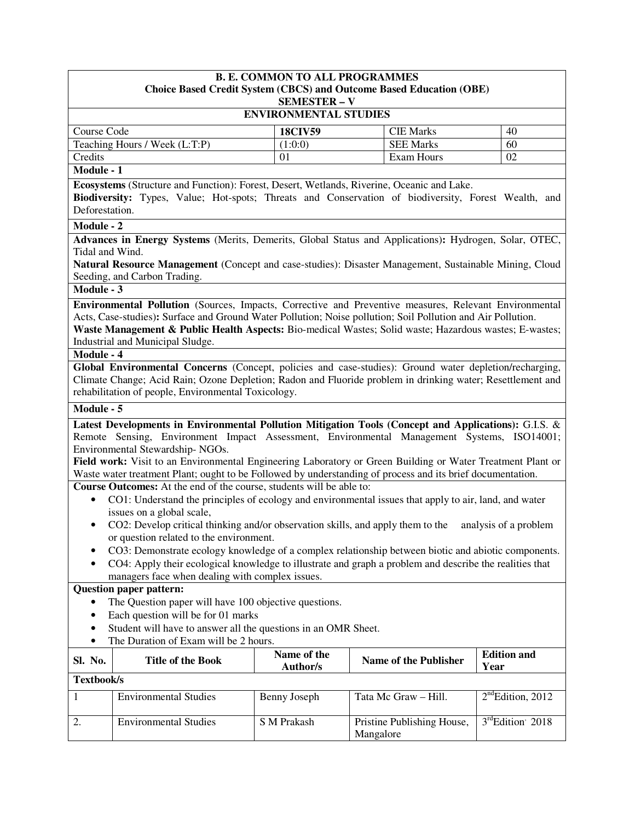|                                                                                                                                                                                                                                                                    | <b>B. E. COMMON TO ALL PROGRAMMES</b><br><b>Choice Based Credit System (CBCS) and Outcome Based Education (OBE)</b><br><b>SEMESTER - V</b>                                                                                                                                                                                                                                                                                                                                                                                                                                                 |                                |           |                              |                               |  |  |
|--------------------------------------------------------------------------------------------------------------------------------------------------------------------------------------------------------------------------------------------------------------------|--------------------------------------------------------------------------------------------------------------------------------------------------------------------------------------------------------------------------------------------------------------------------------------------------------------------------------------------------------------------------------------------------------------------------------------------------------------------------------------------------------------------------------------------------------------------------------------------|--------------------------------|-----------|------------------------------|-------------------------------|--|--|
|                                                                                                                                                                                                                                                                    | <b>ENVIRONMENTAL STUDIES</b>                                                                                                                                                                                                                                                                                                                                                                                                                                                                                                                                                               |                                |           |                              |                               |  |  |
| Course Code                                                                                                                                                                                                                                                        |                                                                                                                                                                                                                                                                                                                                                                                                                                                                                                                                                                                            | <b>18CIV59</b>                 |           | <b>CIE Marks</b>             | 40                            |  |  |
|                                                                                                                                                                                                                                                                    | Teaching Hours / Week (L:T:P)                                                                                                                                                                                                                                                                                                                                                                                                                                                                                                                                                              | (1:0:0)                        |           | <b>SEE Marks</b>             | 60                            |  |  |
| Credits                                                                                                                                                                                                                                                            |                                                                                                                                                                                                                                                                                                                                                                                                                                                                                                                                                                                            | 01                             |           | Exam Hours                   | 02                            |  |  |
| Module - 1                                                                                                                                                                                                                                                         |                                                                                                                                                                                                                                                                                                                                                                                                                                                                                                                                                                                            |                                |           |                              |                               |  |  |
| Deforestation.                                                                                                                                                                                                                                                     | Ecosystems (Structure and Function): Forest, Desert, Wetlands, Riverine, Oceanic and Lake.<br>Biodiversity: Types, Value; Hot-spots; Threats and Conservation of biodiversity, Forest Wealth, and                                                                                                                                                                                                                                                                                                                                                                                          |                                |           |                              |                               |  |  |
| Module - 2                                                                                                                                                                                                                                                         |                                                                                                                                                                                                                                                                                                                                                                                                                                                                                                                                                                                            |                                |           |                              |                               |  |  |
|                                                                                                                                                                                                                                                                    | Advances in Energy Systems (Merits, Demerits, Global Status and Applications): Hydrogen, Solar, OTEC,                                                                                                                                                                                                                                                                                                                                                                                                                                                                                      |                                |           |                              |                               |  |  |
| Tidal and Wind.                                                                                                                                                                                                                                                    |                                                                                                                                                                                                                                                                                                                                                                                                                                                                                                                                                                                            |                                |           |                              |                               |  |  |
|                                                                                                                                                                                                                                                                    | Natural Resource Management (Concept and case-studies): Disaster Management, Sustainable Mining, Cloud                                                                                                                                                                                                                                                                                                                                                                                                                                                                                     |                                |           |                              |                               |  |  |
|                                                                                                                                                                                                                                                                    | Seeding, and Carbon Trading.                                                                                                                                                                                                                                                                                                                                                                                                                                                                                                                                                               |                                |           |                              |                               |  |  |
| Module - 3                                                                                                                                                                                                                                                         |                                                                                                                                                                                                                                                                                                                                                                                                                                                                                                                                                                                            |                                |           |                              |                               |  |  |
| Module - 4                                                                                                                                                                                                                                                         | Environmental Pollution (Sources, Impacts, Corrective and Preventive measures, Relevant Environmental<br>Acts, Case-studies): Surface and Ground Water Pollution; Noise pollution; Soil Pollution and Air Pollution.<br>Waste Management & Public Health Aspects: Bio-medical Wastes; Solid waste; Hazardous wastes; E-wastes;<br>Industrial and Municipal Sludge.<br>Global Environmental Concerns (Concept, policies and case-studies): Ground water depletion/recharging,<br>Climate Change; Acid Rain; Ozone Depletion; Radon and Fluoride problem in drinking water; Resettlement and |                                |           |                              |                               |  |  |
|                                                                                                                                                                                                                                                                    | rehabilitation of people, Environmental Toxicology.                                                                                                                                                                                                                                                                                                                                                                                                                                                                                                                                        |                                |           |                              |                               |  |  |
| Module - 5                                                                                                                                                                                                                                                         |                                                                                                                                                                                                                                                                                                                                                                                                                                                                                                                                                                                            |                                |           |                              |                               |  |  |
|                                                                                                                                                                                                                                                                    | Latest Developments in Environmental Pollution Mitigation Tools (Concept and Applications): G.I.S. &<br>Remote Sensing, Environment Impact Assessment, Environmental Management Systems, ISO14001;<br>Environmental Stewardship-NGOs.<br>Field work: Visit to an Environmental Engineering Laboratory or Green Building or Water Treatment Plant or<br>Waste water treatment Plant; ought to be Followed by understanding of process and its brief documentation.                                                                                                                          |                                |           |                              |                               |  |  |
|                                                                                                                                                                                                                                                                    | Course Outcomes: At the end of the course, students will be able to:                                                                                                                                                                                                                                                                                                                                                                                                                                                                                                                       |                                |           |                              |                               |  |  |
| $\bullet$                                                                                                                                                                                                                                                          | CO1: Understand the principles of ecology and environmental issues that apply to air, land, and water<br>issues on a global scale,                                                                                                                                                                                                                                                                                                                                                                                                                                                         |                                |           |                              |                               |  |  |
| $\bullet$                                                                                                                                                                                                                                                          | CO2: Develop critical thinking and/or observation skills, and apply them to the                                                                                                                                                                                                                                                                                                                                                                                                                                                                                                            |                                |           |                              | analysis of a problem         |  |  |
|                                                                                                                                                                                                                                                                    | or question related to the environment.                                                                                                                                                                                                                                                                                                                                                                                                                                                                                                                                                    |                                |           |                              |                               |  |  |
| ٠                                                                                                                                                                                                                                                                  | CO3: Demonstrate ecology knowledge of a complex relationship between biotic and abiotic components.                                                                                                                                                                                                                                                                                                                                                                                                                                                                                        |                                |           |                              |                               |  |  |
| $\bullet$                                                                                                                                                                                                                                                          | CO4: Apply their ecological knowledge to illustrate and graph a problem and describe the realities that                                                                                                                                                                                                                                                                                                                                                                                                                                                                                    |                                |           |                              |                               |  |  |
|                                                                                                                                                                                                                                                                    | managers face when dealing with complex issues.                                                                                                                                                                                                                                                                                                                                                                                                                                                                                                                                            |                                |           |                              |                               |  |  |
| <b>Question paper pattern:</b><br>The Question paper will have 100 objective questions.<br>Each question will be for 01 marks<br>$\bullet$<br>Student will have to answer all the questions in an OMR Sheet.<br>$\bullet$<br>The Duration of Exam will be 2 hours. |                                                                                                                                                                                                                                                                                                                                                                                                                                                                                                                                                                                            |                                |           |                              |                               |  |  |
| Sl. No.                                                                                                                                                                                                                                                            | <b>Title of the Book</b>                                                                                                                                                                                                                                                                                                                                                                                                                                                                                                                                                                   | Name of the<br><b>Author/s</b> |           | <b>Name of the Publisher</b> | <b>Edition and</b><br>Year    |  |  |
|                                                                                                                                                                                                                                                                    | Textbook/s                                                                                                                                                                                                                                                                                                                                                                                                                                                                                                                                                                                 |                                |           |                              |                               |  |  |
| 1                                                                                                                                                                                                                                                                  | <b>Environmental Studies</b>                                                                                                                                                                                                                                                                                                                                                                                                                                                                                                                                                               | Benny Joseph                   |           | Tata Mc Graw - Hill.         | $2nd$ Edition, 2012           |  |  |
| 2.                                                                                                                                                                                                                                                                 | <b>Environmental Studies</b>                                                                                                                                                                                                                                                                                                                                                                                                                                                                                                                                                               | S M Prakash                    | Mangalore | Pristine Publishing House,   | $3^{\text{rd}}$ Edition' 2018 |  |  |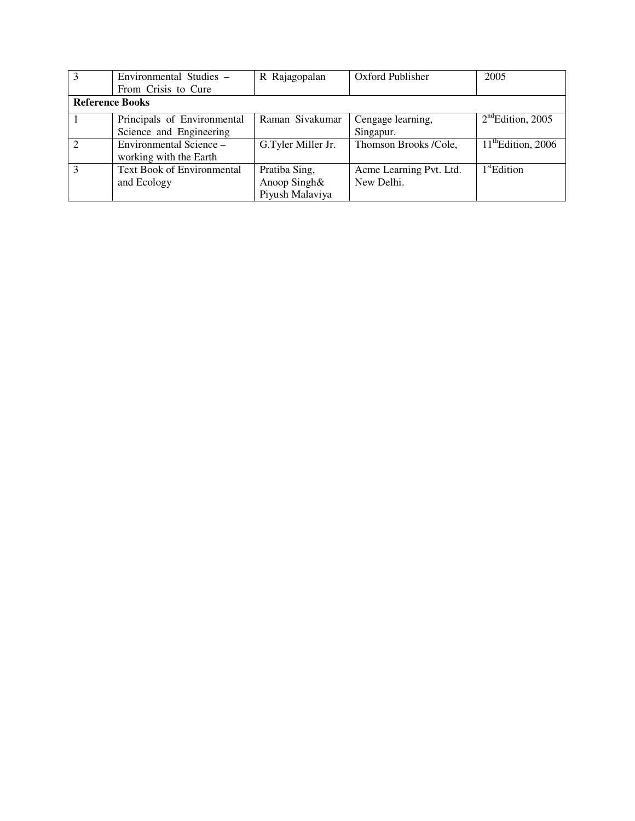| 3                      | Environmental Studies -           | R Rajagopalan      | Oxford Publisher        | 2005                 |
|------------------------|-----------------------------------|--------------------|-------------------------|----------------------|
|                        | From Crisis to Cure               |                    |                         |                      |
| <b>Reference Books</b> |                                   |                    |                         |                      |
|                        | Principals of Environmental       | Raman Sivakumar    | Cengage learning,       | $2nd$ Edition, 2005  |
|                        | Science and Engineering           |                    | Singapur.               |                      |
|                        | Environmental Science –           | G.Tyler Miller Jr. | Thomson Brooks /Cole,   | $11th$ Edition, 2006 |
|                        | working with the Earth            |                    |                         |                      |
|                        | <b>Text Book of Environmental</b> | Pratiba Sing,      | Acme Learning Pvt. Ltd. | $1st$ Edition        |
|                        | and Ecology                       | Anoop Singh&       | New Delhi.              |                      |
|                        |                                   | Piyush Malaviya    |                         |                      |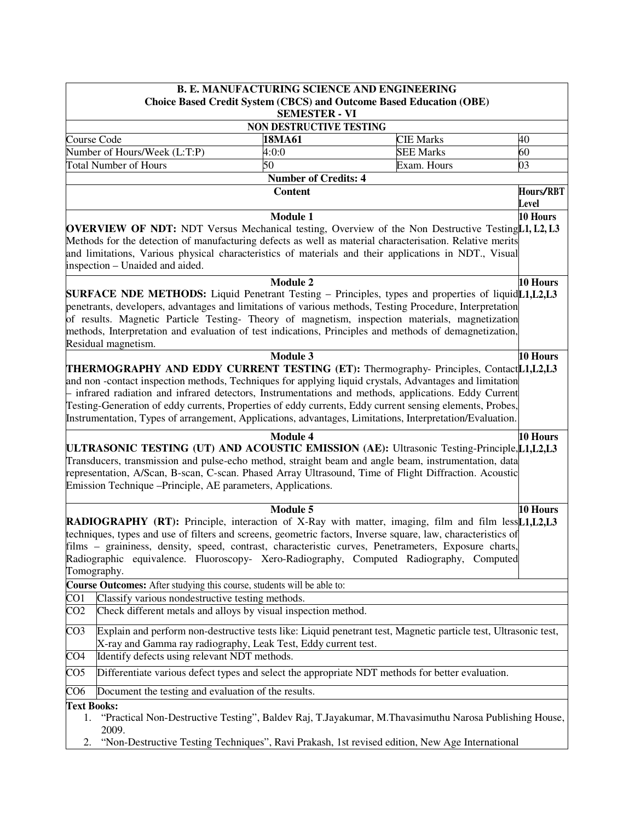|                                                                                                                                                                                                                                                                                                                                                                                                                                                                             |                                                                        |                             | <b>B. E. MANUFACTURING SCIENCE AND ENGINEERING</b>                                                                                                                                                                                                                                                                                                                                                                                                                                                                               |                           |  |
|-----------------------------------------------------------------------------------------------------------------------------------------------------------------------------------------------------------------------------------------------------------------------------------------------------------------------------------------------------------------------------------------------------------------------------------------------------------------------------|------------------------------------------------------------------------|-----------------------------|----------------------------------------------------------------------------------------------------------------------------------------------------------------------------------------------------------------------------------------------------------------------------------------------------------------------------------------------------------------------------------------------------------------------------------------------------------------------------------------------------------------------------------|---------------------------|--|
|                                                                                                                                                                                                                                                                                                                                                                                                                                                                             |                                                                        | <b>SEMESTER - VI</b>        | <b>Choice Based Credit System (CBCS) and Outcome Based Education (OBE)</b>                                                                                                                                                                                                                                                                                                                                                                                                                                                       |                           |  |
| NON DESTRUCTIVE TESTING                                                                                                                                                                                                                                                                                                                                                                                                                                                     |                                                                        |                             |                                                                                                                                                                                                                                                                                                                                                                                                                                                                                                                                  |                           |  |
| Course Code                                                                                                                                                                                                                                                                                                                                                                                                                                                                 |                                                                        | 18MA61                      | <b>CIE Marks</b>                                                                                                                                                                                                                                                                                                                                                                                                                                                                                                                 | 40                        |  |
|                                                                                                                                                                                                                                                                                                                                                                                                                                                                             | Number of Hours/Week (L:T:P)                                           | 4:0:0                       | <b>SEE Marks</b>                                                                                                                                                                                                                                                                                                                                                                                                                                                                                                                 | 60                        |  |
|                                                                                                                                                                                                                                                                                                                                                                                                                                                                             | <b>Total Number of Hours</b>                                           | 50                          | Exam. Hours                                                                                                                                                                                                                                                                                                                                                                                                                                                                                                                      | 03                        |  |
|                                                                                                                                                                                                                                                                                                                                                                                                                                                                             |                                                                        | <b>Number of Credits: 4</b> |                                                                                                                                                                                                                                                                                                                                                                                                                                                                                                                                  |                           |  |
|                                                                                                                                                                                                                                                                                                                                                                                                                                                                             |                                                                        | <b>Content</b>              |                                                                                                                                                                                                                                                                                                                                                                                                                                                                                                                                  | Hours/RBT<br><b>Level</b> |  |
|                                                                                                                                                                                                                                                                                                                                                                                                                                                                             | inspection - Unaided and aided.                                        | <b>Module 1</b>             | <b>OVERVIEW OF NDT:</b> NDT Versus Mechanical testing, Overview of the Non Destructive Testing[L1, L2, L3<br>Methods for the detection of manufacturing defects as well as material characterisation. Relative merits<br>and limitations, Various physical characteristics of materials and their applications in NDT., Visual                                                                                                                                                                                                   | 10 Hours                  |  |
|                                                                                                                                                                                                                                                                                                                                                                                                                                                                             | Residual magnetism.                                                    | <b>Module 2</b>             | <b>SURFACE NDE METHODS:</b> Liquid Penetrant Testing – Principles, types and properties of liquid L1, L2, L3<br>penetrants, developers, advantages and limitations of various methods, Testing Procedure, Interpretation<br>of results. Magnetic Particle Testing- Theory of magnetism, inspection materials, magnetization<br>methods, Interpretation and evaluation of test indications, Principles and methods of demagnetization,                                                                                            | 10 Hours                  |  |
|                                                                                                                                                                                                                                                                                                                                                                                                                                                                             |                                                                        | Module 3                    | THERMOGRAPHY AND EDDY CURRENT TESTING (ET): Thermography- Principles, ContactL1,L2,L3<br>and non-contact inspection methods, Techniques for applying liquid crystals, Advantages and limitation<br>- infrared radiation and infrared detectors, Instrumentations and methods, applications. Eddy Current<br>Testing-Generation of eddy currents, Properties of eddy currents, Eddy current sensing elements, Probes,<br>Instrumentation, Types of arrangement, Applications, advantages, Limitations, Interpretation/Evaluation. | 10 Hours                  |  |
|                                                                                                                                                                                                                                                                                                                                                                                                                                                                             | Emission Technique – Principle, AE parameters, Applications.           | <b>Module 4</b>             | ULTRASONIC TESTING (UT) AND ACOUSTIC EMISSION (AE): Ultrasonic Testing-Principle, L1, L2, L3<br>Transducers, transmission and pulse-echo method, straight beam and angle beam, instrumentation, data<br>representation, A/Scan, B-scan, C-scan. Phased Array Ultrasound, Time of Flight Diffraction. Acoustic                                                                                                                                                                                                                    | 10 Hours                  |  |
| <b>Module 5</b><br>10 Hours<br><b>RADIOGRAPHY (RT):</b> Principle, interaction of X-Ray with matter, imaging, film and film less[L1,L2,L3<br>techniques, types and use of filters and screens, geometric factors, Inverse square, law, characteristics of<br>films - graininess, density, speed, contrast, characteristic curves, Penetrameters, Exposure charts,<br>Radiographic equivalence. Fluoroscopy- Xero-Radiography, Computed Radiography, Computed<br>Tomography. |                                                                        |                             |                                                                                                                                                                                                                                                                                                                                                                                                                                                                                                                                  |                           |  |
|                                                                                                                                                                                                                                                                                                                                                                                                                                                                             | Course Outcomes: After studying this course, students will be able to: |                             |                                                                                                                                                                                                                                                                                                                                                                                                                                                                                                                                  |                           |  |
| CO <sub>1</sub>                                                                                                                                                                                                                                                                                                                                                                                                                                                             | Classify various nondestructive testing methods.                       |                             |                                                                                                                                                                                                                                                                                                                                                                                                                                                                                                                                  |                           |  |
| CO <sub>2</sub>                                                                                                                                                                                                                                                                                                                                                                                                                                                             | Check different metals and alloys by visual inspection method.         |                             |                                                                                                                                                                                                                                                                                                                                                                                                                                                                                                                                  |                           |  |
| CO <sub>3</sub>                                                                                                                                                                                                                                                                                                                                                                                                                                                             | X-ray and Gamma ray radiography, Leak Test, Eddy current test.         |                             | Explain and perform non-destructive tests like: Liquid penetrant test, Magnetic particle test, Ultrasonic test,                                                                                                                                                                                                                                                                                                                                                                                                                  |                           |  |
| CO <sub>4</sub>                                                                                                                                                                                                                                                                                                                                                                                                                                                             | Identify defects using relevant NDT methods.                           |                             |                                                                                                                                                                                                                                                                                                                                                                                                                                                                                                                                  |                           |  |
| CO <sub>5</sub>                                                                                                                                                                                                                                                                                                                                                                                                                                                             |                                                                        |                             | Differentiate various defect types and select the appropriate NDT methods for better evaluation.                                                                                                                                                                                                                                                                                                                                                                                                                                 |                           |  |
| CO6                                                                                                                                                                                                                                                                                                                                                                                                                                                                         | Document the testing and evaluation of the results.                    |                             |                                                                                                                                                                                                                                                                                                                                                                                                                                                                                                                                  |                           |  |
| <b>Text Books:</b><br>1.<br>2.                                                                                                                                                                                                                                                                                                                                                                                                                                              | 2009.                                                                  |                             | "Practical Non-Destructive Testing", Baldev Raj, T.Jayakumar, M.Thavasimuthu Narosa Publishing House,<br>"Non-Destructive Testing Techniques", Ravi Prakash, 1st revised edition, New Age International                                                                                                                                                                                                                                                                                                                          |                           |  |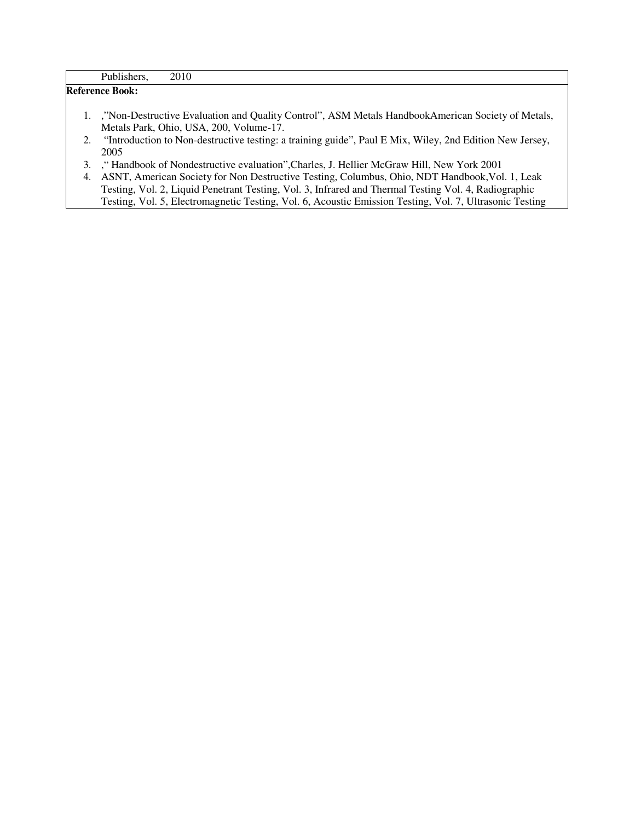|    | Publishers,<br>2010                                                                                                                            |
|----|------------------------------------------------------------------------------------------------------------------------------------------------|
|    | <b>Reference Book:</b>                                                                                                                         |
|    | 1. "Non-Destructive Evaluation and Quality Control", ASM Metals HandbookAmerican Society of Metals,<br>Metals Park, Ohio, USA, 200, Volume-17. |
|    | 2. "Introduction to Non-destructive testing: a training guide", Paul E Mix, Wiley, 2nd Edition New Jersey,<br>2005                             |
|    | 3. "Handbook of Nondestructive evaluation", Charles, J. Hellier McGraw Hill, New York 2001                                                     |
| 4. | ASNT, American Society for Non Destructive Testing, Columbus, Ohio, NDT Handbook, Vol. 1, Leak                                                 |
|    | Testing, Vol. 2, Liquid Penetrant Testing, Vol. 3, Infrared and Thermal Testing Vol. 4, Radiographic                                           |
|    | Testing, Vol. 5, Electromagnetic Testing, Vol. 6, Acoustic Emission Testing, Vol. 7, Ultrasonic Testing                                        |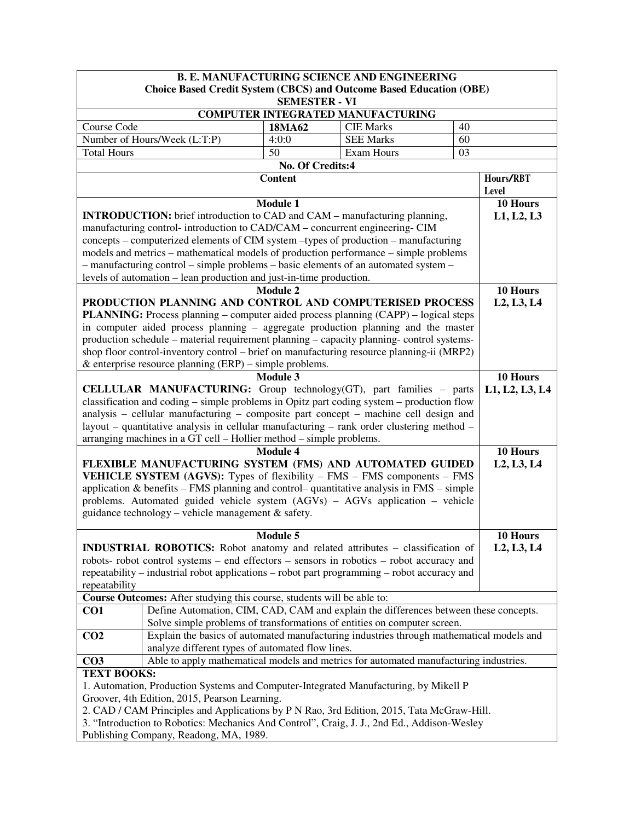| <b>B. E. MANUFACTURING SCIENCE AND ENGINEERING</b>                                                                                    |                                                                                                                                                                         |                      |                                          |    |                                                  |  |  |
|---------------------------------------------------------------------------------------------------------------------------------------|-------------------------------------------------------------------------------------------------------------------------------------------------------------------------|----------------------|------------------------------------------|----|--------------------------------------------------|--|--|
|                                                                                                                                       | <b>Choice Based Credit System (CBCS) and Outcome Based Education (OBE)</b>                                                                                              |                      |                                          |    |                                                  |  |  |
|                                                                                                                                       |                                                                                                                                                                         | <b>SEMESTER - VI</b> | <b>COMPUTER INTEGRATED MANUFACTURING</b> |    |                                                  |  |  |
| Course Code                                                                                                                           | 18MA62<br><b>CIE Marks</b><br>40                                                                                                                                        |                      |                                          |    |                                                  |  |  |
|                                                                                                                                       | Number of Hours/Week (L:T:P)                                                                                                                                            | 4:0:0                | <b>SEE Marks</b>                         | 60 |                                                  |  |  |
| <b>Total Hours</b>                                                                                                                    |                                                                                                                                                                         | 50                   | Exam Hours                               | 03 |                                                  |  |  |
|                                                                                                                                       |                                                                                                                                                                         | No. Of Credits:4     |                                          |    |                                                  |  |  |
|                                                                                                                                       |                                                                                                                                                                         | <b>Content</b>       |                                          |    | Hours/RBT                                        |  |  |
|                                                                                                                                       |                                                                                                                                                                         |                      |                                          |    | Level                                            |  |  |
|                                                                                                                                       |                                                                                                                                                                         | <b>Module 1</b>      |                                          |    | 10 Hours                                         |  |  |
|                                                                                                                                       | <b>INTRODUCTION:</b> brief introduction to CAD and CAM – manufacturing planning,                                                                                        |                      |                                          |    | L1, L2, L3                                       |  |  |
|                                                                                                                                       | manufacturing control-introduction to CAD/CAM - concurrent engineering- CIM                                                                                             |                      |                                          |    |                                                  |  |  |
|                                                                                                                                       | concepts – computerized elements of CIM system –types of production – manufacturing                                                                                     |                      |                                          |    |                                                  |  |  |
|                                                                                                                                       | models and metrics – mathematical models of production performance – simple problems                                                                                    |                      |                                          |    |                                                  |  |  |
|                                                                                                                                       | - manufacturing control - simple problems - basic elements of an automated system -                                                                                     |                      |                                          |    |                                                  |  |  |
|                                                                                                                                       | levels of automation – lean production and just-in-time production.                                                                                                     |                      |                                          |    |                                                  |  |  |
|                                                                                                                                       |                                                                                                                                                                         | <b>Module 2</b>      |                                          |    | 10 Hours                                         |  |  |
|                                                                                                                                       | PRODUCTION PLANNING AND CONTROL AND COMPUTERISED PROCESS                                                                                                                |                      |                                          |    | L <sub>2</sub> , L <sub>3</sub> , L <sub>4</sub> |  |  |
|                                                                                                                                       | <b>PLANNING:</b> Process planning – computer aided process planning (CAPP) – logical steps                                                                              |                      |                                          |    |                                                  |  |  |
|                                                                                                                                       | in computer aided process planning – aggregate production planning and the master                                                                                       |                      |                                          |    |                                                  |  |  |
|                                                                                                                                       | production schedule – material requirement planning – capacity planning- control systems-                                                                               |                      |                                          |    |                                                  |  |  |
|                                                                                                                                       | shop floor control-inventory control – brief on manufacturing resource planning-ii (MRP2)                                                                               |                      |                                          |    |                                                  |  |  |
|                                                                                                                                       | & enterprise resource planning $(ERP)$ – simple problems.                                                                                                               |                      |                                          |    |                                                  |  |  |
|                                                                                                                                       |                                                                                                                                                                         | <b>Module 3</b>      |                                          |    | 10 Hours                                         |  |  |
|                                                                                                                                       | <b>CELLULAR MANUFACTURING:</b> Group technology(GT), part families - parts<br>classification and coding – simple problems in Opitz part coding system – production flow |                      |                                          |    | L1, L2, L3, L4                                   |  |  |
|                                                                                                                                       | analysis – cellular manufacturing – composite part concept – machine cell design and                                                                                    |                      |                                          |    |                                                  |  |  |
|                                                                                                                                       | layout – quantitative analysis in cellular manufacturing – rank order clustering method –                                                                               |                      |                                          |    |                                                  |  |  |
|                                                                                                                                       | arranging machines in a GT cell - Hollier method - simple problems.                                                                                                     |                      |                                          |    |                                                  |  |  |
|                                                                                                                                       |                                                                                                                                                                         | <b>Module 4</b>      |                                          |    | 10 Hours                                         |  |  |
|                                                                                                                                       | FLEXIBLE MANUFACTURING SYSTEM (FMS) AND AUTOMATED GUIDED                                                                                                                |                      |                                          |    | L <sub>2</sub> , L <sub>3</sub> , L <sub>4</sub> |  |  |
|                                                                                                                                       | <b>VEHICLE SYSTEM (AGVS):</b> Types of flexibility – FMS – FMS components – FMS                                                                                         |                      |                                          |    |                                                  |  |  |
|                                                                                                                                       | application & benefits – FMS planning and control-quantitative analysis in $FMS -$ simple                                                                               |                      |                                          |    |                                                  |  |  |
|                                                                                                                                       | problems. Automated guided vehicle system (AGVs) – AGVs application – vehicle                                                                                           |                      |                                          |    |                                                  |  |  |
|                                                                                                                                       | guidance technology - vehicle management & safety.                                                                                                                      |                      |                                          |    |                                                  |  |  |
|                                                                                                                                       |                                                                                                                                                                         |                      |                                          |    |                                                  |  |  |
|                                                                                                                                       |                                                                                                                                                                         | Module 5             |                                          |    | 10 Hours                                         |  |  |
|                                                                                                                                       | <b>INDUSTRIAL ROBOTICS:</b> Robot anatomy and related attributes – classification of                                                                                    |                      |                                          |    | L2, L3, L4                                       |  |  |
|                                                                                                                                       | robots- robot control systems - end effectors - sensors in robotics - robot accuracy and                                                                                |                      |                                          |    |                                                  |  |  |
|                                                                                                                                       | repeatability – industrial robot applications – robot part programming – robot accuracy and                                                                             |                      |                                          |    |                                                  |  |  |
| repeatability                                                                                                                         |                                                                                                                                                                         |                      |                                          |    |                                                  |  |  |
|                                                                                                                                       | Course Outcomes: After studying this course, students will be able to:<br>Define Automation, CIM, CAD, CAM and explain the differences between these concepts.          |                      |                                          |    |                                                  |  |  |
| CO <sub>1</sub>                                                                                                                       | Solve simple problems of transformations of entities on computer screen.                                                                                                |                      |                                          |    |                                                  |  |  |
| CO <sub>2</sub>                                                                                                                       | Explain the basics of automated manufacturing industries through mathematical models and                                                                                |                      |                                          |    |                                                  |  |  |
|                                                                                                                                       |                                                                                                                                                                         |                      |                                          |    |                                                  |  |  |
| CO <sub>3</sub>                                                                                                                       | analyze different types of automated flow lines.<br>Able to apply mathematical models and metrics for automated manufacturing industries.                               |                      |                                          |    |                                                  |  |  |
| <b>TEXT BOOKS:</b>                                                                                                                    |                                                                                                                                                                         |                      |                                          |    |                                                  |  |  |
|                                                                                                                                       | 1. Automation, Production Systems and Computer-Integrated Manufacturing, by Mikell P                                                                                    |                      |                                          |    |                                                  |  |  |
|                                                                                                                                       | Groover, 4th Edition, 2015, Pearson Learning.                                                                                                                           |                      |                                          |    |                                                  |  |  |
|                                                                                                                                       | 2. CAD / CAM Principles and Applications by P N Rao, 3rd Edition, 2015, Tata McGraw-Hill.                                                                               |                      |                                          |    |                                                  |  |  |
|                                                                                                                                       |                                                                                                                                                                         |                      |                                          |    |                                                  |  |  |
| 3. "Introduction to Robotics: Mechanics And Control", Craig, J. J., 2nd Ed., Addison-Wesley<br>Publishing Company, Readong, MA, 1989. |                                                                                                                                                                         |                      |                                          |    |                                                  |  |  |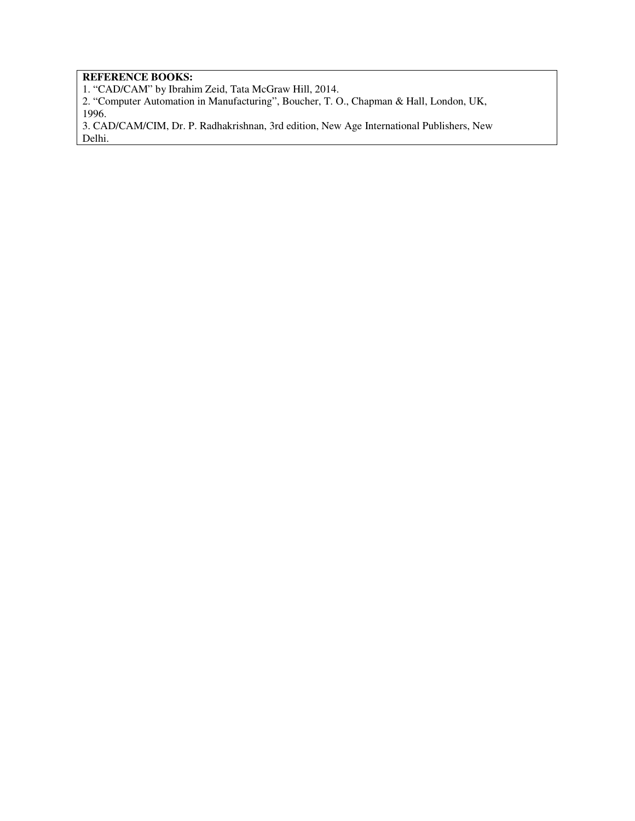# **REFERENCE BOOKS:**

1. "CAD/CAM" by Ibrahim Zeid, Tata McGraw Hill, 2014.

2. "Computer Automation in Manufacturing", Boucher, T. O., Chapman & Hall, London, UK, 1996.

3. CAD/CAM/CIM, Dr. P. Radhakrishnan, 3rd edition, New Age International Publishers, New Delhi.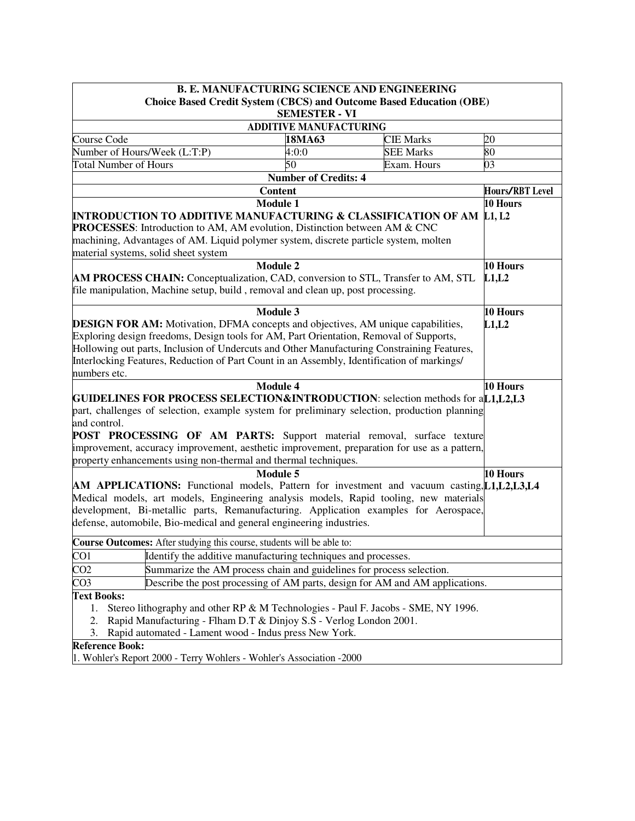|                                                                                                                                                                               | <b>B. E. MANUFACTURING SCIENCE AND ENGINEERING</b>                                |                  |                        |  |  |  |
|-------------------------------------------------------------------------------------------------------------------------------------------------------------------------------|-----------------------------------------------------------------------------------|------------------|------------------------|--|--|--|
|                                                                                                                                                                               | <b>Choice Based Credit System (CBCS) and Outcome Based Education (OBE)</b>        |                  |                        |  |  |  |
|                                                                                                                                                                               | <b>SEMESTER - VI</b>                                                              |                  |                        |  |  |  |
|                                                                                                                                                                               | <b>ADDITIVE MANUFACTURING</b>                                                     |                  |                        |  |  |  |
| Course Code                                                                                                                                                                   | 18MA63                                                                            | <b>CIE Marks</b> | 20                     |  |  |  |
| Number of Hours/Week (L:T:P)                                                                                                                                                  | 4:0:0                                                                             | <b>SEE Marks</b> | 80                     |  |  |  |
| <b>Total Number of Hours</b>                                                                                                                                                  | 50                                                                                | Exam. Hours      | 03                     |  |  |  |
|                                                                                                                                                                               | <b>Number of Credits: 4</b>                                                       |                  |                        |  |  |  |
|                                                                                                                                                                               | <b>Content</b>                                                                    |                  | <b>Hours/RBT</b> Level |  |  |  |
|                                                                                                                                                                               | <b>Module 1</b>                                                                   |                  | 10 Hours               |  |  |  |
| <b>INTRODUCTION TO ADDITIVE MANUFACTURING &amp; CLASSIFICATION OF AM L1, L2</b>                                                                                               |                                                                                   |                  |                        |  |  |  |
| PROCESSES: Introduction to AM, AM evolution, Distinction between AM & CNC                                                                                                     |                                                                                   |                  |                        |  |  |  |
| machining, Advantages of AM. Liquid polymer system, discrete particle system, molten<br>material systems, solid sheet system                                                  |                                                                                   |                  |                        |  |  |  |
|                                                                                                                                                                               | <b>Module 2</b>                                                                   |                  | 10 Hours               |  |  |  |
| AM PROCESS CHAIN: Conceptualization, CAD, conversion to STL, Transfer to AM, STL                                                                                              |                                                                                   |                  | L1,L2                  |  |  |  |
| file manipulation, Machine setup, build, removal and clean up, post processing.                                                                                               |                                                                                   |                  |                        |  |  |  |
|                                                                                                                                                                               |                                                                                   |                  |                        |  |  |  |
|                                                                                                                                                                               | <b>Module 3</b>                                                                   |                  | 10 Hours               |  |  |  |
| <b>DESIGN FOR AM:</b> Motivation, DFMA concepts and objectives, AM unique capabilities,                                                                                       |                                                                                   |                  | L1,L2                  |  |  |  |
| Exploring design freedoms, Design tools for AM, Part Orientation, Removal of Supports,                                                                                        |                                                                                   |                  |                        |  |  |  |
| Hollowing out parts, Inclusion of Undercuts and Other Manufacturing Constraining Features,                                                                                    |                                                                                   |                  |                        |  |  |  |
| Interlocking Features, Reduction of Part Count in an Assembly, Identification of markings/                                                                                    |                                                                                   |                  |                        |  |  |  |
| numbers etc.                                                                                                                                                                  |                                                                                   |                  |                        |  |  |  |
|                                                                                                                                                                               | <b>Module 4</b>                                                                   |                  | 10 Hours               |  |  |  |
| GUIDELINES FOR PROCESS SELECTION&INTRODUCTION: selection methods for aL1,L2,L3                                                                                                |                                                                                   |                  |                        |  |  |  |
| part, challenges of selection, example system for preliminary selection, production planning                                                                                  |                                                                                   |                  |                        |  |  |  |
| and control.                                                                                                                                                                  |                                                                                   |                  |                        |  |  |  |
| POST PROCESSING OF AM PARTS: Support material removal, surface texture                                                                                                        |                                                                                   |                  |                        |  |  |  |
| improvement, accuracy improvement, aesthetic improvement, preparation for use as a pattern,                                                                                   |                                                                                   |                  |                        |  |  |  |
| property enhancements using non-thermal and thermal techniques.                                                                                                               |                                                                                   |                  |                        |  |  |  |
|                                                                                                                                                                               | <b>Module 5</b>                                                                   |                  | 10 Hours               |  |  |  |
| AM APPLICATIONS: Functional models, Pattern for investment and vacuum casting, [1], L2, L3, L4                                                                                |                                                                                   |                  |                        |  |  |  |
| Medical models, art models, Engineering analysis models, Rapid tooling, new materials<br>development, Bi-metallic parts, Remanufacturing. Application examples for Aerospace, |                                                                                   |                  |                        |  |  |  |
| defense, automobile, Bio-medical and general engineering industries.                                                                                                          |                                                                                   |                  |                        |  |  |  |
|                                                                                                                                                                               |                                                                                   |                  |                        |  |  |  |
| Course Outcomes: After studying this course, students will be able to:                                                                                                        |                                                                                   |                  |                        |  |  |  |
| CO <sub>1</sub>                                                                                                                                                               | Identify the additive manufacturing techniques and processes.                     |                  |                        |  |  |  |
| CO <sub>2</sub>                                                                                                                                                               | Summarize the AM process chain and guidelines for process selection.              |                  |                        |  |  |  |
| CO <sub>3</sub>                                                                                                                                                               | Describe the post processing of AM parts, design for AM and AM applications.      |                  |                        |  |  |  |
| <b>Text Books:</b>                                                                                                                                                            |                                                                                   |                  |                        |  |  |  |
| 1.                                                                                                                                                                            | Stereo lithography and other RP & M Technologies - Paul F. Jacobs - SME, NY 1996. |                  |                        |  |  |  |
| 2.                                                                                                                                                                            | Rapid Manufacturing - Flham D.T & Dinjoy S.S - Verlog London 2001.                |                  |                        |  |  |  |
| 3.                                                                                                                                                                            | Rapid automated - Lament wood - Indus press New York.                             |                  |                        |  |  |  |
| <b>Reference Book:</b>                                                                                                                                                        |                                                                                   |                  |                        |  |  |  |
| 1. Wohler's Report 2000 - Terry Wohlers - Wohler's Association -2000                                                                                                          |                                                                                   |                  |                        |  |  |  |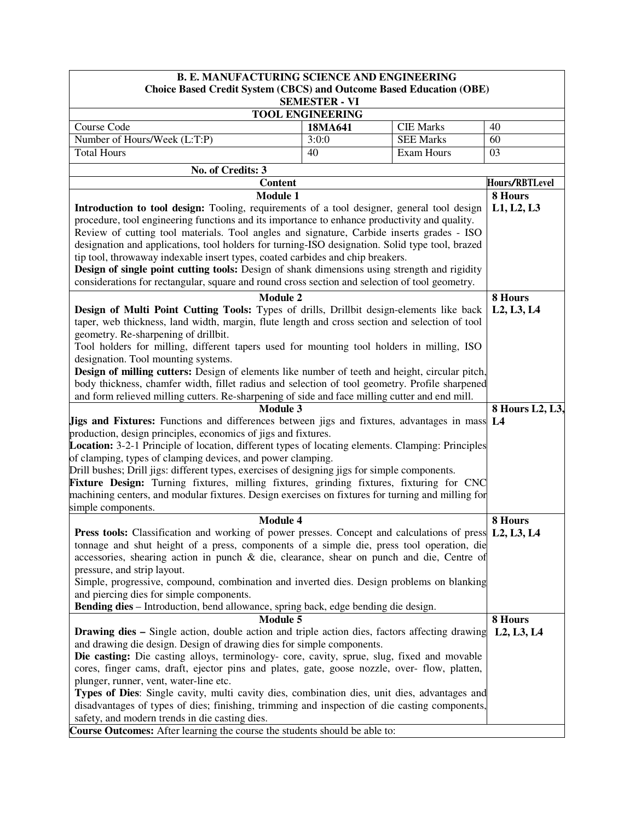| <b>B. E. MANUFACTURING SCIENCE AND ENGINEERING</b>                                                       |                         |                   |                |  |  |
|----------------------------------------------------------------------------------------------------------|-------------------------|-------------------|----------------|--|--|
| <b>Choice Based Credit System (CBCS) and Outcome Based Education (OBE)</b>                               |                         |                   |                |  |  |
|                                                                                                          | <b>SEMESTER - VI</b>    |                   |                |  |  |
|                                                                                                          | <b>TOOL ENGINEERING</b> |                   |                |  |  |
| Course Code                                                                                              | 18MA641                 | <b>CIE Marks</b>  | 40             |  |  |
| Number of Hours/Week (L:T:P)                                                                             | 3:0:0                   | <b>SEE Marks</b>  | 60             |  |  |
| <b>Total Hours</b>                                                                                       | 40                      | <b>Exam Hours</b> | 03             |  |  |
| No. of Credits: 3                                                                                        |                         |                   |                |  |  |
| <b>Content</b>                                                                                           |                         |                   | Hours/RBTLevel |  |  |
| <b>Module 1</b>                                                                                          |                         |                   | 8 Hours        |  |  |
| Introduction to tool design: Tooling, requirements of a tool designer, general tool design               |                         |                   | L1, L2, L3     |  |  |
| procedure, tool engineering functions and its importance to enhance productivity and quality.            |                         |                   |                |  |  |
| Review of cutting tool materials. Tool angles and signature, Carbide inserts grades - ISO                |                         |                   |                |  |  |
| designation and applications, tool holders for turning-ISO designation. Solid type tool, brazed          |                         |                   |                |  |  |
| tip tool, throwaway indexable insert types, coated carbides and chip breakers.                           |                         |                   |                |  |  |
| Design of single point cutting tools: Design of shank dimensions using strength and rigidity             |                         |                   |                |  |  |
| considerations for rectangular, square and round cross section and selection of tool geometry.           |                         |                   |                |  |  |
| <b>Module 2</b>                                                                                          |                         |                   | 8 Hours        |  |  |
| Design of Multi Point Cutting Tools: Types of drills, Drillbit design-elements like back                 |                         |                   | L2, L3, L4     |  |  |
| taper, web thickness, land width, margin, flute length and cross section and selection of tool           |                         |                   |                |  |  |
| geometry. Re-sharpening of drillbit.                                                                     |                         |                   |                |  |  |
| Tool holders for milling, different tapers used for mounting tool holders in milling, ISO                |                         |                   |                |  |  |
| designation. Tool mounting systems.                                                                      |                         |                   |                |  |  |
| Design of milling cutters: Design of elements like number of teeth and height, circular pitch,           |                         |                   |                |  |  |
| body thickness, chamfer width, fillet radius and selection of tool geometry. Profile sharpened           |                         |                   |                |  |  |
| and form relieved milling cutters. Re-sharpening of side and face milling cutter and end mill.           |                         |                   |                |  |  |
| Module 3                                                                                                 | 8 Hours L2, L3,         |                   |                |  |  |
| <b>Jigs and Fixtures:</b> Functions and differences between jigs and fixtures, advantages in mass        | L4                      |                   |                |  |  |
| production, design principles, economics of jigs and fixtures.                                           |                         |                   |                |  |  |
| <b>Location:</b> 3-2-1 Principle of location, different types of locating elements. Clamping: Principles |                         |                   |                |  |  |
| of clamping, types of clamping devices, and power clamping.                                              |                         |                   |                |  |  |
| Drill bushes; Drill jigs: different types, exercises of designing jigs for simple components.            |                         |                   |                |  |  |
| Fixture Design: Turning fixtures, milling fixtures, grinding fixtures, fixturing for CNC                 |                         |                   |                |  |  |
| machining centers, and modular fixtures. Design exercises on fixtures for turning and milling for        |                         |                   |                |  |  |
| simple components.<br>Module 4                                                                           |                         |                   | 8 Hours        |  |  |
| Press tools: Classification and working of power presses. Concept and calculations of press L2, L3, L4   |                         |                   |                |  |  |
| tonnage and shut height of a press, components of a simple die, press tool operation, die                |                         |                   |                |  |  |
| accessories, shearing action in punch & die, clearance, shear on punch and die, Centre of                |                         |                   |                |  |  |
| pressure, and strip layout.                                                                              |                         |                   |                |  |  |
| Simple, progressive, compound, combination and inverted dies. Design problems on blanking                |                         |                   |                |  |  |
| and piercing dies for simple components.                                                                 |                         |                   |                |  |  |
| Bending dies - Introduction, bend allowance, spring back, edge bending die design.                       |                         |                   |                |  |  |
| <b>Module 5</b>                                                                                          | 8 Hours                 |                   |                |  |  |
| <b>Drawing dies –</b> Single action, double action and triple action dies, factors affecting drawing     |                         |                   | L2, L3, L4     |  |  |
| and drawing die design. Design of drawing dies for simple components.                                    |                         |                   |                |  |  |
| Die casting: Die casting alloys, terminology- core, cavity, sprue, slug, fixed and movable               |                         |                   |                |  |  |
| cores, finger cams, draft, ejector pins and plates, gate, goose nozzle, over- flow, platten,             |                         |                   |                |  |  |
| plunger, runner, vent, water-line etc.                                                                   |                         |                   |                |  |  |
| Types of Dies: Single cavity, multi cavity dies, combination dies, unit dies, advantages and             |                         |                   |                |  |  |
| disadvantages of types of dies; finishing, trimming and inspection of die casting components,            |                         |                   |                |  |  |
| safety, and modern trends in die casting dies.                                                           |                         |                   |                |  |  |
| Course Outcomes: After learning the course the students should be able to:                               |                         |                   |                |  |  |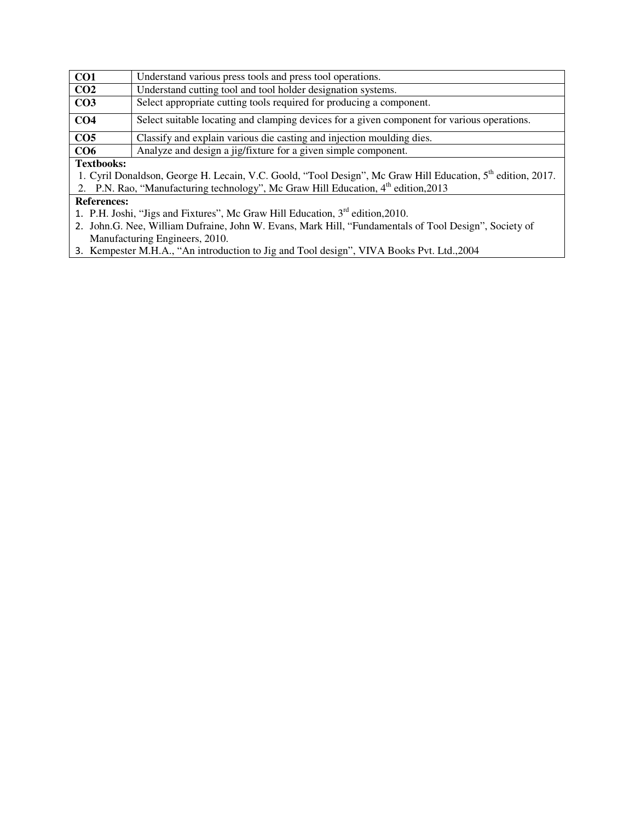| CO <sub>1</sub>   | Understand various press tools and press tool operations.                                                               |  |  |
|-------------------|-------------------------------------------------------------------------------------------------------------------------|--|--|
| CO <sub>2</sub>   | Understand cutting tool and tool holder designation systems.                                                            |  |  |
| CO <sub>3</sub>   | Select appropriate cutting tools required for producing a component.                                                    |  |  |
| CO <sub>4</sub>   | Select suitable locating and clamping devices for a given component for various operations.                             |  |  |
| CO <sub>5</sub>   | Classify and explain various die casting and injection moulding dies.                                                   |  |  |
| CO <sub>6</sub>   | Analyze and design a jig/fixture for a given simple component.                                                          |  |  |
| <b>Textbooks:</b> |                                                                                                                         |  |  |
|                   | 1. Cyril Donaldson, George H. Lecain, V.C. Goold, "Tool Design", Mc Graw Hill Education, 5 <sup>th</sup> edition, 2017. |  |  |

2. P.N. Rao, "Manufacturing technology", Mc Graw Hill Education, 4<sup>th</sup> edition, 2013

### **References:**

- 1. P.H. Joshi, "Jigs and Fixtures", Mc Graw Hill Education,  $3<sup>rd</sup>$  edition, 2010.
- 2. John.G. Nee, William Dufraine, John W. Evans, Mark Hill, "Fundamentals of Tool Design", Society of Manufacturing Engineers, 2010.
- 3. Kempester M.H.A., "An introduction to Jig and Tool design", VIVA Books Pvt. Ltd.,2004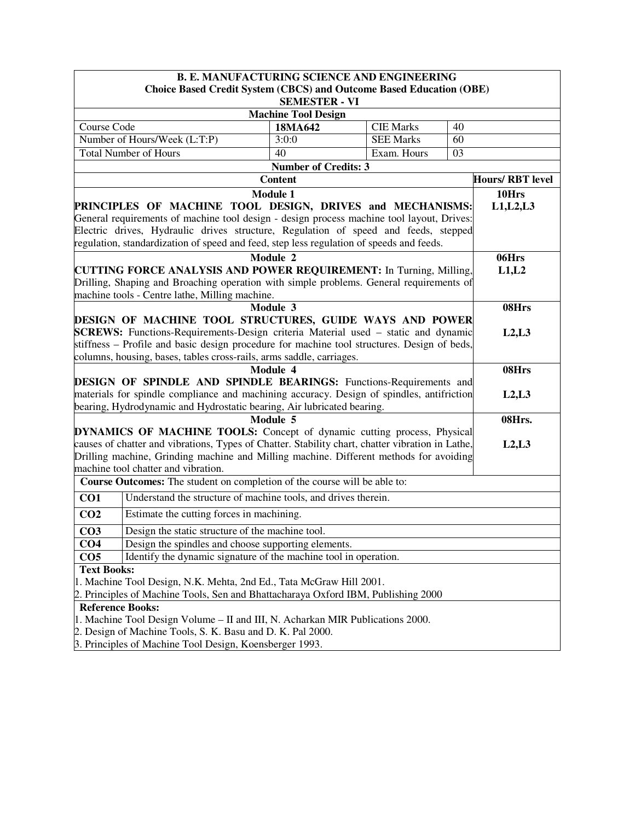| <b>B. E. MANUFACTURING SCIENCE AND ENGINEERING</b>                                                                                                              |                                       |                  |    |                        |  |  |
|-----------------------------------------------------------------------------------------------------------------------------------------------------------------|---------------------------------------|------------------|----|------------------------|--|--|
| Choice Based Credit System (CBCS) and Outcome Based Education (OBE)                                                                                             |                                       |                  |    |                        |  |  |
|                                                                                                                                                                 | <b>SEMESTER - VI</b>                  |                  |    |                        |  |  |
| Course Code                                                                                                                                                     | <b>Machine Tool Design</b><br>18MA642 | <b>CIE Marks</b> | 40 |                        |  |  |
| Number of Hours/Week (L:T:P)                                                                                                                                    | 3:0:0                                 | <b>SEE Marks</b> | 60 |                        |  |  |
| <b>Total Number of Hours</b>                                                                                                                                    | 40                                    | Exam. Hours      | 03 |                        |  |  |
|                                                                                                                                                                 | <b>Number of Credits: 3</b>           |                  |    |                        |  |  |
|                                                                                                                                                                 | <b>Content</b>                        |                  |    | <b>Hours/RBT</b> level |  |  |
|                                                                                                                                                                 | <b>Module 1</b>                       |                  |    | 10Hrs                  |  |  |
| PRINCIPLES OF MACHINE TOOL DESIGN, DRIVES and MECHANISMS:                                                                                                       |                                       |                  |    | L1, L2, L3             |  |  |
| General requirements of machine tool design - design process machine tool layout, Drives:                                                                       |                                       |                  |    |                        |  |  |
| Electric drives, Hydraulic drives structure, Regulation of speed and feeds, stepped                                                                             |                                       |                  |    |                        |  |  |
| regulation, standardization of speed and feed, step less regulation of speeds and feeds.                                                                        |                                       |                  |    |                        |  |  |
|                                                                                                                                                                 | Module 2                              |                  |    | 06Hrs                  |  |  |
| <b>CUTTING FORCE ANALYSIS AND POWER REQUIREMENT:</b> In Turning, Milling,                                                                                       |                                       |                  |    | L1,L2                  |  |  |
| Drilling, Shaping and Broaching operation with simple problems. General requirements of                                                                         |                                       |                  |    |                        |  |  |
| machine tools - Centre lathe, Milling machine.                                                                                                                  |                                       |                  |    |                        |  |  |
|                                                                                                                                                                 | Module 3                              |                  |    | 08Hrs                  |  |  |
| DESIGN OF MACHINE TOOL STRUCTURES, GUIDE WAYS AND POWER                                                                                                         |                                       |                  |    |                        |  |  |
| <b>SCREWS:</b> Functions-Requirements-Design criteria Material used – static and dynamic                                                                        |                                       |                  |    | L2, L3                 |  |  |
| stiffness – Profile and basic design procedure for machine tool structures. Design of beds,                                                                     |                                       |                  |    |                        |  |  |
| columns, housing, bases, tables cross-rails, arms saddle, carriages.                                                                                            |                                       |                  |    |                        |  |  |
| Module 4                                                                                                                                                        |                                       | 08Hrs            |    |                        |  |  |
| DESIGN OF SPINDLE AND SPINDLE BEARINGS: Functions-Requirements and<br>materials for spindle compliance and machining accuracy. Design of spindles, antifriction |                                       |                  |    |                        |  |  |
| bearing, Hydrodynamic and Hydrostatic bearing, Air lubricated bearing.                                                                                          |                                       |                  |    | L2, L3                 |  |  |
|                                                                                                                                                                 | Module 5                              |                  |    | 08Hrs.                 |  |  |
| <b>DYNAMICS OF MACHINE TOOLS:</b> Concept of dynamic cutting process, Physical                                                                                  |                                       |                  |    |                        |  |  |
| causes of chatter and vibrations, Types of Chatter. Stability chart, chatter vibration in Lathe,                                                                |                                       |                  |    | L2, L3                 |  |  |
| Drilling machine, Grinding machine and Milling machine. Different methods for avoiding                                                                          |                                       |                  |    |                        |  |  |
| machine tool chatter and vibration.                                                                                                                             |                                       |                  |    |                        |  |  |
| Course Outcomes: The student on completion of the course will be able to:                                                                                       |                                       |                  |    |                        |  |  |
| Understand the structure of machine tools, and drives therein.<br>CO1                                                                                           |                                       |                  |    |                        |  |  |
| Estimate the cutting forces in machining.<br>CO <sub>2</sub>                                                                                                    |                                       |                  |    |                        |  |  |
| Design the static structure of the machine tool.<br>CO <sub>3</sub>                                                                                             |                                       |                  |    |                        |  |  |
| Design the spindles and choose supporting elements.<br>CO <sub>4</sub>                                                                                          |                                       |                  |    |                        |  |  |
| CO <sub>5</sub><br>Identify the dynamic signature of the machine tool in operation.                                                                             |                                       |                  |    |                        |  |  |
| <b>Text Books:</b>                                                                                                                                              |                                       |                  |    |                        |  |  |
| 1. Machine Tool Design, N.K. Mehta, 2nd Ed., Tata McGraw Hill 2001.                                                                                             |                                       |                  |    |                        |  |  |
| 2. Principles of Machine Tools, Sen and Bhattacharaya Oxford IBM, Publishing 2000                                                                               |                                       |                  |    |                        |  |  |
| <b>Reference Books:</b>                                                                                                                                         |                                       |                  |    |                        |  |  |
| 1. Machine Tool Design Volume – II and III, N. Acharkan MIR Publications 2000.                                                                                  |                                       |                  |    |                        |  |  |
|                                                                                                                                                                 |                                       |                  |    |                        |  |  |
| 2. Design of Machine Tools, S. K. Basu and D. K. Pal 2000.<br>3. Principles of Machine Tool Design, Koensberger 1993.                                           |                                       |                  |    |                        |  |  |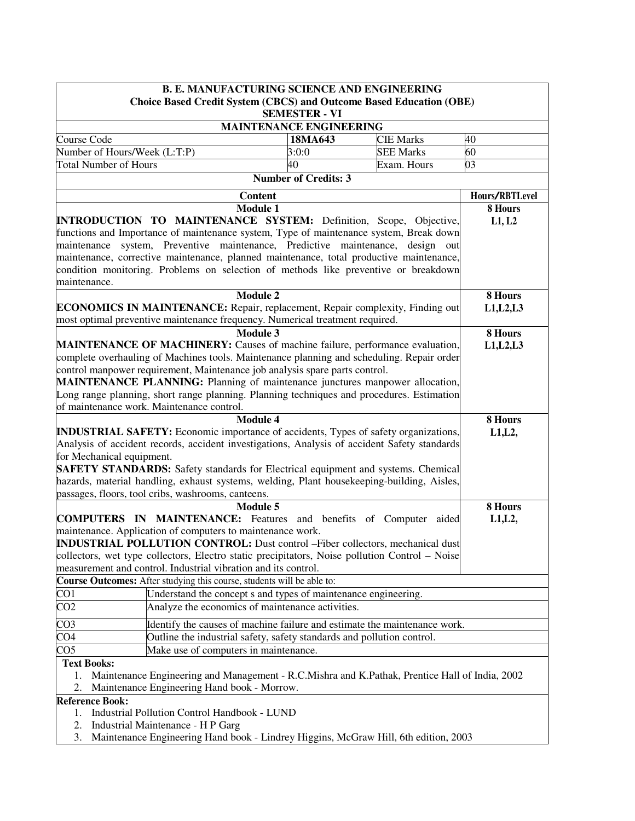|                                                                                            | <b>B. E. MANUFACTURING SCIENCE AND ENGINEERING</b>                                                                                               |                                |                  |            |  |  |
|--------------------------------------------------------------------------------------------|--------------------------------------------------------------------------------------------------------------------------------------------------|--------------------------------|------------------|------------|--|--|
|                                                                                            | <b>Choice Based Credit System (CBCS) and Outcome Based Education (OBE)</b>                                                                       |                                |                  |            |  |  |
|                                                                                            | <b>SEMESTER - VI</b>                                                                                                                             |                                |                  |            |  |  |
|                                                                                            |                                                                                                                                                  | <b>MAINTENANCE ENGINEERING</b> |                  |            |  |  |
| Course Code                                                                                |                                                                                                                                                  | 18MA643                        | <b>CIE Marks</b> | 40         |  |  |
| Number of Hours/Week (L:T:P)                                                               |                                                                                                                                                  | 3:0:0                          | <b>SEE Marks</b> | 60         |  |  |
| <b>Total Number of Hours</b>                                                               |                                                                                                                                                  | 40                             | Exam. Hours      | 03         |  |  |
|                                                                                            |                                                                                                                                                  | <b>Number of Credits: 3</b>    |                  |            |  |  |
|                                                                                            |                                                                                                                                                  | Hours/RBTLevel                 |                  |            |  |  |
|                                                                                            |                                                                                                                                                  | 8 Hours                        |                  |            |  |  |
|                                                                                            | <b>INTRODUCTION TO MAINTENANCE SYSTEM:</b> Definition, Scope, Objective,                                                                         |                                |                  | L1, L2     |  |  |
|                                                                                            | functions and Importance of maintenance system, Type of maintenance system, Break down                                                           |                                |                  |            |  |  |
| maintenance                                                                                | system, Preventive maintenance, Predictive maintenance, design out                                                                               |                                |                  |            |  |  |
|                                                                                            | maintenance, corrective maintenance, planned maintenance, total productive maintenance,                                                          |                                |                  |            |  |  |
| maintenance.                                                                               | condition monitoring. Problems on selection of methods like preventive or breakdown                                                              |                                |                  |            |  |  |
|                                                                                            | <b>Module 2</b>                                                                                                                                  |                                |                  | 8 Hours    |  |  |
|                                                                                            | <b>ECONOMICS IN MAINTENANCE:</b> Repair, replacement, Repair complexity, Finding out                                                             |                                |                  | L1, L2, L3 |  |  |
|                                                                                            | most optimal preventive maintenance frequency. Numerical treatment required.                                                                     |                                |                  |            |  |  |
|                                                                                            | <b>Module 3</b>                                                                                                                                  |                                |                  | 8 Hours    |  |  |
|                                                                                            | MAINTENANCE OF MACHINERY: Causes of machine failure, performance evaluation,                                                                     |                                |                  | L1, L2, L3 |  |  |
|                                                                                            | complete overhauling of Machines tools. Maintenance planning and scheduling. Repair order                                                        |                                |                  |            |  |  |
|                                                                                            | control manpower requirement, Maintenance job analysis spare parts control.                                                                      |                                |                  |            |  |  |
|                                                                                            | <b>MAINTENANCE PLANNING:</b> Planning of maintenance junctures manpower allocation,                                                              |                                |                  |            |  |  |
|                                                                                            | Long range planning, short range planning. Planning techniques and procedures. Estimation                                                        |                                |                  |            |  |  |
|                                                                                            | of maintenance work. Maintenance control.                                                                                                        |                                |                  |            |  |  |
|                                                                                            | 8 Hours                                                                                                                                          |                                |                  |            |  |  |
| <b>INDUSTRIAL SAFETY:</b> Economic importance of accidents, Types of safety organizations, | L1, L2,                                                                                                                                          |                                |                  |            |  |  |
|                                                                                            | Analysis of accident records, accident investigations, Analysis of accident Safety standards                                                     |                                |                  |            |  |  |
| for Mechanical equipment.                                                                  |                                                                                                                                                  |                                |                  |            |  |  |
|                                                                                            | <b>SAFETY STANDARDS:</b> Safety standards for Electrical equipment and systems. Chemical                                                         |                                |                  |            |  |  |
|                                                                                            | hazards, material handling, exhaust systems, welding, Plant housekeeping-building, Aisles,<br>passages, floors, tool cribs, washrooms, canteens. |                                |                  |            |  |  |
|                                                                                            | <b>Module 5</b>                                                                                                                                  |                                |                  | 8 Hours    |  |  |
|                                                                                            | <b>COMPUTERS IN MAINTENANCE:</b> Features and benefits of Computer                                                                               |                                | aided            | L1, L2,    |  |  |
|                                                                                            | maintenance. Application of computers to maintenance work.                                                                                       |                                |                  |            |  |  |
|                                                                                            | <b>INDUSTRIAL POLLUTION CONTROL:</b> Dust control –Fiber collectors, mechanical dust                                                             |                                |                  |            |  |  |
|                                                                                            | collectors, wet type collectors, Electro static precipitators, Noise pollution Control – Noise                                                   |                                |                  |            |  |  |
|                                                                                            | measurement and control. Industrial vibration and its control.                                                                                   |                                |                  |            |  |  |
|                                                                                            | Course Outcomes: After studying this course, students will be able to:                                                                           |                                |                  |            |  |  |
| CO <sub>1</sub>                                                                            | Understand the concept s and types of maintenance engineering.                                                                                   |                                |                  |            |  |  |
| CO <sub>2</sub>                                                                            | Analyze the economics of maintenance activities.                                                                                                 |                                |                  |            |  |  |
| CO <sub>3</sub>                                                                            | Identify the causes of machine failure and estimate the maintenance work.                                                                        |                                |                  |            |  |  |
| CO <sub>4</sub><br>Outline the industrial safety, safety standards and pollution control.  |                                                                                                                                                  |                                |                  |            |  |  |
| CO <sub>5</sub><br>Make use of computers in maintenance.                                   |                                                                                                                                                  |                                |                  |            |  |  |
| <b>Text Books:</b>                                                                         |                                                                                                                                                  |                                |                  |            |  |  |
| 1.                                                                                         | Maintenance Engineering and Management - R.C.Mishra and K.Pathak, Prentice Hall of India, 2002                                                   |                                |                  |            |  |  |
| 2.                                                                                         | Maintenance Engineering Hand book - Morrow.                                                                                                      |                                |                  |            |  |  |
| <b>Reference Book:</b>                                                                     |                                                                                                                                                  |                                |                  |            |  |  |
| 1.                                                                                         | Industrial Pollution Control Handbook - LUND                                                                                                     |                                |                  |            |  |  |
| 2.                                                                                         | Industrial Maintenance - H P Garg                                                                                                                |                                |                  |            |  |  |
| 3.                                                                                         | Maintenance Engineering Hand book - Lindrey Higgins, McGraw Hill, 6th edition, 2003                                                              |                                |                  |            |  |  |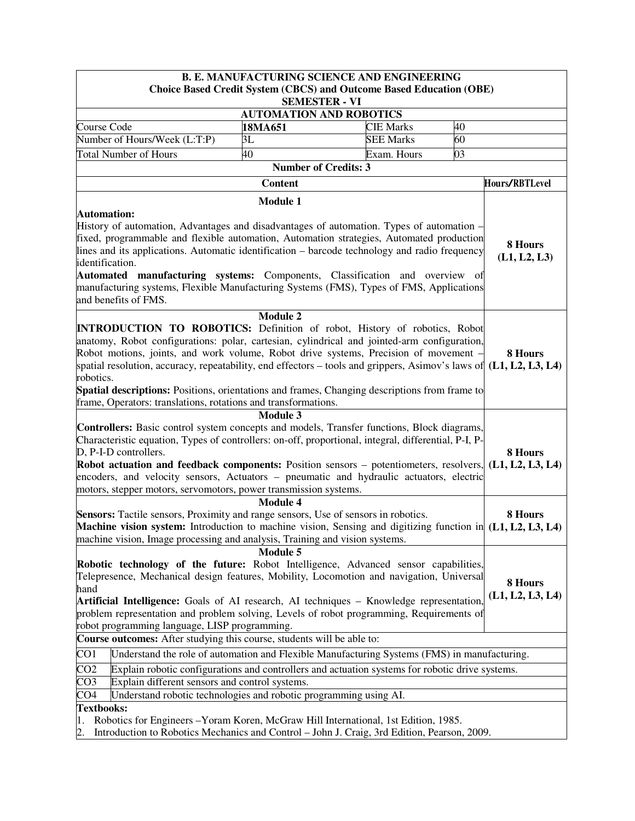|                                                                                                                                                                                                                                                                                                                                                                                                           |                                                                                                    | <b>B. E. MANUFACTURING SCIENCE AND ENGINEERING</b>                                                                                                                                                                                                                                                                                                                                                                                                              |                             |  |  |  |
|-----------------------------------------------------------------------------------------------------------------------------------------------------------------------------------------------------------------------------------------------------------------------------------------------------------------------------------------------------------------------------------------------------------|----------------------------------------------------------------------------------------------------|-----------------------------------------------------------------------------------------------------------------------------------------------------------------------------------------------------------------------------------------------------------------------------------------------------------------------------------------------------------------------------------------------------------------------------------------------------------------|-----------------------------|--|--|--|
|                                                                                                                                                                                                                                                                                                                                                                                                           | <b>Choice Based Credit System (CBCS) and Outcome Based Education (OBE)</b><br><b>SEMESTER - VI</b> |                                                                                                                                                                                                                                                                                                                                                                                                                                                                 |                             |  |  |  |
|                                                                                                                                                                                                                                                                                                                                                                                                           |                                                                                                    |                                                                                                                                                                                                                                                                                                                                                                                                                                                                 |                             |  |  |  |
| Course Code                                                                                                                                                                                                                                                                                                                                                                                               | 18MA651                                                                                            | <b>AUTOMATION AND ROBOTICS</b><br><b>CIE Marks</b>                                                                                                                                                                                                                                                                                                                                                                                                              | 40                          |  |  |  |
| Number of Hours/Week (L:T:P)                                                                                                                                                                                                                                                                                                                                                                              | 3L                                                                                                 | <b>SEE Marks</b>                                                                                                                                                                                                                                                                                                                                                                                                                                                | 60                          |  |  |  |
| <b>Total Number of Hours</b>                                                                                                                                                                                                                                                                                                                                                                              | 40                                                                                                 | Exam. Hours                                                                                                                                                                                                                                                                                                                                                                                                                                                     | 03                          |  |  |  |
|                                                                                                                                                                                                                                                                                                                                                                                                           |                                                                                                    | <b>Number of Credits: 3</b>                                                                                                                                                                                                                                                                                                                                                                                                                                     |                             |  |  |  |
|                                                                                                                                                                                                                                                                                                                                                                                                           | <b>Content</b>                                                                                     |                                                                                                                                                                                                                                                                                                                                                                                                                                                                 | Hours/RBTLevel              |  |  |  |
|                                                                                                                                                                                                                                                                                                                                                                                                           | <b>Module 1</b>                                                                                    |                                                                                                                                                                                                                                                                                                                                                                                                                                                                 |                             |  |  |  |
| Automation:<br>identification.<br>and benefits of FMS.                                                                                                                                                                                                                                                                                                                                                    |                                                                                                    | History of automation, Advantages and disadvantages of automation. Types of automation –<br>fixed, programmable and flexible automation, Automation strategies, Automated production<br>lines and its applications. Automatic identification – barcode technology and radio frequency<br>Automated manufacturing systems: Components, Classification and overview of<br>manufacturing systems, Flexible Manufacturing Systems (FMS), Types of FMS, Applications | 8 Hours<br>(L1, L2, L3)     |  |  |  |
|                                                                                                                                                                                                                                                                                                                                                                                                           |                                                                                                    |                                                                                                                                                                                                                                                                                                                                                                                                                                                                 |                             |  |  |  |
| <b>INTRODUCTION TO ROBOTICS:</b> Definition of robot, History of robotics, Robot<br>robotics.<br><b>Spatial descriptions:</b> Positions, orientations and frames, Changing descriptions from frame to<br>frame, Operators: translations, rotations and transformations.                                                                                                                                   | <b>Module 2</b><br><b>Module 3</b>                                                                 | anatomy, Robot configurations: polar, cartesian, cylindrical and jointed-arm configuration,<br>Robot motions, joints, and work volume, Robot drive systems, Precision of movement -<br>spatial resolution, accuracy, repeatability, end effectors – tools and grippers, Asimov's laws of $(L1, L2, L3, L4)$                                                                                                                                                     | 8 Hours                     |  |  |  |
| Characteristic equation, Types of controllers: on-off, proportional, integral, differential, P-I, P-<br>D, P-I-D controllers.<br>Robot actuation and feedback components: Position sensors – potentiometers, resolvers, $(L1, L2, L3, L4)$<br>encoders, and velocity sensors, Actuators – pneumatic and hydraulic actuators, electric<br>motors, stepper motors, servomotors, power transmission systems. |                                                                                                    | <b>Controllers:</b> Basic control system concepts and models, Transfer functions, Block diagrams,                                                                                                                                                                                                                                                                                                                                                               | 8 Hours                     |  |  |  |
|                                                                                                                                                                                                                                                                                                                                                                                                           | <b>Module 4</b>                                                                                    |                                                                                                                                                                                                                                                                                                                                                                                                                                                                 |                             |  |  |  |
| Sensors: Tactile sensors, Proximity and range sensors, Use of sensors in robotics.<br><b>Machine vision system:</b> Introduction to machine vision, Sensing and digitizing function in $(L1, L2, L3, L4)$<br>machine vision, Image processing and analysis, Training and vision systems.                                                                                                                  |                                                                                                    |                                                                                                                                                                                                                                                                                                                                                                                                                                                                 | 8 Hours                     |  |  |  |
| Robotic technology of the future: Robot Intelligence, Advanced sensor capabilities,<br>hand<br>robot programming language, LISP programming.                                                                                                                                                                                                                                                              | <b>Module 5</b>                                                                                    | Telepresence, Mechanical design features, Mobility, Locomotion and navigation, Universal<br>Artificial Intelligence: Goals of AI research, AI techniques – Knowledge representation,<br>problem representation and problem solving, Levels of robot programming, Requirements of                                                                                                                                                                                | 8 Hours<br>(L1, L2, L3, L4) |  |  |  |
| Course outcomes: After studying this course, students will be able to:                                                                                                                                                                                                                                                                                                                                    |                                                                                                    |                                                                                                                                                                                                                                                                                                                                                                                                                                                                 |                             |  |  |  |
| CO <sub>1</sub>                                                                                                                                                                                                                                                                                                                                                                                           |                                                                                                    | Understand the role of automation and Flexible Manufacturing Systems (FMS) in manufacturing.                                                                                                                                                                                                                                                                                                                                                                    |                             |  |  |  |
| CO <sub>2</sub>                                                                                                                                                                                                                                                                                                                                                                                           |                                                                                                    | Explain robotic configurations and controllers and actuation systems for robotic drive systems.                                                                                                                                                                                                                                                                                                                                                                 |                             |  |  |  |
| CO <sub>3</sub>                                                                                                                                                                                                                                                                                                                                                                                           | Explain different sensors and control systems.                                                     |                                                                                                                                                                                                                                                                                                                                                                                                                                                                 |                             |  |  |  |
| CO <sub>4</sub>                                                                                                                                                                                                                                                                                                                                                                                           | Understand robotic technologies and robotic programming using AI.                                  |                                                                                                                                                                                                                                                                                                                                                                                                                                                                 |                             |  |  |  |
| <b>Textbooks:</b>                                                                                                                                                                                                                                                                                                                                                                                         |                                                                                                    |                                                                                                                                                                                                                                                                                                                                                                                                                                                                 |                             |  |  |  |
| 1.<br>2.                                                                                                                                                                                                                                                                                                                                                                                                  |                                                                                                    | Robotics for Engineers - Yoram Koren, McGraw Hill International, 1st Edition, 1985.<br>Introduction to Robotics Mechanics and Control - John J. Craig, 3rd Edition, Pearson, 2009.                                                                                                                                                                                                                                                                              |                             |  |  |  |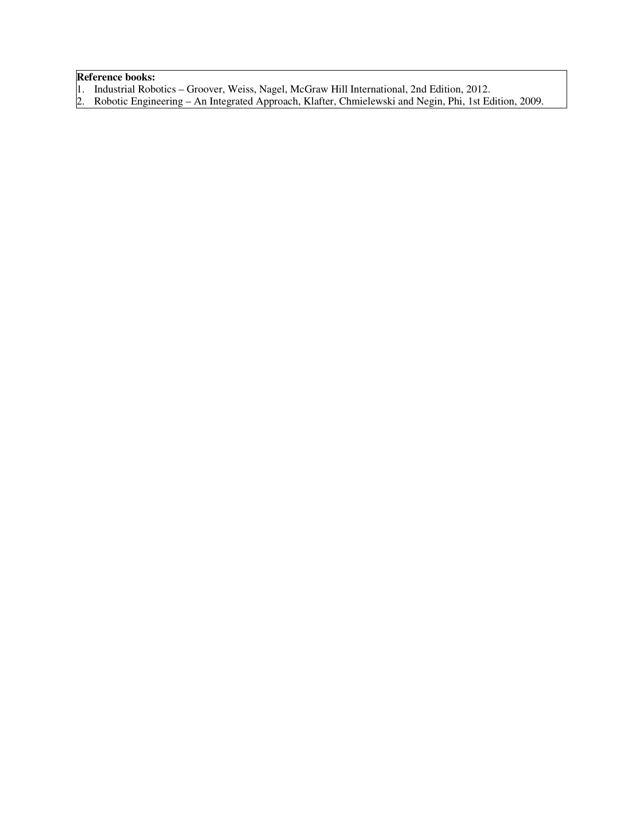# **Reference books:**

- 1. Industrial Robotics Groover, Weiss, Nagel, McGraw Hill International, 2nd Edition, 2012.
- 2. Robotic Engineering An Integrated Approach, Klafter, Chmielewski and Negin, Phi, 1st Edition, 2009.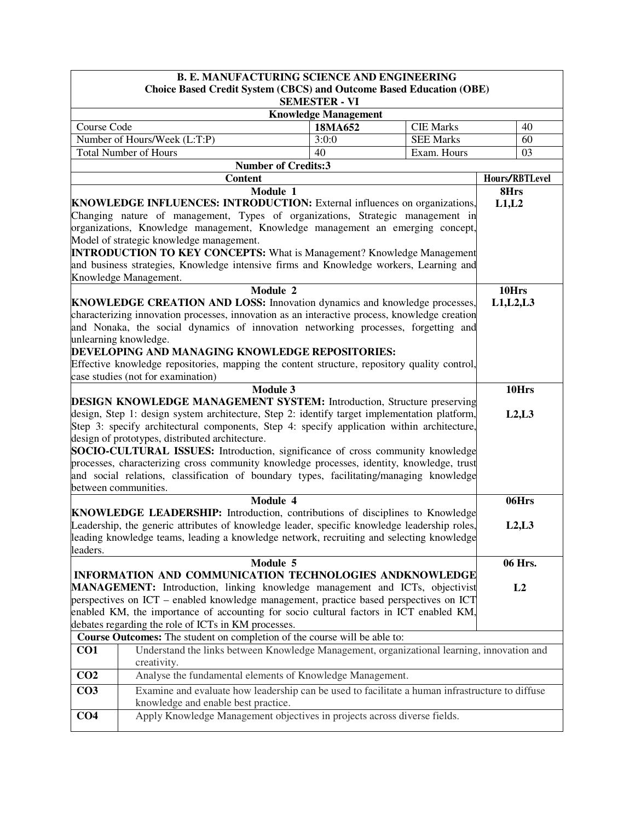|                                                                                                                                    | <b>B. E. MANUFACTURING SCIENCE AND ENGINEERING</b>                                                          |                                                     |                  |            |                |
|------------------------------------------------------------------------------------------------------------------------------------|-------------------------------------------------------------------------------------------------------------|-----------------------------------------------------|------------------|------------|----------------|
|                                                                                                                                    | <b>Choice Based Credit System (CBCS) and Outcome Based Education (OBE)</b>                                  |                                                     |                  |            |                |
|                                                                                                                                    |                                                                                                             | <b>SEMESTER - VI</b><br><b>Knowledge Management</b> |                  |            |                |
| Course Code                                                                                                                        |                                                                                                             | 18MA652                                             | <b>CIE Marks</b> |            | 40             |
|                                                                                                                                    | Number of Hours/Week (L:T:P)                                                                                | 3:0:0                                               | <b>SEE Marks</b> |            | 60             |
|                                                                                                                                    | <b>Total Number of Hours</b>                                                                                | 40                                                  | Exam. Hours      |            | 03             |
|                                                                                                                                    | <b>Number of Credits:3</b>                                                                                  |                                                     |                  |            |                |
| <b>Content</b>                                                                                                                     |                                                                                                             |                                                     |                  |            | Hours/RBTLevel |
| Module 1                                                                                                                           |                                                                                                             |                                                     |                  | 8Hrs       |                |
|                                                                                                                                    | <b>KNOWLEDGE INFLUENCES: INTRODUCTION:</b> External influences on organizations,                            |                                                     |                  | L1,L2      |                |
|                                                                                                                                    | Changing nature of management, Types of organizations, Strategic management in                              |                                                     |                  |            |                |
|                                                                                                                                    | organizations, Knowledge management, Knowledge management an emerging concept,                              |                                                     |                  |            |                |
|                                                                                                                                    | Model of strategic knowledge management.                                                                    |                                                     |                  |            |                |
|                                                                                                                                    | <b>INTRODUCTION TO KEY CONCEPTS:</b> What is Management? Knowledge Management                               |                                                     |                  |            |                |
|                                                                                                                                    | and business strategies, Knowledge intensive firms and Knowledge workers, Learning and                      |                                                     |                  |            |                |
|                                                                                                                                    | Knowledge Management.                                                                                       |                                                     |                  |            |                |
|                                                                                                                                    | Module 2                                                                                                    |                                                     |                  | 10Hrs      |                |
|                                                                                                                                    | KNOWLEDGE CREATION AND LOSS: Innovation dynamics and knowledge processes,                                   |                                                     |                  | L1, L2, L3 |                |
|                                                                                                                                    | characterizing innovation processes, innovation as an interactive process, knowledge creation               |                                                     |                  |            |                |
|                                                                                                                                    | and Nonaka, the social dynamics of innovation networking processes, forgetting and<br>unlearning knowledge. |                                                     |                  |            |                |
|                                                                                                                                    | DEVELOPING AND MANAGING KNOWLEDGE REPOSITORIES:                                                             |                                                     |                  |            |                |
|                                                                                                                                    |                                                                                                             |                                                     |                  |            |                |
| Effective knowledge repositories, mapping the content structure, repository quality control,<br>case studies (not for examination) |                                                                                                             |                                                     |                  |            |                |
| <b>Module 3</b>                                                                                                                    |                                                                                                             |                                                     |                  |            | 10Hrs          |
| <b>DESIGN KNOWLEDGE MANAGEMENT SYSTEM:</b> Introduction, Structure preserving                                                      |                                                                                                             |                                                     |                  |            |                |
| design, Step 1: design system architecture, Step 2: identify target implementation platform,                                       |                                                                                                             |                                                     |                  |            | L2, L3         |
| Step 3: specify architectural components, Step 4: specify application within architecture,                                         |                                                                                                             |                                                     |                  |            |                |
|                                                                                                                                    | design of prototypes, distributed architecture.                                                             |                                                     |                  |            |                |
|                                                                                                                                    | <b>SOCIO-CULTURAL ISSUES:</b> Introduction, significance of cross community knowledge                       |                                                     |                  |            |                |
|                                                                                                                                    | processes, characterizing cross community knowledge processes, identity, knowledge, trust                   |                                                     |                  |            |                |
|                                                                                                                                    | and social relations, classification of boundary types, facilitating/managing knowledge                     |                                                     |                  |            |                |
|                                                                                                                                    | between communities.                                                                                        |                                                     |                  |            |                |
|                                                                                                                                    | Module 4                                                                                                    |                                                     |                  |            | 06Hrs          |
|                                                                                                                                    | <b>KNOWLEDGE LEADERSHIP:</b> Introduction, contributions of disciplines to Knowledge                        |                                                     |                  |            |                |
|                                                                                                                                    | Leadership, the generic attributes of knowledge leader, specific knowledge leadership roles,                |                                                     |                  |            | L2, L3         |
|                                                                                                                                    | leading knowledge teams, leading a knowledge network, recruiting and selecting knowledge                    |                                                     |                  |            |                |
| leaders.                                                                                                                           | Module 5                                                                                                    |                                                     |                  |            | 06 Hrs.        |
|                                                                                                                                    | INFORMATION AND COMMUNICATION TECHNOLOGIES ANDKNOWLEDGE                                                     |                                                     |                  |            |                |
|                                                                                                                                    | MANAGEMENT: Introduction, linking knowledge management and ICTs, objectivist                                |                                                     |                  |            | L2             |
|                                                                                                                                    | perspectives on ICT - enabled knowledge management, practice based perspectives on ICT                      |                                                     |                  |            |                |
|                                                                                                                                    | enabled KM, the importance of accounting for socio cultural factors in ICT enabled KM,                      |                                                     |                  |            |                |
|                                                                                                                                    | debates regarding the role of ICTs in KM processes.                                                         |                                                     |                  |            |                |
|                                                                                                                                    | Course Outcomes: The student on completion of the course will be able to:                                   |                                                     |                  |            |                |
| CO <sub>1</sub>                                                                                                                    | Understand the links between Knowledge Management, organizational learning, innovation and                  |                                                     |                  |            |                |
|                                                                                                                                    | creativity.                                                                                                 |                                                     |                  |            |                |
| CO <sub>2</sub>                                                                                                                    | Analyse the fundamental elements of Knowledge Management.                                                   |                                                     |                  |            |                |
| CO <sub>3</sub>                                                                                                                    | Examine and evaluate how leadership can be used to facilitate a human infrastructure to diffuse             |                                                     |                  |            |                |
|                                                                                                                                    | knowledge and enable best practice.                                                                         |                                                     |                  |            |                |
| CO <sub>4</sub>                                                                                                                    | Apply Knowledge Management objectives in projects across diverse fields.                                    |                                                     |                  |            |                |
|                                                                                                                                    |                                                                                                             |                                                     |                  |            |                |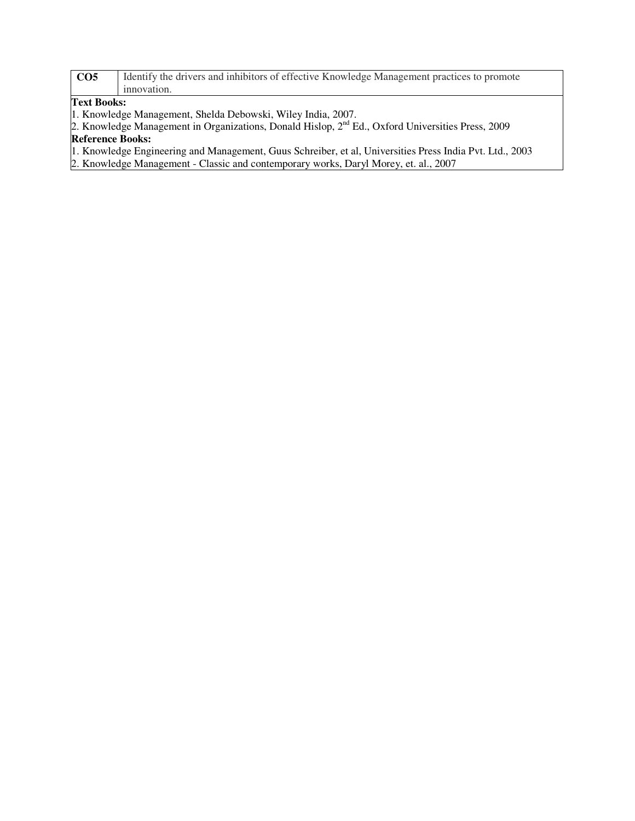| CO <sub>5</sub> | I Identify the drivers and inhibitors of effective Knowledge Management practices to promote |  |  |  |
|-----------------|----------------------------------------------------------------------------------------------|--|--|--|
|                 | innovation.                                                                                  |  |  |  |
| Text Books:     |                                                                                              |  |  |  |

1. Knowledge Management, Shelda Debowski, Wiley India, 2007.

2. Knowledge Management in Organizations, Donald Hislop, 2<sup>nd</sup> Ed., Oxford Universities Press, 2009 **Reference Books:** 

1. Knowledge Engineering and Management, Guus Schreiber, et al, Universities Press India Pvt. Ltd., 2003

2. Knowledge Management - Classic and contemporary works, Daryl Morey, et. al., 2007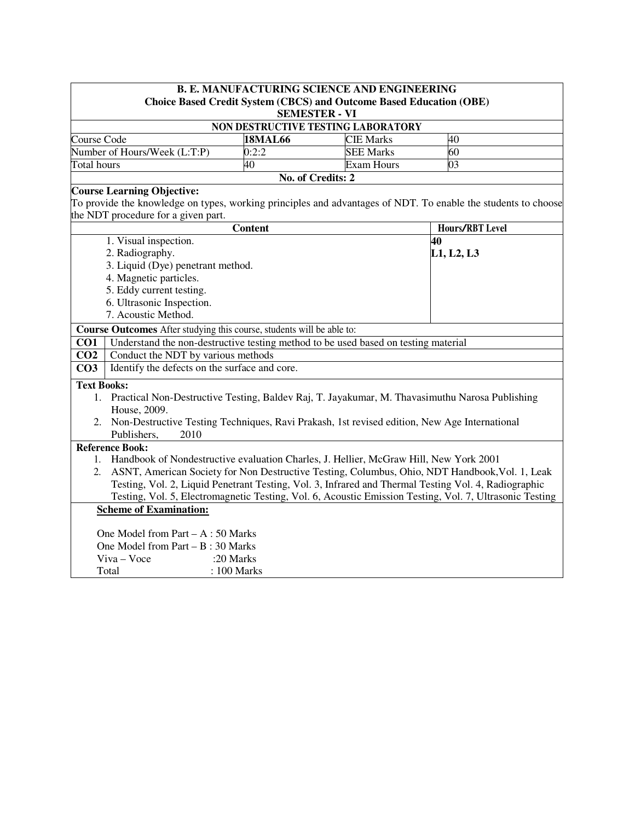| <b>B. E. MANUFACTURING SCIENCE AND ENGINEERING</b>                                                                                       |                                                                                                                                                                                                           |                   |                   |                                                                                                               |
|------------------------------------------------------------------------------------------------------------------------------------------|-----------------------------------------------------------------------------------------------------------------------------------------------------------------------------------------------------------|-------------------|-------------------|---------------------------------------------------------------------------------------------------------------|
| <b>Choice Based Credit System (CBCS) and Outcome Based Education (OBE)</b>                                                               |                                                                                                                                                                                                           |                   |                   |                                                                                                               |
| <b>SEMESTER - VI</b><br>NON DESTRUCTIVE TESTING LABORATORY                                                                               |                                                                                                                                                                                                           |                   |                   |                                                                                                               |
| Course Code                                                                                                                              |                                                                                                                                                                                                           | <b>18MAL66</b>    | <b>CIE Marks</b>  | 40                                                                                                            |
|                                                                                                                                          | Number of Hours/Week (L:T:P)                                                                                                                                                                              | 0:2:2             | <b>SEE Marks</b>  | 60                                                                                                            |
| Total hours                                                                                                                              |                                                                                                                                                                                                           | 40                | <b>Exam Hours</b> | 03                                                                                                            |
|                                                                                                                                          |                                                                                                                                                                                                           | No. of Credits: 2 |                   |                                                                                                               |
|                                                                                                                                          | <b>Course Learning Objective:</b>                                                                                                                                                                         |                   |                   |                                                                                                               |
|                                                                                                                                          |                                                                                                                                                                                                           |                   |                   | To provide the knowledge on types, working principles and advantages of NDT. To enable the students to choose |
|                                                                                                                                          | the NDT procedure for a given part.                                                                                                                                                                       |                   |                   |                                                                                                               |
|                                                                                                                                          |                                                                                                                                                                                                           | <b>Content</b>    |                   | Hours/RBT Level                                                                                               |
|                                                                                                                                          | 1. Visual inspection.                                                                                                                                                                                     |                   |                   | 40                                                                                                            |
|                                                                                                                                          | 2. Radiography.<br>3. Liquid (Dye) penetrant method.                                                                                                                                                      |                   |                   | L1, L2, L3                                                                                                    |
|                                                                                                                                          | 4. Magnetic particles.                                                                                                                                                                                    |                   |                   |                                                                                                               |
|                                                                                                                                          | 5. Eddy current testing.                                                                                                                                                                                  |                   |                   |                                                                                                               |
|                                                                                                                                          | 6. Ultrasonic Inspection.                                                                                                                                                                                 |                   |                   |                                                                                                               |
|                                                                                                                                          | 7. Acoustic Method.                                                                                                                                                                                       |                   |                   |                                                                                                               |
|                                                                                                                                          | Course Outcomes After studying this course, students will be able to:                                                                                                                                     |                   |                   |                                                                                                               |
| CO1                                                                                                                                      | Understand the non-destructive testing method to be used based on testing material                                                                                                                        |                   |                   |                                                                                                               |
| CO <sub>2</sub>                                                                                                                          | Conduct the NDT by various methods                                                                                                                                                                        |                   |                   |                                                                                                               |
| CO <sub>3</sub>                                                                                                                          | Identify the defects on the surface and core.                                                                                                                                                             |                   |                   |                                                                                                               |
| <b>Text Books:</b>                                                                                                                       |                                                                                                                                                                                                           |                   |                   |                                                                                                               |
|                                                                                                                                          | 1. Practical Non-Destructive Testing, Baldev Raj, T. Jayakumar, M. Thavasimuthu Narosa Publishing                                                                                                         |                   |                   |                                                                                                               |
|                                                                                                                                          | House, 2009.                                                                                                                                                                                              |                   |                   |                                                                                                               |
|                                                                                                                                          | 2. Non-Destructive Testing Techniques, Ravi Prakash, 1st revised edition, New Age International                                                                                                           |                   |                   |                                                                                                               |
|                                                                                                                                          | Publishers,<br>2010                                                                                                                                                                                       |                   |                   |                                                                                                               |
|                                                                                                                                          | <b>Reference Book:</b>                                                                                                                                                                                    |                   |                   |                                                                                                               |
| 1.                                                                                                                                       | Handbook of Nondestructive evaluation Charles, J. Hellier, McGraw Hill, New York 2001                                                                                                                     |                   |                   |                                                                                                               |
|                                                                                                                                          | 2. ASNT, American Society for Non Destructive Testing, Columbus, Ohio, NDT Handbook, Vol. 1, Leak<br>Testing, Vol. 2, Liquid Penetrant Testing, Vol. 3, Infrared and Thermal Testing Vol. 4, Radiographic |                   |                   |                                                                                                               |
|                                                                                                                                          |                                                                                                                                                                                                           |                   |                   |                                                                                                               |
| Testing, Vol. 5, Electromagnetic Testing, Vol. 6, Acoustic Emission Testing, Vol. 7, Ultrasonic Testing<br><b>Scheme of Examination:</b> |                                                                                                                                                                                                           |                   |                   |                                                                                                               |
|                                                                                                                                          |                                                                                                                                                                                                           |                   |                   |                                                                                                               |
| One Model from Part $- A : 50$ Marks                                                                                                     |                                                                                                                                                                                                           |                   |                   |                                                                                                               |
| One Model from Part $- B : 30$ Marks                                                                                                     |                                                                                                                                                                                                           |                   |                   |                                                                                                               |
|                                                                                                                                          | Viva - Voce<br>:20 Marks                                                                                                                                                                                  |                   |                   |                                                                                                               |
|                                                                                                                                          | : 100 Marks<br>Total                                                                                                                                                                                      |                   |                   |                                                                                                               |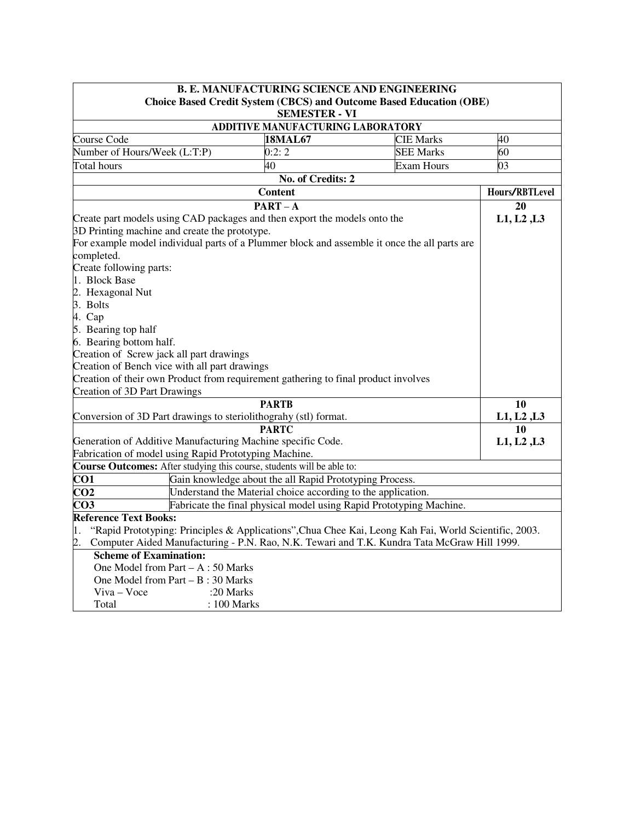| <b>B. E. MANUFACTURING SCIENCE AND ENGINEERING</b>                                                          |                                                                                              |                   |                |
|-------------------------------------------------------------------------------------------------------------|----------------------------------------------------------------------------------------------|-------------------|----------------|
|                                                                                                             | <b>Choice Based Credit System (CBCS) and Outcome Based Education (OBE)</b>                   |                   |                |
|                                                                                                             | <b>SEMESTER - VI</b>                                                                         |                   |                |
|                                                                                                             | ADDITIVE MANUFACTURING LABORATORY                                                            |                   |                |
| Course Code                                                                                                 | <b>18MAL67</b>                                                                               | <b>CIE Marks</b>  | 40             |
| Number of Hours/Week (L:T:P)                                                                                | 0:2:2                                                                                        | <b>SEE Marks</b>  | 60             |
| Total hours                                                                                                 | 40                                                                                           | <b>Exam Hours</b> | 03             |
|                                                                                                             | No. of Credits: 2                                                                            |                   |                |
|                                                                                                             | <b>Content</b>                                                                               |                   | Hours/RBTLevel |
|                                                                                                             | $PART - A$                                                                                   |                   | 20             |
|                                                                                                             | Create part models using CAD packages and then export the models onto the                    |                   | L1, L2, L3     |
| 3D Printing machine and create the prototype.                                                               |                                                                                              |                   |                |
|                                                                                                             | For example model individual parts of a Plummer block and assemble it once the all parts are |                   |                |
| completed.                                                                                                  |                                                                                              |                   |                |
| Create following parts:                                                                                     |                                                                                              |                   |                |
| 1. Block Base                                                                                               |                                                                                              |                   |                |
| 2. Hexagonal Nut                                                                                            |                                                                                              |                   |                |
| 3. Bolts                                                                                                    |                                                                                              |                   |                |
| 4. Cap                                                                                                      |                                                                                              |                   |                |
| 5. Bearing top half                                                                                         |                                                                                              |                   |                |
| 6. Bearing bottom half.                                                                                     |                                                                                              |                   |                |
| Creation of Screw jack all part drawings                                                                    |                                                                                              |                   |                |
| Creation of Bench vice with all part drawings                                                               |                                                                                              |                   |                |
|                                                                                                             | Creation of their own Product from requirement gathering to final product involves           |                   |                |
| Creation of 3D Part Drawings                                                                                |                                                                                              |                   |                |
|                                                                                                             | <b>PARTB</b>                                                                                 |                   | 10             |
| Conversion of 3D Part drawings to steriolithograhy (stl) format.                                            |                                                                                              |                   | L1, L2, L3     |
| <b>PARTC</b>                                                                                                |                                                                                              |                   | 10             |
| Generation of Additive Manufacturing Machine specific Code.                                                 |                                                                                              |                   | L1, L2, L3     |
|                                                                                                             | Fabrication of model using Rapid Prototyping Machine.                                        |                   |                |
|                                                                                                             | Course Outcomes: After studying this course, students will be able to:                       |                   |                |
| CO <sub>1</sub>                                                                                             | Gain knowledge about the all Rapid Prototyping Process.                                      |                   |                |
| CO <sub>2</sub>                                                                                             | Understand the Material choice according to the application.                                 |                   |                |
| Fabricate the final physical model using Rapid Prototyping Machine.<br>CO <sub>3</sub>                      |                                                                                              |                   |                |
| <b>Reference Text Books:</b>                                                                                |                                                                                              |                   |                |
| "Rapid Prototyping: Principles & Applications", Chua Chee Kai, Leong Kah Fai, World Scientific, 2003.<br>1. |                                                                                              |                   |                |
| Computer Aided Manufacturing - P.N. Rao, N.K. Tewari and T.K. Kundra Tata McGraw Hill 1999.<br>2.           |                                                                                              |                   |                |
| <b>Scheme of Examination:</b>                                                                               |                                                                                              |                   |                |
| One Model from Part $- A : 50$ Marks                                                                        |                                                                                              |                   |                |
| One Model from Part $- B : 30$ Marks                                                                        |                                                                                              |                   |                |
| Viva - Voce<br>:20 Marks                                                                                    |                                                                                              |                   |                |
| : 100 Marks<br>Total                                                                                        |                                                                                              |                   |                |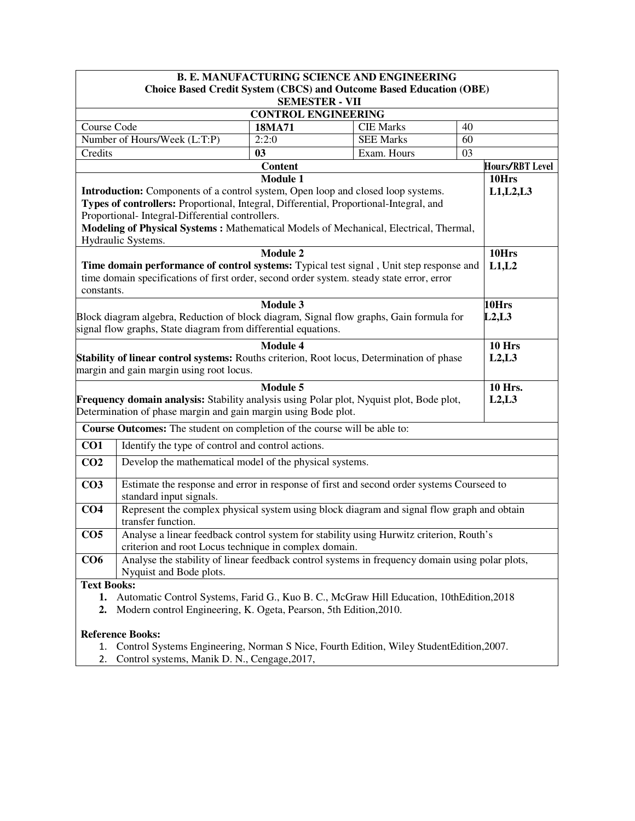| <b>B. E. MANUFACTURING SCIENCE AND ENGINEERING</b>                                                                                                                   |                                                                                                                      |                            |                                      |        |                 |  |
|----------------------------------------------------------------------------------------------------------------------------------------------------------------------|----------------------------------------------------------------------------------------------------------------------|----------------------------|--------------------------------------|--------|-----------------|--|
| <b>Choice Based Credit System (CBCS) and Outcome Based Education (OBE)</b>                                                                                           |                                                                                                                      |                            |                                      |        |                 |  |
| <b>SEMESTER - VII</b>                                                                                                                                                |                                                                                                                      |                            |                                      |        |                 |  |
|                                                                                                                                                                      |                                                                                                                      | <b>CONTROL ENGINEERING</b> |                                      |        |                 |  |
| Course Code                                                                                                                                                          |                                                                                                                      | 18MA71<br>2:2:0            | <b>CIE Marks</b><br><b>SEE Marks</b> | 40     |                 |  |
| Credits                                                                                                                                                              | Number of Hours/Week (L:T:P)                                                                                         | 03                         | Exam. Hours                          | 60     |                 |  |
|                                                                                                                                                                      |                                                                                                                      | <b>Content</b>             |                                      | 03     | Hours/RBT Level |  |
|                                                                                                                                                                      |                                                                                                                      | <b>Module 1</b>            |                                      |        | 10Hrs           |  |
|                                                                                                                                                                      | <b>Introduction:</b> Components of a control system, Open loop and closed loop systems.                              |                            |                                      |        | L1, L2, L3      |  |
|                                                                                                                                                                      | Types of controllers: Proportional, Integral, Differential, Proportional-Integral, and                               |                            |                                      |        |                 |  |
|                                                                                                                                                                      | Proportional- Integral-Differential controllers.                                                                     |                            |                                      |        |                 |  |
|                                                                                                                                                                      | Modeling of Physical Systems: Mathematical Models of Mechanical, Electrical, Thermal,                                |                            |                                      |        |                 |  |
|                                                                                                                                                                      | Hydraulic Systems.                                                                                                   |                            |                                      |        |                 |  |
|                                                                                                                                                                      |                                                                                                                      | <b>Module 2</b>            |                                      |        | 10Hrs           |  |
|                                                                                                                                                                      | Time domain performance of control systems: Typical test signal, Unit step response and                              |                            |                                      |        | L1,L2           |  |
|                                                                                                                                                                      | time domain specifications of first order, second order system. steady state error, error                            |                            |                                      |        |                 |  |
| constants.                                                                                                                                                           |                                                                                                                      |                            |                                      |        |                 |  |
|                                                                                                                                                                      |                                                                                                                      | <b>Module 3</b>            |                                      |        | 10Hrs           |  |
|                                                                                                                                                                      | Block diagram algebra, Reduction of block diagram, Signal flow graphs, Gain formula for                              |                            |                                      |        | L2, L3          |  |
|                                                                                                                                                                      | signal flow graphs, State diagram from differential equations.                                                       |                            |                                      |        |                 |  |
|                                                                                                                                                                      |                                                                                                                      | <b>Module 4</b>            |                                      |        | 10 Hrs          |  |
|                                                                                                                                                                      | Stability of linear control systems: Rouths criterion, Root locus, Determination of phase                            |                            |                                      |        | L2, L3          |  |
|                                                                                                                                                                      | margin and gain margin using root locus.                                                                             |                            |                                      |        |                 |  |
|                                                                                                                                                                      |                                                                                                                      | Module 5                   |                                      |        | <b>10 Hrs.</b>  |  |
| Frequency domain analysis: Stability analysis using Polar plot, Nyquist plot, Bode plot,                                                                             |                                                                                                                      |                            |                                      | L2, L3 |                 |  |
|                                                                                                                                                                      | Determination of phase margin and gain margin using Bode plot.                                                       |                            |                                      |        |                 |  |
|                                                                                                                                                                      | Course Outcomes: The student on completion of the course will be able to:                                            |                            |                                      |        |                 |  |
| CO <sub>1</sub>                                                                                                                                                      | Identify the type of control and control actions.                                                                    |                            |                                      |        |                 |  |
| CO <sub>2</sub>                                                                                                                                                      | Develop the mathematical model of the physical systems.                                                              |                            |                                      |        |                 |  |
| CO <sub>3</sub>                                                                                                                                                      |                                                                                                                      |                            |                                      |        |                 |  |
|                                                                                                                                                                      | Estimate the response and error in response of first and second order systems Courseed to<br>standard input signals. |                            |                                      |        |                 |  |
| CO <sub>4</sub>                                                                                                                                                      | Represent the complex physical system using block diagram and signal flow graph and obtain                           |                            |                                      |        |                 |  |
|                                                                                                                                                                      | transfer function.                                                                                                   |                            |                                      |        |                 |  |
| CO <sub>5</sub>                                                                                                                                                      | Analyse a linear feedback control system for stability using Hurwitz criterion, Routh's                              |                            |                                      |        |                 |  |
|                                                                                                                                                                      | criterion and root Locus technique in complex domain.                                                                |                            |                                      |        |                 |  |
| CO6                                                                                                                                                                  | Analyse the stability of linear feedback control systems in frequency domain using polar plots,                      |                            |                                      |        |                 |  |
|                                                                                                                                                                      | Nyquist and Bode plots.                                                                                              |                            |                                      |        |                 |  |
| <b>Text Books:</b>                                                                                                                                                   |                                                                                                                      |                            |                                      |        |                 |  |
| Automatic Control Systems, Farid G., Kuo B. C., McGraw Hill Education, 10th Edition, 2018<br>1.<br>Modern control Engineering, K. Ogeta, Pearson, 5th Edition, 2010. |                                                                                                                      |                            |                                      |        |                 |  |
| 2.                                                                                                                                                                   |                                                                                                                      |                            |                                      |        |                 |  |
|                                                                                                                                                                      | <b>Reference Books:</b>                                                                                              |                            |                                      |        |                 |  |

- 1. Control Systems Engineering, Norman S Nice, Fourth Edition, Wiley StudentEdition,2007.
- 2. Control systems, Manik D. N., Cengage,2017,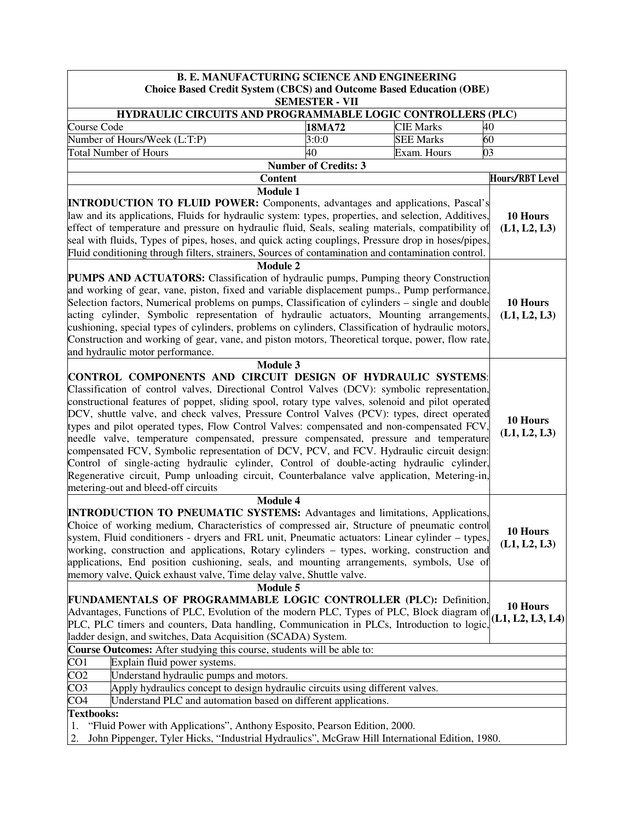| <b>B. E. MANUFACTURING SCIENCE AND ENGINEERING</b>                                                                                                                                                                                                                                                                                                                                                                                                                                                                                                                                                                                                                                                                                                                                                                                                                                                |                                                                            |                        |                              |  |  |
|---------------------------------------------------------------------------------------------------------------------------------------------------------------------------------------------------------------------------------------------------------------------------------------------------------------------------------------------------------------------------------------------------------------------------------------------------------------------------------------------------------------------------------------------------------------------------------------------------------------------------------------------------------------------------------------------------------------------------------------------------------------------------------------------------------------------------------------------------------------------------------------------------|----------------------------------------------------------------------------|------------------------|------------------------------|--|--|
|                                                                                                                                                                                                                                                                                                                                                                                                                                                                                                                                                                                                                                                                                                                                                                                                                                                                                                   | <b>Choice Based Credit System (CBCS) and Outcome Based Education (OBE)</b> |                        |                              |  |  |
| <b>SEMESTER - VII</b><br>HYDRAULIC CIRCUITS AND PROGRAMMABLE LOGIC CONTROLLERS (PLC)                                                                                                                                                                                                                                                                                                                                                                                                                                                                                                                                                                                                                                                                                                                                                                                                              |                                                                            |                        |                              |  |  |
| Course Code                                                                                                                                                                                                                                                                                                                                                                                                                                                                                                                                                                                                                                                                                                                                                                                                                                                                                       | 18MA72                                                                     | <b>CIE Marks</b><br>40 |                              |  |  |
| Number of Hours/Week (L:T:P)                                                                                                                                                                                                                                                                                                                                                                                                                                                                                                                                                                                                                                                                                                                                                                                                                                                                      | 3:0:0                                                                      | <b>SEE Marks</b><br>60 |                              |  |  |
| <b>Total Number of Hours</b>                                                                                                                                                                                                                                                                                                                                                                                                                                                                                                                                                                                                                                                                                                                                                                                                                                                                      | 40                                                                         | Exam. Hours<br>03      |                              |  |  |
|                                                                                                                                                                                                                                                                                                                                                                                                                                                                                                                                                                                                                                                                                                                                                                                                                                                                                                   | <b>Number of Credits: 3</b>                                                |                        |                              |  |  |
| <b>Content</b>                                                                                                                                                                                                                                                                                                                                                                                                                                                                                                                                                                                                                                                                                                                                                                                                                                                                                    |                                                                            |                        | <b>Hours/RBT Level</b>       |  |  |
| <b>Module 1</b><br><b>INTRODUCTION TO FLUID POWER:</b> Components, advantages and applications, Pascal's<br>law and its applications, Fluids for hydraulic system: types, properties, and selection, Additives,<br>effect of temperature and pressure on hydraulic fluid, Seals, sealing materials, compatibility of<br>seal with fluids, Types of pipes, hoses, and quick acting couplings, Pressure drop in hoses/pipes,<br>Fluid conditioning through filters, strainers, Sources of contamination and contamination control.                                                                                                                                                                                                                                                                                                                                                                  |                                                                            |                        | 10 Hours<br>(L1, L2, L3)     |  |  |
| <b>Module 2</b><br><b>PUMPS AND ACTUATORS:</b> Classification of hydraulic pumps, Pumping theory Construction<br>and working of gear, vane, piston, fixed and variable displacement pumps., Pump performance,<br>Selection factors, Numerical problems on pumps, Classification of cylinders – single and double<br>acting cylinder, Symbolic representation of hydraulic actuators, Mounting arrangements.<br>cushioning, special types of cylinders, problems on cylinders, Classification of hydraulic motors,<br>Construction and working of gear, vane, and piston motors, Theoretical torque, power, flow rate,<br>and hydraulic motor performance.                                                                                                                                                                                                                                         |                                                                            |                        | 10 Hours<br>(L1, L2, L3)     |  |  |
| Module 3<br>CONTROL COMPONENTS AND CIRCUIT DESIGN OF HYDRAULIC SYSTEMS:<br>Classification of control valves, Directional Control Valves (DCV): symbolic representation,<br>constructional features of poppet, sliding spool, rotary type valves, solenoid and pilot operated<br>DCV, shuttle valve, and check valves, Pressure Control Valves (PCV): types, direct operated<br>types and pilot operated types, Flow Control Valves: compensated and non-compensated FCV,<br>needle valve, temperature compensated, pressure compensated, pressure and temperature<br>compensated FCV, Symbolic representation of DCV, PCV, and FCV. Hydraulic circuit design:<br>Control of single-acting hydraulic cylinder, Control of double-acting hydraulic cylinder,<br>Regenerative circuit, Pump unloading circuit, Counterbalance valve application, Metering-in,<br>metering-out and bleed-off circuits |                                                                            |                        | 10 Hours<br>(L1, L2, L3)     |  |  |
| <b>Module 4</b><br><b>INTRODUCTION TO PNEUMATIC SYSTEMS:</b> Advantages and limitations, Applications,<br>Choice of working medium, Characteristics of compressed air, Structure of pneumatic control<br>system, Fluid conditioners - dryers and FRL unit, Pneumatic actuators: Linear cylinder – types,<br>working, construction and applications, Rotary cylinders – types, working, construction and<br>applications, End position cushioning, seals, and mounting arrangements, symbols, Use of<br>memory valve, Quick exhaust valve, Time delay valve, Shuttle valve.                                                                                                                                                                                                                                                                                                                        |                                                                            |                        | 10 Hours<br>(L1, L2, L3)     |  |  |
| Module 5<br>FUNDAMENTALS OF PROGRAMMABLE LOGIC CONTROLLER (PLC): Definition,<br>Advantages, Functions of PLC, Evolution of the modern PLC, Types of PLC, Block diagram of<br>PLC, PLC timers and counters, Data handling, Communication in PLCs, Introduction to logic,<br>ladder design, and switches, Data Acquisition (SCADA) System.                                                                                                                                                                                                                                                                                                                                                                                                                                                                                                                                                          |                                                                            |                        | 10 Hours<br>(L1, L2, L3, L4) |  |  |
| Course Outcomes: After studying this course, students will be able to:                                                                                                                                                                                                                                                                                                                                                                                                                                                                                                                                                                                                                                                                                                                                                                                                                            |                                                                            |                        |                              |  |  |
| Explain fluid power systems.<br>CO <sub>1</sub>                                                                                                                                                                                                                                                                                                                                                                                                                                                                                                                                                                                                                                                                                                                                                                                                                                                   |                                                                            |                        |                              |  |  |
| CO <sub>2</sub><br>Understand hydraulic pumps and motors.<br>CO <sub>3</sub>                                                                                                                                                                                                                                                                                                                                                                                                                                                                                                                                                                                                                                                                                                                                                                                                                      |                                                                            |                        |                              |  |  |
| Apply hydraulics concept to design hydraulic circuits using different valves.<br>CO <sub>4</sub>                                                                                                                                                                                                                                                                                                                                                                                                                                                                                                                                                                                                                                                                                                                                                                                                  |                                                                            |                        |                              |  |  |
| Understand PLC and automation based on different applications.<br><b>Textbooks:</b>                                                                                                                                                                                                                                                                                                                                                                                                                                                                                                                                                                                                                                                                                                                                                                                                               |                                                                            |                        |                              |  |  |
| "Fluid Power with Applications", Anthony Esposito, Pearson Edition, 2000.<br>1.<br>John Pippenger, Tyler Hicks, "Industrial Hydraulics", McGraw Hill International Edition, 1980.<br>2.                                                                                                                                                                                                                                                                                                                                                                                                                                                                                                                                                                                                                                                                                                           |                                                                            |                        |                              |  |  |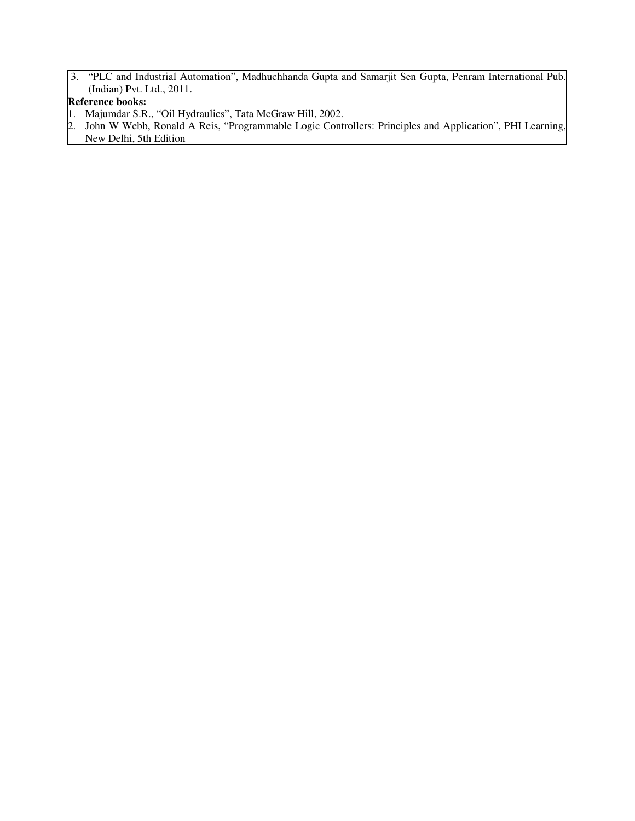3. "PLC and Industrial Automation", Madhuchhanda Gupta and Samarjit Sen Gupta, Penram International Pub. (Indian) Pvt. Ltd., 2011.

# **Reference books:**

- 1. Majumdar S.R., "Oil Hydraulics", Tata McGraw Hill, 2002.
- 2. John W Webb, Ronald A Reis, "Programmable Logic Controllers: Principles and Application", PHI Learning, New Delhi, 5th Edition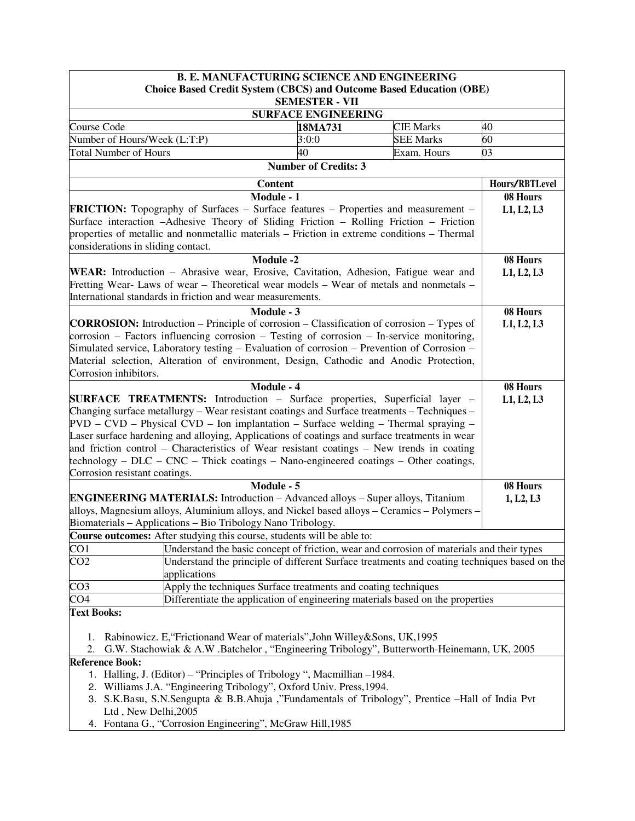| <b>B. E. MANUFACTURING SCIENCE AND ENGINEERING</b>                                                                                                                                                                                                                                                                                                                                                              |                             |                                                                                              |                        |  |
|-----------------------------------------------------------------------------------------------------------------------------------------------------------------------------------------------------------------------------------------------------------------------------------------------------------------------------------------------------------------------------------------------------------------|-----------------------------|----------------------------------------------------------------------------------------------|------------------------|--|
| <b>Choice Based Credit System (CBCS) and Outcome Based Education (OBE)</b>                                                                                                                                                                                                                                                                                                                                      |                             |                                                                                              |                        |  |
|                                                                                                                                                                                                                                                                                                                                                                                                                 | <b>SEMESTER - VII</b>       |                                                                                              |                        |  |
|                                                                                                                                                                                                                                                                                                                                                                                                                 | <b>SURFACE ENGINEERING</b>  | <b>CIE Marks</b>                                                                             | 40                     |  |
| Course Code<br>Number of Hours/Week (L:T:P)                                                                                                                                                                                                                                                                                                                                                                     | 18MA731<br>3:0:0            | <b>SEE Marks</b>                                                                             | 60                     |  |
| <b>Total Number of Hours</b>                                                                                                                                                                                                                                                                                                                                                                                    | 40                          | Exam. Hours                                                                                  | 03                     |  |
|                                                                                                                                                                                                                                                                                                                                                                                                                 | <b>Number of Credits: 3</b> |                                                                                              |                        |  |
|                                                                                                                                                                                                                                                                                                                                                                                                                 |                             |                                                                                              |                        |  |
|                                                                                                                                                                                                                                                                                                                                                                                                                 | <b>Content</b>              |                                                                                              | Hours/RBTLevel         |  |
| <b>FRICTION:</b> Topography of Surfaces – Surface features – Properties and measurement –<br>Surface interaction -Adhesive Theory of Sliding Friction - Rolling Friction - Friction<br>properties of metallic and nonmetallic materials – Friction in extreme conditions – Thermal<br>considerations in sliding contact.                                                                                        | Module - 1                  |                                                                                              | 08 Hours<br>L1, L2, L3 |  |
|                                                                                                                                                                                                                                                                                                                                                                                                                 | <b>Module -2</b>            |                                                                                              | 08 Hours               |  |
| WEAR: Introduction – Abrasive wear, Erosive, Cavitation, Adhesion, Fatigue wear and                                                                                                                                                                                                                                                                                                                             |                             |                                                                                              | L1, L2, L3             |  |
| Fretting Wear- Laws of wear – Theoretical wear models – Wear of metals and nonmetals –                                                                                                                                                                                                                                                                                                                          |                             |                                                                                              |                        |  |
| International standards in friction and wear measurements.                                                                                                                                                                                                                                                                                                                                                      |                             |                                                                                              |                        |  |
|                                                                                                                                                                                                                                                                                                                                                                                                                 | Module - 3                  |                                                                                              | 08 Hours               |  |
| <b>CORROSION:</b> Introduction – Principle of corrosion – Classification of corrosion – Types of<br>corrosion – Factors influencing corrosion – Testing of corrosion – In-service monitoring,<br>Simulated service, Laboratory testing – Evaluation of corrosion – Prevention of Corrosion –<br>Material selection, Alteration of environment, Design, Cathodic and Anodic Protection,<br>Corrosion inhibitors. |                             |                                                                                              | L1, L2, L3             |  |
|                                                                                                                                                                                                                                                                                                                                                                                                                 | Module - 4                  |                                                                                              | 08 Hours               |  |
| SURFACE TREATMENTS: Introduction - Surface properties, Superficial layer -                                                                                                                                                                                                                                                                                                                                      |                             |                                                                                              | L1, L2, L3             |  |
| Changing surface metallurgy – Wear resistant coatings and Surface treatments – Techniques –                                                                                                                                                                                                                                                                                                                     |                             |                                                                                              |                        |  |
| $PVD - CVD - Physical CVD - Ion implantation - Surface welding - Thermal spring -$                                                                                                                                                                                                                                                                                                                              |                             |                                                                                              |                        |  |
| Laser surface hardening and alloying, Applications of coatings and surface treatments in wear                                                                                                                                                                                                                                                                                                                   |                             |                                                                                              |                        |  |
| and friction control – Characteristics of Wear resistant coatings – New trends in coating                                                                                                                                                                                                                                                                                                                       |                             |                                                                                              |                        |  |
| $\text{technology} - \text{DLC} - \text{CNC} - \text{Thick coatings} - \text{Nano-engineered coatings} - \text{Other coatings},$                                                                                                                                                                                                                                                                                |                             |                                                                                              |                        |  |
| Corrosion resistant coatings.                                                                                                                                                                                                                                                                                                                                                                                   |                             |                                                                                              |                        |  |
| ENGINEERING MATERIALS: Introduction - Advanced alloys - Super alloys, Titanium<br>alloys, Magnesium alloys, Aluminium alloys, and Nickel based alloys - Ceramics - Polymers -<br>Biomaterials – Applications – Bio Tribology Nano Tribology.                                                                                                                                                                    | Module - 5                  |                                                                                              | 08 Hours<br>1, L2, L3  |  |
| Course outcomes: After studying this course, students will be able to:                                                                                                                                                                                                                                                                                                                                          |                             |                                                                                              |                        |  |
| CO1                                                                                                                                                                                                                                                                                                                                                                                                             |                             | Understand the basic concept of friction, wear and corrosion of materials and their types    |                        |  |
| CO <sub>2</sub><br>applications                                                                                                                                                                                                                                                                                                                                                                                 |                             | Understand the principle of different Surface treatments and coating techniques based on the |                        |  |
| CO <sub>3</sub><br>Apply the techniques Surface treatments and coating techniques                                                                                                                                                                                                                                                                                                                               |                             |                                                                                              |                        |  |
| CO <sub>4</sub><br>Differentiate the application of engineering materials based on the properties                                                                                                                                                                                                                                                                                                               |                             |                                                                                              |                        |  |
| <b>Text Books:</b><br>1. Rabinowicz. E, "Frictionand Wear of materials", John Willey&Sons, UK, 1995                                                                                                                                                                                                                                                                                                             |                             |                                                                                              |                        |  |
| G.W. Stachowiak & A.W. Batchelor, "Engineering Tribology", Butterworth-Heinemann, UK, 2005<br>2.                                                                                                                                                                                                                                                                                                                |                             |                                                                                              |                        |  |
| <b>Reference Book:</b><br>1. Halling, J. (Editor) – "Principles of Tribology", Macmillian –1984.<br>2. Williams J.A. "Engineering Tribology", Oxford Univ. Press, 1994.<br>3. S.K.Basu, S.N.Sengupta & B.B.Ahuja ,"Fundamentals of Tribology", Prentice -Hall of India Pvt<br>Ltd, New Delhi, 2005                                                                                                              |                             |                                                                                              |                        |  |
| 4. Fontana G., "Corrosion Engineering", McGraw Hill, 1985                                                                                                                                                                                                                                                                                                                                                       |                             |                                                                                              |                        |  |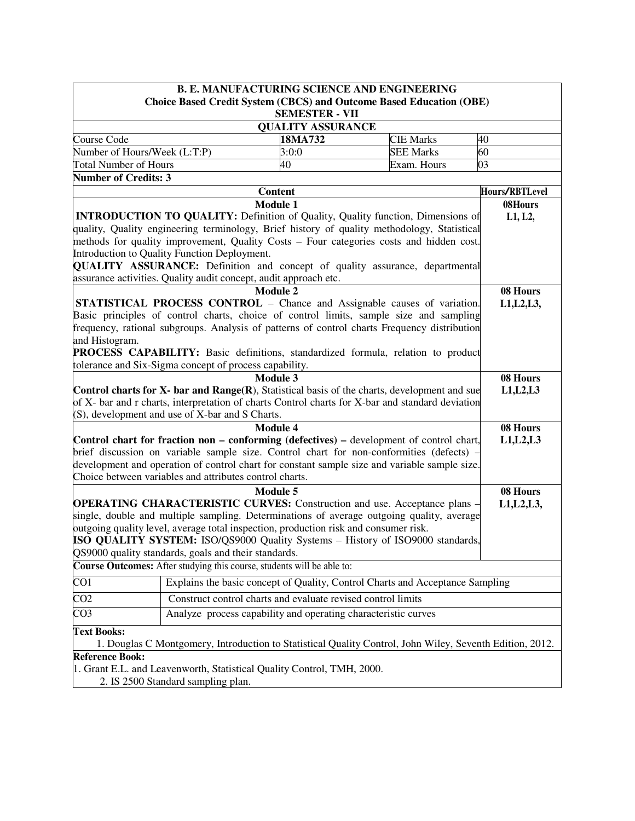|                                                                                                                                | <b>B. E. MANUFACTURING SCIENCE AND ENGINEERING</b>                                                 |                                                                                      |                                                                                                                                                                           |                |  |
|--------------------------------------------------------------------------------------------------------------------------------|----------------------------------------------------------------------------------------------------|--------------------------------------------------------------------------------------|---------------------------------------------------------------------------------------------------------------------------------------------------------------------------|----------------|--|
|                                                                                                                                |                                                                                                    |                                                                                      | <b>Choice Based Credit System (CBCS) and Outcome Based Education (OBE)</b>                                                                                                |                |  |
|                                                                                                                                |                                                                                                    | <b>SEMESTER - VII</b>                                                                |                                                                                                                                                                           |                |  |
|                                                                                                                                |                                                                                                    | <b>QUALITY ASSURANCE</b>                                                             |                                                                                                                                                                           | 40             |  |
| Course Code                                                                                                                    | 18MA732<br><b>CIE Marks</b>                                                                        |                                                                                      |                                                                                                                                                                           |                |  |
| Number of Hours/Week (L:T:P)                                                                                                   |                                                                                                    | 3:0:0                                                                                | <b>SEE Marks</b>                                                                                                                                                          | 60             |  |
| <b>Total Number of Hours</b>                                                                                                   |                                                                                                    | 40                                                                                   | Exam. Hours                                                                                                                                                               | 03             |  |
| <b>Number of Credits: 3</b>                                                                                                    |                                                                                                    |                                                                                      |                                                                                                                                                                           |                |  |
|                                                                                                                                |                                                                                                    | <b>Content</b>                                                                       |                                                                                                                                                                           | Hours/RBTLevel |  |
|                                                                                                                                |                                                                                                    | <b>Module 1</b>                                                                      |                                                                                                                                                                           | 08Hours        |  |
|                                                                                                                                |                                                                                                    |                                                                                      | <b>INTRODUCTION TO QUALITY:</b> Definition of Quality, Quality function, Dimensions of                                                                                    | L1, L2,        |  |
|                                                                                                                                |                                                                                                    |                                                                                      | quality, Quality engineering terminology, Brief history of quality methodology, Statistical                                                                               |                |  |
|                                                                                                                                |                                                                                                    |                                                                                      | methods for quality improvement, Quality Costs - Four categories costs and hidden cost.                                                                                   |                |  |
| Introduction to Quality Function Deployment.                                                                                   |                                                                                                    |                                                                                      | QUALITY ASSURANCE: Definition and concept of quality assurance, departmental                                                                                              |                |  |
|                                                                                                                                |                                                                                                    |                                                                                      |                                                                                                                                                                           |                |  |
|                                                                                                                                |                                                                                                    | assurance activities. Quality audit concept, audit approach etc.<br><b>Module 2</b>  |                                                                                                                                                                           |                |  |
|                                                                                                                                |                                                                                                    |                                                                                      |                                                                                                                                                                           | 08 Hours       |  |
|                                                                                                                                |                                                                                                    |                                                                                      | <b>STATISTICAL PROCESS CONTROL - Chance and Assignable causes of variation.</b><br>Basic principles of control charts, choice of control limits, sample size and sampling | L1, L2, L3,    |  |
|                                                                                                                                |                                                                                                    |                                                                                      | frequency, rational subgroups. Analysis of patterns of control charts Frequency distribution                                                                              |                |  |
|                                                                                                                                |                                                                                                    |                                                                                      |                                                                                                                                                                           |                |  |
|                                                                                                                                | and Histogram.<br>PROCESS CAPABILITY: Basic definitions, standardized formula, relation to product |                                                                                      |                                                                                                                                                                           |                |  |
| tolerance and Six-Sigma concept of process capability.                                                                         |                                                                                                    |                                                                                      |                                                                                                                                                                           |                |  |
|                                                                                                                                |                                                                                                    | <b>Module 3</b>                                                                      |                                                                                                                                                                           | 08 Hours       |  |
|                                                                                                                                |                                                                                                    |                                                                                      | Control charts for $X$ - bar and Range $(R)$ , Statistical basis of the charts, development and sue                                                                       | L1, L2, L3     |  |
|                                                                                                                                |                                                                                                    |                                                                                      | of X- bar and r charts, interpretation of charts Control charts for X-bar and standard deviation                                                                          |                |  |
| (S), development and use of X-bar and S Charts.                                                                                |                                                                                                    |                                                                                      |                                                                                                                                                                           |                |  |
|                                                                                                                                |                                                                                                    | <b>Module 4</b>                                                                      |                                                                                                                                                                           | 08 Hours       |  |
|                                                                                                                                |                                                                                                    |                                                                                      | Control chart for fraction non - conforming (defectives) - development of control chart,                                                                                  | L1, L2, L3     |  |
|                                                                                                                                |                                                                                                    |                                                                                      | brief discussion on variable sample size. Control chart for non-conformities (defects) -                                                                                  |                |  |
|                                                                                                                                |                                                                                                    |                                                                                      | development and operation of control chart for constant sample size and variable sample size.                                                                             |                |  |
| Choice between variables and attributes control charts.                                                                        |                                                                                                    |                                                                                      |                                                                                                                                                                           |                |  |
|                                                                                                                                |                                                                                                    | Module 5                                                                             |                                                                                                                                                                           | 08 Hours       |  |
|                                                                                                                                |                                                                                                    |                                                                                      | <b>OPERATING CHARACTERISTIC CURVES:</b> Construction and use. Acceptance plans -                                                                                          | L1, L2, L3,    |  |
|                                                                                                                                |                                                                                                    |                                                                                      | single, double and multiple sampling. Determinations of average outgoing quality, average                                                                                 |                |  |
|                                                                                                                                |                                                                                                    | outgoing quality level, average total inspection, production risk and consumer risk. |                                                                                                                                                                           |                |  |
| ISO QUALITY SYSTEM: ISO/QS9000 Quality Systems - History of ISO9000 standards,                                                 |                                                                                                    |                                                                                      |                                                                                                                                                                           |                |  |
| QS9000 quality standards, goals and their standards.                                                                           |                                                                                                    |                                                                                      |                                                                                                                                                                           |                |  |
| Course Outcomes: After studying this course, students will be able to:                                                         |                                                                                                    |                                                                                      |                                                                                                                                                                           |                |  |
| CO1                                                                                                                            |                                                                                                    |                                                                                      | Explains the basic concept of Quality, Control Charts and Acceptance Sampling                                                                                             |                |  |
| $\overline{CO2}$                                                                                                               |                                                                                                    | Construct control charts and evaluate revised control limits                         |                                                                                                                                                                           |                |  |
| CO <sub>3</sub>                                                                                                                | Analyze process capability and operating characteristic curves                                     |                                                                                      |                                                                                                                                                                           |                |  |
|                                                                                                                                |                                                                                                    |                                                                                      |                                                                                                                                                                           |                |  |
| <b>Text Books:</b><br>1. Douglas C Montgomery, Introduction to Statistical Quality Control, John Wiley, Seventh Edition, 2012. |                                                                                                    |                                                                                      |                                                                                                                                                                           |                |  |
| <b>Reference Book:</b>                                                                                                         |                                                                                                    |                                                                                      |                                                                                                                                                                           |                |  |
|                                                                                                                                |                                                                                                    | 1. Grant E.L. and Leavenworth, Statistical Quality Control, TMH, 2000.               |                                                                                                                                                                           |                |  |
|                                                                                                                                | 2. IS 2500 Standard sampling plan.                                                                 |                                                                                      |                                                                                                                                                                           |                |  |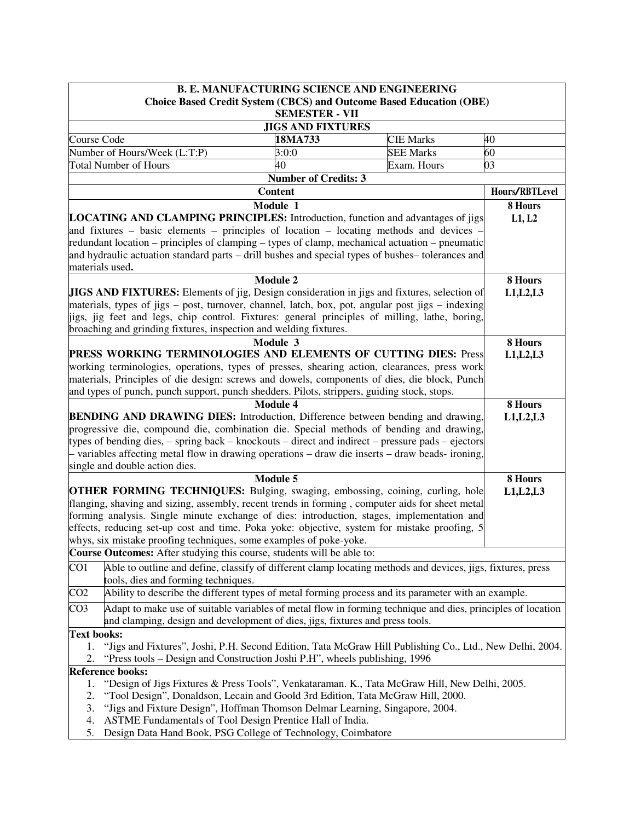|                                                                                                                                                                                              | <b>B. E. MANUFACTURING SCIENCE AND ENGINEERING</b>                                                                   |                             |                                                                            |                |
|----------------------------------------------------------------------------------------------------------------------------------------------------------------------------------------------|----------------------------------------------------------------------------------------------------------------------|-----------------------------|----------------------------------------------------------------------------|----------------|
|                                                                                                                                                                                              |                                                                                                                      |                             | <b>Choice Based Credit System (CBCS) and Outcome Based Education (OBE)</b> |                |
|                                                                                                                                                                                              |                                                                                                                      | <b>SEMESTER - VII</b>       |                                                                            |                |
|                                                                                                                                                                                              |                                                                                                                      | <b>JIGS AND FIXTURES</b>    |                                                                            |                |
| Course Code                                                                                                                                                                                  |                                                                                                                      | 18MA733                     | <b>CIE Marks</b>                                                           | 40             |
|                                                                                                                                                                                              | Number of Hours/Week (L:T:P)                                                                                         | 3:0:0                       | <b>SEE Marks</b>                                                           | 60             |
|                                                                                                                                                                                              | <b>Total Number of Hours</b>                                                                                         | 40                          | Exam. Hours                                                                | 03             |
|                                                                                                                                                                                              |                                                                                                                      | <b>Number of Credits: 3</b> |                                                                            |                |
|                                                                                                                                                                                              |                                                                                                                      | <b>Content</b>              |                                                                            | Hours/RBTLevel |
|                                                                                                                                                                                              |                                                                                                                      | Module 1                    |                                                                            | 8 Hours        |
|                                                                                                                                                                                              | <b>LOCATING AND CLAMPING PRINCIPLES:</b> Introduction, function and advantages of jigs                               |                             |                                                                            | L1, L2         |
|                                                                                                                                                                                              | and fixtures - basic elements - principles of location - locating methods and devices                                |                             |                                                                            |                |
|                                                                                                                                                                                              | redundant location – principles of clamping – types of clamp, mechanical actuation – pneumatic                       |                             |                                                                            |                |
|                                                                                                                                                                                              | and hydraulic actuation standard parts – drill bushes and special types of bushes– tolerances and<br>materials used. |                             |                                                                            |                |
|                                                                                                                                                                                              |                                                                                                                      | <b>Module 2</b>             |                                                                            | 8 Hours        |
|                                                                                                                                                                                              | <b>JIGS AND FIXTURES:</b> Elements of jig, Design consideration in jigs and fixtures, selection of                   |                             |                                                                            | L1, L2, L3     |
|                                                                                                                                                                                              | materials, types of jigs – post, turnover, channel, latch, box, pot, angular post jigs – indexing                    |                             |                                                                            |                |
|                                                                                                                                                                                              | itigs, jig feet and legs, chip control. Fixtures: general principles of milling, lathe, boring,                      |                             |                                                                            |                |
|                                                                                                                                                                                              | broaching and grinding fixtures, inspection and welding fixtures.                                                    |                             |                                                                            |                |
|                                                                                                                                                                                              |                                                                                                                      | Module 3                    |                                                                            | 8 Hours        |
|                                                                                                                                                                                              | PRESS WORKING TERMINOLOGIES AND ELEMENTS OF CUTTING DIES: Press                                                      |                             |                                                                            | L1, L2, L3     |
|                                                                                                                                                                                              | working terminologies, operations, types of presses, shearing action, clearances, press work                         |                             |                                                                            |                |
|                                                                                                                                                                                              | materials, Principles of die design: screws and dowels, components of dies, die block, Punch                         |                             |                                                                            |                |
|                                                                                                                                                                                              | and types of punch, punch support, punch shedders. Pilots, strippers, guiding stock, stops.                          |                             |                                                                            |                |
|                                                                                                                                                                                              |                                                                                                                      | <b>Module 4</b>             |                                                                            | 8 Hours        |
|                                                                                                                                                                                              | <b>BENDING AND DRAWING DIES:</b> Introduction, Difference between bending and drawing,                               |                             |                                                                            | L1, L2, L3     |
|                                                                                                                                                                                              | progressive die, compound die, combination die. Special methods of bending and drawing,                              |                             |                                                                            |                |
| types of bending dies, $-$ spring back $-$ knockouts $-$ direct and indirect $-$ pressure pads $-$ ejectors                                                                                  |                                                                                                                      |                             |                                                                            |                |
|                                                                                                                                                                                              | - variables affecting metal flow in drawing operations – draw die inserts – draw beads- ironing,                     |                             |                                                                            |                |
|                                                                                                                                                                                              | single and double action dies.                                                                                       |                             |                                                                            |                |
|                                                                                                                                                                                              | <b>OTHER FORMING TECHNIQUES:</b> Bulging, swaging, embossing, coining, curling, hole                                 | Module 5                    |                                                                            | 8 Hours        |
|                                                                                                                                                                                              | flanging, shaving and sizing, assembly, recent trends in forming, computer aids for sheet metal                      |                             |                                                                            | L1, L2, L3     |
|                                                                                                                                                                                              | forming analysis. Single minute exchange of dies: introduction, stages, implementation and                           |                             |                                                                            |                |
|                                                                                                                                                                                              | effects, reducing set-up cost and time. Poka yoke: objective, system for mistake proofing, 5                         |                             |                                                                            |                |
|                                                                                                                                                                                              | whys, six mistake proofing techniques, some examples of poke-yoke.                                                   |                             |                                                                            |                |
|                                                                                                                                                                                              | Course Outcomes: After studying this course, students will be able to:                                               |                             |                                                                            |                |
| CO1                                                                                                                                                                                          | Able to outline and define, classify of different clamp locating methods and devices, jigs, fixtures, press          |                             |                                                                            |                |
|                                                                                                                                                                                              | tools, dies and forming techniques.                                                                                  |                             |                                                                            |                |
| CO <sub>2</sub>                                                                                                                                                                              | Ability to describe the different types of metal forming process and its parameter with an example.                  |                             |                                                                            |                |
| CO <sub>3</sub>                                                                                                                                                                              | Adapt to make use of suitable variables of metal flow in forming technique and dies, principles of location          |                             |                                                                            |                |
|                                                                                                                                                                                              | and clamping, design and development of dies, jigs, fixtures and press tools.                                        |                             |                                                                            |                |
| <b>Text books:</b>                                                                                                                                                                           |                                                                                                                      |                             |                                                                            |                |
| 1.                                                                                                                                                                                           |                                                                                                                      |                             |                                                                            |                |
| "Jigs and Fixtures", Joshi, P.H. Second Edition, Tata McGraw Hill Publishing Co., Ltd., New Delhi, 2004.<br>2.<br>"Press tools – Design and Construction Joshi P.H", wheels publishing, 1996 |                                                                                                                      |                             |                                                                            |                |
|                                                                                                                                                                                              | <b>Reference books:</b>                                                                                              |                             |                                                                            |                |
| 1.                                                                                                                                                                                           | "Design of Jigs Fixtures & Press Tools", Venkataraman. K., Tata McGraw Hill, New Delhi, 2005.                        |                             |                                                                            |                |
| 2.                                                                                                                                                                                           | "Tool Design", Donaldson, Lecain and Goold 3rd Edition, Tata McGraw Hill, 2000.                                      |                             |                                                                            |                |
| 3.                                                                                                                                                                                           | "Jigs and Fixture Design", Hoffman Thomson Delmar Learning, Singapore, 2004.                                         |                             |                                                                            |                |
| 4.                                                                                                                                                                                           | ASTME Fundamentals of Tool Design Prentice Hall of India.                                                            |                             |                                                                            |                |
| 5.                                                                                                                                                                                           | Design Data Hand Book, PSG College of Technology, Coimbatore                                                         |                             |                                                                            |                |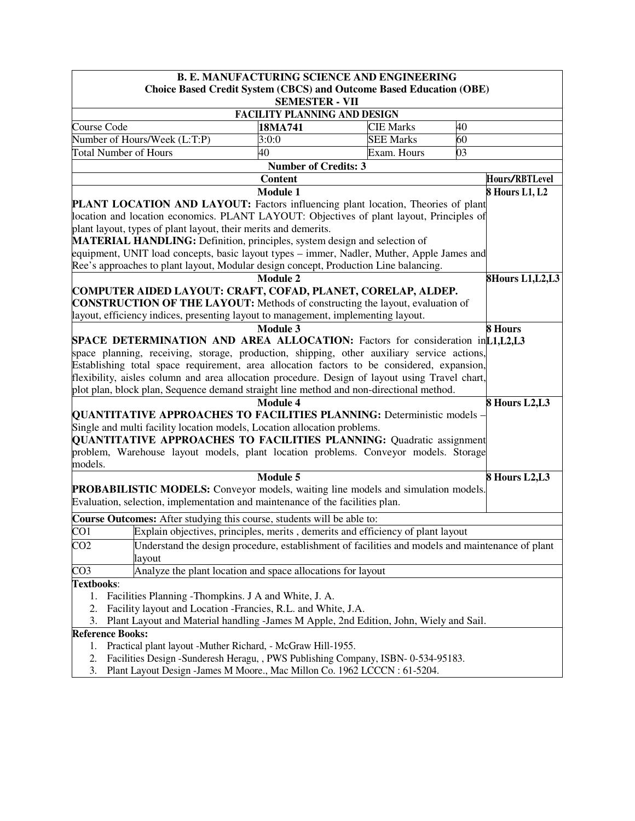|                                                                                                                                                                              | <b>B. E. MANUFACTURING SCIENCE AND ENGINEERING</b>                                    |                  |                   |  |  |
|------------------------------------------------------------------------------------------------------------------------------------------------------------------------------|---------------------------------------------------------------------------------------|------------------|-------------------|--|--|
|                                                                                                                                                                              | <b>Choice Based Credit System (CBCS) and Outcome Based Education (OBE)</b>            |                  |                   |  |  |
|                                                                                                                                                                              | <b>SEMESTER - VII</b>                                                                 |                  |                   |  |  |
|                                                                                                                                                                              | <b>FACILITY PLANNING AND DESIGN</b>                                                   |                  |                   |  |  |
| Course Code                                                                                                                                                                  | 18MA741                                                                               | <b>CIE Marks</b> | 40                |  |  |
| Number of Hours/Week (L:T:P)                                                                                                                                                 | 3:0:0                                                                                 | <b>SEE Marks</b> | 60                |  |  |
| <b>Total Number of Hours</b>                                                                                                                                                 | 40                                                                                    | Exam. Hours      | 03                |  |  |
|                                                                                                                                                                              | <b>Number of Credits: 3</b>                                                           |                  |                   |  |  |
|                                                                                                                                                                              | <b>Content</b>                                                                        |                  | Hours/RBTLevel    |  |  |
|                                                                                                                                                                              | <b>Module 1</b>                                                                       |                  | 8 Hours L1, L2    |  |  |
| PLANT LOCATION AND LAYOUT: Factors influencing plant location, Theories of plant<br>location and location economics. PLANT LAYOUT: Objectives of plant layout, Principles of |                                                                                       |                  |                   |  |  |
| plant layout, types of plant layout, their merits and demerits.                                                                                                              |                                                                                       |                  |                   |  |  |
| MATERIAL HANDLING: Definition, principles, system design and selection of                                                                                                    |                                                                                       |                  |                   |  |  |
| equipment, UNIT load concepts, basic layout types – immer, Nadler, Muther, Apple James and                                                                                   |                                                                                       |                  |                   |  |  |
| Ree's approaches to plant layout, Modular design concept, Production Line balancing.                                                                                         |                                                                                       |                  |                   |  |  |
|                                                                                                                                                                              | <b>Module 2</b>                                                                       |                  | 8Hours L1, L2, L3 |  |  |
| COMPUTER AIDED LAYOUT: CRAFT, COFAD, PLANET, CORELAP, ALDEP.                                                                                                                 |                                                                                       |                  |                   |  |  |
| <b>CONSTRUCTION OF THE LAYOUT:</b> Methods of constructing the layout, evaluation of                                                                                         |                                                                                       |                  |                   |  |  |
| layout, efficiency indices, presenting layout to management, implementing layout.                                                                                            |                                                                                       |                  |                   |  |  |
|                                                                                                                                                                              | <b>Module 3</b>                                                                       |                  | 8 Hours           |  |  |
| <b>SPACE DETERMINATION AND AREA ALLOCATION:</b> Factors for consideration in [1, [1, [1, [1, [2], [3]                                                                        |                                                                                       |                  |                   |  |  |
| space planning, receiving, storage, production, shipping, other auxiliary service actions,                                                                                   |                                                                                       |                  |                   |  |  |
| Establishing total space requirement, area allocation factors to be considered, expansion,                                                                                   |                                                                                       |                  |                   |  |  |
| flexibility, aisles column and area allocation procedure. Design of layout using Travel chart,                                                                               |                                                                                       |                  |                   |  |  |
| plot plan, block plan, Sequence demand straight line method and non-directional method.                                                                                      |                                                                                       |                  |                   |  |  |
|                                                                                                                                                                              | <b>Module 4</b>                                                                       |                  | 8 Hours L2,L3     |  |  |
| <b>QUANTITATIVE APPROACHES TO FACILITIES PLANNING:</b> Deterministic models -                                                                                                |                                                                                       |                  |                   |  |  |
| Single and multi facility location models, Location allocation problems.                                                                                                     |                                                                                       |                  |                   |  |  |
| <b>QUANTITATIVE APPROACHES TO FACILITIES PLANNING:</b> Quadratic assignment                                                                                                  |                                                                                       |                  |                   |  |  |
| problem, Warehouse layout models, plant location problems. Conveyor models. Storage                                                                                          |                                                                                       |                  |                   |  |  |
| models.                                                                                                                                                                      |                                                                                       |                  |                   |  |  |
|                                                                                                                                                                              | Module 5                                                                              |                  | 8 Hours L2,L3     |  |  |
| PROBABILISTIC MODELS: Conveyor models, waiting line models and simulation models.                                                                                            |                                                                                       |                  |                   |  |  |
| Evaluation, selection, implementation and maintenance of the facilities plan.                                                                                                |                                                                                       |                  |                   |  |  |
| Course Outcomes: After studying this course, students will be able to:                                                                                                       |                                                                                       |                  |                   |  |  |
| CO1                                                                                                                                                                          | Explain objectives, principles, merits, demerits and efficiency of plant layout       |                  |                   |  |  |
| CO <sub>2</sub><br>Understand the design procedure, establishment of facilities and models and maintenance of plant                                                          |                                                                                       |                  |                   |  |  |
| layout                                                                                                                                                                       |                                                                                       |                  |                   |  |  |
| CO3                                                                                                                                                                          | Analyze the plant location and space allocations for layout                           |                  |                   |  |  |
| Textbooks:                                                                                                                                                                   |                                                                                       |                  |                   |  |  |
| 1.                                                                                                                                                                           | Facilities Planning - Thompkins. J A and White, J. A.                                 |                  |                   |  |  |
| Facility layout and Location -Francies, R.L. and White, J.A.<br>2.                                                                                                           |                                                                                       |                  |                   |  |  |
| 3.                                                                                                                                                                           | Plant Layout and Material handling -James M Apple, 2nd Edition, John, Wiely and Sail. |                  |                   |  |  |
| <b>Reference Books:</b>                                                                                                                                                      |                                                                                       |                  |                   |  |  |
| 1.                                                                                                                                                                           | Practical plant layout -Muther Richard, - McGraw Hill-1955.                           |                  |                   |  |  |
| 2.                                                                                                                                                                           | Facilities Design -Sunderesh Heragu, , PWS Publishing Company, ISBN-0-534-95183.      |                  |                   |  |  |

3. Plant Layout Design -James M Moore., Mac Millon Co. 1962 LCCCN : 61-5204.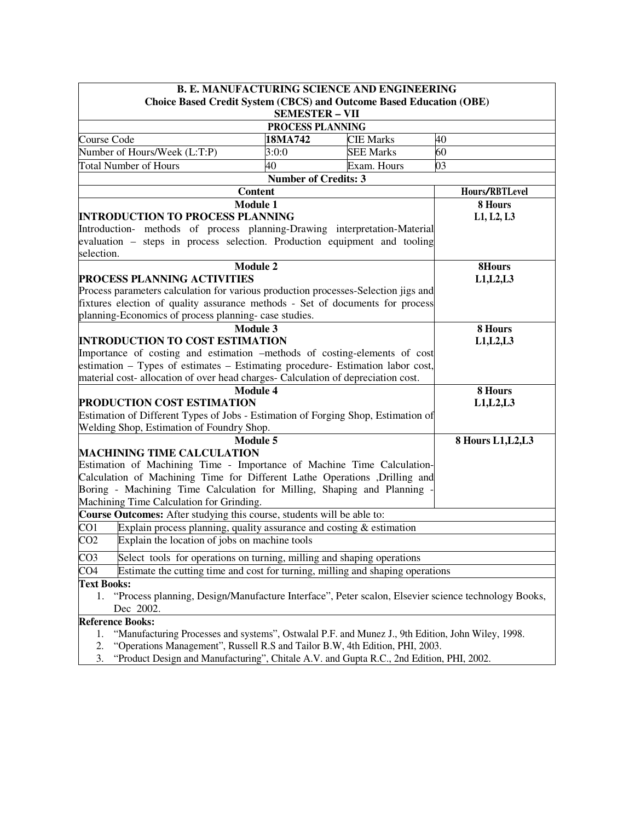|                                                                                                                                                                     | <b>B. E. MANUFACTURING SCIENCE AND ENGINEERING</b>                                                       |                                                            |  |                  |                    |  |
|---------------------------------------------------------------------------------------------------------------------------------------------------------------------|----------------------------------------------------------------------------------------------------------|------------------------------------------------------------|--|------------------|--------------------|--|
|                                                                                                                                                                     | <b>Choice Based Credit System (CBCS) and Outcome Based Education (OBE)</b>                               |                                                            |  |                  |                    |  |
|                                                                                                                                                                     | <b>SEMESTER - VII</b>                                                                                    |                                                            |  |                  |                    |  |
|                                                                                                                                                                     |                                                                                                          | PROCESS PLANNING                                           |  |                  |                    |  |
| Course Code                                                                                                                                                         |                                                                                                          | 18MA742                                                    |  | <b>CIE Marks</b> | 40                 |  |
|                                                                                                                                                                     | Number of Hours/Week (L:T:P)                                                                             | 3:0:0                                                      |  | <b>SEE Marks</b> | 60                 |  |
|                                                                                                                                                                     | <b>Total Number of Hours</b>                                                                             | 40                                                         |  | Exam. Hours      | 03                 |  |
|                                                                                                                                                                     |                                                                                                          | <b>Number of Credits: 3</b>                                |  |                  |                    |  |
|                                                                                                                                                                     | <b>Content</b>                                                                                           |                                                            |  |                  | Hours/RBTLevel     |  |
|                                                                                                                                                                     | <b>Module 1</b>                                                                                          |                                                            |  |                  | 8 Hours            |  |
|                                                                                                                                                                     | <b>INTRODUCTION TO PROCESS PLANNING</b>                                                                  |                                                            |  |                  | L1, L2, L3         |  |
|                                                                                                                                                                     | Introduction- methods of process planning-Drawing interpretation-Material                                |                                                            |  |                  |                    |  |
|                                                                                                                                                                     | evaluation – steps in process selection. Production equipment and tooling                                |                                                            |  |                  |                    |  |
| selection.                                                                                                                                                          |                                                                                                          |                                                            |  |                  |                    |  |
|                                                                                                                                                                     | <b>Module 2</b>                                                                                          |                                                            |  |                  | 8Hours             |  |
|                                                                                                                                                                     | PROCESS PLANNING ACTIVITIES                                                                              |                                                            |  |                  | L1, L2, L3         |  |
|                                                                                                                                                                     | Process parameters calculation for various production processes-Selection jigs and                       |                                                            |  |                  |                    |  |
|                                                                                                                                                                     | fixtures election of quality assurance methods - Set of documents for process                            |                                                            |  |                  |                    |  |
|                                                                                                                                                                     | planning-Economics of process planning- case studies.                                                    |                                                            |  |                  |                    |  |
|                                                                                                                                                                     | <b>Module 3</b>                                                                                          |                                                            |  |                  | 8 Hours            |  |
|                                                                                                                                                                     | <b>INTRODUCTION TO COST ESTIMATION</b>                                                                   |                                                            |  |                  | L1, L2, L3         |  |
|                                                                                                                                                                     | Importance of costing and estimation -methods of costing-elements of cost                                |                                                            |  |                  |                    |  |
| estimation – Types of estimates – Estimating procedure- Estimation labor cost,<br>material cost- allocation of over head charges- Calculation of depreciation cost. |                                                                                                          |                                                            |  |                  |                    |  |
|                                                                                                                                                                     |                                                                                                          |                                                            |  |                  |                    |  |
|                                                                                                                                                                     | <b>Module 4</b><br>PRODUCTION COST ESTIMATION                                                            |                                                            |  |                  | 8 Hours            |  |
|                                                                                                                                                                     | Estimation of Different Types of Jobs - Estimation of Forging Shop, Estimation of                        |                                                            |  |                  | L1, L2, L3         |  |
|                                                                                                                                                                     | Welding Shop, Estimation of Foundry Shop.                                                                |                                                            |  |                  |                    |  |
|                                                                                                                                                                     | <b>Module 5</b>                                                                                          |                                                            |  |                  | 8 Hours L1, L2, L3 |  |
|                                                                                                                                                                     | <b>MACHINING TIME CALCULATION</b>                                                                        |                                                            |  |                  |                    |  |
|                                                                                                                                                                     | Estimation of Machining Time - Importance of Machine Time Calculation-                                   |                                                            |  |                  |                    |  |
|                                                                                                                                                                     | Calculation of Machining Time for Different Lathe Operations ,Drilling and                               |                                                            |  |                  |                    |  |
|                                                                                                                                                                     | Boring - Machining Time Calculation for Milling, Shaping and Planning                                    |                                                            |  |                  |                    |  |
|                                                                                                                                                                     | Machining Time Calculation for Grinding.                                                                 |                                                            |  |                  |                    |  |
|                                                                                                                                                                     | Course Outcomes: After studying this course, students will be able to:                                   |                                                            |  |                  |                    |  |
| CO <sub>1</sub>                                                                                                                                                     | Explain process planning, quality assurance and costing $&$ estimation                                   |                                                            |  |                  |                    |  |
| CO <sub>2</sub>                                                                                                                                                     | Explain the location of jobs on machine tools                                                            |                                                            |  |                  |                    |  |
|                                                                                                                                                                     |                                                                                                          |                                                            |  |                  |                    |  |
| CO <sub>3</sub>                                                                                                                                                     | Select tools for operations on turning, milling and shaping operations                                   |                                                            |  |                  |                    |  |
| CO <sub>4</sub>                                                                                                                                                     | Estimate the cutting time and cost for turning, milling and shaping operations                           |                                                            |  |                  |                    |  |
| <b>Text Books:</b>                                                                                                                                                  |                                                                                                          |                                                            |  |                  |                    |  |
|                                                                                                                                                                     | "Process planning, Design/Manufacture Interface", Peter scalon, Elsevier science technology Books,<br>1. |                                                            |  |                  |                    |  |
|                                                                                                                                                                     | Dec 2002.                                                                                                |                                                            |  |                  |                    |  |
|                                                                                                                                                                     | <b>Reference Books:</b>                                                                                  |                                                            |  |                  |                    |  |
| 1.                                                                                                                                                                  | "Manufacturing Processes and systems", Ostwalal P.F. and Munez J., 9th Edition, John Wiley, 1998.        | $D_{\text{max}} = 11, D_{\text{max}} = 0.5$ and $T = 11$ . |  |                  |                    |  |

2. "Operations Management", Russell R.S and Tailor B.W, 4th Edition, PHI, 2003. 3. "Product Design and Manufacturing", Chitale A.V. and Gupta R.C., 2nd Edition, PHI, 2002.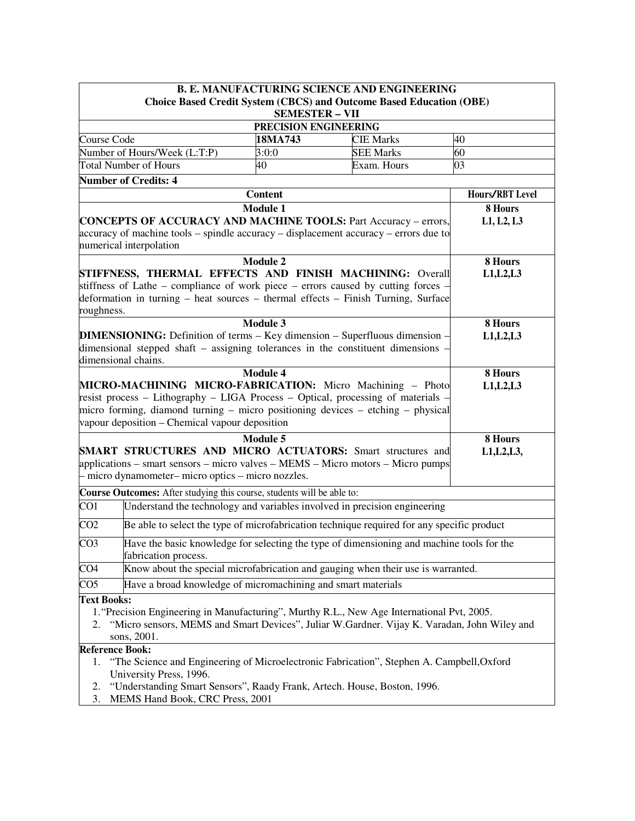|                                                                                                                                                                                                                                                                                                        | <b>B. E. MANUFACTURING SCIENCE AND ENGINEERING</b> |                                                                     |                        |  |
|--------------------------------------------------------------------------------------------------------------------------------------------------------------------------------------------------------------------------------------------------------------------------------------------------------|----------------------------------------------------|---------------------------------------------------------------------|------------------------|--|
|                                                                                                                                                                                                                                                                                                        | <b>SEMESTER - VII</b>                              | Choice Based Credit System (CBCS) and Outcome Based Education (OBE) |                        |  |
| PRECISION ENGINEERING                                                                                                                                                                                                                                                                                  |                                                    |                                                                     |                        |  |
| Course Code                                                                                                                                                                                                                                                                                            | 18MA743<br><b>CIE Marks</b>                        |                                                                     |                        |  |
| Number of Hours/Week (L:T:P)                                                                                                                                                                                                                                                                           | 3:0:0                                              | <b>SEE Marks</b>                                                    | 60                     |  |
| <b>Total Number of Hours</b>                                                                                                                                                                                                                                                                           | 40                                                 | Exam. Hours                                                         | 03                     |  |
| <b>Number of Credits: 4</b>                                                                                                                                                                                                                                                                            |                                                    |                                                                     |                        |  |
|                                                                                                                                                                                                                                                                                                        | <b>Content</b>                                     |                                                                     | <b>Hours/RBT Level</b> |  |
|                                                                                                                                                                                                                                                                                                        | <b>Module 1</b>                                    |                                                                     | 8 Hours                |  |
| <b>CONCEPTS OF ACCURACY AND MACHINE TOOLS: Part Accuracy - errors,</b><br>accuracy of machine tools – spindle accuracy – displacement accuracy – errors due to<br>numerical interpolation                                                                                                              |                                                    |                                                                     | L1, L2, L3             |  |
|                                                                                                                                                                                                                                                                                                        | <b>Module 2</b>                                    |                                                                     | 8 Hours                |  |
| STIFFNESS, THERMAL EFFECTS AND FINISH MACHINING: Overall                                                                                                                                                                                                                                               |                                                    |                                                                     | L1, L2, L3             |  |
| stiffness of Lathe – compliance of work piece – errors caused by cutting forces -                                                                                                                                                                                                                      |                                                    |                                                                     |                        |  |
| deformation in turning – heat sources – thermal effects – Finish Turning, Surface<br>roughness.                                                                                                                                                                                                        |                                                    |                                                                     |                        |  |
|                                                                                                                                                                                                                                                                                                        | <b>Module 3</b>                                    |                                                                     | 8 Hours                |  |
| <b>DIMENSIONING:</b> Definition of terms - Key dimension - Superfluous dimension -                                                                                                                                                                                                                     |                                                    |                                                                     | L1, L2, L3             |  |
| dimensional stepped shaft $-$ assigning tolerances in the constituent dimensions                                                                                                                                                                                                                       |                                                    |                                                                     |                        |  |
| dimensional chains.                                                                                                                                                                                                                                                                                    |                                                    |                                                                     |                        |  |
| <b>Module 4</b><br>MICRO-MACHINING MICRO-FABRICATION: Micro Machining - Photo<br>resist process – Lithography – LIGA Process – Optical, processing of materials -<br>micro forming, diamond turning – micro positioning devices – etching – physical<br>vapour deposition – Chemical vapour deposition |                                                    |                                                                     | 8 Hours<br>L1, L2, L3  |  |
|                                                                                                                                                                                                                                                                                                        | Module 5                                           |                                                                     | 8 Hours                |  |
| <b>SMART STRUCTURES AND MICRO ACTUATORS:</b> Smart structures and<br>applications – smart sensors – micro valves – MEMS – Micro motors – Micro pumps<br>- micro dynamometer- micro optics - micro nozzles.                                                                                             |                                                    |                                                                     | L1, L2, L3,            |  |
| Course Outcomes: After studying this course, students will be able to:                                                                                                                                                                                                                                 |                                                    |                                                                     |                        |  |
| Understand the technology and variables involved in precision engineering<br>CO <sub>1</sub>                                                                                                                                                                                                           |                                                    |                                                                     |                        |  |
| CO <sub>2</sub><br>Be able to select the type of microfabrication technique required for any specific product                                                                                                                                                                                          |                                                    |                                                                     |                        |  |
| CO <sub>3</sub><br>Have the basic knowledge for selecting the type of dimensioning and machine tools for the<br>fabrication process.                                                                                                                                                                   |                                                    |                                                                     |                        |  |
| CO <sub>4</sub><br>Know about the special microfabrication and gauging when their use is warranted.                                                                                                                                                                                                    |                                                    |                                                                     |                        |  |
| $\overline{CO5}$<br>Have a broad knowledge of micromachining and smart materials                                                                                                                                                                                                                       |                                                    |                                                                     |                        |  |
| <b>Text Books:</b>                                                                                                                                                                                                                                                                                     |                                                    |                                                                     |                        |  |
| 1. "Precision Engineering in Manufacturing", Murthy R.L., New Age International Pvt, 2005.<br>"Micro sensors, MEMS and Smart Devices", Juliar W.Gardner. Vijay K. Varadan, John Wiley and<br>2.<br>sons, 2001.                                                                                         |                                                    |                                                                     |                        |  |
| <b>Reference Book:</b>                                                                                                                                                                                                                                                                                 |                                                    |                                                                     |                        |  |
| "The Science and Engineering of Microelectronic Fabrication", Stephen A. Campbell, Oxford<br>1.<br>University Press, 1996.                                                                                                                                                                             |                                                    |                                                                     |                        |  |
| "Understanding Smart Sensors", Raady Frank, Artech. House, Boston, 1996.<br>2.                                                                                                                                                                                                                         |                                                    |                                                                     |                        |  |
| MEMS Hand Book, CRC Press, 2001<br>3.                                                                                                                                                                                                                                                                  |                                                    |                                                                     |                        |  |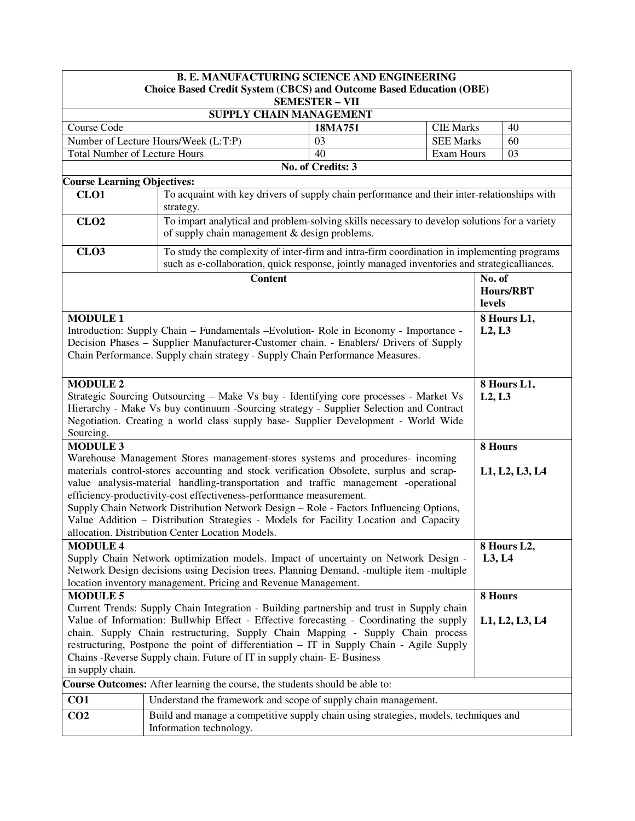|                                                                                                                         | <b>B. E. MANUFACTURING SCIENCE AND ENGINEERING</b>                                                                                                                                         |                       |                   |         |                  |
|-------------------------------------------------------------------------------------------------------------------------|--------------------------------------------------------------------------------------------------------------------------------------------------------------------------------------------|-----------------------|-------------------|---------|------------------|
|                                                                                                                         | <b>Choice Based Credit System (CBCS) and Outcome Based Education (OBE)</b>                                                                                                                 |                       |                   |         |                  |
|                                                                                                                         |                                                                                                                                                                                            | <b>SEMESTER - VII</b> |                   |         |                  |
|                                                                                                                         | SUPPLY CHAIN MANAGEMENT                                                                                                                                                                    |                       |                   |         |                  |
| Course Code                                                                                                             |                                                                                                                                                                                            | 18MA751               | <b>CIE Marks</b>  |         | 40               |
|                                                                                                                         | Number of Lecture Hours/Week (L:T:P)                                                                                                                                                       | 03                    | <b>SEE Marks</b>  |         | 60               |
| <b>Total Number of Lecture Hours</b>                                                                                    |                                                                                                                                                                                            | 40                    | <b>Exam Hours</b> |         | 03               |
|                                                                                                                         |                                                                                                                                                                                            | No. of Credits: 3     |                   |         |                  |
| <b>Course Learning Objectives:</b>                                                                                      |                                                                                                                                                                                            |                       |                   |         |                  |
| CLO <sub>1</sub>                                                                                                        | To acquaint with key drivers of supply chain performance and their inter-relationships with<br>strategy.                                                                                   |                       |                   |         |                  |
| CLO <sub>2</sub>                                                                                                        | To impart analytical and problem-solving skills necessary to develop solutions for a variety<br>of supply chain management & design problems.                                              |                       |                   |         |                  |
| CLO <sub>3</sub>                                                                                                        | To study the complexity of inter-firm and intra-firm coordination in implementing programs<br>such as e-collaboration, quick response, jointly managed inventories and strategicalliances. |                       |                   |         |                  |
|                                                                                                                         | <b>Content</b>                                                                                                                                                                             |                       |                   | No. of  |                  |
|                                                                                                                         |                                                                                                                                                                                            |                       |                   | levels  | <b>Hours/RBT</b> |
| <b>MODULE 1</b>                                                                                                         |                                                                                                                                                                                            |                       |                   |         | 8 Hours L1,      |
|                                                                                                                         | Introduction: Supply Chain – Fundamentals – Evolution- Role in Economy - Importance -                                                                                                      |                       |                   | L2, L3  |                  |
|                                                                                                                         | Decision Phases - Supplier Manufacturer-Customer chain. - Enablers/ Drivers of Supply                                                                                                      |                       |                   |         |                  |
|                                                                                                                         | Chain Performance. Supply chain strategy - Supply Chain Performance Measures.                                                                                                              |                       |                   |         |                  |
|                                                                                                                         |                                                                                                                                                                                            |                       |                   |         |                  |
| <b>MODULE 2</b>                                                                                                         |                                                                                                                                                                                            |                       |                   |         | 8 Hours L1,      |
|                                                                                                                         | Strategic Sourcing Outsourcing – Make Vs buy - Identifying core processes - Market Vs                                                                                                      |                       |                   | L2, L3  |                  |
|                                                                                                                         | Hierarchy - Make Vs buy continuum -Sourcing strategy - Supplier Selection and Contract                                                                                                     |                       |                   |         |                  |
|                                                                                                                         | Negotiation. Creating a world class supply base- Supplier Development - World Wide                                                                                                         |                       |                   |         |                  |
| Sourcing.                                                                                                               |                                                                                                                                                                                            |                       |                   |         |                  |
| <b>MODULE 3</b>                                                                                                         |                                                                                                                                                                                            |                       |                   | 8 Hours |                  |
|                                                                                                                         | Warehouse Management Stores management-stores systems and procedures- incoming                                                                                                             |                       |                   |         |                  |
|                                                                                                                         | materials control-stores accounting and stock verification Obsolete, surplus and scrap-                                                                                                    |                       |                   |         | L1, L2, L3, L4   |
|                                                                                                                         | value analysis-material handling-transportation and traffic management -operational                                                                                                        |                       |                   |         |                  |
|                                                                                                                         | efficiency-productivity-cost effectiveness-performance measurement.                                                                                                                        |                       |                   |         |                  |
|                                                                                                                         | Supply Chain Network Distribution Network Design - Role - Factors Influencing Options,                                                                                                     |                       |                   |         |                  |
|                                                                                                                         | Value Addition - Distribution Strategies - Models for Facility Location and Capacity                                                                                                       |                       |                   |         |                  |
|                                                                                                                         | allocation. Distribution Center Location Models.                                                                                                                                           |                       |                   |         |                  |
| <b>MODULE 4</b>                                                                                                         |                                                                                                                                                                                            |                       |                   |         | 8 Hours L2,      |
|                                                                                                                         | Supply Chain Network optimization models. Impact of uncertainty on Network Design -                                                                                                        |                       |                   | L3, L4  |                  |
|                                                                                                                         | Network Design decisions using Decision trees. Planning Demand, -multiple item -multiple                                                                                                   |                       |                   |         |                  |
| location inventory management. Pricing and Revenue Management.                                                          |                                                                                                                                                                                            |                       |                   |         |                  |
| <b>MODULE 5</b><br>8 Hours<br>Current Trends: Supply Chain Integration - Building partnership and trust in Supply chain |                                                                                                                                                                                            |                       |                   |         |                  |
|                                                                                                                         | Value of Information: Bullwhip Effect - Effective forecasting - Coordinating the supply<br>L1, L2, L3, L4                                                                                  |                       |                   |         |                  |
| chain. Supply Chain restructuring, Supply Chain Mapping - Supply Chain process                                          |                                                                                                                                                                                            |                       |                   |         |                  |
| restructuring, Postpone the point of differentiation - IT in Supply Chain - Agile Supply                                |                                                                                                                                                                                            |                       |                   |         |                  |
| Chains - Reverse Supply chain. Future of IT in supply chain- E- Business                                                |                                                                                                                                                                                            |                       |                   |         |                  |
| in supply chain.                                                                                                        |                                                                                                                                                                                            |                       |                   |         |                  |
|                                                                                                                         | Course Outcomes: After learning the course, the students should be able to:                                                                                                                |                       |                   |         |                  |
| CO <sub>1</sub>                                                                                                         | Understand the framework and scope of supply chain management.                                                                                                                             |                       |                   |         |                  |
|                                                                                                                         |                                                                                                                                                                                            |                       |                   |         |                  |
| CO <sub>2</sub>                                                                                                         | Build and manage a competitive supply chain using strategies, models, techniques and<br>Information technology.                                                                            |                       |                   |         |                  |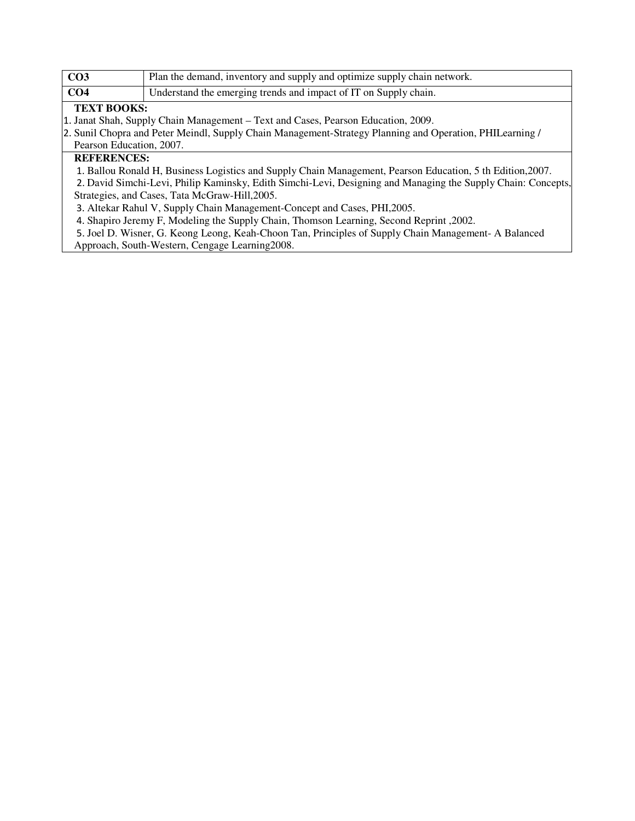| CO <sub>3</sub>    | Plan the demand, inventory and supply and optimize supply chain network.          |
|--------------------|-----------------------------------------------------------------------------------|
| CO <sub>4</sub>    | Understand the emerging trends and impact of IT on Supply chain.                  |
| <b>TEXT BOOKS:</b> |                                                                                   |
|                    | 1. Janat Shah, Supply Chain Management – Text and Cases, Pearson Education, 2009. |

2. Sunil Chopra and Peter Meindl, Supply Chain Management-Strategy Planning and Operation, PHILearning / Pearson Education, 2007.

## **REFERENCES:**

1. Ballou Ronald H, Business Logistics and Supply Chain Management, Pearson Education, 5 th Edition,2007.

2. David Simchi-Levi, Philip Kaminsky, Edith Simchi-Levi, Designing and Managing the Supply Chain: Concepts, Strategies, and Cases, Tata McGraw-Hill,2005.

3. Altekar Rahul V, Supply Chain Management-Concept and Cases, PHI,2005.

4. Shapiro Jeremy F, Modeling the Supply Chain, Thomson Learning, Second Reprint ,2002.

5. Joel D. Wisner, G. Keong Leong, Keah-Choon Tan, Principles of Supply Chain Management- A Balanced

Approach, South-Western, Cengage Learning2008.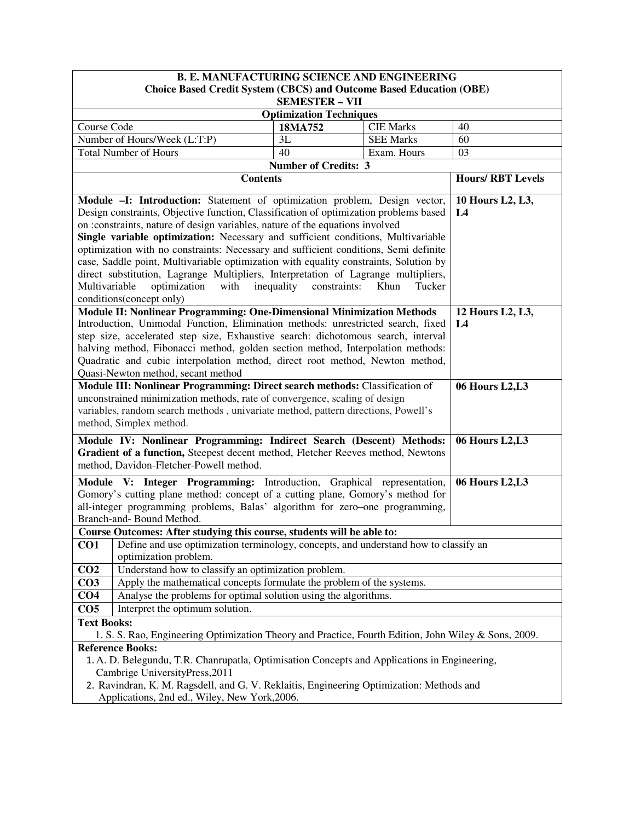| <b>B. E. MANUFACTURING SCIENCE AND ENGINEERING</b>                                                      |                                |                  |                         |
|---------------------------------------------------------------------------------------------------------|--------------------------------|------------------|-------------------------|
| <b>Choice Based Credit System (CBCS) and Outcome Based Education (OBE)</b>                              |                                |                  |                         |
|                                                                                                         | <b>SEMESTER - VII</b>          |                  |                         |
|                                                                                                         | <b>Optimization Techniques</b> |                  |                         |
| Course Code                                                                                             | 18MA752                        | <b>CIE Marks</b> | 40                      |
| Number of Hours/Week (L:T:P)                                                                            | 3L                             | <b>SEE Marks</b> | 60                      |
| <b>Total Number of Hours</b>                                                                            | 40                             | Exam. Hours      | 03                      |
|                                                                                                         | <b>Number of Credits: 3</b>    |                  |                         |
| <b>Contents</b>                                                                                         |                                |                  | <b>Hours/RBT Levels</b> |
| Module -I: Introduction: Statement of optimization problem, Design vector,                              |                                |                  | 10 Hours L2, L3,        |
| Design constraints, Objective function, Classification of optimization problems based                   |                                |                  | L4                      |
| on : constraints, nature of design variables, nature of the equations involved                          |                                |                  |                         |
| Single variable optimization: Necessary and sufficient conditions, Multivariable                        |                                |                  |                         |
| optimization with no constraints: Necessary and sufficient conditions, Semi definite                    |                                |                  |                         |
| case, Saddle point, Multivariable optimization with equality constraints, Solution by                   |                                |                  |                         |
| direct substitution, Lagrange Multipliers, Interpretation of Lagrange multipliers,                      |                                |                  |                         |
| optimization<br>with<br>Multivariable                                                                   | inequality<br>constraints:     | Khun<br>Tucker   |                         |
| conditions(concept only)                                                                                |                                |                  |                         |
| Module II: Nonlinear Programming: One-Dimensional Minimization Methods                                  |                                |                  | 12 Hours L2, L3,        |
| Introduction, Unimodal Function, Elimination methods: unrestricted search, fixed                        |                                |                  | L4                      |
| step size, accelerated step size, Exhaustive search: dichotomous search, interval                       |                                |                  |                         |
| halving method, Fibonacci method, golden section method, Interpolation methods:                         |                                |                  |                         |
| Quadratic and cubic interpolation method, direct root method, Newton method,                            |                                |                  |                         |
| Quasi-Newton method, secant method                                                                      |                                |                  |                         |
| Module III: Nonlinear Programming: Direct search methods: Classification of                             |                                |                  | <b>06 Hours L2, L3</b>  |
| unconstrained minimization methods, rate of convergence, scaling of design                              |                                |                  |                         |
| variables, random search methods, univariate method, pattern directions, Powell's                       |                                |                  |                         |
| method, Simplex method.                                                                                 |                                |                  |                         |
| Module IV: Nonlinear Programming: Indirect Search (Descent) Methods:                                    |                                |                  | <b>06 Hours L2, L3</b>  |
| Gradient of a function, Steepest decent method, Fletcher Reeves method, Newtons                         |                                |                  |                         |
| method, Davidon-Fletcher-Powell method.                                                                 |                                |                  |                         |
| Module V: Integer Programming: Introduction, Graphical representation,                                  |                                |                  | 06 Hours L2,L3          |
| Gomory's cutting plane method: concept of a cutting plane, Gomory's method for                          |                                |                  |                         |
| all-integer programming problems, Balas' algorithm for zero-one programming,                            |                                |                  |                         |
| Branch-and- Bound Method.                                                                               |                                |                  |                         |
| Course Outcomes: After studying this course, students will be able to:                                  |                                |                  |                         |
| Define and use optimization terminology, concepts, and understand how to classify an<br>CO <sub>1</sub> |                                |                  |                         |
| optimization problem.                                                                                   |                                |                  |                         |
| Understand how to classify an optimization problem.<br>CO <sub>2</sub>                                  |                                |                  |                         |
| Apply the mathematical concepts formulate the problem of the systems.<br>CO <sub>3</sub>                |                                |                  |                         |
| Analyse the problems for optimal solution using the algorithms.<br>CO <sub>4</sub>                      |                                |                  |                         |
| Interpret the optimum solution.<br>CO <sub>5</sub>                                                      |                                |                  |                         |
| <b>Text Books:</b>                                                                                      |                                |                  |                         |
| 1. S. S. Rao, Engineering Optimization Theory and Practice, Fourth Edition, John Wiley & Sons, 2009.    |                                |                  |                         |
| <b>Reference Books:</b>                                                                                 |                                |                  |                         |
| 1. A. D. Belegundu, T.R. Chanrupatla, Optimisation Concepts and Applications in Engineering,            |                                |                  |                         |
| Cambrige UniversityPress, 2011                                                                          |                                |                  |                         |
| 2. Ravindran, K. M. Ragsdell, and G. V. Reklaitis, Engineering Optimization: Methods and                |                                |                  |                         |
| Applications, 2nd ed., Wiley, New York, 2006.                                                           |                                |                  |                         |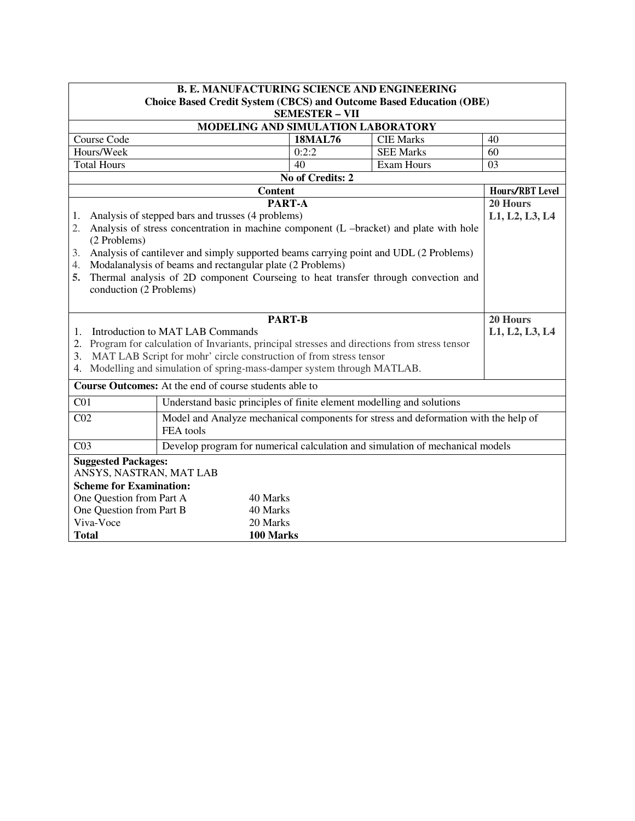|                                                                                                                     | <b>B. E. MANUFACTURING SCIENCE AND ENGINEERING</b>                                             |                       |                   |                 |
|---------------------------------------------------------------------------------------------------------------------|------------------------------------------------------------------------------------------------|-----------------------|-------------------|-----------------|
|                                                                                                                     | <b>Choice Based Credit System (CBCS) and Outcome Based Education (OBE)</b>                     |                       |                   |                 |
|                                                                                                                     |                                                                                                | <b>SEMESTER - VII</b> |                   |                 |
|                                                                                                                     | MODELING AND SIMULATION LABORATORY                                                             |                       |                   |                 |
| Course Code                                                                                                         |                                                                                                | <b>18MAL76</b>        | <b>CIE Marks</b>  | 40              |
| Hours/Week                                                                                                          |                                                                                                | 0:2:2                 | <b>SEE Marks</b>  | 60              |
| <b>Total Hours</b>                                                                                                  |                                                                                                | 40                    | <b>Exam Hours</b> | 03              |
|                                                                                                                     |                                                                                                | No of Credits: 2      |                   |                 |
|                                                                                                                     | <b>Content</b>                                                                                 |                       |                   | Hours/RBT Level |
|                                                                                                                     |                                                                                                | PART-A                |                   | 20 Hours        |
| 1.                                                                                                                  | Analysis of stepped bars and trusses (4 problems)                                              |                       |                   | L1, L2, L3, L4  |
| 2.                                                                                                                  | Analysis of stress concentration in machine component (L -bracket) and plate with hole         |                       |                   |                 |
| (2 Problems)                                                                                                        |                                                                                                |                       |                   |                 |
| 3.                                                                                                                  | Analysis of cantilever and simply supported beams carrying point and UDL (2 Problems)          |                       |                   |                 |
| 4.                                                                                                                  | Modalanalysis of beams and rectangular plate (2 Problems)                                      |                       |                   |                 |
| 5.                                                                                                                  | Thermal analysis of 2D component Courseing to heat transfer through convection and             |                       |                   |                 |
| conduction (2 Problems)                                                                                             |                                                                                                |                       |                   |                 |
|                                                                                                                     |                                                                                                |                       |                   |                 |
|                                                                                                                     | <b>PART-B</b>                                                                                  |                       |                   | 20 Hours        |
| 1.                                                                                                                  | Introduction to MAT LAB Commands                                                               |                       |                   | L1, L2, L3, L4  |
|                                                                                                                     | 2. Program for calculation of Invariants, principal stresses and directions from stress tensor |                       |                   |                 |
| 3.                                                                                                                  | MAT LAB Script for mohr' circle construction of from stress tensor                             |                       |                   |                 |
|                                                                                                                     | 4. Modelling and simulation of spring-mass-damper system through MATLAB.                       |                       |                   |                 |
|                                                                                                                     | <b>Course Outcomes:</b> At the end of course students able to                                  |                       |                   |                 |
| C <sub>01</sub>                                                                                                     | Understand basic principles of finite element modelling and solutions                          |                       |                   |                 |
|                                                                                                                     |                                                                                                |                       |                   |                 |
| Model and Analyze mechanical components for stress and deformation with the help of<br>CO <sub>2</sub><br>FEA tools |                                                                                                |                       |                   |                 |
| Develop program for numerical calculation and simulation of mechanical models<br>CO <sub>3</sub>                    |                                                                                                |                       |                   |                 |
| <b>Suggested Packages:</b>                                                                                          |                                                                                                |                       |                   |                 |
| ANSYS, NASTRAN, MAT LAB                                                                                             |                                                                                                |                       |                   |                 |
| <b>Scheme for Examination:</b>                                                                                      |                                                                                                |                       |                   |                 |
| One Question from Part A<br>40 Marks                                                                                |                                                                                                |                       |                   |                 |
| One Question from Part B                                                                                            | 40 Marks                                                                                       |                       |                   |                 |
| Viva-Voce                                                                                                           | 20 Marks                                                                                       |                       |                   |                 |
| 100 Marks<br><b>Total</b>                                                                                           |                                                                                                |                       |                   |                 |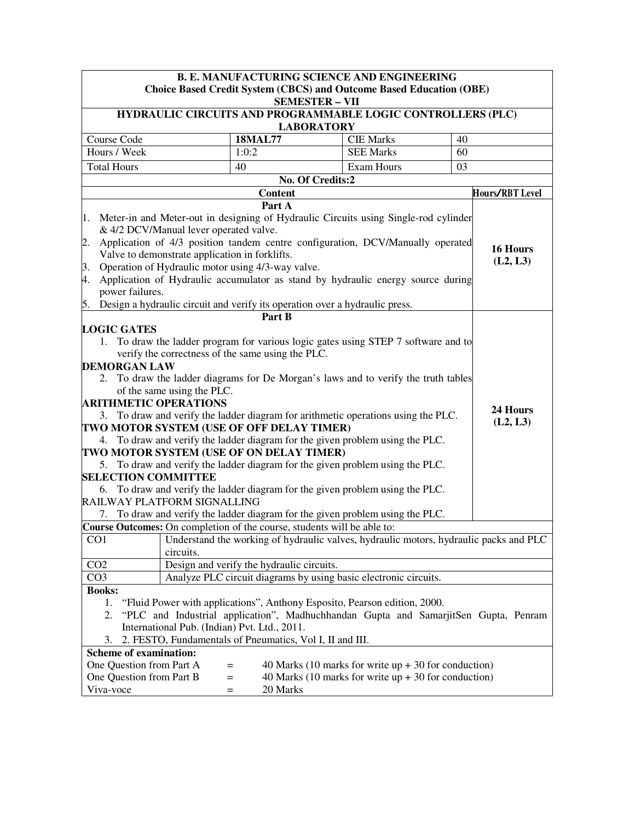| <b>B. E. MANUFACTURING SCIENCE AND ENGINEERING</b>                                                                                                                                                                                                                                                                                                                                                                                                                                                                                                                                                                                                                                                                                                                                                                                                                                                                                                                                                                            |                                                                                              |                                                                                                                  |                      |  |
|-------------------------------------------------------------------------------------------------------------------------------------------------------------------------------------------------------------------------------------------------------------------------------------------------------------------------------------------------------------------------------------------------------------------------------------------------------------------------------------------------------------------------------------------------------------------------------------------------------------------------------------------------------------------------------------------------------------------------------------------------------------------------------------------------------------------------------------------------------------------------------------------------------------------------------------------------------------------------------------------------------------------------------|----------------------------------------------------------------------------------------------|------------------------------------------------------------------------------------------------------------------|----------------------|--|
|                                                                                                                                                                                                                                                                                                                                                                                                                                                                                                                                                                                                                                                                                                                                                                                                                                                                                                                                                                                                                               | Choice Based Credit System (CBCS) and Outcome Based Education (OBE)<br><b>SEMESTER - VII</b> |                                                                                                                  |                      |  |
| HYDRAULIC CIRCUITS AND PROGRAMMABLE LOGIC CONTROLLERS (PLC)                                                                                                                                                                                                                                                                                                                                                                                                                                                                                                                                                                                                                                                                                                                                                                                                                                                                                                                                                                   | <b>LABORATORY</b>                                                                            |                                                                                                                  |                      |  |
| Course Code                                                                                                                                                                                                                                                                                                                                                                                                                                                                                                                                                                                                                                                                                                                                                                                                                                                                                                                                                                                                                   | <b>18MAL77</b>                                                                               | <b>CIE Marks</b>                                                                                                 | 40                   |  |
| Hours / Week                                                                                                                                                                                                                                                                                                                                                                                                                                                                                                                                                                                                                                                                                                                                                                                                                                                                                                                                                                                                                  | 1:0:2                                                                                        | <b>SEE Marks</b>                                                                                                 | 60                   |  |
| <b>Total Hours</b>                                                                                                                                                                                                                                                                                                                                                                                                                                                                                                                                                                                                                                                                                                                                                                                                                                                                                                                                                                                                            | 40                                                                                           | Exam Hours                                                                                                       | 03                   |  |
|                                                                                                                                                                                                                                                                                                                                                                                                                                                                                                                                                                                                                                                                                                                                                                                                                                                                                                                                                                                                                               | No. Of Credits:2                                                                             |                                                                                                                  |                      |  |
|                                                                                                                                                                                                                                                                                                                                                                                                                                                                                                                                                                                                                                                                                                                                                                                                                                                                                                                                                                                                                               | <b>Content</b>                                                                               |                                                                                                                  | Hours/RBT Level      |  |
|                                                                                                                                                                                                                                                                                                                                                                                                                                                                                                                                                                                                                                                                                                                                                                                                                                                                                                                                                                                                                               | Part A                                                                                       |                                                                                                                  |                      |  |
| 1. Meter-in and Meter-out in designing of Hydraulic Circuits using Single-rod cylinder<br>& 4/2 DCV/Manual lever operated valve.<br>Application of 4/3 position tandem centre configuration, DCV/Manually operated<br>2.<br>Valve to demonstrate application in forklifts.<br>Operation of Hydraulic motor using 4/3-way valve.<br>3.<br>Application of Hydraulic accumulator as stand by hydraulic energy source during<br>4.<br>power failures.<br>5. Design a hydraulic circuit and verify its operation over a hydraulic press.                                                                                                                                                                                                                                                                                                                                                                                                                                                                                           |                                                                                              |                                                                                                                  | 16 Hours<br>(L2, L3) |  |
|                                                                                                                                                                                                                                                                                                                                                                                                                                                                                                                                                                                                                                                                                                                                                                                                                                                                                                                                                                                                                               | Part B                                                                                       |                                                                                                                  |                      |  |
| <b>LOGIC GATES</b><br>1. To draw the ladder program for various logic gates using STEP 7 software and to<br>verify the correctness of the same using the PLC.<br><b>DEMORGAN LAW</b><br>2. To draw the ladder diagrams for De Morgan's laws and to verify the truth tables<br>of the same using the PLC.<br><b>ARITHMETIC OPERATIONS</b><br>24 Hours<br>3. To draw and verify the ladder diagram for arithmetic operations using the PLC.<br>(L2, L3)<br>TWO MOTOR SYSTEM (USE OF OFF DELAY TIMER)<br>4. To draw and verify the ladder diagram for the given problem using the PLC.<br>TWO MOTOR SYSTEM (USE OF ON DELAY TIMER)<br>5. To draw and verify the ladder diagram for the given problem using the PLC.<br><b>SELECTION COMMITTEE</b><br>6. To draw and verify the ladder diagram for the given problem using the PLC.<br>RAILWAY PLATFORM SIGNALLING<br>To draw and verify the ladder diagram for the given problem using the PLC.<br>7.<br>Course Outcomes: On completion of the course, students will be able to: |                                                                                              |                                                                                                                  |                      |  |
| CO <sub>1</sub><br>circuits.                                                                                                                                                                                                                                                                                                                                                                                                                                                                                                                                                                                                                                                                                                                                                                                                                                                                                                                                                                                                  | Understand the working of hydraulic valves, hydraulic motors, hydraulic packs and PLC        |                                                                                                                  |                      |  |
| CO <sub>2</sub>                                                                                                                                                                                                                                                                                                                                                                                                                                                                                                                                                                                                                                                                                                                                                                                                                                                                                                                                                                                                               | Design and verify the hydraulic circuits.                                                    |                                                                                                                  |                      |  |
| CO <sub>3</sub>                                                                                                                                                                                                                                                                                                                                                                                                                                                                                                                                                                                                                                                                                                                                                                                                                                                                                                                                                                                                               | Analyze PLC circuit diagrams by using basic electronic circuits.                             |                                                                                                                  |                      |  |
| <b>Books:</b><br>"Fluid Power with applications", Anthony Esposito, Pearson edition, 2000.<br>1.<br>"PLC and Industrial application", Madhuchhandan Gupta and SamarjitSen Gupta, Penram<br>2.<br>International Pub. (Indian) Pvt. Ltd., 2011.<br>2. FESTO, Fundamentals of Pneumatics, Vol I, II and III.<br>3.<br><b>Scheme of examination:</b>                                                                                                                                                                                                                                                                                                                                                                                                                                                                                                                                                                                                                                                                              |                                                                                              |                                                                                                                  |                      |  |
| One Question from Part A<br>One Question from Part B<br>Viva-voce                                                                                                                                                                                                                                                                                                                                                                                                                                                                                                                                                                                                                                                                                                                                                                                                                                                                                                                                                             | $=$<br>$=$<br>20 Marks<br>$=$                                                                | 40 Marks (10 marks for write $up + 30$ for conduction)<br>40 Marks (10 marks for write $up + 30$ for conduction) |                      |  |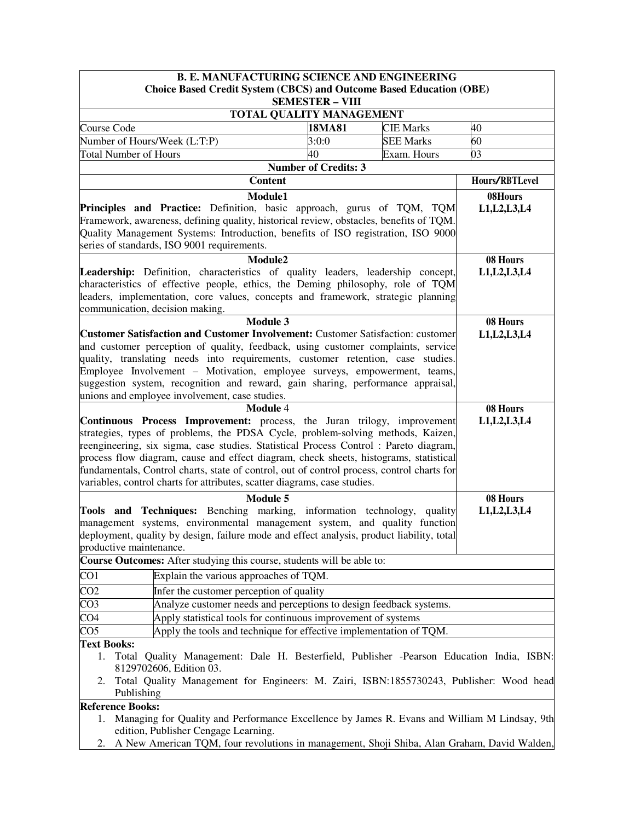| <b>B. E. MANUFACTURING SCIENCE AND ENGINEERING</b>                                                                                                                |                             |                  |                |  |
|-------------------------------------------------------------------------------------------------------------------------------------------------------------------|-----------------------------|------------------|----------------|--|
| <b>Choice Based Credit System (CBCS) and Outcome Based Education (OBE)</b>                                                                                        | <b>SEMESTER - VIII</b>      |                  |                |  |
|                                                                                                                                                                   | TOTAL QUALITY MANAGEMENT    |                  |                |  |
| Course Code                                                                                                                                                       | 18MA81                      | <b>CIE Marks</b> | 40             |  |
| Number of Hours/Week (L:T:P)                                                                                                                                      | 3:0:0                       | <b>SEE Marks</b> | 60             |  |
| <b>Total Number of Hours</b>                                                                                                                                      | 40                          | Exam. Hours      | 03             |  |
|                                                                                                                                                                   | <b>Number of Credits: 3</b> |                  |                |  |
| <b>Content</b>                                                                                                                                                    |                             |                  | Hours/RBTLevel |  |
| Module1                                                                                                                                                           |                             |                  | 08Hours        |  |
| Principles and Practice: Definition, basic approach, gurus of TQM, TQM                                                                                            |                             |                  | L1, L2, L3, L4 |  |
| Framework, awareness, defining quality, historical review, obstacles, benefits of TQM.                                                                            |                             |                  |                |  |
| Quality Management Systems: Introduction, benefits of ISO registration, ISO 9000                                                                                  |                             |                  |                |  |
| series of standards, ISO 9001 requirements.                                                                                                                       |                             |                  |                |  |
| Module2                                                                                                                                                           |                             |                  | 08 Hours       |  |
| <b>Leadership:</b> Definition, characteristics of quality leaders, leadership concept,                                                                            |                             |                  | L1, L2, L3, L4 |  |
| characteristics of effective people, ethics, the Deming philosophy, role of TQM                                                                                   |                             |                  |                |  |
| leaders, implementation, core values, concepts and framework, strategic planning                                                                                  |                             |                  |                |  |
| communication, decision making.                                                                                                                                   |                             |                  |                |  |
| <b>Module 3</b><br><b>Customer Satisfaction and Customer Involvement: Customer Satisfaction: customer</b>                                                         |                             |                  | 08 Hours       |  |
| and customer perception of quality, feedback, using customer complaints, service                                                                                  |                             |                  | L1, L2, L3, L4 |  |
| quality, translating needs into requirements, customer retention, case studies.                                                                                   |                             |                  |                |  |
| Employee Involvement - Motivation, employee surveys, empowerment, teams,                                                                                          |                             |                  |                |  |
| suggestion system, recognition and reward, gain sharing, performance appraisal,                                                                                   |                             |                  |                |  |
| unions and employee involvement, case studies.                                                                                                                    |                             |                  |                |  |
| <b>Module 4</b>                                                                                                                                                   |                             |                  | 08 Hours       |  |
| <b>Continuous Process Improvement:</b> process, the Juran trilogy, improvement<br>strategies, types of problems, the PDSA Cycle, problem-solving methods, Kaizen, |                             |                  | L1, L2, L3, L4 |  |
| reengineering, six sigma, case studies. Statistical Process Control : Pareto diagram,                                                                             |                             |                  |                |  |
| process flow diagram, cause and effect diagram, check sheets, histograms, statistical                                                                             |                             |                  |                |  |
| fundamentals, Control charts, state of control, out of control process, control charts for                                                                        |                             |                  |                |  |
| variables, control charts for attributes, scatter diagrams, case studies.                                                                                         |                             |                  |                |  |
| Module 5                                                                                                                                                          |                             |                  | 08 Hours       |  |
| Tools and Techniques: Benching marking, information technology, quality                                                                                           |                             |                  | L1, L2, L3, L4 |  |
| management systems, environmental management system, and quality function                                                                                         |                             |                  |                |  |
| deployment, quality by design, failure mode and effect analysis, product liability, total                                                                         |                             |                  |                |  |
| productive maintenance.                                                                                                                                           |                             |                  |                |  |
| Course Outcomes: After studying this course, students will be able to:                                                                                            |                             |                  |                |  |
| CO <sub>1</sub><br>Explain the various approaches of TQM.                                                                                                         |                             |                  |                |  |
| CO <sub>2</sub><br>Infer the customer perception of quality                                                                                                       |                             |                  |                |  |
| CO <sub>3</sub><br>Analyze customer needs and perceptions to design feedback systems.                                                                             |                             |                  |                |  |
| CO <sub>4</sub><br>Apply statistical tools for continuous improvement of systems                                                                                  |                             |                  |                |  |
| CO <sub>5</sub><br>Apply the tools and technique for effective implementation of TQM.                                                                             |                             |                  |                |  |
| <b>Text Books:</b>                                                                                                                                                |                             |                  |                |  |
| Total Quality Management: Dale H. Besterfield, Publisher -Pearson Education India, ISBN:<br>1.<br>8129702606, Edition 03.                                         |                             |                  |                |  |
| Total Quality Management for Engineers: M. Zairi, ISBN:1855730243, Publisher: Wood head<br>2.<br>Publishing                                                       |                             |                  |                |  |
| <b>Reference Books:</b>                                                                                                                                           |                             |                  |                |  |
| Managing for Quality and Performance Excellence by James R. Evans and William M Lindsay, 9th<br>1.<br>edition, Publisher Cengage Learning.                        |                             |                  |                |  |

2. A New American TQM, four revolutions in management, Shoji Shiba, Alan Graham, David Walden,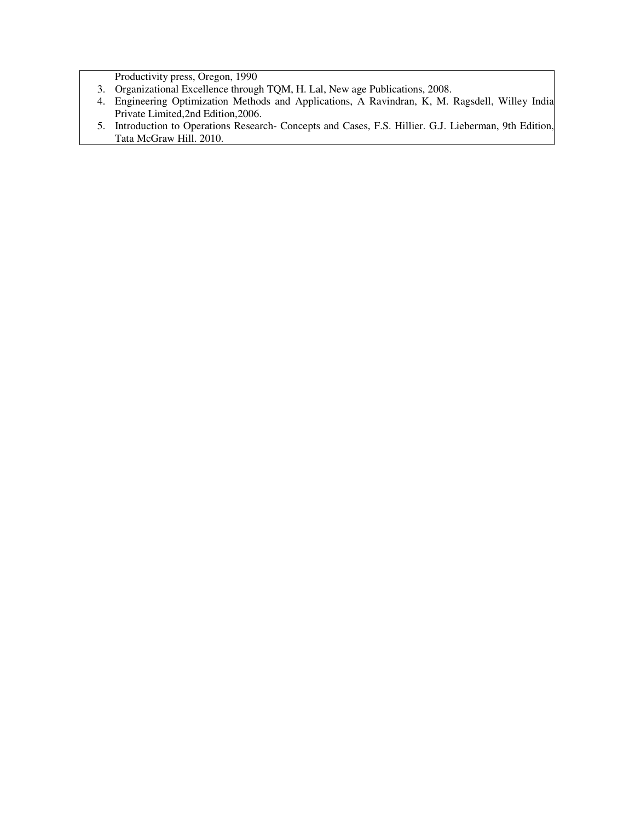Productivity press, Oregon, 1990

- 3. Organizational Excellence through TQM, H. Lal, New age Publications, 2008.
- 4. Engineering Optimization Methods and Applications, A Ravindran, K, M. Ragsdell, Willey India Private Limited,2nd Edition,2006.
- 5. Introduction to Operations Research- Concepts and Cases, F.S. Hillier. G.J. Lieberman, 9th Edition, Tata McGraw Hill. 2010.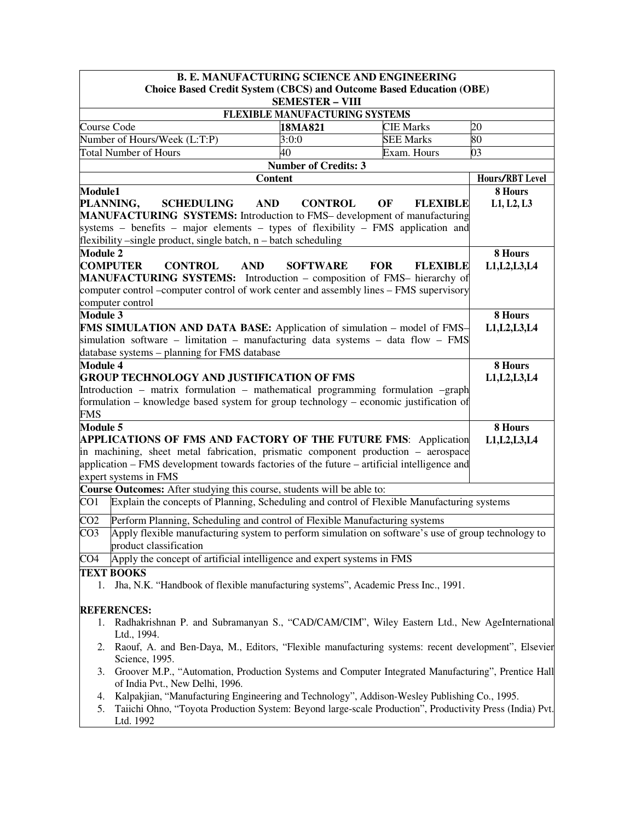|                                                                            |                                                                                                                                                                       |                             | <b>B. E. MANUFACTURING SCIENCE AND ENGINEERING</b> |                 |  |  |  |
|----------------------------------------------------------------------------|-----------------------------------------------------------------------------------------------------------------------------------------------------------------------|-----------------------------|----------------------------------------------------|-----------------|--|--|--|
| <b>Choice Based Credit System (CBCS) and Outcome Based Education (OBE)</b> |                                                                                                                                                                       |                             |                                                    |                 |  |  |  |
| <b>SEMESTER - VIII</b><br><b>FLEXIBLE MANUFACTURING SYSTEMS</b>            |                                                                                                                                                                       |                             |                                                    |                 |  |  |  |
|                                                                            | Course Code                                                                                                                                                           | 18MA821                     | <b>CIE Marks</b>                                   | 20              |  |  |  |
|                                                                            | Number of Hours/Week (L:T:P)                                                                                                                                          | 3:0:0                       | <b>SEE Marks</b>                                   | 80              |  |  |  |
|                                                                            | <b>Total Number of Hours</b>                                                                                                                                          | 40                          | Exam. Hours                                        | 03              |  |  |  |
|                                                                            |                                                                                                                                                                       | <b>Number of Credits: 3</b> |                                                    |                 |  |  |  |
|                                                                            | <b>Content</b>                                                                                                                                                        |                             |                                                    | Hours/RBT Level |  |  |  |
| <b>Module1</b>                                                             |                                                                                                                                                                       |                             |                                                    | 8 Hours         |  |  |  |
|                                                                            | PLANNING,<br><b>SCHEDULING</b><br><b>AND</b>                                                                                                                          | <b>CONTROL</b>              | OF<br><b>FLEXIBLE</b>                              | L1, L2, L3      |  |  |  |
|                                                                            | <b>MANUFACTURING SYSTEMS:</b> Introduction to FMS– development of manufacturing                                                                                       |                             |                                                    |                 |  |  |  |
|                                                                            | systems – benefits – major elements – types of flexibility – FMS application and                                                                                      |                             |                                                    |                 |  |  |  |
|                                                                            | flexibility -single product, single batch, n - batch scheduling                                                                                                       |                             |                                                    |                 |  |  |  |
| <b>Module 2</b>                                                            | <b>COMPUTER</b>                                                                                                                                                       |                             |                                                    | 8 Hours         |  |  |  |
|                                                                            | <b>CONTROL</b><br><b>AND</b><br><b>MANUFACTURING SYSTEMS:</b> Introduction – composition of FMS– hierarchy of                                                         | <b>SOFTWARE</b>             | <b>FOR</b><br><b>FLEXIBLE</b>                      | L1, L2, L3, L4  |  |  |  |
|                                                                            | computer control –computer control of work center and assembly lines – FMS supervisory                                                                                |                             |                                                    |                 |  |  |  |
|                                                                            | computer control                                                                                                                                                      |                             |                                                    |                 |  |  |  |
| <b>Module 3</b>                                                            |                                                                                                                                                                       |                             |                                                    | 8 Hours         |  |  |  |
|                                                                            | FMS SIMULATION AND DATA BASE: Application of simulation - model of FMS-                                                                                               |                             |                                                    | L1, L2, L3, L4  |  |  |  |
|                                                                            | simulation software – limitation – manufacturing data systems – data flow – FMS                                                                                       |                             |                                                    |                 |  |  |  |
|                                                                            | database systems - planning for FMS database                                                                                                                          |                             |                                                    |                 |  |  |  |
| <b>Module 4</b>                                                            |                                                                                                                                                                       |                             |                                                    | 8 Hours         |  |  |  |
|                                                                            | <b>GROUP TECHNOLOGY AND JUSTIFICATION OF FMS</b>                                                                                                                      |                             |                                                    | L1, L2, L3, L4  |  |  |  |
|                                                                            | Introduction - matrix formulation - mathematical programming formulation -graph                                                                                       |                             |                                                    |                 |  |  |  |
|                                                                            | formulation – knowledge based system for group technology – economic justification of                                                                                 |                             |                                                    |                 |  |  |  |
| <b>FMS</b>                                                                 |                                                                                                                                                                       |                             |                                                    |                 |  |  |  |
| <b>Module 5</b>                                                            |                                                                                                                                                                       |                             |                                                    | 8 Hours         |  |  |  |
|                                                                            | APPLICATIONS OF FMS AND FACTORY OF THE FUTURE FMS: Application<br>L1, L2, L3, L4<br>in machining, sheet metal fabrication, prismatic component production - aerospace |                             |                                                    |                 |  |  |  |
|                                                                            | application – FMS development towards factories of the future – artificial intelligence and                                                                           |                             |                                                    |                 |  |  |  |
|                                                                            | expert systems in FMS                                                                                                                                                 |                             |                                                    |                 |  |  |  |
|                                                                            | Course Outcomes: After studying this course, students will be able to:                                                                                                |                             |                                                    |                 |  |  |  |
| CO1                                                                        | Explain the concepts of Planning, Scheduling and control of Flexible Manufacturing systems                                                                            |                             |                                                    |                 |  |  |  |
| CO <sub>2</sub>                                                            |                                                                                                                                                                       |                             |                                                    |                 |  |  |  |
| CO <sub>3</sub>                                                            | Perform Planning, Scheduling and control of Flexible Manufacturing systems                                                                                            |                             |                                                    |                 |  |  |  |
|                                                                            | Apply flexible manufacturing system to perform simulation on software's use of group technology to<br>product classification                                          |                             |                                                    |                 |  |  |  |
| CO4                                                                        | Apply the concept of artificial intelligence and expert systems in FMS                                                                                                |                             |                                                    |                 |  |  |  |
|                                                                            | <b>TEXT BOOKS</b>                                                                                                                                                     |                             |                                                    |                 |  |  |  |
| 1.                                                                         | Jha, N.K. "Handbook of flexible manufacturing systems", Academic Press Inc., 1991.                                                                                    |                             |                                                    |                 |  |  |  |
|                                                                            | <b>REFERENCES:</b>                                                                                                                                                    |                             |                                                    |                 |  |  |  |
| 1.                                                                         | Radhakrishnan P. and Subramanyan S., "CAD/CAM/CIM", Wiley Eastern Ltd., New AgeInternational                                                                          |                             |                                                    |                 |  |  |  |
|                                                                            | Ltd., 1994.                                                                                                                                                           |                             |                                                    |                 |  |  |  |
| 2.                                                                         | Raouf, A. and Ben-Daya, M., Editors, "Flexible manufacturing systems: recent development", Elsevier<br>Science, 1995.                                                 |                             |                                                    |                 |  |  |  |
| 3.                                                                         | Groover M.P., "Automation, Production Systems and Computer Integrated Manufacturing", Prentice Hall<br>of India Pvt., New Delhi, 1996.                                |                             |                                                    |                 |  |  |  |
| 4.                                                                         | Kalpakjian, "Manufacturing Engineering and Technology", Addison-Wesley Publishing Co., 1995.                                                                          |                             |                                                    |                 |  |  |  |
| 5.                                                                         | Taiichi Ohno, "Toyota Production System: Beyond large-scale Production", Productivity Press (India) Pvt.                                                              |                             |                                                    |                 |  |  |  |
|                                                                            | Ltd. 1992                                                                                                                                                             |                             |                                                    |                 |  |  |  |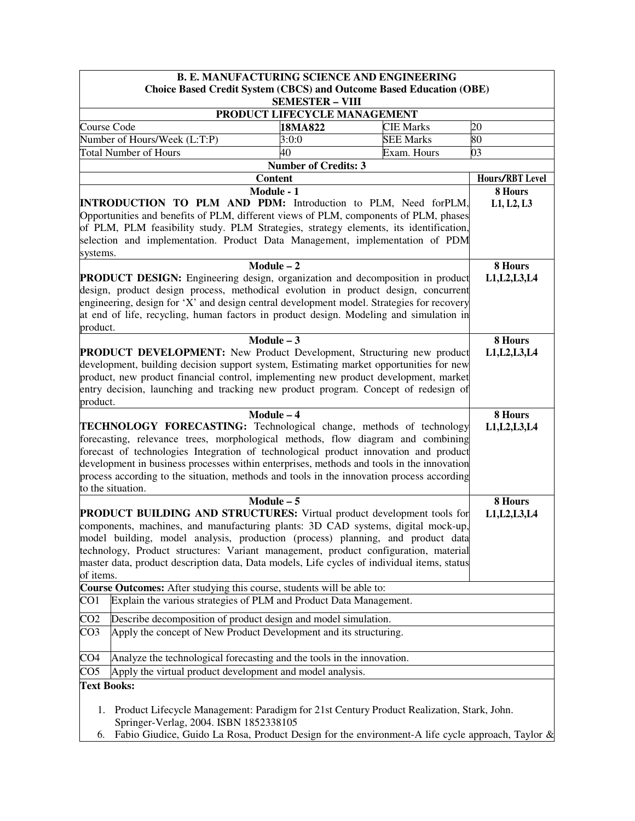| <b>B. E. MANUFACTURING SCIENCE AND ENGINEERING</b>                                                                                                                                                                                                                                                                                                                                                                                                                                 |                                                                                                                                                                                                                                                                                                                                                                                                                                                     |                             |                           |                           |  |  |
|------------------------------------------------------------------------------------------------------------------------------------------------------------------------------------------------------------------------------------------------------------------------------------------------------------------------------------------------------------------------------------------------------------------------------------------------------------------------------------|-----------------------------------------------------------------------------------------------------------------------------------------------------------------------------------------------------------------------------------------------------------------------------------------------------------------------------------------------------------------------------------------------------------------------------------------------------|-----------------------------|---------------------------|---------------------------|--|--|
|                                                                                                                                                                                                                                                                                                                                                                                                                                                                                    | <b>Choice Based Credit System (CBCS) and Outcome Based Education (OBE)</b>                                                                                                                                                                                                                                                                                                                                                                          |                             |                           |                           |  |  |
| <b>SEMESTER - VIII</b><br>PRODUCT LIFECYCLE MANAGEMENT                                                                                                                                                                                                                                                                                                                                                                                                                             |                                                                                                                                                                                                                                                                                                                                                                                                                                                     |                             |                           |                           |  |  |
| Course Code                                                                                                                                                                                                                                                                                                                                                                                                                                                                        |                                                                                                                                                                                                                                                                                                                                                                                                                                                     | 18MA822                     | <b>CIE Marks</b>          | 20                        |  |  |
|                                                                                                                                                                                                                                                                                                                                                                                                                                                                                    | Number of Hours/Week (L:T:P)                                                                                                                                                                                                                                                                                                                                                                                                                        | 3:0:0                       | <b>SEE Marks</b>          | 80                        |  |  |
|                                                                                                                                                                                                                                                                                                                                                                                                                                                                                    | <b>Total Number of Hours</b>                                                                                                                                                                                                                                                                                                                                                                                                                        | 40                          | Exam. Hours               | 03                        |  |  |
|                                                                                                                                                                                                                                                                                                                                                                                                                                                                                    |                                                                                                                                                                                                                                                                                                                                                                                                                                                     | <b>Number of Credits: 3</b> |                           |                           |  |  |
|                                                                                                                                                                                                                                                                                                                                                                                                                                                                                    | <b>Content</b>                                                                                                                                                                                                                                                                                                                                                                                                                                      |                             |                           | Hours/RBT Level           |  |  |
|                                                                                                                                                                                                                                                                                                                                                                                                                                                                                    | Module - 1                                                                                                                                                                                                                                                                                                                                                                                                                                          |                             |                           | 8 Hours                   |  |  |
| INTRODUCTION TO PLM AND PDM: Introduction to PLM, Need forPLM,<br>Opportunities and benefits of PLM, different views of PLM, components of PLM, phases<br>of PLM, PLM feasibility study. PLM Strategies, strategy elements, its identification,<br>selection and implementation. Product Data Management, implementation of PDM<br>systems.                                                                                                                                        |                                                                                                                                                                                                                                                                                                                                                                                                                                                     |                             |                           | L1, L2, L3                |  |  |
|                                                                                                                                                                                                                                                                                                                                                                                                                                                                                    | $Module - 2$                                                                                                                                                                                                                                                                                                                                                                                                                                        |                             |                           | 8 Hours                   |  |  |
| <b>PRODUCT DESIGN:</b> Engineering design, organization and decomposition in product<br>design, product design process, methodical evolution in product design, concurrent<br>engineering, design for 'X' and design central development model. Strategies for recovery<br>at end of life, recycling, human factors in product design. Modeling and simulation in<br>product.                                                                                                      |                                                                                                                                                                                                                                                                                                                                                                                                                                                     |                             | L1, L2, L3, L4            |                           |  |  |
|                                                                                                                                                                                                                                                                                                                                                                                                                                                                                    | $Module - 3$                                                                                                                                                                                                                                                                                                                                                                                                                                        |                             |                           | 8 Hours                   |  |  |
| product.                                                                                                                                                                                                                                                                                                                                                                                                                                                                           | PRODUCT DEVELOPMENT: New Product Development, Structuring new product<br>development, building decision support system, Estimating market opportunities for new<br>product, new product financial control, implementing new product development, market<br>entry decision, launching and tracking new product program. Concept of redesign of                                                                                                       |                             |                           | L1, L2, L3, L4            |  |  |
| Module - 4<br><b>TECHNOLOGY FORECASTING:</b> Technological change, methods of technology<br>forecasting, relevance trees, morphological methods, flow diagram and combining<br>forecast of technologies Integration of technological product innovation and product<br>development in business processes within enterprises, methods and tools in the innovation<br>process according to the situation, methods and tools in the innovation process according<br>to the situation. |                                                                                                                                                                                                                                                                                                                                                                                                                                                     |                             | 8 Hours<br>L1, L2, L3, L4 |                           |  |  |
| of items.                                                                                                                                                                                                                                                                                                                                                                                                                                                                          | $Module - 5$<br>PRODUCT BUILDING AND STRUCTURES: Virtual product development tools for<br>components, machines, and manufacturing plants: 3D CAD systems, digital mock-up,<br>model building, model analysis, production (process) planning, and product data<br>technology, Product structures: Variant management, product configuration, material<br>master data, product description data, Data models, Life cycles of individual items, status |                             |                           | 8 Hours<br>L1, L2, L3, L4 |  |  |
|                                                                                                                                                                                                                                                                                                                                                                                                                                                                                    | Course Outcomes: After studying this course, students will be able to:                                                                                                                                                                                                                                                                                                                                                                              |                             |                           |                           |  |  |
| CO1                                                                                                                                                                                                                                                                                                                                                                                                                                                                                | Explain the various strategies of PLM and Product Data Management.                                                                                                                                                                                                                                                                                                                                                                                  |                             |                           |                           |  |  |
| CO <sub>2</sub>                                                                                                                                                                                                                                                                                                                                                                                                                                                                    | Describe decomposition of product design and model simulation.                                                                                                                                                                                                                                                                                                                                                                                      |                             |                           |                           |  |  |
| CO <sub>3</sub>                                                                                                                                                                                                                                                                                                                                                                                                                                                                    | Apply the concept of New Product Development and its structuring.                                                                                                                                                                                                                                                                                                                                                                                   |                             |                           |                           |  |  |
| CO <sub>4</sub>                                                                                                                                                                                                                                                                                                                                                                                                                                                                    | Analyze the technological forecasting and the tools in the innovation.                                                                                                                                                                                                                                                                                                                                                                              |                             |                           |                           |  |  |
| CO <sub>5</sub>                                                                                                                                                                                                                                                                                                                                                                                                                                                                    | Apply the virtual product development and model analysis.                                                                                                                                                                                                                                                                                                                                                                                           |                             |                           |                           |  |  |
| <b>Text Books:</b>                                                                                                                                                                                                                                                                                                                                                                                                                                                                 |                                                                                                                                                                                                                                                                                                                                                                                                                                                     |                             |                           |                           |  |  |
| 1.<br>6.                                                                                                                                                                                                                                                                                                                                                                                                                                                                           | Product Lifecycle Management: Paradigm for 21st Century Product Realization, Stark, John.<br>Springer-Verlag, 2004. ISBN 1852338105<br>Fabio Giudice, Guido La Rosa, Product Design for the environment-A life cycle approach, Taylor &                                                                                                                                                                                                             |                             |                           |                           |  |  |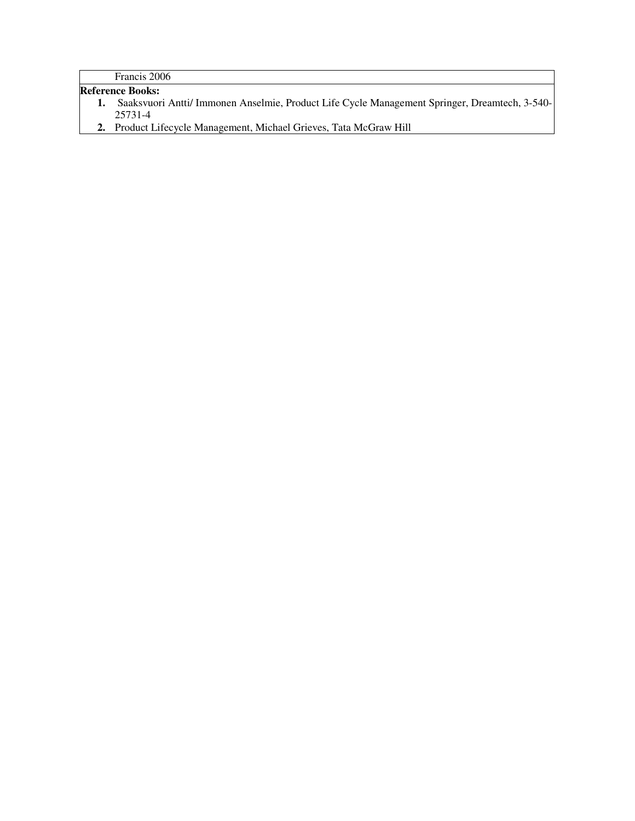Francis 2006

**Reference Books:** 

- **1.** Saaksvuori Antti/ Immonen Anselmie, Product Life Cycle Management Springer, Dreamtech, 3-540- 25731-4
- **2.** Product Lifecycle Management, Michael Grieves, Tata McGraw Hill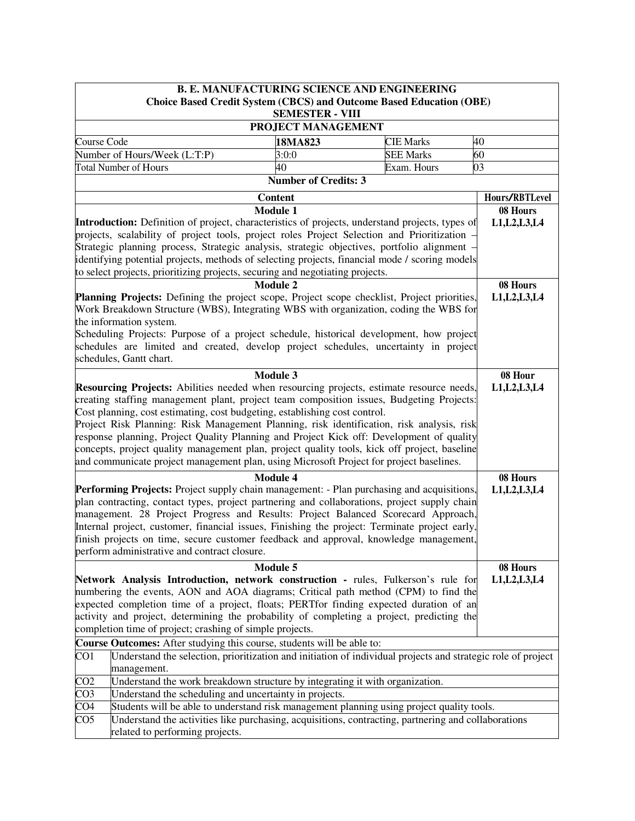|                                                                                        | <b>B. E. MANUFACTURING SCIENCE AND ENGINEERING</b>                                                                                                                                    |                             |  |                  |                           |  |
|----------------------------------------------------------------------------------------|---------------------------------------------------------------------------------------------------------------------------------------------------------------------------------------|-----------------------------|--|------------------|---------------------------|--|
|                                                                                        | <b>Choice Based Credit System (CBCS) and Outcome Based Education (OBE)</b>                                                                                                            |                             |  |                  |                           |  |
|                                                                                        |                                                                                                                                                                                       | <b>SEMESTER - VIII</b>      |  |                  |                           |  |
| PROJECT MANAGEMENT                                                                     |                                                                                                                                                                                       |                             |  |                  |                           |  |
| Course Code                                                                            |                                                                                                                                                                                       | 18MA823                     |  | <b>CIE Marks</b> | 40                        |  |
|                                                                                        | Number of Hours/Week (L:T:P)                                                                                                                                                          | 3:0:0                       |  | <b>SEE Marks</b> | 60                        |  |
|                                                                                        | <b>Total Number of Hours</b>                                                                                                                                                          | 40                          |  | Exam. Hours      | 03                        |  |
|                                                                                        |                                                                                                                                                                                       | <b>Number of Credits: 3</b> |  |                  |                           |  |
|                                                                                        |                                                                                                                                                                                       | <b>Content</b>              |  |                  | Hours/RBTLevel            |  |
|                                                                                        |                                                                                                                                                                                       | <b>Module 1</b>             |  |                  | 08 Hours                  |  |
|                                                                                        | Introduction: Definition of project, characteristics of projects, understand projects, types of                                                                                       |                             |  |                  | L1, L2, L3, L4            |  |
|                                                                                        | projects, scalability of project tools, project roles Project Selection and Prioritization -                                                                                          |                             |  |                  |                           |  |
|                                                                                        | Strategic planning process, Strategic analysis, strategic objectives, portfolio alignment -                                                                                           |                             |  |                  |                           |  |
|                                                                                        | identifying potential projects, methods of selecting projects, financial mode / scoring models                                                                                        |                             |  |                  |                           |  |
|                                                                                        | to select projects, prioritizing projects, securing and negotiating projects.                                                                                                         |                             |  |                  |                           |  |
|                                                                                        |                                                                                                                                                                                       | <b>Module 2</b>             |  |                  | 08 Hours                  |  |
|                                                                                        | Planning Projects: Defining the project scope, Project scope checklist, Project priorities,                                                                                           |                             |  |                  | L1, L2, L3, L4            |  |
|                                                                                        | Work Breakdown Structure (WBS), Integrating WBS with organization, coding the WBS for<br>the information system.                                                                      |                             |  |                  |                           |  |
|                                                                                        | Scheduling Projects: Purpose of a project schedule, historical development, how project                                                                                               |                             |  |                  |                           |  |
|                                                                                        | schedules are limited and created, develop project schedules, uncertainty in project                                                                                                  |                             |  |                  |                           |  |
|                                                                                        | schedules, Gantt chart.                                                                                                                                                               |                             |  |                  |                           |  |
|                                                                                        |                                                                                                                                                                                       |                             |  |                  |                           |  |
|                                                                                        | Resourcing Projects: Abilities needed when resourcing projects, estimate resource needs,                                                                                              | Module 3                    |  |                  | 08 Hour<br>L1, L2, L3, L4 |  |
|                                                                                        | creating staffing management plant, project team composition issues, Budgeting Projects:                                                                                              |                             |  |                  |                           |  |
|                                                                                        | Cost planning, cost estimating, cost budgeting, establishing cost control.                                                                                                            |                             |  |                  |                           |  |
|                                                                                        |                                                                                                                                                                                       |                             |  |                  |                           |  |
|                                                                                        | Project Risk Planning: Risk Management Planning, risk identification, risk analysis, risk<br>response planning, Project Quality Planning and Project Kick off: Development of quality |                             |  |                  |                           |  |
|                                                                                        | concepts, project quality management plan, project quality tools, kick off project, baseline                                                                                          |                             |  |                  |                           |  |
|                                                                                        | and communicate project management plan, using Microsoft Project for project baselines.                                                                                               |                             |  |                  |                           |  |
|                                                                                        |                                                                                                                                                                                       | <b>Module 4</b>             |  |                  | 08 Hours                  |  |
|                                                                                        | Performing Projects: Project supply chain management: - Plan purchasing and acquisitions,                                                                                             |                             |  |                  | L1, L2, L3, L4            |  |
|                                                                                        | plan contracting, contact types, project partnering and collaborations, project supply chain                                                                                          |                             |  |                  |                           |  |
|                                                                                        | management. 28 Project Progress and Results: Project Balanced Scorecard Approach,                                                                                                     |                             |  |                  |                           |  |
|                                                                                        | Internal project, customer, financial issues, Finishing the project: Terminate project early,                                                                                         |                             |  |                  |                           |  |
|                                                                                        | finish projects on time, secure customer feedback and approval, knowledge management,                                                                                                 |                             |  |                  |                           |  |
|                                                                                        | perform administrative and contract closure.                                                                                                                                          |                             |  |                  |                           |  |
|                                                                                        |                                                                                                                                                                                       | Module 5                    |  |                  | 08 Hours                  |  |
|                                                                                        | Network Analysis Introduction, network construction - rules, Fulkerson's rule for                                                                                                     |                             |  |                  | L1, L2, L3, L4            |  |
|                                                                                        | numbering the events, AON and AOA diagrams; Critical path method (CPM) to find the                                                                                                    |                             |  |                  |                           |  |
| expected completion time of a project, floats; PERTfor finding expected duration of an |                                                                                                                                                                                       |                             |  |                  |                           |  |
|                                                                                        | activity and project, determining the probability of completing a project, predicting the                                                                                             |                             |  |                  |                           |  |
|                                                                                        | completion time of project; crashing of simple projects.                                                                                                                              |                             |  |                  |                           |  |
|                                                                                        | Course Outcomes: After studying this course, students will be able to:                                                                                                                |                             |  |                  |                           |  |
| CO <sub>1</sub>                                                                        | Understand the selection, prioritization and initiation of individual projects and strategic role of project                                                                          |                             |  |                  |                           |  |
|                                                                                        | management.                                                                                                                                                                           |                             |  |                  |                           |  |
| CO <sub>2</sub>                                                                        | Understand the work breakdown structure by integrating it with organization.                                                                                                          |                             |  |                  |                           |  |
| CO <sub>3</sub>                                                                        | Understand the scheduling and uncertainty in projects.                                                                                                                                |                             |  |                  |                           |  |
| CO <sub>4</sub>                                                                        | Students will be able to understand risk management planning using project quality tools.                                                                                             |                             |  |                  |                           |  |
| CO <sub>5</sub>                                                                        | Understand the activities like purchasing, acquisitions, contracting, partnering and collaborations                                                                                   |                             |  |                  |                           |  |
|                                                                                        | related to performing projects.                                                                                                                                                       |                             |  |                  |                           |  |